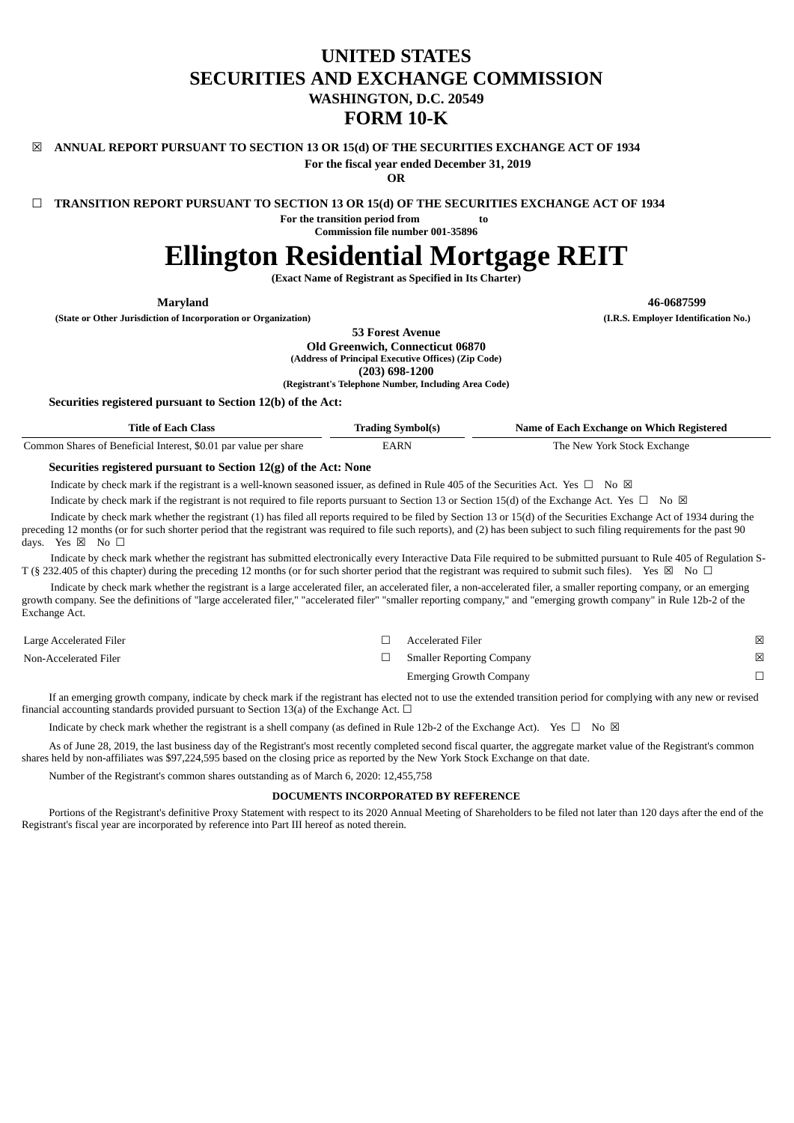# **UNITED STATES SECURITIES AND EXCHANGE COMMISSION WASHINGTON, D.C. 20549**

# **FORM 10-K**

☒ **ANNUAL REPORT PURSUANT TO SECTION 13 OR 15(d) OF THE SECURITIES EXCHANGE ACT OF 1934 For the fiscal year ended December 31, 2019**

**OR**

☐ **TRANSITION REPORT PURSUANT TO SECTION 13 OR 15(d) OF THE SECURITIES EXCHANGE ACT OF 1934**

For the transition period from **Commission file number 001-35896**

# **Ellington Residential Mortgage REIT**

**(Exact Name of Registrant as Specified in Its Charter)**

**(State or Other Jurisdiction of Incorporation or Organization) (I.R.S. Employer Identification No.)**

**53 Forest Avenue**

**Old Greenwich, Connecticut 06870 (Address of Principal Executive Offices) (Zip Code) (203) 698-1200**

**(Registrant's Telephone Number, Including Area Code)**

**Securities registered pursuant to Section 12(b) of the Act:**

| <b>Title of Each Class</b>                                                                                                                                         | <b>Trading Symbol(s)</b> | Name of Each Exchange on Which Registered |  |  |
|--------------------------------------------------------------------------------------------------------------------------------------------------------------------|--------------------------|-------------------------------------------|--|--|
| Common Shares of Beneficial Interest, \$0.01 par value per share<br>The New York Stock Exchange<br><b>EARN</b>                                                     |                          |                                           |  |  |
| Securities registered pursuant to Section 12(g) of the Act: None                                                                                                   |                          |                                           |  |  |
| Indicate by check mark if the registrant is a well-known seasoned issuer, as defined in Rule 405 of the Securities Act. Yes $\Box$ No $\boxtimes$                  |                          |                                           |  |  |
| Indicate by check mark if the registrant is not required to file reports pursuant to Section 13 or Section 15(d) of the Exchange Act. Yes $\square$ No $\boxtimes$ |                          |                                           |  |  |

Indicate by check mark whether the registrant (1) has filed all reports required to be filed by Section 13 or 15(d) of the Securities Exchange Act of 1934 during the preceding 12 months (or for such shorter period that the registrant was required to file such reports), and (2) has been subject to such filing requirements for the past 90 days. Yes  $\boxtimes$  No  $\square$ 

Indicate by check mark whether the registrant has submitted electronically every Interactive Data File required to be submitted pursuant to Rule 405 of Regulation S-T (§ 232.405 of this chapter) during the preceding 12 months (or for such shorter period that the registrant was required to submit such files). Yes ⊠ No □

Indicate by check mark whether the registrant is a large accelerated filer, an accelerated filer, a non-accelerated filer, a smaller reporting company, or an emerging growth company. See the definitions of "large accelerated filer," "accelerated filer" "smaller reporting company," and "emerging growth company" in Rule 12b-2 of the Exchange Act.

| Large Accelerated Filer | <b>Accelerated Filer</b>         | 冈 |
|-------------------------|----------------------------------|---|
| Non-Accelerated Filer   | <b>Smaller Reporting Company</b> | ⊠ |
|                         | <b>Emerging Growth Company</b>   |   |

If an emerging growth company, indicate by check mark if the registrant has elected not to use the extended transition period for complying with any new or revised financial accounting standards provided pursuant to Section 13(a) of the Exchange Act.  $\Box$ 

Indicate by check mark whether the registrant is a shell company (as defined in Rule 12b-2 of the Exchange Act). Yes  $\Box$  No  $\boxtimes$ 

As of June 28, 2019, the last business day of the Registrant's most recently completed second fiscal quarter, the aggregate market value of the Registrant's common shares held by non-affiliates was \$97,224,595 based on the closing price as reported by the New York Stock Exchange on that date.

Number of the Registrant's common shares outstanding as of March 6, 2020: 12,455,758

#### **DOCUMENTS INCORPORATED BY REFERENCE**

Portions of the Registrant's definitive Proxy Statement with respect to its 2020 Annual Meeting of Shareholders to be filed not later than 120 days after the end of the Registrant's fiscal year are incorporated by reference into Part III hereof as noted therein.

**Maryland 46-0687599**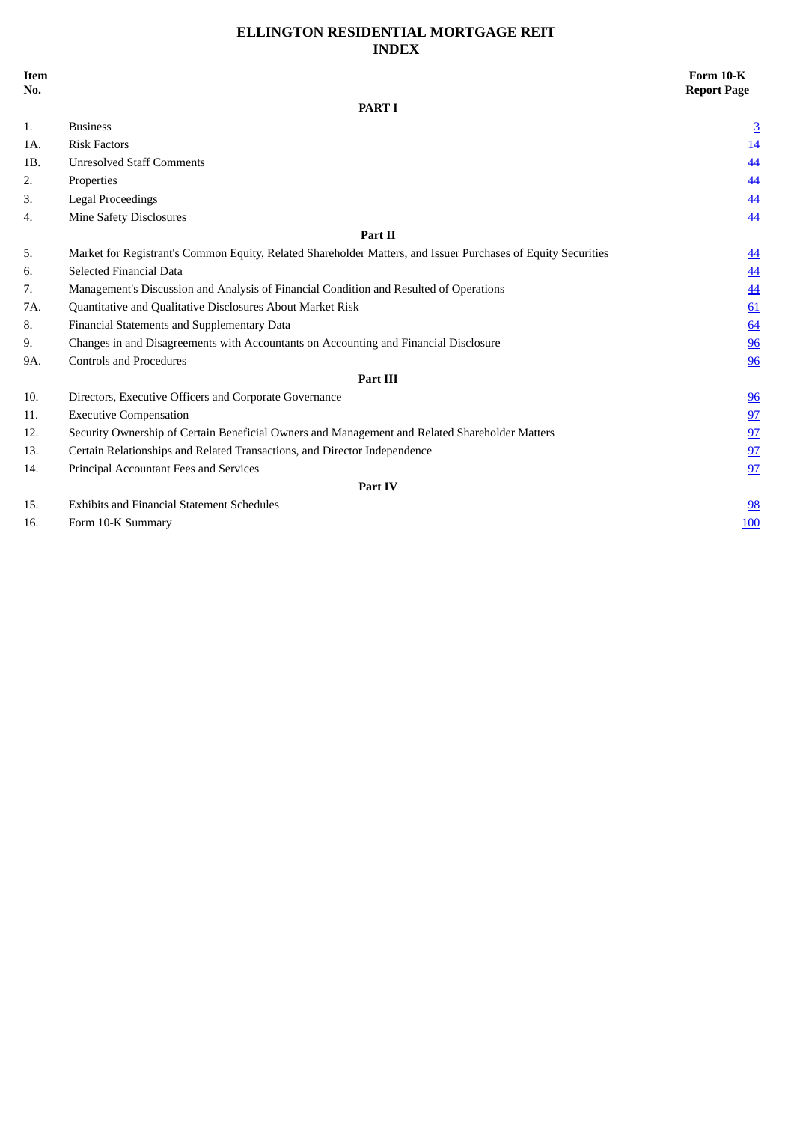# **ELLINGTON RESIDENTIAL MORTGAGE REIT INDEX**

| Item<br>No. |                                                                                                               | Form 10-K<br><b>Report Page</b> |
|-------------|---------------------------------------------------------------------------------------------------------------|---------------------------------|
|             | <b>PART I</b>                                                                                                 |                                 |
| 1.          | <b>Business</b>                                                                                               | $\overline{3}$                  |
| 1A.         | <b>Risk Factors</b>                                                                                           | <u>14</u>                       |
| 1B.         | <b>Unresolved Staff Comments</b>                                                                              | 44                              |
| 2.          | Properties                                                                                                    | <u>44</u>                       |
| 3.          | <b>Legal Proceedings</b>                                                                                      | 44                              |
| 4.          | <b>Mine Safety Disclosures</b>                                                                                | 44                              |
|             | Part II                                                                                                       |                                 |
| 5.          | Market for Registrant's Common Equity, Related Shareholder Matters, and Issuer Purchases of Equity Securities | <u>44</u>                       |
| 6.          | Selected Financial Data                                                                                       | <u>44</u>                       |
| 7.          | Management's Discussion and Analysis of Financial Condition and Resulted of Operations                        | 44                              |
| 7A.         | Quantitative and Qualitative Disclosures About Market Risk                                                    | <u>61</u>                       |
| 8.          | Financial Statements and Supplementary Data                                                                   | 64                              |
| 9.          | Changes in and Disagreements with Accountants on Accounting and Financial Disclosure                          | 96                              |
| 9A.         | <b>Controls and Procedures</b>                                                                                | 96                              |
|             | Part III                                                                                                      |                                 |
| 10.         | Directors, Executive Officers and Corporate Governance                                                        | 96                              |
| 11.         | <b>Executive Compensation</b>                                                                                 | 97                              |
| 12.         | Security Ownership of Certain Beneficial Owners and Management and Related Shareholder Matters                | 97                              |
| 13.         | Certain Relationships and Related Transactions, and Director Independence                                     | 97                              |
| 14.         | Principal Accountant Fees and Services                                                                        | 97                              |
|             | Part IV                                                                                                       |                                 |
| 15.         | <b>Exhibits and Financial Statement Schedules</b>                                                             | 98                              |
| 16.         | Form 10-K Summary                                                                                             | 100                             |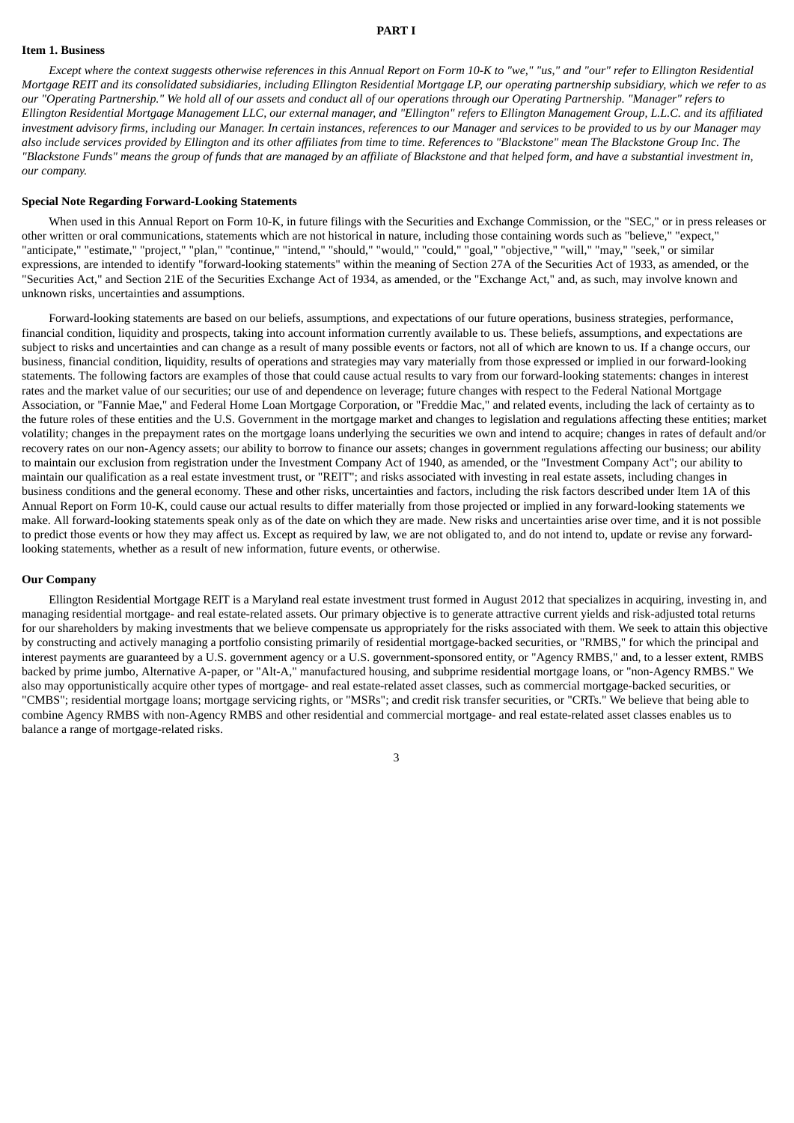#### **PART I**

#### <span id="page-2-0"></span>**Item 1. Business**

Except where the context suggests otherwise references in this Annual Report on Form 10-K to "we," "us," and "our" refer to Ellington Residential Mortgage REIT and its consolidated subsidiaries, including Ellington Residential Mortgage LP, our operating partnership subsidiary, which we refer to as our "Operating Partnership." We hold all of our assets and conduct all of our operations through our Operating Partnership. "Manager" refers to Ellington Residential Mortagge Management LLC, our external manager, and "Ellington" refers to Ellington Management Group, L.L.C. and its affiliated investment advisory firms, including our Manager. In certain instances, references to our Manager and services to be provided to us by our Manager may also include services provided by Ellington and its other affiliates from time to time. References to "Blackstone" mean The Blackstone Group Inc. The "Blackstone Funds" means the group of funds that are managed by an affiliate of Blackstone and that helped form, and have a substantial investment in, *our company.*

#### **Special Note Regarding Forward-Looking Statements**

When used in this Annual Report on Form 10-K, in future filings with the Securities and Exchange Commission, or the "SEC," or in press releases or other written or oral communications, statements which are not historical in nature, including those containing words such as "believe," "expect," "anticipate," "estimate," "project," "plan," "continue," "intend," "should," "would," "could," "goal," "objective," "will," "may," "seek," or similar expressions, are intended to identify "forward-looking statements" within the meaning of Section 27A of the Securities Act of 1933, as amended, or the "Securities Act," and Section 21E of the Securities Exchange Act of 1934, as amended, or the "Exchange Act," and, as such, may involve known and unknown risks, uncertainties and assumptions.

Forward-looking statements are based on our beliefs, assumptions, and expectations of our future operations, business strategies, performance, financial condition, liquidity and prospects, taking into account information currently available to us. These beliefs, assumptions, and expectations are subject to risks and uncertainties and can change as a result of many possible events or factors, not all of which are known to us. If a change occurs, our business, financial condition, liquidity, results of operations and strategies may vary materially from those expressed or implied in our forward-looking statements. The following factors are examples of those that could cause actual results to vary from our forward-looking statements: changes in interest rates and the market value of our securities; our use of and dependence on leverage; future changes with respect to the Federal National Mortgage Association, or "Fannie Mae," and Federal Home Loan Mortgage Corporation, or "Freddie Mac," and related events, including the lack of certainty as to the future roles of these entities and the U.S. Government in the mortgage market and changes to legislation and regulations affecting these entities; market volatility; changes in the prepayment rates on the mortgage loans underlying the securities we own and intend to acquire; changes in rates of default and/or recovery rates on our non-Agency assets; our ability to borrow to finance our assets; changes in government regulations affecting our business; our ability to maintain our exclusion from registration under the Investment Company Act of 1940, as amended, or the "Investment Company Act"; our ability to maintain our qualification as a real estate investment trust, or "REIT"; and risks associated with investing in real estate assets, including changes in business conditions and the general economy. These and other risks, uncertainties and factors, including the risk factors described under Item 1A of this Annual Report on Form 10-K, could cause our actual results to differ materially from those projected or implied in any forward-looking statements we make. All forward-looking statements speak only as of the date on which they are made. New risks and uncertainties arise over time, and it is not possible to predict those events or how they may affect us. Except as required by law, we are not obligated to, and do not intend to, update or revise any forwardlooking statements, whether as a result of new information, future events, or otherwise.

#### **Our Company**

Ellington Residential Mortgage REIT is a Maryland real estate investment trust formed in August 2012 that specializes in acquiring, investing in, and managing residential mortgage- and real estate-related assets. Our primary objective is to generate attractive current yields and risk-adjusted total returns for our shareholders by making investments that we believe compensate us appropriately for the risks associated with them. We seek to attain this objective by constructing and actively managing a portfolio consisting primarily of residential mortgage-backed securities, or "RMBS," for which the principal and interest payments are guaranteed by a U.S. government agency or a U.S. government-sponsored entity, or "Agency RMBS," and, to a lesser extent, RMBS backed by prime jumbo, Alternative A-paper, or "Alt-A," manufactured housing, and subprime residential mortgage loans, or "non-Agency RMBS." We also may opportunistically acquire other types of mortgage- and real estate-related asset classes, such as commercial mortgage-backed securities, or "CMBS"; residential mortgage loans; mortgage servicing rights, or "MSRs"; and credit risk transfer securities, or "CRTs." We believe that being able to combine Agency RMBS with non-Agency RMBS and other residential and commercial mortgage- and real estate-related asset classes enables us to balance a range of mortgage-related risks.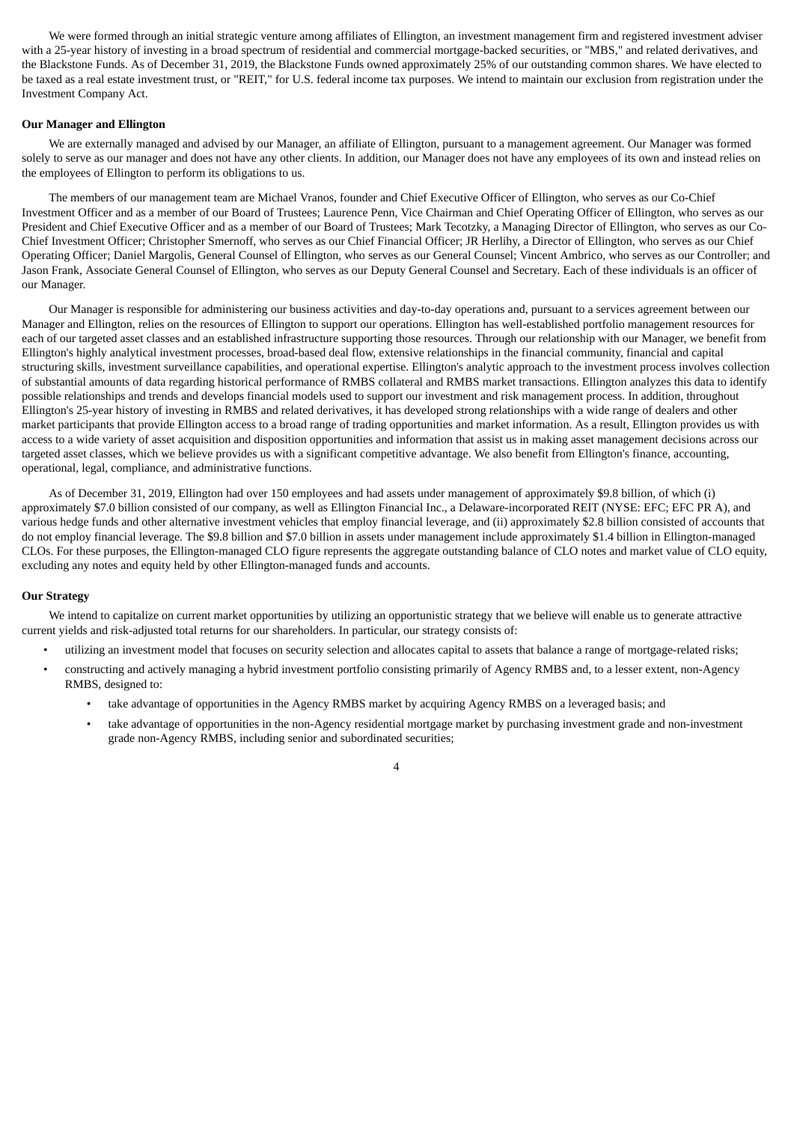We were formed through an initial strategic venture among affiliates of Ellington, an investment management firm and registered investment adviser with a 25-year history of investing in a broad spectrum of residential and commercial mortgage-backed securities, or "MBS," and related derivatives, and the Blackstone Funds. As of December 31, 2019, the Blackstone Funds owned approximately 25% of our outstanding common shares. We have elected to be taxed as a real estate investment trust, or "REIT," for U.S. federal income tax purposes. We intend to maintain our exclusion from registration under the Investment Company Act.

#### **Our Manager and Ellington**

We are externally managed and advised by our Manager, an affiliate of Ellington, pursuant to a management agreement. Our Manager was formed solely to serve as our manager and does not have any other clients. In addition, our Manager does not have any employees of its own and instead relies on the employees of Ellington to perform its obligations to us.

The members of our management team are Michael Vranos, founder and Chief Executive Officer of Ellington, who serves as our Co-Chief Investment Officer and as a member of our Board of Trustees; Laurence Penn, Vice Chairman and Chief Operating Officer of Ellington, who serves as our President and Chief Executive Officer and as a member of our Board of Trustees; Mark Tecotzky, a Managing Director of Ellington, who serves as our Co-Chief Investment Officer; Christopher Smernoff, who serves as our Chief Financial Officer; JR Herlihy, a Director of Ellington, who serves as our Chief Operating Officer; Daniel Margolis, General Counsel of Ellington, who serves as our General Counsel; Vincent Ambrico, who serves as our Controller; and Jason Frank, Associate General Counsel of Ellington, who serves as our Deputy General Counsel and Secretary. Each of these individuals is an officer of our Manager.

Our Manager is responsible for administering our business activities and day-to-day operations and, pursuant to a services agreement between our Manager and Ellington, relies on the resources of Ellington to support our operations. Ellington has well-established portfolio management resources for each of our targeted asset classes and an established infrastructure supporting those resources. Through our relationship with our Manager, we benefit from Ellington's highly analytical investment processes, broad-based deal flow, extensive relationships in the financial community, financial and capital structuring skills, investment surveillance capabilities, and operational expertise. Ellington's analytic approach to the investment process involves collection of substantial amounts of data regarding historical performance of RMBS collateral and RMBS market transactions. Ellington analyzes this data to identify possible relationships and trends and develops financial models used to support our investment and risk management process. In addition, throughout Ellington's 25-year history of investing in RMBS and related derivatives, it has developed strong relationships with a wide range of dealers and other market participants that provide Ellington access to a broad range of trading opportunities and market information. As a result, Ellington provides us with access to a wide variety of asset acquisition and disposition opportunities and information that assist us in making asset management decisions across our targeted asset classes, which we believe provides us with a significant competitive advantage. We also benefit from Ellington's finance, accounting, operational, legal, compliance, and administrative functions.

As of December 31, 2019, Ellington had over 150 employees and had assets under management of approximately \$9.8 billion, of which (i) approximately \$7.0 billion consisted of our company, as well as Ellington Financial Inc., a Delaware-incorporated REIT (NYSE: EFC; EFC PR A), and various hedge funds and other alternative investment vehicles that employ financial leverage, and (ii) approximately \$2.8 billion consisted of accounts that do not employ financial leverage. The \$9.8 billion and \$7.0 billion in assets under management include approximately \$1.4 billion in Ellington-managed CLOs. For these purposes, the Ellington-managed CLO figure represents the aggregate outstanding balance of CLO notes and market value of CLO equity, excluding any notes and equity held by other Ellington-managed funds and accounts.

#### **Our Strategy**

We intend to capitalize on current market opportunities by utilizing an opportunistic strategy that we believe will enable us to generate attractive current yields and risk-adjusted total returns for our shareholders. In particular, our strategy consists of:

- utilizing an investment model that focuses on security selection and allocates capital to assets that balance a range of mortgage-related risks;
- constructing and actively managing a hybrid investment portfolio consisting primarily of Agency RMBS and, to a lesser extent, non-Agency RMBS, designed to:

- take advantage of opportunities in the Agency RMBS market by acquiring Agency RMBS on a leveraged basis; and
- take advantage of opportunities in the non-Agency residential mortgage market by purchasing investment grade and non-investment grade non-Agency RMBS, including senior and subordinated securities;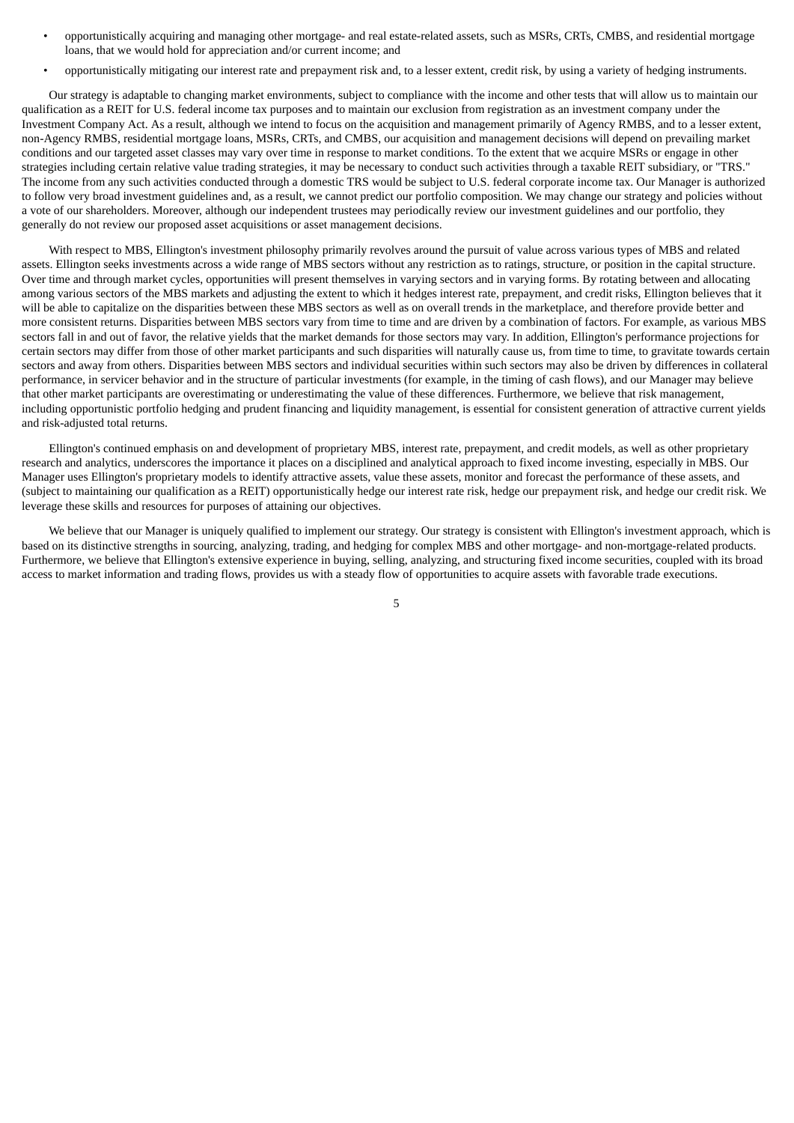- opportunistically acquiring and managing other mortgage- and real estate-related assets, such as MSRs, CRTs, CMBS, and residential mortgage loans, that we would hold for appreciation and/or current income; and
- opportunistically mitigating our interest rate and prepayment risk and, to a lesser extent, credit risk, by using a variety of hedging instruments.

Our strategy is adaptable to changing market environments, subject to compliance with the income and other tests that will allow us to maintain our qualification as a REIT for U.S. federal income tax purposes and to maintain our exclusion from registration as an investment company under the Investment Company Act. As a result, although we intend to focus on the acquisition and management primarily of Agency RMBS, and to a lesser extent, non-Agency RMBS, residential mortgage loans, MSRs, CRTs, and CMBS, our acquisition and management decisions will depend on prevailing market conditions and our targeted asset classes may vary over time in response to market conditions. To the extent that we acquire MSRs or engage in other strategies including certain relative value trading strategies, it may be necessary to conduct such activities through a taxable REIT subsidiary, or "TRS." The income from any such activities conducted through a domestic TRS would be subject to U.S. federal corporate income tax. Our Manager is authorized to follow very broad investment guidelines and, as a result, we cannot predict our portfolio composition. We may change our strategy and policies without a vote of our shareholders. Moreover, although our independent trustees may periodically review our investment guidelines and our portfolio, they generally do not review our proposed asset acquisitions or asset management decisions.

With respect to MBS, Ellington's investment philosophy primarily revolves around the pursuit of value across various types of MBS and related assets. Ellington seeks investments across a wide range of MBS sectors without any restriction as to ratings, structure, or position in the capital structure. Over time and through market cycles, opportunities will present themselves in varying sectors and in varying forms. By rotating between and allocating among various sectors of the MBS markets and adjusting the extent to which it hedges interest rate, prepayment, and credit risks, Ellington believes that it will be able to capitalize on the disparities between these MBS sectors as well as on overall trends in the marketplace, and therefore provide better and more consistent returns. Disparities between MBS sectors vary from time to time and are driven by a combination of factors. For example, as various MBS sectors fall in and out of favor, the relative yields that the market demands for those sectors may vary. In addition, Ellington's performance projections for certain sectors may differ from those of other market participants and such disparities will naturally cause us, from time to time, to gravitate towards certain sectors and away from others. Disparities between MBS sectors and individual securities within such sectors may also be driven by differences in collateral performance, in servicer behavior and in the structure of particular investments (for example, in the timing of cash flows), and our Manager may believe that other market participants are overestimating or underestimating the value of these differences. Furthermore, we believe that risk management, including opportunistic portfolio hedging and prudent financing and liquidity management, is essential for consistent generation of attractive current yields and risk-adjusted total returns.

Ellington's continued emphasis on and development of proprietary MBS, interest rate, prepayment, and credit models, as well as other proprietary research and analytics, underscores the importance it places on a disciplined and analytical approach to fixed income investing, especially in MBS. Our Manager uses Ellington's proprietary models to identify attractive assets, value these assets, monitor and forecast the performance of these assets, and (subject to maintaining our qualification as a REIT) opportunistically hedge our interest rate risk, hedge our prepayment risk, and hedge our credit risk. We leverage these skills and resources for purposes of attaining our objectives.

We believe that our Manager is uniquely qualified to implement our strategy. Our strategy is consistent with Ellington's investment approach, which is based on its distinctive strengths in sourcing, analyzing, trading, and hedging for complex MBS and other mortgage- and non-mortgage-related products. Furthermore, we believe that Ellington's extensive experience in buying, selling, analyzing, and structuring fixed income securities, coupled with its broad access to market information and trading flows, provides us with a steady flow of opportunities to acquire assets with favorable trade executions.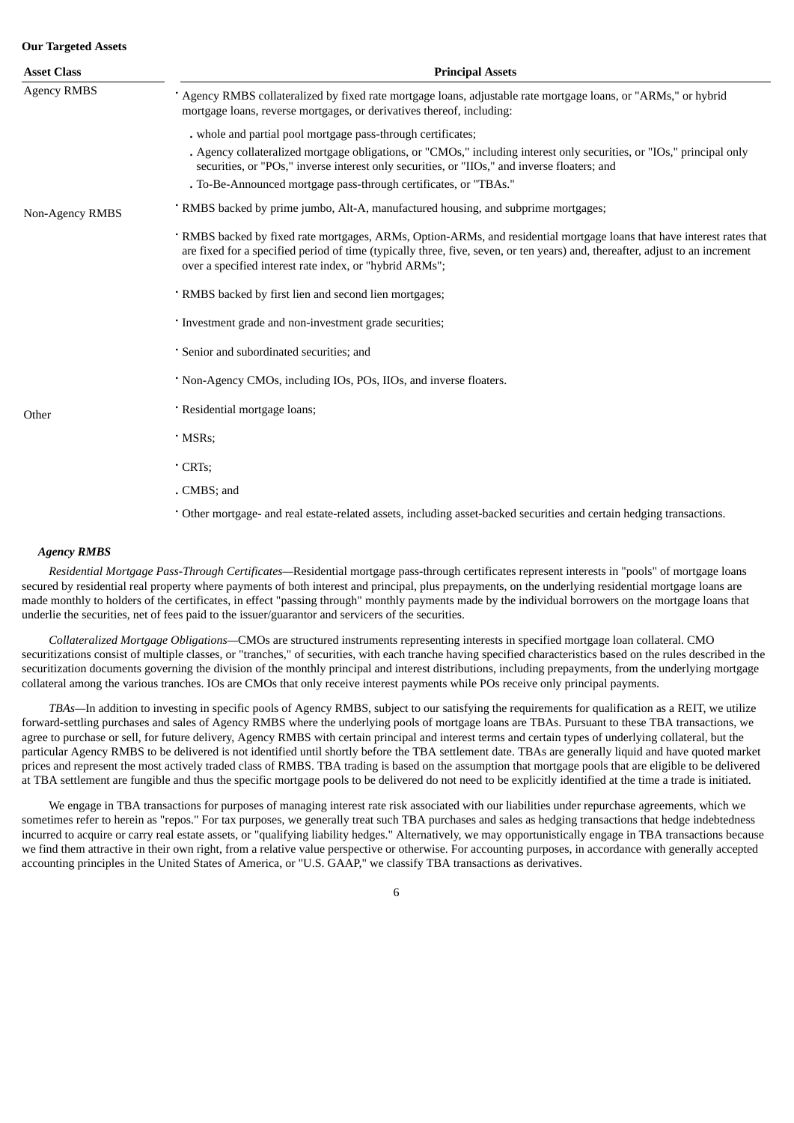#### **Our Targeted Assets**

| <b>Asset Class</b> | <b>Principal Assets</b>                                                                                                                                                                                                                                                                                          |  |  |  |  |
|--------------------|------------------------------------------------------------------------------------------------------------------------------------------------------------------------------------------------------------------------------------------------------------------------------------------------------------------|--|--|--|--|
| <b>Agency RMBS</b> | Agency RMBS collateralized by fixed rate mortgage loans, adjustable rate mortgage loans, or "ARMs," or hybrid<br>mortgage loans, reverse mortgages, or derivatives thereof, including:                                                                                                                           |  |  |  |  |
|                    | . whole and partial pool mortgage pass-through certificates;                                                                                                                                                                                                                                                     |  |  |  |  |
|                    | . Agency collateralized mortgage obligations, or "CMOs," including interest only securities, or "IOs," principal only<br>securities, or "POs," inverse interest only securities, or "IIOs," and inverse floaters; and                                                                                            |  |  |  |  |
|                    | . To-Be-Announced mortgage pass-through certificates, or "TBAs."                                                                                                                                                                                                                                                 |  |  |  |  |
| Non-Agency RMBS    | <b>COMPO</b> : RMBS backed by prime jumbo, Alt-A, manufactured housing, and subprime mortgages;                                                                                                                                                                                                                  |  |  |  |  |
|                    | RMBS backed by fixed rate mortgages, ARMs, Option-ARMs, and residential mortgage loans that have interest rates that<br>are fixed for a specified period of time (typically three, five, seven, or ten years) and, thereafter, adjust to an increment<br>over a specified interest rate index, or "hybrid ARMs"; |  |  |  |  |
|                    | ' RMBS backed by first lien and second lien mortgages;                                                                                                                                                                                                                                                           |  |  |  |  |
|                    | * Investment grade and non-investment grade securities;                                                                                                                                                                                                                                                          |  |  |  |  |
|                    | * Senior and subordinated securities; and                                                                                                                                                                                                                                                                        |  |  |  |  |
| Other              | ' Non-Agency CMOs, including IOs, POs, IIOs, and inverse floaters.                                                                                                                                                                                                                                               |  |  |  |  |
|                    | * Residential mortgage loans;                                                                                                                                                                                                                                                                                    |  |  |  |  |
|                    | · MSRs;                                                                                                                                                                                                                                                                                                          |  |  |  |  |
|                    | $\cdot$ CRTs;                                                                                                                                                                                                                                                                                                    |  |  |  |  |
|                    | . CMBS; and                                                                                                                                                                                                                                                                                                      |  |  |  |  |
|                    | Other mortgage- and real estate-related assets, including asset-backed securities and certain hedging transactions.                                                                                                                                                                                              |  |  |  |  |

# *Agency RMBS*

*Residential Mortgage Pass-Through Certificates—*Residential mortgage pass-through certificates represent interests in "pools" of mortgage loans secured by residential real property where payments of both interest and principal, plus prepayments, on the underlying residential mortgage loans are made monthly to holders of the certificates, in effect "passing through" monthly payments made by the individual borrowers on the mortgage loans that underlie the securities, net of fees paid to the issuer/guarantor and servicers of the securities.

*Collateralized Mortgage Obligations—*CMOs are structured instruments representing interests in specified mortgage loan collateral. CMO securitizations consist of multiple classes, or "tranches," of securities, with each tranche having specified characteristics based on the rules described in the securitization documents governing the division of the monthly principal and interest distributions, including prepayments, from the underlying mortgage collateral among the various tranches. IOs are CMOs that only receive interest payments while POs receive only principal payments.

*TBAs—*In addition to investing in specific pools of Agency RMBS, subject to our satisfying the requirements for qualification as a REIT, we utilize forward-settling purchases and sales of Agency RMBS where the underlying pools of mortgage loans are TBAs. Pursuant to these TBA transactions, we agree to purchase or sell, for future delivery, Agency RMBS with certain principal and interest terms and certain types of underlying collateral, but the particular Agency RMBS to be delivered is not identified until shortly before the TBA settlement date. TBAs are generally liquid and have quoted market prices and represent the most actively traded class of RMBS. TBA trading is based on the assumption that mortgage pools that are eligible to be delivered at TBA settlement are fungible and thus the specific mortgage pools to be delivered do not need to be explicitly identified at the time a trade is initiated.

We engage in TBA transactions for purposes of managing interest rate risk associated with our liabilities under repurchase agreements, which we sometimes refer to herein as "repos." For tax purposes, we generally treat such TBA purchases and sales as hedging transactions that hedge indebtedness incurred to acquire or carry real estate assets, or "qualifying liability hedges." Alternatively, we may opportunistically engage in TBA transactions because we find them attractive in their own right, from a relative value perspective or otherwise. For accounting purposes, in accordance with generally accepted accounting principles in the United States of America, or "U.S. GAAP," we classify TBA transactions as derivatives.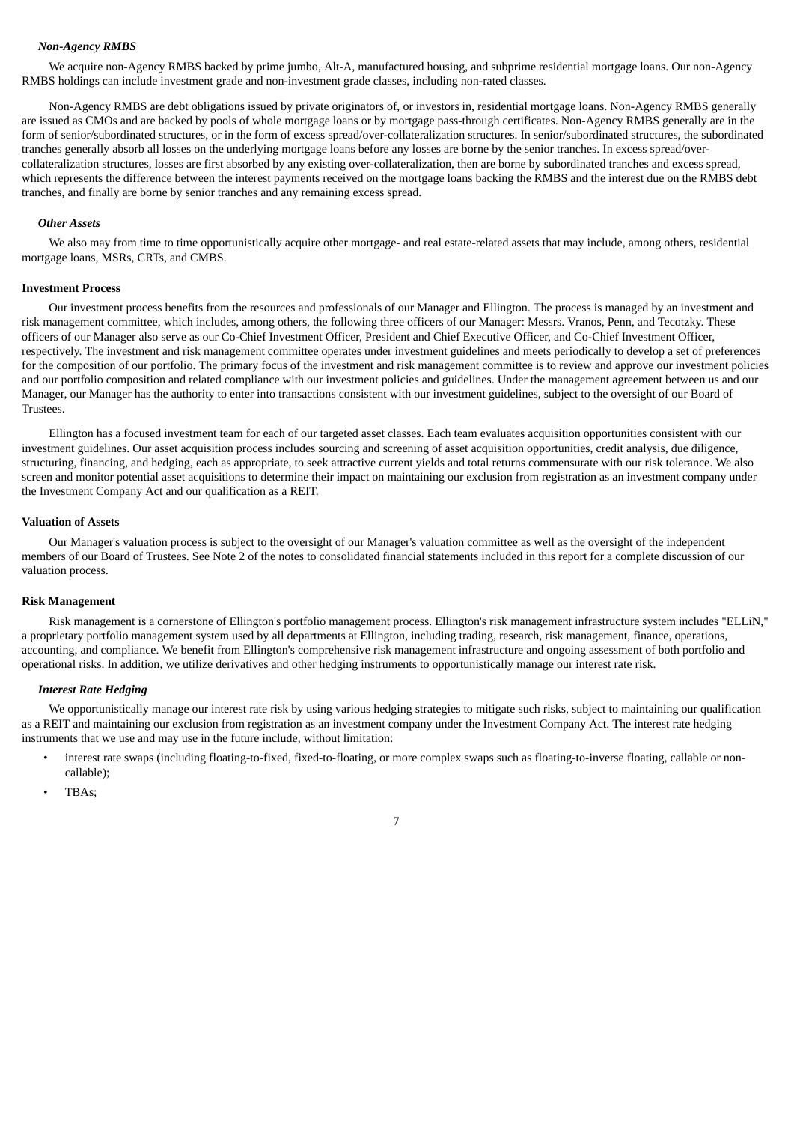#### *Non-Agency RMBS*

We acquire non-Agency RMBS backed by prime jumbo, Alt-A, manufactured housing, and subprime residential mortgage loans. Our non-Agency RMBS holdings can include investment grade and non-investment grade classes, including non-rated classes.

Non-Agency RMBS are debt obligations issued by private originators of, or investors in, residential mortgage loans. Non-Agency RMBS generally are issued as CMOs and are backed by pools of whole mortgage loans or by mortgage pass-through certificates. Non-Agency RMBS generally are in the form of senior/subordinated structures, or in the form of excess spread/over-collateralization structures. In senior/subordinated structures, the subordinated tranches generally absorb all losses on the underlying mortgage loans before any losses are borne by the senior tranches. In excess spread/overcollateralization structures, losses are first absorbed by any existing over-collateralization, then are borne by subordinated tranches and excess spread, which represents the difference between the interest payments received on the mortgage loans backing the RMBS and the interest due on the RMBS debt tranches, and finally are borne by senior tranches and any remaining excess spread.

#### *Other Assets*

We also may from time to time opportunistically acquire other mortgage- and real estate-related assets that may include, among others, residential mortgage loans, MSRs, CRTs, and CMBS.

#### **Investment Process**

Our investment process benefits from the resources and professionals of our Manager and Ellington. The process is managed by an investment and risk management committee, which includes, among others, the following three officers of our Manager: Messrs. Vranos, Penn, and Tecotzky. These officers of our Manager also serve as our Co-Chief Investment Officer, President and Chief Executive Officer, and Co-Chief Investment Officer, respectively. The investment and risk management committee operates under investment guidelines and meets periodically to develop a set of preferences for the composition of our portfolio. The primary focus of the investment and risk management committee is to review and approve our investment policies and our portfolio composition and related compliance with our investment policies and guidelines. Under the management agreement between us and our Manager, our Manager has the authority to enter into transactions consistent with our investment guidelines, subject to the oversight of our Board of Trustees.

Ellington has a focused investment team for each of our targeted asset classes. Each team evaluates acquisition opportunities consistent with our investment guidelines. Our asset acquisition process includes sourcing and screening of asset acquisition opportunities, credit analysis, due diligence, structuring, financing, and hedging, each as appropriate, to seek attractive current yields and total returns commensurate with our risk tolerance. We also screen and monitor potential asset acquisitions to determine their impact on maintaining our exclusion from registration as an investment company under the Investment Company Act and our qualification as a REIT.

#### **Valuation of Assets**

Our Manager's valuation process is subject to the oversight of our Manager's valuation committee as well as the oversight of the independent members of our Board of Trustees. See Note 2 of the notes to consolidated financial statements included in this report for a complete discussion of our valuation process.

#### **Risk Management**

Risk management is a cornerstone of Ellington's portfolio management process. Ellington's risk management infrastructure system includes "ELLiN," a proprietary portfolio management system used by all departments at Ellington, including trading, research, risk management, finance, operations, accounting, and compliance. We benefit from Ellington's comprehensive risk management infrastructure and ongoing assessment of both portfolio and operational risks. In addition, we utilize derivatives and other hedging instruments to opportunistically manage our interest rate risk.

#### *Interest Rate Hedging*

We opportunistically manage our interest rate risk by using various hedging strategies to mitigate such risks, subject to maintaining our qualification as a REIT and maintaining our exclusion from registration as an investment company under the Investment Company Act. The interest rate hedging instruments that we use and may use in the future include, without limitation:

• interest rate swaps (including floating-to-fixed, fixed-to-floating, or more complex swaps such as floating-to-inverse floating, callable or noncallable);

7

• TBAs;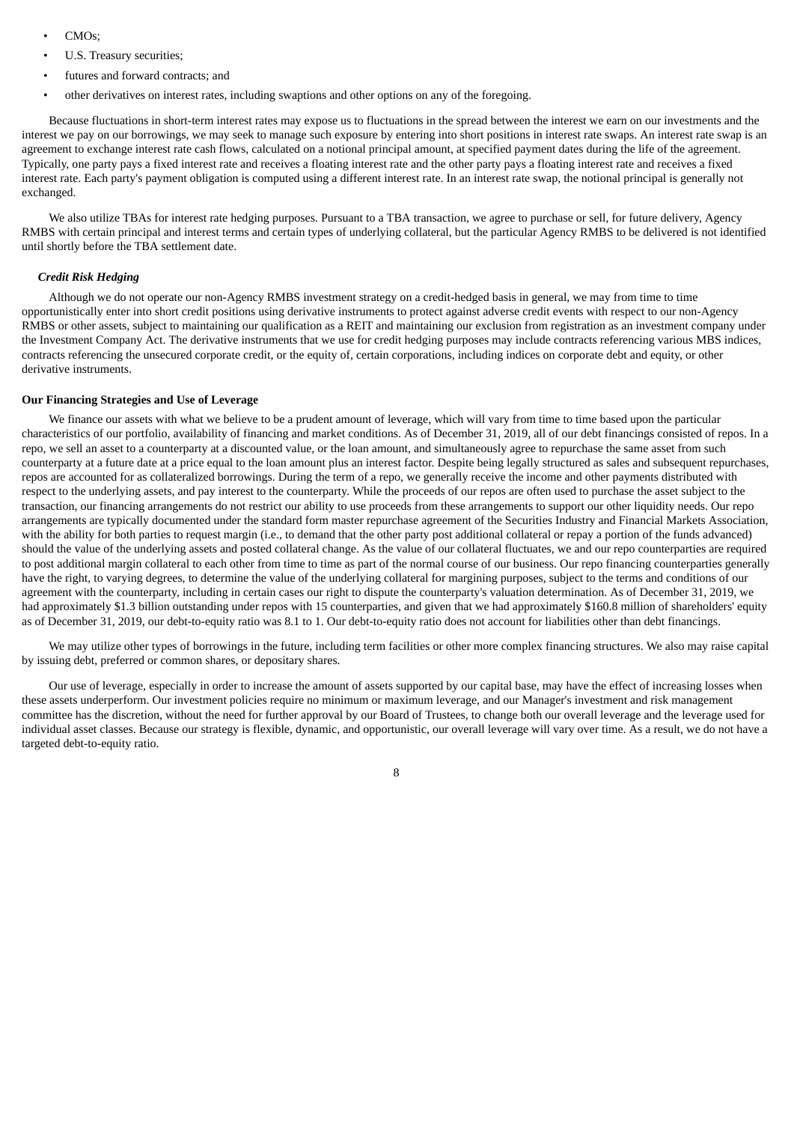- CMO<sub>s</sub>:
- U.S. Treasury securities;
- futures and forward contracts; and
- other derivatives on interest rates, including swaptions and other options on any of the foregoing.

Because fluctuations in short-term interest rates may expose us to fluctuations in the spread between the interest we earn on our investments and the interest we pay on our borrowings, we may seek to manage such exposure by entering into short positions in interest rate swaps. An interest rate swap is an agreement to exchange interest rate cash flows, calculated on a notional principal amount, at specified payment dates during the life of the agreement. Typically, one party pays a fixed interest rate and receives a floating interest rate and the other party pays a floating interest rate and receives a fixed interest rate. Each party's payment obligation is computed using a different interest rate. In an interest rate swap, the notional principal is generally not exchanged.

We also utilize TBAs for interest rate hedging purposes. Pursuant to a TBA transaction, we agree to purchase or sell, for future delivery, Agency RMBS with certain principal and interest terms and certain types of underlying collateral, but the particular Agency RMBS to be delivered is not identified until shortly before the TBA settlement date.

# *Credit Risk Hedging*

Although we do not operate our non-Agency RMBS investment strategy on a credit-hedged basis in general, we may from time to time opportunistically enter into short credit positions using derivative instruments to protect against adverse credit events with respect to our non-Agency RMBS or other assets, subject to maintaining our qualification as a REIT and maintaining our exclusion from registration as an investment company under the Investment Company Act. The derivative instruments that we use for credit hedging purposes may include contracts referencing various MBS indices, contracts referencing the unsecured corporate credit, or the equity of, certain corporations, including indices on corporate debt and equity, or other derivative instruments.

#### **Our Financing Strategies and Use of Leverage**

We finance our assets with what we believe to be a prudent amount of leverage, which will vary from time to time based upon the particular characteristics of our portfolio, availability of financing and market conditions. As of December 31, 2019, all of our debt financings consisted of repos. In a repo, we sell an asset to a counterparty at a discounted value, or the loan amount, and simultaneously agree to repurchase the same asset from such counterparty at a future date at a price equal to the loan amount plus an interest factor. Despite being legally structured as sales and subsequent repurchases, repos are accounted for as collateralized borrowings. During the term of a repo, we generally receive the income and other payments distributed with respect to the underlying assets, and pay interest to the counterparty. While the proceeds of our repos are often used to purchase the asset subject to the transaction, our financing arrangements do not restrict our ability to use proceeds from these arrangements to support our other liquidity needs. Our repo arrangements are typically documented under the standard form master repurchase agreement of the Securities Industry and Financial Markets Association, with the ability for both parties to request margin (i.e., to demand that the other party post additional collateral or repay a portion of the funds advanced) should the value of the underlying assets and posted collateral change. As the value of our collateral fluctuates, we and our repo counterparties are required to post additional margin collateral to each other from time to time as part of the normal course of our business. Our repo financing counterparties generally have the right, to varying degrees, to determine the value of the underlying collateral for margining purposes, subject to the terms and conditions of our agreement with the counterparty, including in certain cases our right to dispute the counterparty's valuation determination. As of December 31, 2019, we had approximately \$1.3 billion outstanding under repos with 15 counterparties, and given that we had approximately \$160.8 million of shareholders' equity as of December 31, 2019, our debt-to-equity ratio was 8.1 to 1. Our debt-to-equity ratio does not account for liabilities other than debt financings.

We may utilize other types of borrowings in the future, including term facilities or other more complex financing structures. We also may raise capital by issuing debt, preferred or common shares, or depositary shares.

Our use of leverage, especially in order to increase the amount of assets supported by our capital base, may have the effect of increasing losses when these assets underperform. Our investment policies require no minimum or maximum leverage, and our Manager's investment and risk management committee has the discretion, without the need for further approval by our Board of Trustees, to change both our overall leverage and the leverage used for individual asset classes. Because our strategy is flexible, dynamic, and opportunistic, our overall leverage will vary over time. As a result, we do not have a targeted debt-to-equity ratio.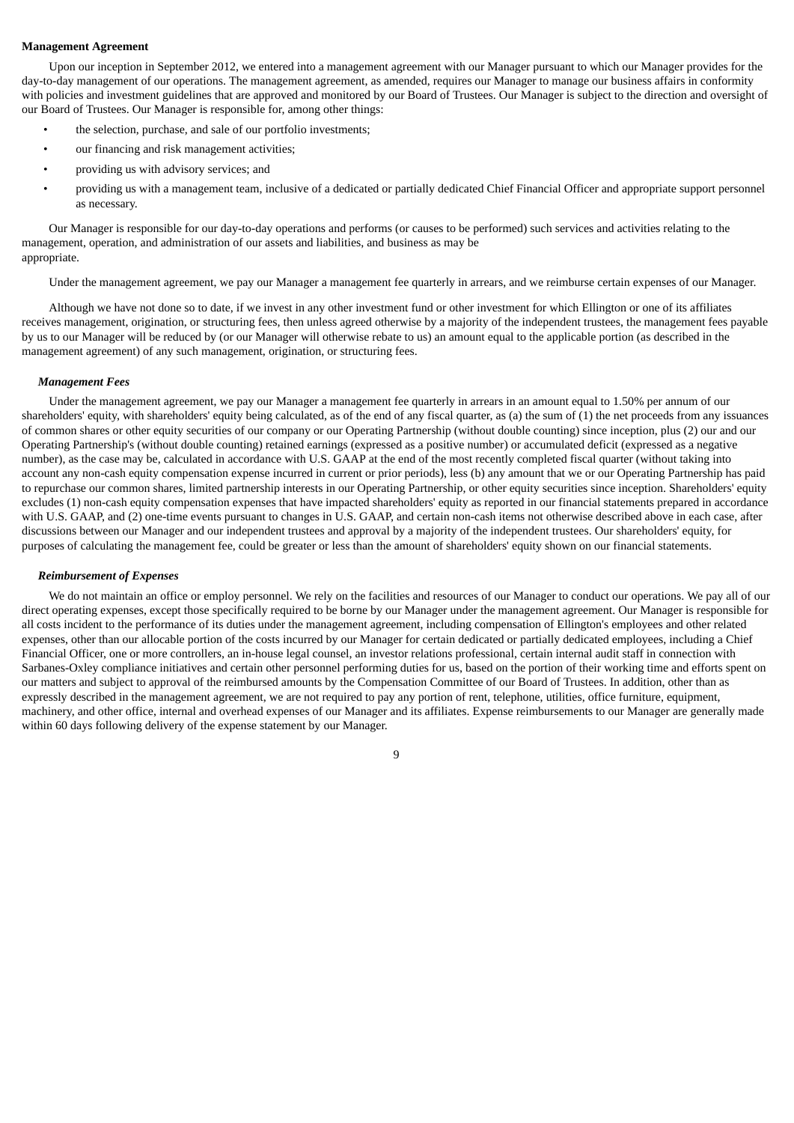#### **Management Agreement**

Upon our inception in September 2012, we entered into a management agreement with our Manager pursuant to which our Manager provides for the day-to-day management of our operations. The management agreement, as amended, requires our Manager to manage our business affairs in conformity with policies and investment guidelines that are approved and monitored by our Board of Trustees. Our Manager is subject to the direction and oversight of our Board of Trustees. Our Manager is responsible for, among other things:

- the selection, purchase, and sale of our portfolio investments;
- our financing and risk management activities;
- providing us with advisory services; and
- providing us with a management team, inclusive of a dedicated or partially dedicated Chief Financial Officer and appropriate support personnel as necessary.

Our Manager is responsible for our day-to-day operations and performs (or causes to be performed) such services and activities relating to the management, operation, and administration of our assets and liabilities, and business as may be appropriate.

Under the management agreement, we pay our Manager a management fee quarterly in arrears, and we reimburse certain expenses of our Manager.

Although we have not done so to date, if we invest in any other investment fund or other investment for which Ellington or one of its affiliates receives management, origination, or structuring fees, then unless agreed otherwise by a majority of the independent trustees, the management fees payable by us to our Manager will be reduced by (or our Manager will otherwise rebate to us) an amount equal to the applicable portion (as described in the management agreement) of any such management, origination, or structuring fees.

#### *Management Fees*

Under the management agreement, we pay our Manager a management fee quarterly in arrears in an amount equal to 1.50% per annum of our shareholders' equity, with shareholders' equity being calculated, as of the end of any fiscal quarter, as (a) the sum of (1) the net proceeds from any issuances of common shares or other equity securities of our company or our Operating Partnership (without double counting) since inception, plus (2) our and our Operating Partnership's (without double counting) retained earnings (expressed as a positive number) or accumulated deficit (expressed as a negative number), as the case may be, calculated in accordance with U.S. GAAP at the end of the most recently completed fiscal quarter (without taking into account any non-cash equity compensation expense incurred in current or prior periods), less (b) any amount that we or our Operating Partnership has paid to repurchase our common shares, limited partnership interests in our Operating Partnership, or other equity securities since inception. Shareholders' equity excludes (1) non-cash equity compensation expenses that have impacted shareholders' equity as reported in our financial statements prepared in accordance with U.S. GAAP, and (2) one-time events pursuant to changes in U.S. GAAP, and certain non-cash items not otherwise described above in each case, after discussions between our Manager and our independent trustees and approval by a majority of the independent trustees. Our shareholders' equity, for purposes of calculating the management fee, could be greater or less than the amount of shareholders' equity shown on our financial statements.

# *Reimbursement of Expenses*

We do not maintain an office or employ personnel. We rely on the facilities and resources of our Manager to conduct our operations. We pay all of our direct operating expenses, except those specifically required to be borne by our Manager under the management agreement. Our Manager is responsible for all costs incident to the performance of its duties under the management agreement, including compensation of Ellington's employees and other related expenses, other than our allocable portion of the costs incurred by our Manager for certain dedicated or partially dedicated employees, including a Chief Financial Officer, one or more controllers, an in-house legal counsel, an investor relations professional, certain internal audit staff in connection with Sarbanes-Oxley compliance initiatives and certain other personnel performing duties for us, based on the portion of their working time and efforts spent on our matters and subject to approval of the reimbursed amounts by the Compensation Committee of our Board of Trustees. In addition, other than as expressly described in the management agreement, we are not required to pay any portion of rent, telephone, utilities, office furniture, equipment, machinery, and other office, internal and overhead expenses of our Manager and its affiliates. Expense reimbursements to our Manager are generally made within 60 days following delivery of the expense statement by our Manager.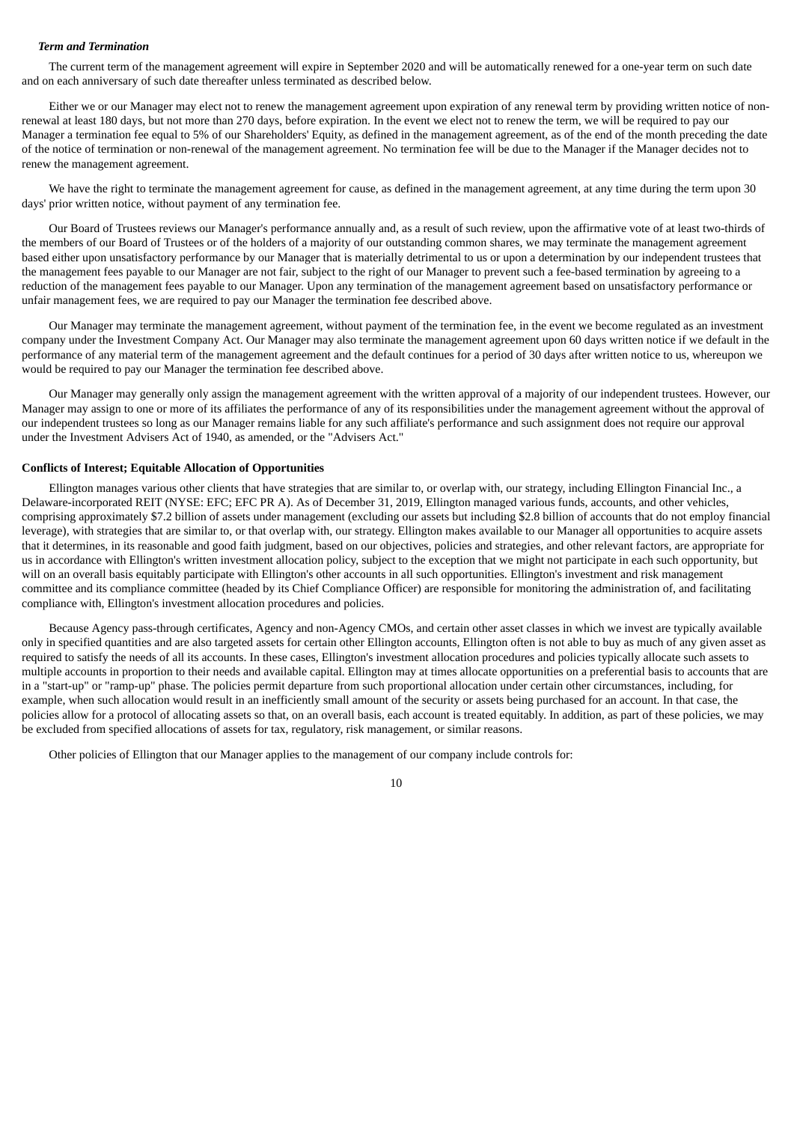#### *Term and Termination*

The current term of the management agreement will expire in September 2020 and will be automatically renewed for a one-year term on such date and on each anniversary of such date thereafter unless terminated as described below.

Either we or our Manager may elect not to renew the management agreement upon expiration of any renewal term by providing written notice of nonrenewal at least 180 days, but not more than 270 days, before expiration. In the event we elect not to renew the term, we will be required to pay our Manager a termination fee equal to 5% of our Shareholders' Equity, as defined in the management agreement, as of the end of the month preceding the date of the notice of termination or non-renewal of the management agreement. No termination fee will be due to the Manager if the Manager decides not to renew the management agreement.

We have the right to terminate the management agreement for cause, as defined in the management agreement, at any time during the term upon 30 days' prior written notice, without payment of any termination fee.

Our Board of Trustees reviews our Manager's performance annually and, as a result of such review, upon the affirmative vote of at least two-thirds of the members of our Board of Trustees or of the holders of a majority of our outstanding common shares, we may terminate the management agreement based either upon unsatisfactory performance by our Manager that is materially detrimental to us or upon a determination by our independent trustees that the management fees payable to our Manager are not fair, subject to the right of our Manager to prevent such a fee-based termination by agreeing to a reduction of the management fees payable to our Manager. Upon any termination of the management agreement based on unsatisfactory performance or unfair management fees, we are required to pay our Manager the termination fee described above.

Our Manager may terminate the management agreement, without payment of the termination fee, in the event we become regulated as an investment company under the Investment Company Act. Our Manager may also terminate the management agreement upon 60 days written notice if we default in the performance of any material term of the management agreement and the default continues for a period of 30 days after written notice to us, whereupon we would be required to pay our Manager the termination fee described above.

Our Manager may generally only assign the management agreement with the written approval of a majority of our independent trustees. However, our Manager may assign to one or more of its affiliates the performance of any of its responsibilities under the management agreement without the approval of our independent trustees so long as our Manager remains liable for any such affiliate's performance and such assignment does not require our approval under the Investment Advisers Act of 1940, as amended, or the "Advisers Act."

#### **Conflicts of Interest; Equitable Allocation of Opportunities**

Ellington manages various other clients that have strategies that are similar to, or overlap with, our strategy, including Ellington Financial Inc., a Delaware-incorporated REIT (NYSE: EFC; EFC PR A). As of December 31, 2019, Ellington managed various funds, accounts, and other vehicles, comprising approximately \$7.2 billion of assets under management (excluding our assets but including \$2.8 billion of accounts that do not employ financial leverage), with strategies that are similar to, or that overlap with, our strategy. Ellington makes available to our Manager all opportunities to acquire assets that it determines, in its reasonable and good faith judgment, based on our objectives, policies and strategies, and other relevant factors, are appropriate for us in accordance with Ellington's written investment allocation policy, subject to the exception that we might not participate in each such opportunity, but will on an overall basis equitably participate with Ellington's other accounts in all such opportunities. Ellington's investment and risk management committee and its compliance committee (headed by its Chief Compliance Officer) are responsible for monitoring the administration of, and facilitating compliance with, Ellington's investment allocation procedures and policies.

Because Agency pass-through certificates, Agency and non-Agency CMOs, and certain other asset classes in which we invest are typically available only in specified quantities and are also targeted assets for certain other Ellington accounts, Ellington often is not able to buy as much of any given asset as required to satisfy the needs of all its accounts. In these cases, Ellington's investment allocation procedures and policies typically allocate such assets to multiple accounts in proportion to their needs and available capital. Ellington may at times allocate opportunities on a preferential basis to accounts that are in a "start-up" or "ramp-up" phase. The policies permit departure from such proportional allocation under certain other circumstances, including, for example, when such allocation would result in an inefficiently small amount of the security or assets being purchased for an account. In that case, the policies allow for a protocol of allocating assets so that, on an overall basis, each account is treated equitably. In addition, as part of these policies, we may be excluded from specified allocations of assets for tax, regulatory, risk management, or similar reasons.

Other policies of Ellington that our Manager applies to the management of our company include controls for: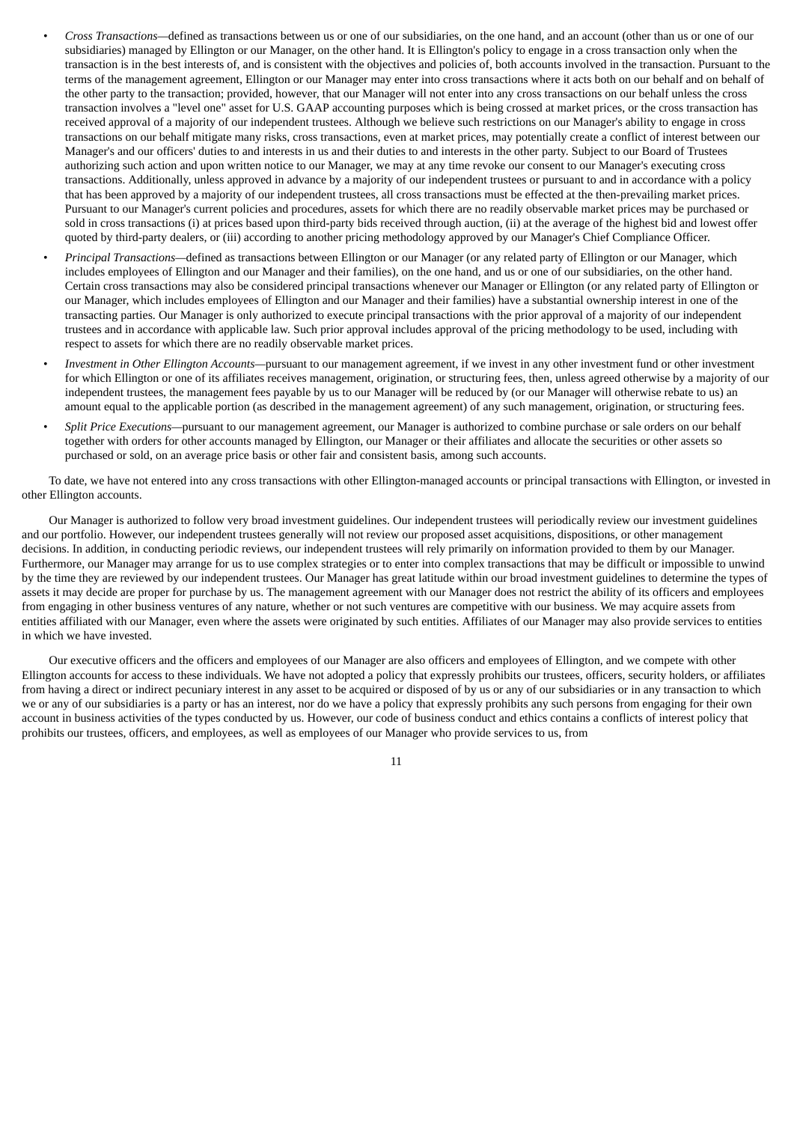- *Cross Transactions—*defined as transactions between us or one of our subsidiaries, on the one hand, and an account (other than us or one of our subsidiaries) managed by Ellington or our Manager, on the other hand. It is Ellington's policy to engage in a cross transaction only when the transaction is in the best interests of, and is consistent with the objectives and policies of, both accounts involved in the transaction. Pursuant to the terms of the management agreement, Ellington or our Manager may enter into cross transactions where it acts both on our behalf and on behalf of the other party to the transaction; provided, however, that our Manager will not enter into any cross transactions on our behalf unless the cross transaction involves a "level one" asset for U.S. GAAP accounting purposes which is being crossed at market prices, or the cross transaction has received approval of a majority of our independent trustees. Although we believe such restrictions on our Manager's ability to engage in cross transactions on our behalf mitigate many risks, cross transactions, even at market prices, may potentially create a conflict of interest between our Manager's and our officers' duties to and interests in us and their duties to and interests in the other party. Subject to our Board of Trustees authorizing such action and upon written notice to our Manager, we may at any time revoke our consent to our Manager's executing cross transactions. Additionally, unless approved in advance by a majority of our independent trustees or pursuant to and in accordance with a policy that has been approved by a majority of our independent trustees, all cross transactions must be effected at the then-prevailing market prices. Pursuant to our Manager's current policies and procedures, assets for which there are no readily observable market prices may be purchased or sold in cross transactions (i) at prices based upon third-party bids received through auction, (ii) at the average of the highest bid and lowest offer quoted by third-party dealers, or (iii) according to another pricing methodology approved by our Manager's Chief Compliance Officer.
- *Principal Transactions—*defined as transactions between Ellington or our Manager (or any related party of Ellington or our Manager, which includes employees of Ellington and our Manager and their families), on the one hand, and us or one of our subsidiaries, on the other hand. Certain cross transactions may also be considered principal transactions whenever our Manager or Ellington (or any related party of Ellington or our Manager, which includes employees of Ellington and our Manager and their families) have a substantial ownership interest in one of the transacting parties. Our Manager is only authorized to execute principal transactions with the prior approval of a majority of our independent trustees and in accordance with applicable law. Such prior approval includes approval of the pricing methodology to be used, including with respect to assets for which there are no readily observable market prices.
- *Investment in Other Ellington Accounts—*pursuant to our management agreement, if we invest in any other investment fund or other investment for which Ellington or one of its affiliates receives management, origination, or structuring fees, then, unless agreed otherwise by a majority of our independent trustees, the management fees payable by us to our Manager will be reduced by (or our Manager will otherwise rebate to us) an amount equal to the applicable portion (as described in the management agreement) of any such management, origination, or structuring fees.
- *Split Price Executions—*pursuant to our management agreement, our Manager is authorized to combine purchase or sale orders on our behalf together with orders for other accounts managed by Ellington, our Manager or their affiliates and allocate the securities or other assets so purchased or sold, on an average price basis or other fair and consistent basis, among such accounts.

To date, we have not entered into any cross transactions with other Ellington-managed accounts or principal transactions with Ellington, or invested in other Ellington accounts.

Our Manager is authorized to follow very broad investment guidelines. Our independent trustees will periodically review our investment guidelines and our portfolio. However, our independent trustees generally will not review our proposed asset acquisitions, dispositions, or other management decisions. In addition, in conducting periodic reviews, our independent trustees will rely primarily on information provided to them by our Manager. Furthermore, our Manager may arrange for us to use complex strategies or to enter into complex transactions that may be difficult or impossible to unwind by the time they are reviewed by our independent trustees. Our Manager has great latitude within our broad investment guidelines to determine the types of assets it may decide are proper for purchase by us. The management agreement with our Manager does not restrict the ability of its officers and employees from engaging in other business ventures of any nature, whether or not such ventures are competitive with our business. We may acquire assets from entities affiliated with our Manager, even where the assets were originated by such entities. Affiliates of our Manager may also provide services to entities in which we have invested.

Our executive officers and the officers and employees of our Manager are also officers and employees of Ellington, and we compete with other Ellington accounts for access to these individuals. We have not adopted a policy that expressly prohibits our trustees, officers, security holders, or affiliates from having a direct or indirect pecuniary interest in any asset to be acquired or disposed of by us or any of our subsidiaries or in any transaction to which we or any of our subsidiaries is a party or has an interest, nor do we have a policy that expressly prohibits any such persons from engaging for their own account in business activities of the types conducted by us. However, our code of business conduct and ethics contains a conflicts of interest policy that prohibits our trustees, officers, and employees, as well as employees of our Manager who provide services to us, from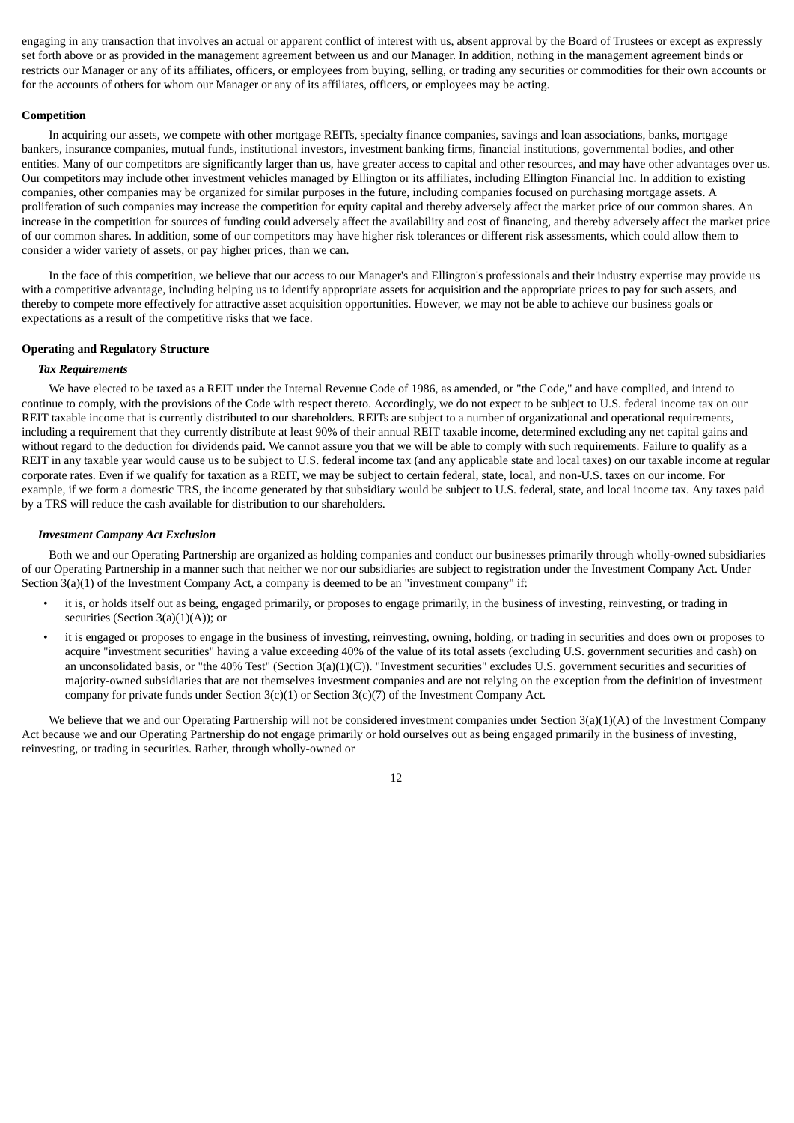engaging in any transaction that involves an actual or apparent conflict of interest with us, absent approval by the Board of Trustees or except as expressly set forth above or as provided in the management agreement between us and our Manager. In addition, nothing in the management agreement binds or restricts our Manager or any of its affiliates, officers, or employees from buying, selling, or trading any securities or commodities for their own accounts or for the accounts of others for whom our Manager or any of its affiliates, officers, or employees may be acting.

#### **Competition**

In acquiring our assets, we compete with other mortgage REITs, specialty finance companies, savings and loan associations, banks, mortgage bankers, insurance companies, mutual funds, institutional investors, investment banking firms, financial institutions, governmental bodies, and other entities. Many of our competitors are significantly larger than us, have greater access to capital and other resources, and may have other advantages over us. Our competitors may include other investment vehicles managed by Ellington or its affiliates, including Ellington Financial Inc. In addition to existing companies, other companies may be organized for similar purposes in the future, including companies focused on purchasing mortgage assets. A proliferation of such companies may increase the competition for equity capital and thereby adversely affect the market price of our common shares. An increase in the competition for sources of funding could adversely affect the availability and cost of financing, and thereby adversely affect the market price of our common shares. In addition, some of our competitors may have higher risk tolerances or different risk assessments, which could allow them to consider a wider variety of assets, or pay higher prices, than we can.

In the face of this competition, we believe that our access to our Manager's and Ellington's professionals and their industry expertise may provide us with a competitive advantage, including helping us to identify appropriate assets for acquisition and the appropriate prices to pay for such assets, and thereby to compete more effectively for attractive asset acquisition opportunities. However, we may not be able to achieve our business goals or expectations as a result of the competitive risks that we face.

#### **Operating and Regulatory Structure**

#### *Tax Requirements*

We have elected to be taxed as a REIT under the Internal Revenue Code of 1986, as amended, or "the Code," and have complied, and intend to continue to comply, with the provisions of the Code with respect thereto. Accordingly, we do not expect to be subject to U.S. federal income tax on our REIT taxable income that is currently distributed to our shareholders. REITs are subject to a number of organizational and operational requirements, including a requirement that they currently distribute at least 90% of their annual REIT taxable income, determined excluding any net capital gains and without regard to the deduction for dividends paid. We cannot assure you that we will be able to comply with such requirements. Failure to qualify as a REIT in any taxable year would cause us to be subject to U.S. federal income tax (and any applicable state and local taxes) on our taxable income at regular corporate rates. Even if we qualify for taxation as a REIT, we may be subject to certain federal, state, local, and non-U.S. taxes on our income. For example, if we form a domestic TRS, the income generated by that subsidiary would be subject to U.S. federal, state, and local income tax. Any taxes paid by a TRS will reduce the cash available for distribution to our shareholders.

# *Investment Company Act Exclusion*

Both we and our Operating Partnership are organized as holding companies and conduct our businesses primarily through wholly-owned subsidiaries of our Operating Partnership in a manner such that neither we nor our subsidiaries are subject to registration under the Investment Company Act. Under Section 3(a)(1) of the Investment Company Act, a company is deemed to be an "investment company" if:

- it is, or holds itself out as being, engaged primarily, or proposes to engage primarily, in the business of investing, reinvesting, or trading in securities (Section 3(a)(1)(A)); or
- it is engaged or proposes to engage in the business of investing, reinvesting, owning, holding, or trading in securities and does own or proposes to acquire "investment securities" having a value exceeding 40% of the value of its total assets (excluding U.S. government securities and cash) on an unconsolidated basis, or "the 40% Test" (Section 3(a)(1)(C)). "Investment securities" excludes U.S. government securities and securities of majority-owned subsidiaries that are not themselves investment companies and are not relying on the exception from the definition of investment company for private funds under Section 3(c)(1) or Section 3(c)(7) of the Investment Company Act.

We believe that we and our Operating Partnership will not be considered investment companies under Section 3(a)(1)(A) of the Investment Company Act because we and our Operating Partnership do not engage primarily or hold ourselves out as being engaged primarily in the business of investing, reinvesting, or trading in securities. Rather, through wholly-owned or

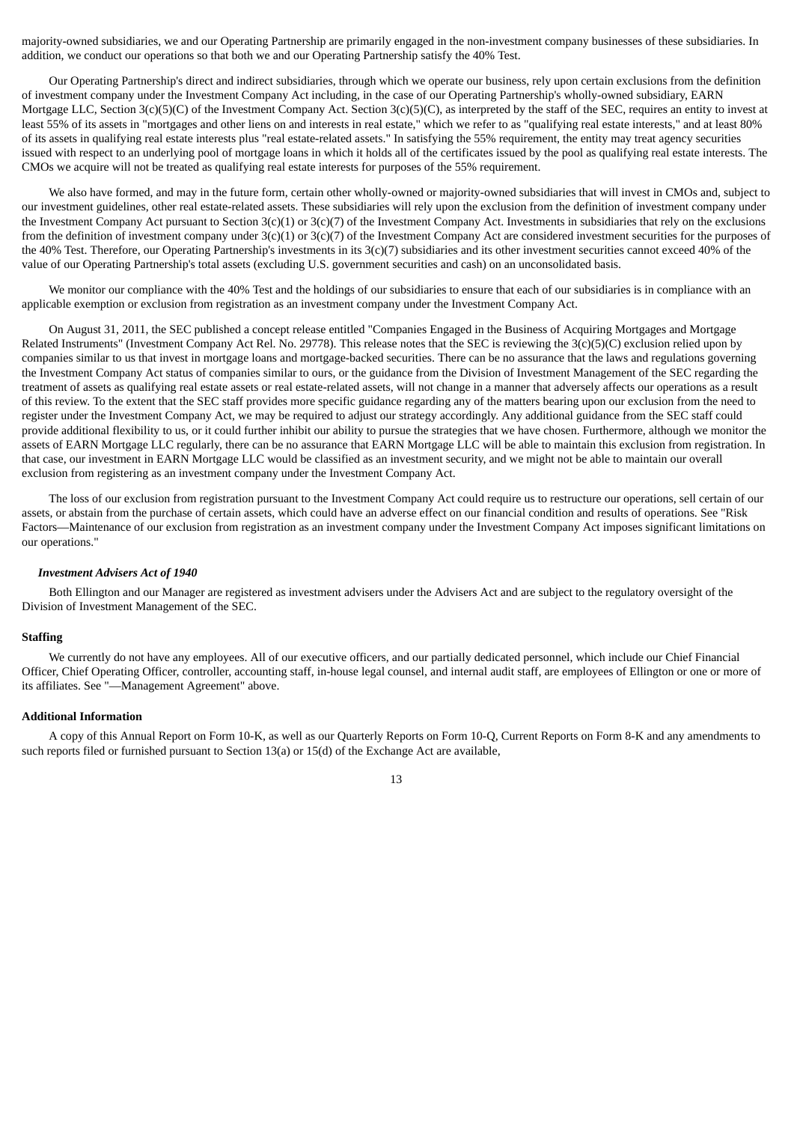majority-owned subsidiaries, we and our Operating Partnership are primarily engaged in the non-investment company businesses of these subsidiaries. In addition, we conduct our operations so that both we and our Operating Partnership satisfy the 40% Test.

Our Operating Partnership's direct and indirect subsidiaries, through which we operate our business, rely upon certain exclusions from the definition of investment company under the Investment Company Act including, in the case of our Operating Partnership's wholly-owned subsidiary, EARN Mortgage LLC, Section  $3(c)(5)(C)$  of the Investment Company Act. Section  $3(c)(5)(C)$ , as interpreted by the staff of the SEC, requires an entity to invest at least 55% of its assets in "mortgages and other liens on and interests in real estate," which we refer to as "qualifying real estate interests," and at least 80% of its assets in qualifying real estate interests plus "real estate-related assets." In satisfying the 55% requirement, the entity may treat agency securities issued with respect to an underlying pool of mortgage loans in which it holds all of the certificates issued by the pool as qualifying real estate interests. The CMOs we acquire will not be treated as qualifying real estate interests for purposes of the 55% requirement.

We also have formed, and may in the future form, certain other wholly-owned or majority-owned subsidiaries that will invest in CMOs and, subject to our investment guidelines, other real estate-related assets. These subsidiaries will rely upon the exclusion from the definition of investment company under the Investment Company Act pursuant to Section  $3(c)(1)$  or  $3(c)(7)$  of the Investment Company Act. Investments in subsidiaries that rely on the exclusions from the definition of investment company under  $3(c)(1)$  or  $3(c)(7)$  of the Investment Company Act are considered investment securities for the purposes of the 40% Test. Therefore, our Operating Partnership's investments in its  $3(c)/7$  subsidiaries and its other investment securities cannot exceed 40% of the value of our Operating Partnership's total assets (excluding U.S. government securities and cash) on an unconsolidated basis.

We monitor our compliance with the 40% Test and the holdings of our subsidiaries to ensure that each of our subsidiaries is in compliance with an applicable exemption or exclusion from registration as an investment company under the Investment Company Act.

On August 31, 2011, the SEC published a concept release entitled "Companies Engaged in the Business of Acquiring Mortgages and Mortgage Related Instruments" (Investment Company Act Rel. No. 29778). This release notes that the SEC is reviewing the 3(c)(5)(C) exclusion relied upon by companies similar to us that invest in mortgage loans and mortgage-backed securities. There can be no assurance that the laws and regulations governing the Investment Company Act status of companies similar to ours, or the guidance from the Division of Investment Management of the SEC regarding the treatment of assets as qualifying real estate assets or real estate-related assets, will not change in a manner that adversely affects our operations as a result of this review. To the extent that the SEC staff provides more specific guidance regarding any of the matters bearing upon our exclusion from the need to register under the Investment Company Act, we may be required to adjust our strategy accordingly. Any additional guidance from the SEC staff could provide additional flexibility to us, or it could further inhibit our ability to pursue the strategies that we have chosen. Furthermore, although we monitor the assets of EARN Mortgage LLC regularly, there can be no assurance that EARN Mortgage LLC will be able to maintain this exclusion from registration. In that case, our investment in EARN Mortgage LLC would be classified as an investment security, and we might not be able to maintain our overall exclusion from registering as an investment company under the Investment Company Act.

The loss of our exclusion from registration pursuant to the Investment Company Act could require us to restructure our operations, sell certain of our assets, or abstain from the purchase of certain assets, which could have an adverse effect on our financial condition and results of operations. See "Risk Factors—Maintenance of our exclusion from registration as an investment company under the Investment Company Act imposes significant limitations on our operations."

# *Investment Advisers Act of 1940*

Both Ellington and our Manager are registered as investment advisers under the Advisers Act and are subject to the regulatory oversight of the Division of Investment Management of the SEC.

#### **Staffing**

We currently do not have any employees. All of our executive officers, and our partially dedicated personnel, which include our Chief Financial Officer, Chief Operating Officer, controller, accounting staff, in-house legal counsel, and internal audit staff, are employees of Ellington or one or more of its affiliates. See "—Management Agreement" above.

#### **Additional Information**

A copy of this Annual Report on Form 10-K, as well as our Quarterly Reports on Form 10-Q, Current Reports on Form 8-K and any amendments to such reports filed or furnished pursuant to Section 13(a) or 15(d) of the Exchange Act are available,

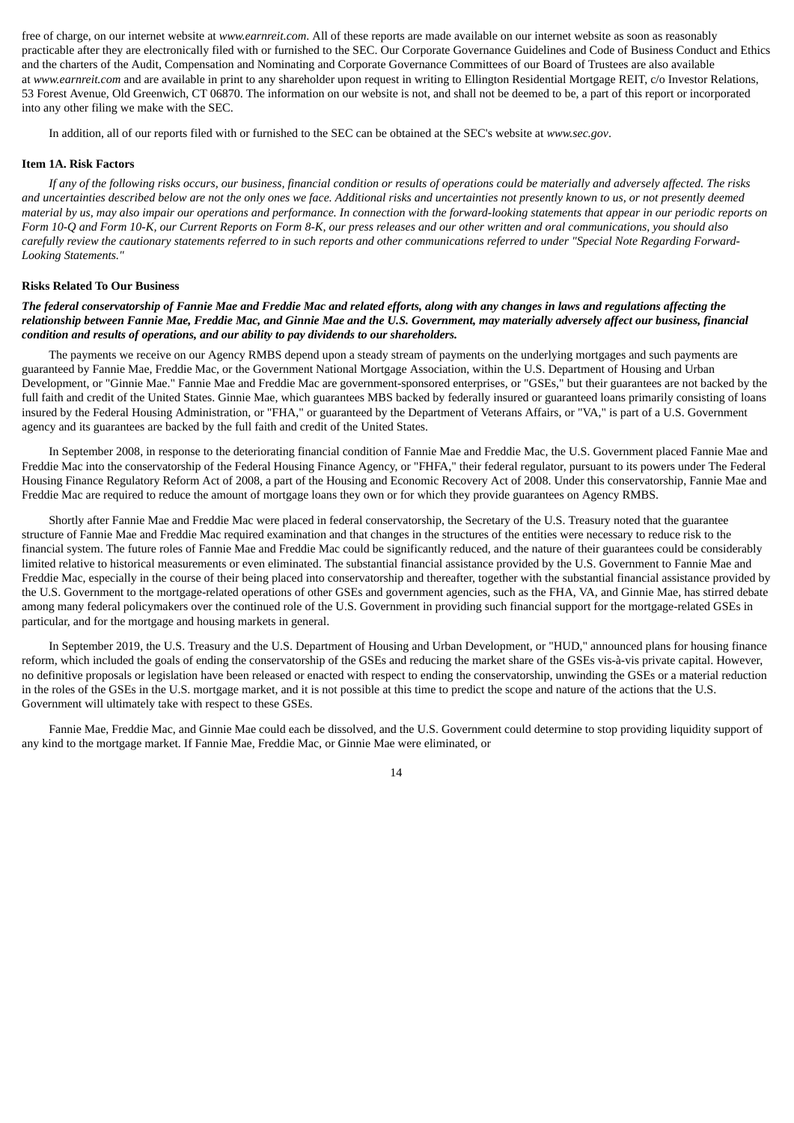free of charge, on our internet website at *www.earnreit.com*. All of these reports are made available on our internet website as soon as reasonably practicable after they are electronically filed with or furnished to the SEC. Our Corporate Governance Guidelines and Code of Business Conduct and Ethics and the charters of the Audit, Compensation and Nominating and Corporate Governance Committees of our Board of Trustees are also available at *www.earnreit.com* and are available in print to any shareholder upon request in writing to Ellington Residential Mortgage REIT, c/o Investor Relations, 53 Forest Avenue, Old Greenwich, CT 06870. The information on our website is not, and shall not be deemed to be, a part of this report or incorporated into any other filing we make with the SEC.

In addition, all of our reports filed with or furnished to the SEC can be obtained at the SEC's website at *www.sec.gov*.

#### <span id="page-13-0"></span>**Item 1A. Risk Factors**

If any of the following risks occurs, our business, financial condition or results of operations could be materially and adversely affected. The risks and uncertainties described below are not the only ones we face. Additional risks and uncertainties not presently known to us, or not presently deemed material by us, may also impair our operations and performance. In connection with the forward-looking statements that appear in our periodic reports on Form 10-Q and Form 10-K, our Current Reports on Form 8-K, our press releases and our other written and oral communications, you should also carefully review the cautionary statements referred to in such reports and other communications referred to under "Special Note Regarding Forward-*Looking Statements."*

#### **Risks Related To Our Business**

# The federal conservatorship of Fannie Mae and Freddie Mac and related efforts, along with any changes in laws and regulations affecting the relationship between Fannie Mae, Freddie Mac, and Ginnie Mae and the U.S. Government, may materially adversely affect our business, financial *condition and results of operations, and our ability to pay dividends to our shareholders.*

The payments we receive on our Agency RMBS depend upon a steady stream of payments on the underlying mortgages and such payments are guaranteed by Fannie Mae, Freddie Mac, or the Government National Mortgage Association, within the U.S. Department of Housing and Urban Development, or "Ginnie Mae." Fannie Mae and Freddie Mac are government-sponsored enterprises, or "GSEs," but their guarantees are not backed by the full faith and credit of the United States. Ginnie Mae, which guarantees MBS backed by federally insured or guaranteed loans primarily consisting of loans insured by the Federal Housing Administration, or "FHA," or guaranteed by the Department of Veterans Affairs, or "VA," is part of a U.S. Government agency and its guarantees are backed by the full faith and credit of the United States.

In September 2008, in response to the deteriorating financial condition of Fannie Mae and Freddie Mac, the U.S. Government placed Fannie Mae and Freddie Mac into the conservatorship of the Federal Housing Finance Agency, or "FHFA," their federal regulator, pursuant to its powers under The Federal Housing Finance Regulatory Reform Act of 2008, a part of the Housing and Economic Recovery Act of 2008. Under this conservatorship, Fannie Mae and Freddie Mac are required to reduce the amount of mortgage loans they own or for which they provide guarantees on Agency RMBS.

Shortly after Fannie Mae and Freddie Mac were placed in federal conservatorship, the Secretary of the U.S. Treasury noted that the guarantee structure of Fannie Mae and Freddie Mac required examination and that changes in the structures of the entities were necessary to reduce risk to the financial system. The future roles of Fannie Mae and Freddie Mac could be significantly reduced, and the nature of their guarantees could be considerably limited relative to historical measurements or even eliminated. The substantial financial assistance provided by the U.S. Government to Fannie Mae and Freddie Mac, especially in the course of their being placed into conservatorship and thereafter, together with the substantial financial assistance provided by the U.S. Government to the mortgage-related operations of other GSEs and government agencies, such as the FHA, VA, and Ginnie Mae, has stirred debate among many federal policymakers over the continued role of the U.S. Government in providing such financial support for the mortgage-related GSEs in particular, and for the mortgage and housing markets in general.

In September 2019, the U.S. Treasury and the U.S. Department of Housing and Urban Development, or "HUD," announced plans for housing finance reform, which included the goals of ending the conservatorship of the GSEs and reducing the market share of the GSEs vis-à-vis private capital. However, no definitive proposals or legislation have been released or enacted with respect to ending the conservatorship, unwinding the GSEs or a material reduction in the roles of the GSEs in the U.S. mortgage market, and it is not possible at this time to predict the scope and nature of the actions that the U.S. Government will ultimately take with respect to these GSEs.

Fannie Mae, Freddie Mac, and Ginnie Mae could each be dissolved, and the U.S. Government could determine to stop providing liquidity support of any kind to the mortgage market. If Fannie Mae, Freddie Mac, or Ginnie Mae were eliminated, or

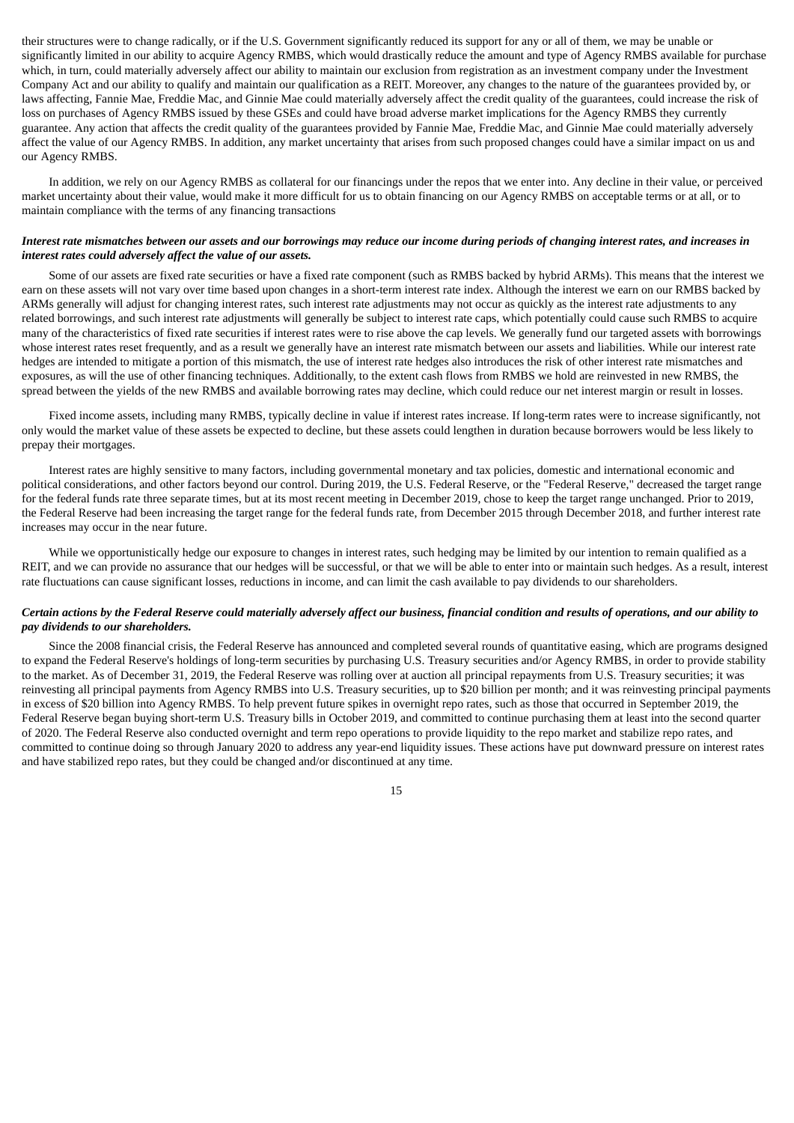their structures were to change radically, or if the U.S. Government significantly reduced its support for any or all of them, we may be unable or significantly limited in our ability to acquire Agency RMBS, which would drastically reduce the amount and type of Agency RMBS available for purchase which, in turn, could materially adversely affect our ability to maintain our exclusion from registration as an investment company under the Investment Company Act and our ability to qualify and maintain our qualification as a REIT. Moreover, any changes to the nature of the guarantees provided by, or laws affecting, Fannie Mae, Freddie Mac, and Ginnie Mae could materially adversely affect the credit quality of the guarantees, could increase the risk of loss on purchases of Agency RMBS issued by these GSEs and could have broad adverse market implications for the Agency RMBS they currently guarantee. Any action that affects the credit quality of the guarantees provided by Fannie Mae, Freddie Mac, and Ginnie Mae could materially adversely affect the value of our Agency RMBS. In addition, any market uncertainty that arises from such proposed changes could have a similar impact on us and our Agency RMBS.

In addition, we rely on our Agency RMBS as collateral for our financings under the repos that we enter into. Any decline in their value, or perceived market uncertainty about their value, would make it more difficult for us to obtain financing on our Agency RMBS on acceptable terms or at all, or to maintain compliance with the terms of any financing transactions

# Interest rate mismatches between our assets and our borrowings may reduce our income during periods of changing interest rates, and increases in *interest rates could adversely affect the value of our assets.*

Some of our assets are fixed rate securities or have a fixed rate component (such as RMBS backed by hybrid ARMs). This means that the interest we earn on these assets will not vary over time based upon changes in a short-term interest rate index. Although the interest we earn on our RMBS backed by ARMs generally will adjust for changing interest rates, such interest rate adjustments may not occur as quickly as the interest rate adjustments to any related borrowings, and such interest rate adjustments will generally be subject to interest rate caps, which potentially could cause such RMBS to acquire many of the characteristics of fixed rate securities if interest rates were to rise above the cap levels. We generally fund our targeted assets with borrowings whose interest rates reset frequently, and as a result we generally have an interest rate mismatch between our assets and liabilities. While our interest rate hedges are intended to mitigate a portion of this mismatch, the use of interest rate hedges also introduces the risk of other interest rate mismatches and exposures, as will the use of other financing techniques. Additionally, to the extent cash flows from RMBS we hold are reinvested in new RMBS, the spread between the yields of the new RMBS and available borrowing rates may decline, which could reduce our net interest margin or result in losses.

Fixed income assets, including many RMBS, typically decline in value if interest rates increase. If long-term rates were to increase significantly, not only would the market value of these assets be expected to decline, but these assets could lengthen in duration because borrowers would be less likely to prepay their mortgages.

Interest rates are highly sensitive to many factors, including governmental monetary and tax policies, domestic and international economic and political considerations, and other factors beyond our control. During 2019, the U.S. Federal Reserve, or the "Federal Reserve," decreased the target range for the federal funds rate three separate times, but at its most recent meeting in December 2019, chose to keep the target range unchanged. Prior to 2019, the Federal Reserve had been increasing the target range for the federal funds rate, from December 2015 through December 2018, and further interest rate increases may occur in the near future.

While we opportunistically hedge our exposure to changes in interest rates, such hedging may be limited by our intention to remain qualified as a REIT, and we can provide no assurance that our hedges will be successful, or that we will be able to enter into or maintain such hedges. As a result, interest rate fluctuations can cause significant losses, reductions in income, and can limit the cash available to pay dividends to our shareholders.

# Certain actions by the Federal Reserve could materially adversely affect our business, financial condition and results of operations, and our ability to *pay dividends to our shareholders.*

Since the 2008 financial crisis, the Federal Reserve has announced and completed several rounds of quantitative easing, which are programs designed to expand the Federal Reserve's holdings of long-term securities by purchasing U.S. Treasury securities and/or Agency RMBS, in order to provide stability to the market. As of December 31, 2019, the Federal Reserve was rolling over at auction all principal repayments from U.S. Treasury securities; it was reinvesting all principal payments from Agency RMBS into U.S. Treasury securities, up to \$20 billion per month; and it was reinvesting principal payments in excess of \$20 billion into Agency RMBS. To help prevent future spikes in overnight repo rates, such as those that occurred in September 2019, the Federal Reserve began buying short-term U.S. Treasury bills in October 2019, and committed to continue purchasing them at least into the second quarter of 2020. The Federal Reserve also conducted overnight and term repo operations to provide liquidity to the repo market and stabilize repo rates, and committed to continue doing so through January 2020 to address any year-end liquidity issues. These actions have put downward pressure on interest rates and have stabilized repo rates, but they could be changed and/or discontinued at any time.

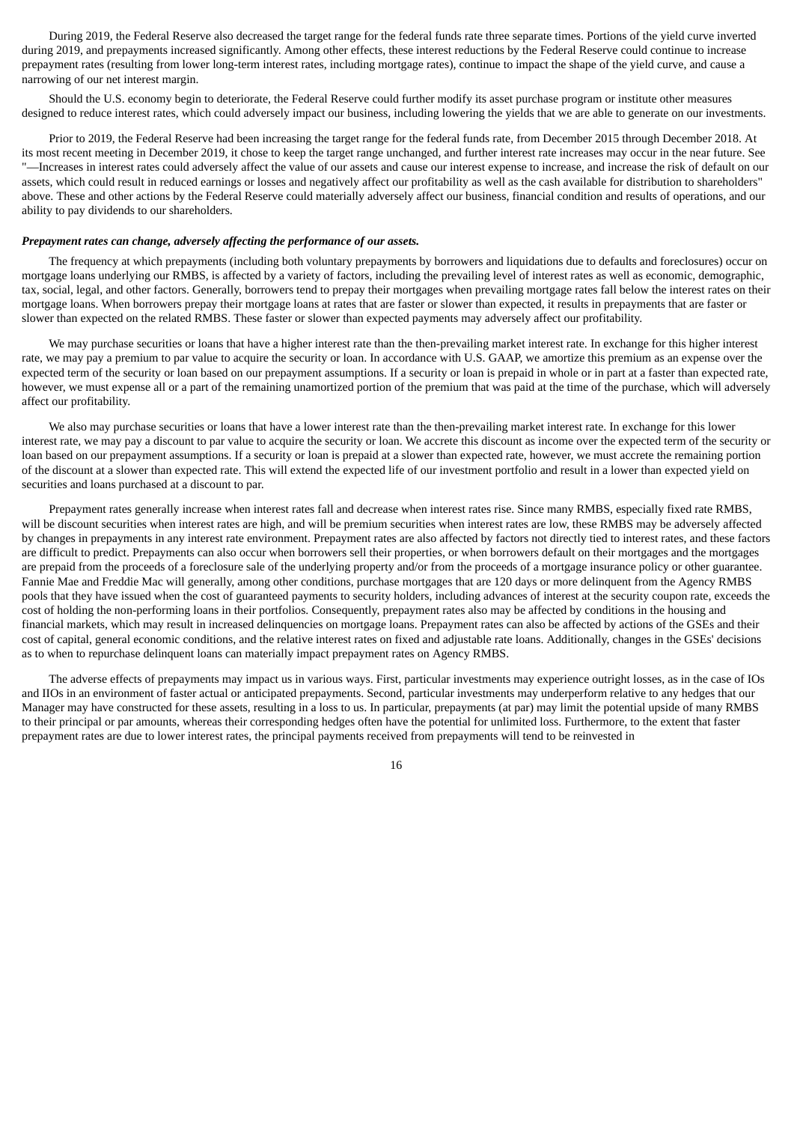During 2019, the Federal Reserve also decreased the target range for the federal funds rate three separate times. Portions of the yield curve inverted during 2019, and prepayments increased significantly. Among other effects, these interest reductions by the Federal Reserve could continue to increase prepayment rates (resulting from lower long-term interest rates, including mortgage rates), continue to impact the shape of the yield curve, and cause a narrowing of our net interest margin.

Should the U.S. economy begin to deteriorate, the Federal Reserve could further modify its asset purchase program or institute other measures designed to reduce interest rates, which could adversely impact our business, including lowering the yields that we are able to generate on our investments.

Prior to 2019, the Federal Reserve had been increasing the target range for the federal funds rate, from December 2015 through December 2018. At its most recent meeting in December 2019, it chose to keep the target range unchanged, and further interest rate increases may occur in the near future. See "—Increases in interest rates could adversely affect the value of our assets and cause our interest expense to increase, and increase the risk of default on our assets, which could result in reduced earnings or losses and negatively affect our profitability as well as the cash available for distribution to shareholders" above. These and other actions by the Federal Reserve could materially adversely affect our business, financial condition and results of operations, and our ability to pay dividends to our shareholders.

# *Prepayment rates can change, adversely affecting the performance of our assets.*

The frequency at which prepayments (including both voluntary prepayments by borrowers and liquidations due to defaults and foreclosures) occur on mortgage loans underlying our RMBS, is affected by a variety of factors, including the prevailing level of interest rates as well as economic, demographic, tax, social, legal, and other factors. Generally, borrowers tend to prepay their mortgages when prevailing mortgage rates fall below the interest rates on their mortgage loans. When borrowers prepay their mortgage loans at rates that are faster or slower than expected, it results in prepayments that are faster or slower than expected on the related RMBS. These faster or slower than expected payments may adversely affect our profitability.

We may purchase securities or loans that have a higher interest rate than the then-prevailing market interest rate. In exchange for this higher interest rate, we may pay a premium to par value to acquire the security or loan. In accordance with U.S. GAAP, we amortize this premium as an expense over the expected term of the security or loan based on our prepayment assumptions. If a security or loan is prepaid in whole or in part at a faster than expected rate, however, we must expense all or a part of the remaining unamortized portion of the premium that was paid at the time of the purchase, which will adversely affect our profitability.

We also may purchase securities or loans that have a lower interest rate than the then-prevailing market interest rate. In exchange for this lower interest rate, we may pay a discount to par value to acquire the security or loan. We accrete this discount as income over the expected term of the security or loan based on our prepayment assumptions. If a security or loan is prepaid at a slower than expected rate, however, we must accrete the remaining portion of the discount at a slower than expected rate. This will extend the expected life of our investment portfolio and result in a lower than expected yield on securities and loans purchased at a discount to par.

Prepayment rates generally increase when interest rates fall and decrease when interest rates rise. Since many RMBS, especially fixed rate RMBS, will be discount securities when interest rates are high, and will be premium securities when interest rates are low, these RMBS may be adversely affected by changes in prepayments in any interest rate environment. Prepayment rates are also affected by factors not directly tied to interest rates, and these factors are difficult to predict. Prepayments can also occur when borrowers sell their properties, or when borrowers default on their mortgages and the mortgages are prepaid from the proceeds of a foreclosure sale of the underlying property and/or from the proceeds of a mortgage insurance policy or other guarantee. Fannie Mae and Freddie Mac will generally, among other conditions, purchase mortgages that are 120 days or more delinquent from the Agency RMBS pools that they have issued when the cost of guaranteed payments to security holders, including advances of interest at the security coupon rate, exceeds the cost of holding the non-performing loans in their portfolios. Consequently, prepayment rates also may be affected by conditions in the housing and financial markets, which may result in increased delinquencies on mortgage loans. Prepayment rates can also be affected by actions of the GSEs and their cost of capital, general economic conditions, and the relative interest rates on fixed and adjustable rate loans. Additionally, changes in the GSEs' decisions as to when to repurchase delinquent loans can materially impact prepayment rates on Agency RMBS.

The adverse effects of prepayments may impact us in various ways. First, particular investments may experience outright losses, as in the case of IOs and IIOs in an environment of faster actual or anticipated prepayments. Second, particular investments may underperform relative to any hedges that our Manager may have constructed for these assets, resulting in a loss to us. In particular, prepayments (at par) may limit the potential upside of many RMBS to their principal or par amounts, whereas their corresponding hedges often have the potential for unlimited loss. Furthermore, to the extent that faster prepayment rates are due to lower interest rates, the principal payments received from prepayments will tend to be reinvested in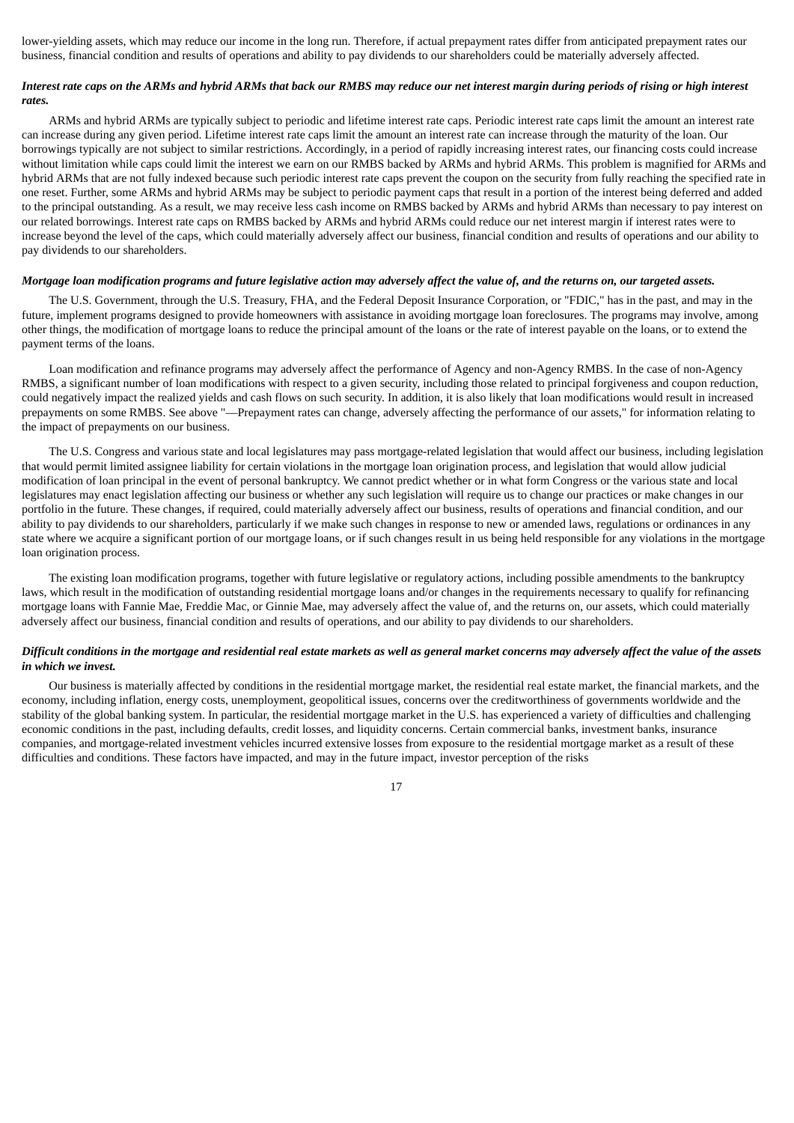lower-yielding assets, which may reduce our income in the long run. Therefore, if actual prepayment rates differ from anticipated prepayment rates our business, financial condition and results of operations and ability to pay dividends to our shareholders could be materially adversely affected.

#### Interest rate caps on the ARMs and hybrid ARMs that back our RMBS may reduce our net interest marain during periods of rising or high interest *rates.*

ARMs and hybrid ARMs are typically subject to periodic and lifetime interest rate caps. Periodic interest rate caps limit the amount an interest rate can increase during any given period. Lifetime interest rate caps limit the amount an interest rate can increase through the maturity of the loan. Our borrowings typically are not subject to similar restrictions. Accordingly, in a period of rapidly increasing interest rates, our financing costs could increase without limitation while caps could limit the interest we earn on our RMBS backed by ARMs and hybrid ARMs. This problem is magnified for ARMs and hybrid ARMs that are not fully indexed because such periodic interest rate caps prevent the coupon on the security from fully reaching the specified rate in one reset. Further, some ARMs and hybrid ARMs may be subject to periodic payment caps that result in a portion of the interest being deferred and added to the principal outstanding. As a result, we may receive less cash income on RMBS backed by ARMs and hybrid ARMs than necessary to pay interest on our related borrowings. Interest rate caps on RMBS backed by ARMs and hybrid ARMs could reduce our net interest margin if interest rates were to increase beyond the level of the caps, which could materially adversely affect our business, financial condition and results of operations and our ability to pay dividends to our shareholders.

#### Mortgage loan modification programs and future legislative action may adversely affect the value of, and the returns on, our targeted assets.

The U.S. Government, through the U.S. Treasury, FHA, and the Federal Deposit Insurance Corporation, or "FDIC," has in the past, and may in the future, implement programs designed to provide homeowners with assistance in avoiding mortgage loan foreclosures. The programs may involve, among other things, the modification of mortgage loans to reduce the principal amount of the loans or the rate of interest payable on the loans, or to extend the payment terms of the loans.

Loan modification and refinance programs may adversely affect the performance of Agency and non-Agency RMBS. In the case of non-Agency RMBS, a significant number of loan modifications with respect to a given security, including those related to principal forgiveness and coupon reduction, could negatively impact the realized yields and cash flows on such security. In addition, it is also likely that loan modifications would result in increased prepayments on some RMBS. See above "—Prepayment rates can change, adversely affecting the performance of our assets," for information relating to the impact of prepayments on our business.

The U.S. Congress and various state and local legislatures may pass mortgage-related legislation that would affect our business, including legislation that would permit limited assignee liability for certain violations in the mortgage loan origination process, and legislation that would allow judicial modification of loan principal in the event of personal bankruptcy. We cannot predict whether or in what form Congress or the various state and local legislatures may enact legislation affecting our business or whether any such legislation will require us to change our practices or make changes in our portfolio in the future. These changes, if required, could materially adversely affect our business, results of operations and financial condition, and our ability to pay dividends to our shareholders, particularly if we make such changes in response to new or amended laws, regulations or ordinances in any state where we acquire a significant portion of our mortgage loans, or if such changes result in us being held responsible for any violations in the mortgage loan origination process.

The existing loan modification programs, together with future legislative or regulatory actions, including possible amendments to the bankruptcy laws, which result in the modification of outstanding residential mortgage loans and/or changes in the requirements necessary to qualify for refinancing mortgage loans with Fannie Mae, Freddie Mac, or Ginnie Mae, may adversely affect the value of, and the returns on, our assets, which could materially adversely affect our business, financial condition and results of operations, and our ability to pay dividends to our shareholders.

# Difficult conditions in the mortgage and residential real estate markets as well as general market concerns may adversely affect the value of the assets *in which we invest.*

Our business is materially affected by conditions in the residential mortgage market, the residential real estate market, the financial markets, and the economy, including inflation, energy costs, unemployment, geopolitical issues, concerns over the creditworthiness of governments worldwide and the stability of the global banking system. In particular, the residential mortgage market in the U.S. has experienced a variety of difficulties and challenging economic conditions in the past, including defaults, credit losses, and liquidity concerns. Certain commercial banks, investment banks, insurance companies, and mortgage-related investment vehicles incurred extensive losses from exposure to the residential mortgage market as a result of these difficulties and conditions. These factors have impacted, and may in the future impact, investor perception of the risks

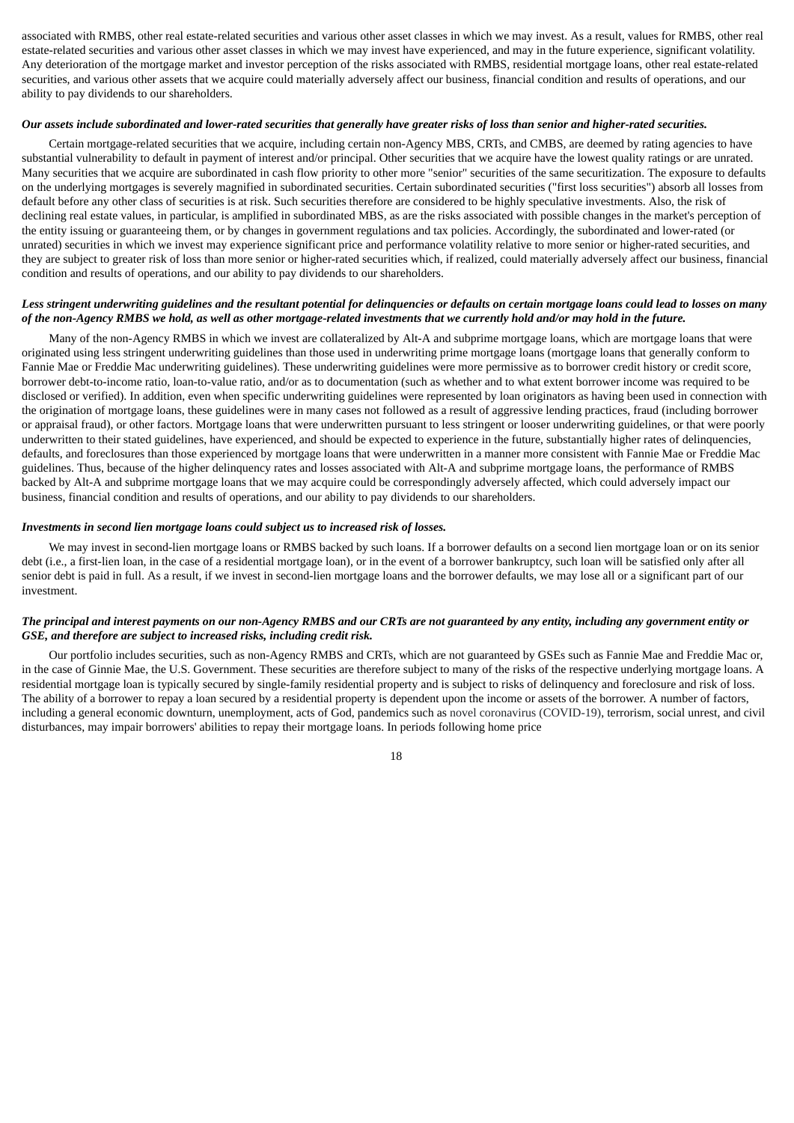associated with RMBS, other real estate-related securities and various other asset classes in which we may invest. As a result, values for RMBS, other real estate-related securities and various other asset classes in which we may invest have experienced, and may in the future experience, significant volatility. Any deterioration of the mortgage market and investor perception of the risks associated with RMBS, residential mortgage loans, other real estate-related securities, and various other assets that we acquire could materially adversely affect our business, financial condition and results of operations, and our ability to pay dividends to our shareholders.

# Our assets include subordinated and lower-rated securities that generally have greater risks of loss than senior and higher-rated securities.

Certain mortgage-related securities that we acquire, including certain non-Agency MBS, CRTs, and CMBS, are deemed by rating agencies to have substantial vulnerability to default in payment of interest and/or principal. Other securities that we acquire have the lowest quality ratings or are unrated. Many securities that we acquire are subordinated in cash flow priority to other more "senior" securities of the same securitization. The exposure to defaults on the underlying mortgages is severely magnified in subordinated securities. Certain subordinated securities ("first loss securities") absorb all losses from default before any other class of securities is at risk. Such securities therefore are considered to be highly speculative investments. Also, the risk of declining real estate values, in particular, is amplified in subordinated MBS, as are the risks associated with possible changes in the market's perception of the entity issuing or guaranteeing them, or by changes in government regulations and tax policies. Accordingly, the subordinated and lower-rated (or unrated) securities in which we invest may experience significant price and performance volatility relative to more senior or higher-rated securities, and they are subject to greater risk of loss than more senior or higher-rated securities which, if realized, could materially adversely affect our business, financial condition and results of operations, and our ability to pay dividends to our shareholders.

# Less stringent underwriting quidelines and the resultant potential for delinguencies or defaults on certain mortgage loans could lead to losses on many of the non-Agency RMBS we hold, as well as other mortgage-related investments that we currently hold and/or may hold in the future.

Many of the non-Agency RMBS in which we invest are collateralized by Alt-A and subprime mortgage loans, which are mortgage loans that were originated using less stringent underwriting guidelines than those used in underwriting prime mortgage loans (mortgage loans that generally conform to Fannie Mae or Freddie Mac underwriting guidelines). These underwriting guidelines were more permissive as to borrower credit history or credit score, borrower debt-to-income ratio, loan-to-value ratio, and/or as to documentation (such as whether and to what extent borrower income was required to be disclosed or verified). In addition, even when specific underwriting guidelines were represented by loan originators as having been used in connection with the origination of mortgage loans, these guidelines were in many cases not followed as a result of aggressive lending practices, fraud (including borrower or appraisal fraud), or other factors. Mortgage loans that were underwritten pursuant to less stringent or looser underwriting guidelines, or that were poorly underwritten to their stated guidelines, have experienced, and should be expected to experience in the future, substantially higher rates of delinquencies, defaults, and foreclosures than those experienced by mortgage loans that were underwritten in a manner more consistent with Fannie Mae or Freddie Mac guidelines. Thus, because of the higher delinquency rates and losses associated with Alt-A and subprime mortgage loans, the performance of RMBS backed by Alt-A and subprime mortgage loans that we may acquire could be correspondingly adversely affected, which could adversely impact our business, financial condition and results of operations, and our ability to pay dividends to our shareholders.

#### *Investments in second lien mortgage loans could subject us to increased risk of losses.*

We may invest in second-lien mortgage loans or RMBS backed by such loans. If a borrower defaults on a second lien mortgage loan or on its senior debt (i.e., a first-lien loan, in the case of a residential mortgage loan), or in the event of a borrower bankruptcy, such loan will be satisfied only after all senior debt is paid in full. As a result, if we invest in second-lien mortgage loans and the borrower defaults, we may lose all or a significant part of our investment.

# The principal and interest payments on our non-Agency RMBS and our CRTs are not guaranteed by any entity, including any government entity or *GSE, and therefore are subject to increased risks, including credit risk.*

Our portfolio includes securities, such as non-Agency RMBS and CRTs, which are not guaranteed by GSEs such as Fannie Mae and Freddie Mac or, in the case of Ginnie Mae, the U.S. Government. These securities are therefore subject to many of the risks of the respective underlying mortgage loans. A residential mortgage loan is typically secured by single-family residential property and is subject to risks of delinquency and foreclosure and risk of loss. The ability of a borrower to repay a loan secured by a residential property is dependent upon the income or assets of the borrower. A number of factors, including a general economic downturn, unemployment, acts of God, pandemics such as novel coronavirus (COVID-19), terrorism, social unrest, and civil disturbances, may impair borrowers' abilities to repay their mortgage loans. In periods following home price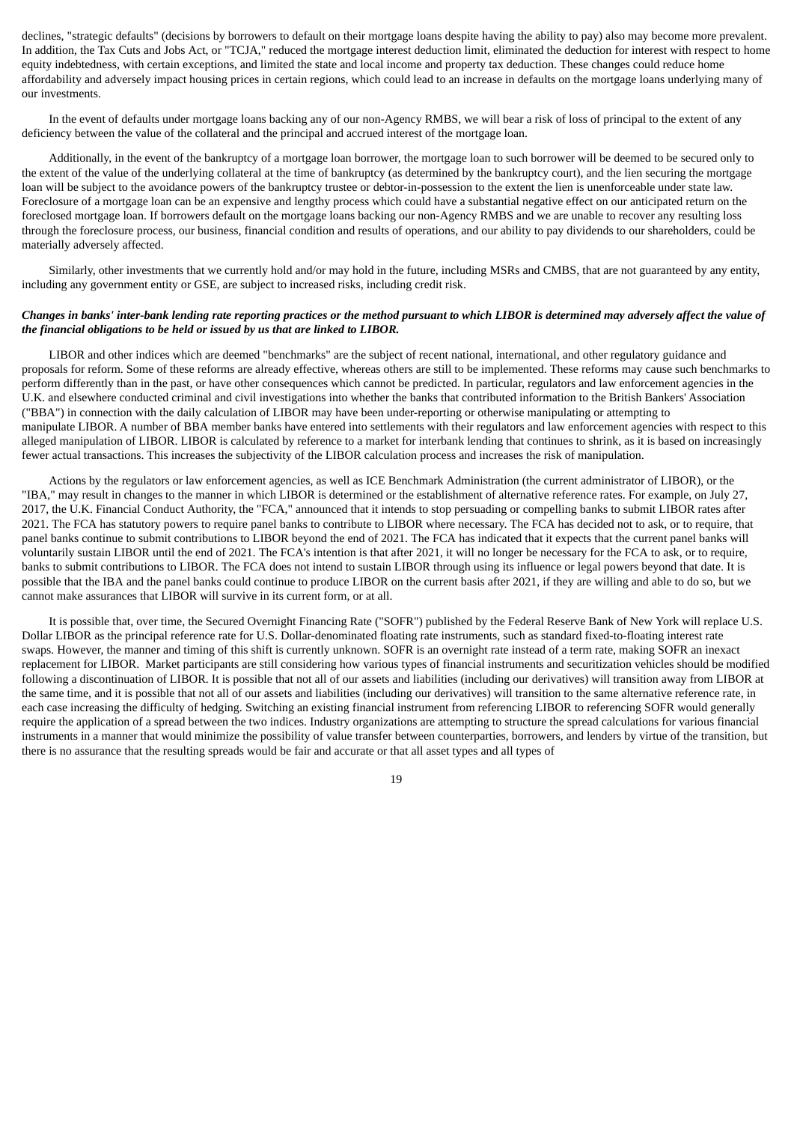declines, "strategic defaults" (decisions by borrowers to default on their mortgage loans despite having the ability to pay) also may become more prevalent. In addition, the Tax Cuts and Jobs Act, or "TCJA," reduced the mortgage interest deduction limit, eliminated the deduction for interest with respect to home equity indebtedness, with certain exceptions, and limited the state and local income and property tax deduction. These changes could reduce home affordability and adversely impact housing prices in certain regions, which could lead to an increase in defaults on the mortgage loans underlying many of our investments.

In the event of defaults under mortgage loans backing any of our non-Agency RMBS, we will bear a risk of loss of principal to the extent of any deficiency between the value of the collateral and the principal and accrued interest of the mortgage loan.

Additionally, in the event of the bankruptcy of a mortgage loan borrower, the mortgage loan to such borrower will be deemed to be secured only to the extent of the value of the underlying collateral at the time of bankruptcy (as determined by the bankruptcy court), and the lien securing the mortgage loan will be subject to the avoidance powers of the bankruptcy trustee or debtor-in-possession to the extent the lien is unenforceable under state law. Foreclosure of a mortgage loan can be an expensive and lengthy process which could have a substantial negative effect on our anticipated return on the foreclosed mortgage loan. If borrowers default on the mortgage loans backing our non-Agency RMBS and we are unable to recover any resulting loss through the foreclosure process, our business, financial condition and results of operations, and our ability to pay dividends to our shareholders, could be materially adversely affected.

Similarly, other investments that we currently hold and/or may hold in the future, including MSRs and CMBS, that are not guaranteed by any entity, including any government entity or GSE, are subject to increased risks, including credit risk.

### Changes in banks' inter-bank lending rate reporting practices or the method pursuant to which LIBOR is determined may adversely affect the value of *the financial obligations to be held or issued by us that are linked to LIBOR.*

LIBOR and other indices which are deemed "benchmarks" are the subject of recent national, international, and other regulatory guidance and proposals for reform. Some of these reforms are already effective, whereas others are still to be implemented. These reforms may cause such benchmarks to perform differently than in the past, or have other consequences which cannot be predicted. In particular, regulators and law enforcement agencies in the U.K. and elsewhere conducted criminal and civil investigations into whether the banks that contributed information to the British Bankers' Association ("BBA") in connection with the daily calculation of LIBOR may have been under-reporting or otherwise manipulating or attempting to manipulate LIBOR. A number of BBA member banks have entered into settlements with their regulators and law enforcement agencies with respect to this alleged manipulation of LIBOR. LIBOR is calculated by reference to a market for interbank lending that continues to shrink, as it is based on increasingly fewer actual transactions. This increases the subjectivity of the LIBOR calculation process and increases the risk of manipulation.

Actions by the regulators or law enforcement agencies, as well as ICE Benchmark Administration (the current administrator of LIBOR), or the "IBA," may result in changes to the manner in which LIBOR is determined or the establishment of alternative reference rates. For example, on July 27, 2017, the U.K. Financial Conduct Authority, the "FCA," announced that it intends to stop persuading or compelling banks to submit LIBOR rates after 2021. The FCA has statutory powers to require panel banks to contribute to LIBOR where necessary. The FCA has decided not to ask, or to require, that panel banks continue to submit contributions to LIBOR beyond the end of 2021. The FCA has indicated that it expects that the current panel banks will voluntarily sustain LIBOR until the end of 2021. The FCA's intention is that after 2021, it will no longer be necessary for the FCA to ask, or to require, banks to submit contributions to LIBOR. The FCA does not intend to sustain LIBOR through using its influence or legal powers beyond that date. It is possible that the IBA and the panel banks could continue to produce LIBOR on the current basis after 2021, if they are willing and able to do so, but we cannot make assurances that LIBOR will survive in its current form, or at all.

It is possible that, over time, the Secured Overnight Financing Rate ("SOFR") published by the Federal Reserve Bank of New York will replace U.S. Dollar LIBOR as the principal reference rate for U.S. Dollar-denominated floating rate instruments, such as standard fixed-to-floating interest rate swaps. However, the manner and timing of this shift is currently unknown. SOFR is an overnight rate instead of a term rate, making SOFR an inexact replacement for LIBOR. Market participants are still considering how various types of financial instruments and securitization vehicles should be modified following a discontinuation of LIBOR. It is possible that not all of our assets and liabilities (including our derivatives) will transition away from LIBOR at the same time, and it is possible that not all of our assets and liabilities (including our derivatives) will transition to the same alternative reference rate, in each case increasing the difficulty of hedging. Switching an existing financial instrument from referencing LIBOR to referencing SOFR would generally require the application of a spread between the two indices. Industry organizations are attempting to structure the spread calculations for various financial instruments in a manner that would minimize the possibility of value transfer between counterparties, borrowers, and lenders by virtue of the transition, but there is no assurance that the resulting spreads would be fair and accurate or that all asset types and all types of

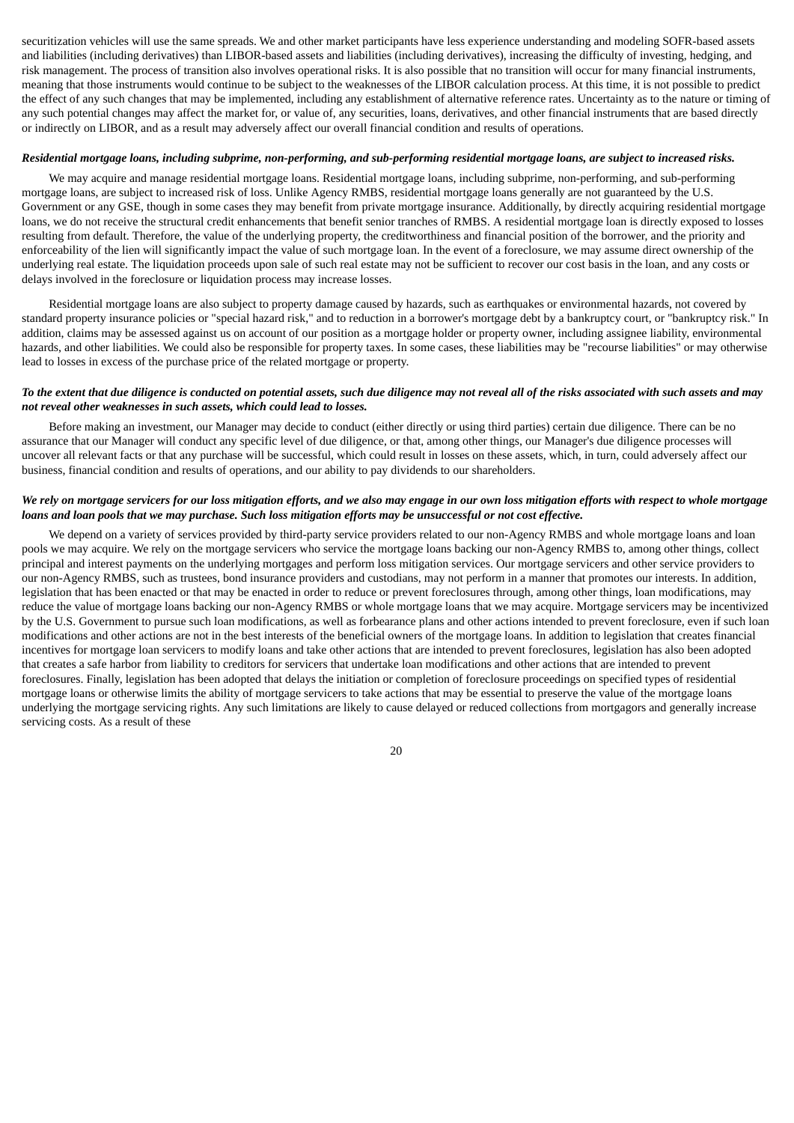securitization vehicles will use the same spreads. We and other market participants have less experience understanding and modeling SOFR-based assets and liabilities (including derivatives) than LIBOR-based assets and liabilities (including derivatives), increasing the difficulty of investing, hedging, and risk management. The process of transition also involves operational risks. It is also possible that no transition will occur for many financial instruments, meaning that those instruments would continue to be subject to the weaknesses of the LIBOR calculation process. At this time, it is not possible to predict the effect of any such changes that may be implemented, including any establishment of alternative reference rates. Uncertainty as to the nature or timing of any such potential changes may affect the market for, or value of, any securities, loans, derivatives, and other financial instruments that are based directly or indirectly on LIBOR, and as a result may adversely affect our overall financial condition and results of operations.

#### Residential mortagge loans, including subprime, non-performing, and sub-performing residential mortagge loans, are subject to increased risks.

We may acquire and manage residential mortgage loans. Residential mortgage loans, including subprime, non-performing, and sub-performing mortgage loans, are subject to increased risk of loss. Unlike Agency RMBS, residential mortgage loans generally are not guaranteed by the U.S. Government or any GSE, though in some cases they may benefit from private mortgage insurance. Additionally, by directly acquiring residential mortgage loans, we do not receive the structural credit enhancements that benefit senior tranches of RMBS. A residential mortgage loan is directly exposed to losses resulting from default. Therefore, the value of the underlying property, the creditworthiness and financial position of the borrower, and the priority and enforceability of the lien will significantly impact the value of such mortgage loan. In the event of a foreclosure, we may assume direct ownership of the underlying real estate. The liquidation proceeds upon sale of such real estate may not be sufficient to recover our cost basis in the loan, and any costs or delays involved in the foreclosure or liquidation process may increase losses.

Residential mortgage loans are also subject to property damage caused by hazards, such as earthquakes or environmental hazards, not covered by standard property insurance policies or "special hazard risk," and to reduction in a borrower's mortgage debt by a bankruptcy court, or "bankruptcy risk." In addition, claims may be assessed against us on account of our position as a mortgage holder or property owner, including assignee liability, environmental hazards, and other liabilities. We could also be responsible for property taxes. In some cases, these liabilities may be "recourse liabilities" or may otherwise lead to losses in excess of the purchase price of the related mortgage or property.

#### To the extent that due diligence is conducted on potential assets, such due diligence may not reveal all of the risks associated with such assets and may *not reveal other weaknesses in such assets, which could lead to losses.*

Before making an investment, our Manager may decide to conduct (either directly or using third parties) certain due diligence. There can be no assurance that our Manager will conduct any specific level of due diligence, or that, among other things, our Manager's due diligence processes will uncover all relevant facts or that any purchase will be successful, which could result in losses on these assets, which, in turn, could adversely affect our business, financial condition and results of operations, and our ability to pay dividends to our shareholders.

#### We rely on mortgage servicers for our loss mitigation efforts, and we also may engage in our own loss mitigation efforts with respect to whole mortgage loans and loan pools that we may purchase. Such loss mitigation efforts may be unsuccessful or not cost effective.

We depend on a variety of services provided by third-party service providers related to our non-Agency RMBS and whole mortgage loans and loan pools we may acquire. We rely on the mortgage servicers who service the mortgage loans backing our non-Agency RMBS to, among other things, collect principal and interest payments on the underlying mortgages and perform loss mitigation services. Our mortgage servicers and other service providers to our non-Agency RMBS, such as trustees, bond insurance providers and custodians, may not perform in a manner that promotes our interests. In addition, legislation that has been enacted or that may be enacted in order to reduce or prevent foreclosures through, among other things, loan modifications, may reduce the value of mortgage loans backing our non-Agency RMBS or whole mortgage loans that we may acquire. Mortgage servicers may be incentivized by the U.S. Government to pursue such loan modifications, as well as forbearance plans and other actions intended to prevent foreclosure, even if such loan modifications and other actions are not in the best interests of the beneficial owners of the mortgage loans. In addition to legislation that creates financial incentives for mortgage loan servicers to modify loans and take other actions that are intended to prevent foreclosures, legislation has also been adopted that creates a safe harbor from liability to creditors for servicers that undertake loan modifications and other actions that are intended to prevent foreclosures. Finally, legislation has been adopted that delays the initiation or completion of foreclosure proceedings on specified types of residential mortgage loans or otherwise limits the ability of mortgage servicers to take actions that may be essential to preserve the value of the mortgage loans underlying the mortgage servicing rights. Any such limitations are likely to cause delayed or reduced collections from mortgagors and generally increase servicing costs. As a result of these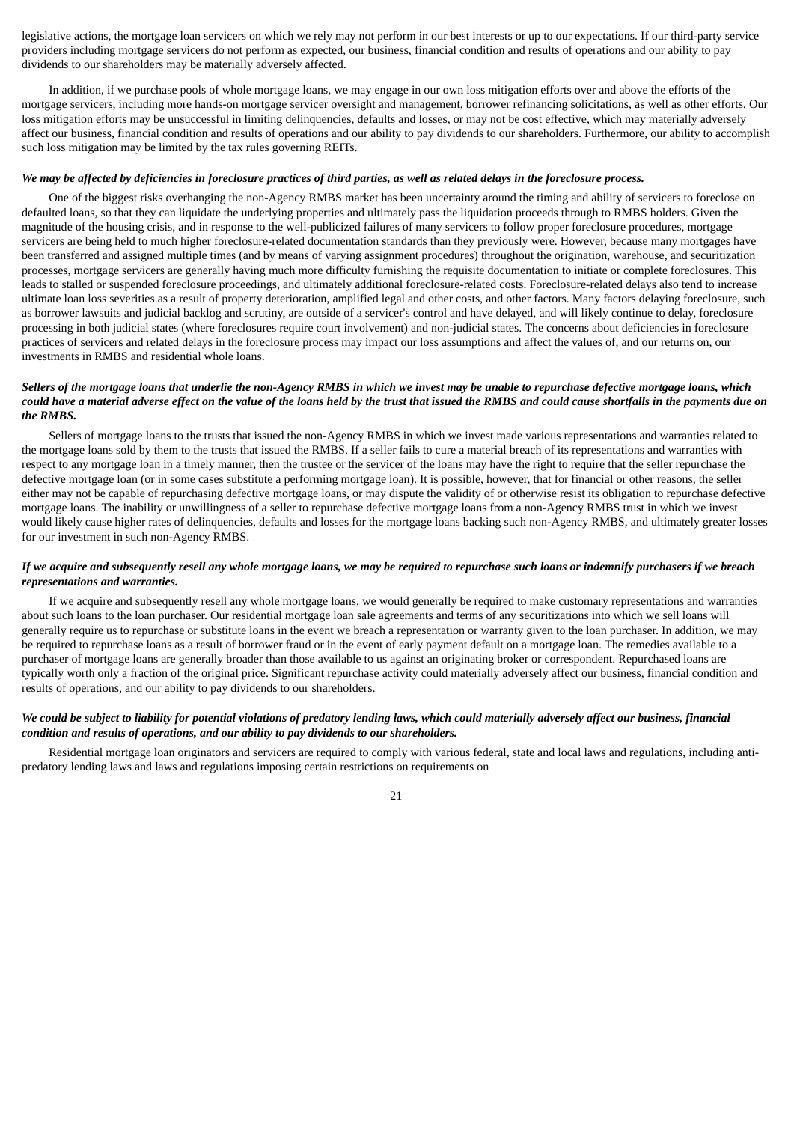legislative actions, the mortgage loan servicers on which we rely may not perform in our best interests or up to our expectations. If our third-party service providers including mortgage servicers do not perform as expected, our business, financial condition and results of operations and our ability to pay dividends to our shareholders may be materially adversely affected.

In addition, if we purchase pools of whole mortgage loans, we may engage in our own loss mitigation efforts over and above the efforts of the mortgage servicers, including more hands-on mortgage servicer oversight and management, borrower refinancing solicitations, as well as other efforts. Our loss mitigation efforts may be unsuccessful in limiting delinquencies, defaults and losses, or may not be cost effective, which may materially adversely affect our business, financial condition and results of operations and our ability to pay dividends to our shareholders. Furthermore, our ability to accomplish such loss mitigation may be limited by the tax rules governing REITs.

#### We may be affected by deficiencies in foreclosure practices of third parties, as well as related delays in the foreclosure process.

One of the biggest risks overhanging the non-Agency RMBS market has been uncertainty around the timing and ability of servicers to foreclose on defaulted loans, so that they can liquidate the underlying properties and ultimately pass the liquidation proceeds through to RMBS holders. Given the magnitude of the housing crisis, and in response to the well-publicized failures of many servicers to follow proper foreclosure procedures, mortgage servicers are being held to much higher foreclosure-related documentation standards than they previously were. However, because many mortgages have been transferred and assigned multiple times (and by means of varying assignment procedures) throughout the origination, warehouse, and securitization processes, mortgage servicers are generally having much more difficulty furnishing the requisite documentation to initiate or complete foreclosures. This leads to stalled or suspended foreclosure proceedings, and ultimately additional foreclosure-related costs. Foreclosure-related delays also tend to increase ultimate loan loss severities as a result of property deterioration, amplified legal and other costs, and other factors. Many factors delaying foreclosure, such as borrower lawsuits and judicial backlog and scrutiny, are outside of a servicer's control and have delayed, and will likely continue to delay, foreclosure processing in both judicial states (where foreclosures require court involvement) and non-judicial states. The concerns about deficiencies in foreclosure practices of servicers and related delays in the foreclosure process may impact our loss assumptions and affect the values of, and our returns on, our investments in RMBS and residential whole loans.

# Sellers of the mortgage loans that underlie the non-Agency RMBS in which we invest may be unable to repurchase defective mortgage loans, which could have a material adverse effect on the value of the loans held by the trust that issued the RMBS and could cause shortfalls in the payments due on *the RMBS.*

Sellers of mortgage loans to the trusts that issued the non-Agency RMBS in which we invest made various representations and warranties related to the mortgage loans sold by them to the trusts that issued the RMBS. If a seller fails to cure a material breach of its representations and warranties with respect to any mortgage loan in a timely manner, then the trustee or the servicer of the loans may have the right to require that the seller repurchase the defective mortgage loan (or in some cases substitute a performing mortgage loan). It is possible, however, that for financial or other reasons, the seller either may not be capable of repurchasing defective mortgage loans, or may dispute the validity of or otherwise resist its obligation to repurchase defective mortgage loans. The inability or unwillingness of a seller to repurchase defective mortgage loans from a non-Agency RMBS trust in which we invest would likely cause higher rates of delinquencies, defaults and losses for the mortgage loans backing such non-Agency RMBS, and ultimately greater losses for our investment in such non-Agency RMBS.

# If we acquire and subsequently resell any whole mortgage loans, we may be required to repurchase such loans or indemnify purchasers if we breach *representations and warranties.*

If we acquire and subsequently resell any whole mortgage loans, we would generally be required to make customary representations and warranties about such loans to the loan purchaser. Our residential mortgage loan sale agreements and terms of any securitizations into which we sell loans will generally require us to repurchase or substitute loans in the event we breach a representation or warranty given to the loan purchaser. In addition, we may be required to repurchase loans as a result of borrower fraud or in the event of early payment default on a mortgage loan. The remedies available to a purchaser of mortgage loans are generally broader than those available to us against an originating broker or correspondent. Repurchased loans are typically worth only a fraction of the original price. Significant repurchase activity could materially adversely affect our business, financial condition and results of operations, and our ability to pay dividends to our shareholders.

#### We could be subject to liability for potential violations of predatory lending laws, which could materially adversely affect our business, financial *condition and results of operations, and our ability to pay dividends to our shareholders.*

Residential mortgage loan originators and servicers are required to comply with various federal, state and local laws and regulations, including antipredatory lending laws and laws and regulations imposing certain restrictions on requirements on

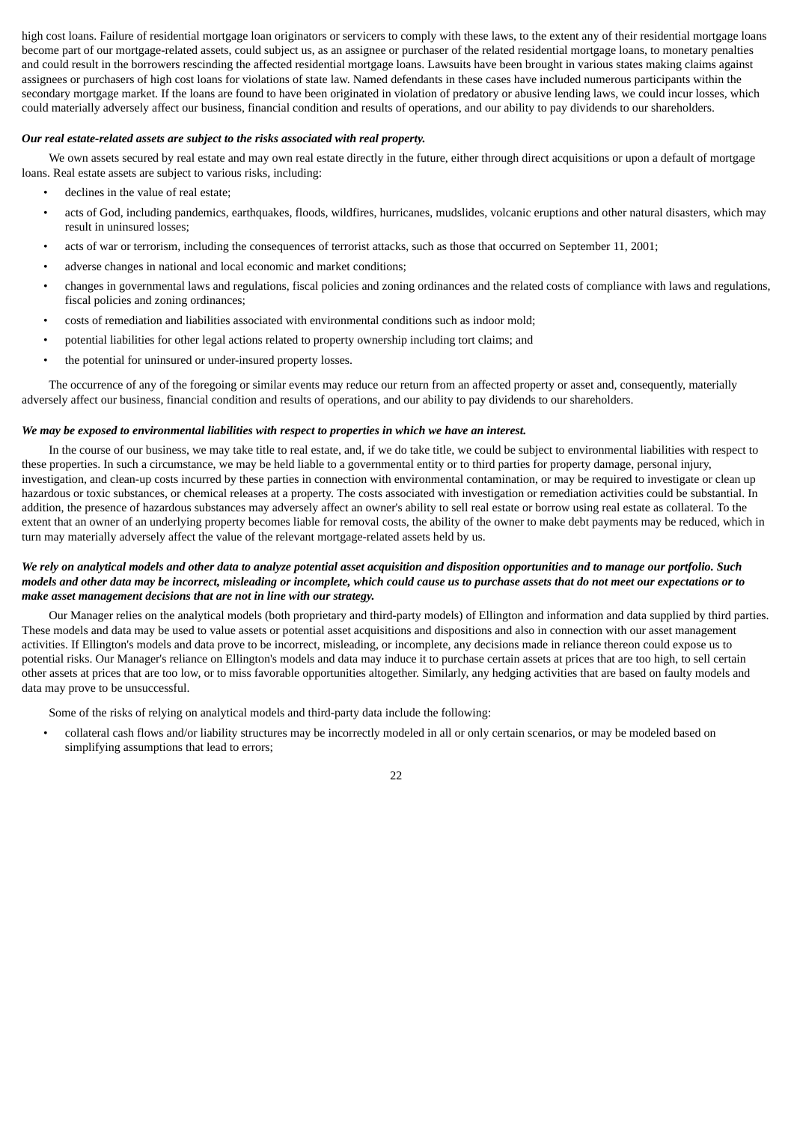high cost loans. Failure of residential mortgage loan originators or servicers to comply with these laws, to the extent any of their residential mortgage loans become part of our mortgage-related assets, could subject us, as an assignee or purchaser of the related residential mortgage loans, to monetary penalties and could result in the borrowers rescinding the affected residential mortgage loans. Lawsuits have been brought in various states making claims against assignees or purchasers of high cost loans for violations of state law. Named defendants in these cases have included numerous participants within the secondary mortgage market. If the loans are found to have been originated in violation of predatory or abusive lending laws, we could incur losses, which could materially adversely affect our business, financial condition and results of operations, and our ability to pay dividends to our shareholders.

# *Our real estate-related assets are subject to the risks associated with real property.*

We own assets secured by real estate and may own real estate directly in the future, either through direct acquisitions or upon a default of mortgage loans. Real estate assets are subject to various risks, including:

- declines in the value of real estate;
- acts of God, including pandemics, earthquakes, floods, wildfires, hurricanes, mudslides, volcanic eruptions and other natural disasters, which may result in uninsured losses;
- acts of war or terrorism, including the consequences of terrorist attacks, such as those that occurred on September 11, 2001;
- adverse changes in national and local economic and market conditions;
- changes in governmental laws and regulations, fiscal policies and zoning ordinances and the related costs of compliance with laws and regulations, fiscal policies and zoning ordinances;
- costs of remediation and liabilities associated with environmental conditions such as indoor mold;
- potential liabilities for other legal actions related to property ownership including tort claims; and
- the potential for uninsured or under-insured property losses.

The occurrence of any of the foregoing or similar events may reduce our return from an affected property or asset and, consequently, materially adversely affect our business, financial condition and results of operations, and our ability to pay dividends to our shareholders.

# *We may be exposed to environmental liabilities with respect to properties in which we have an interest.*

In the course of our business, we may take title to real estate, and, if we do take title, we could be subject to environmental liabilities with respect to these properties. In such a circumstance, we may be held liable to a governmental entity or to third parties for property damage, personal injury, investigation, and clean-up costs incurred by these parties in connection with environmental contamination, or may be required to investigate or clean up hazardous or toxic substances, or chemical releases at a property. The costs associated with investigation or remediation activities could be substantial. In addition, the presence of hazardous substances may adversely affect an owner's ability to sell real estate or borrow using real estate as collateral. To the extent that an owner of an underlying property becomes liable for removal costs, the ability of the owner to make debt payments may be reduced, which in turn may materially adversely affect the value of the relevant mortgage-related assets held by us.

# We rely on analytical models and other data to analyze potential asset acquisition and disposition opportunities and to manage our portfolio. Such models and other data may be incorrect, misleading or incomplete, which could cause us to purchase assets that do not meet our expectations or to *make asset management decisions that are not in line with our strategy.*

Our Manager relies on the analytical models (both proprietary and third-party models) of Ellington and information and data supplied by third parties. These models and data may be used to value assets or potential asset acquisitions and dispositions and also in connection with our asset management activities. If Ellington's models and data prove to be incorrect, misleading, or incomplete, any decisions made in reliance thereon could expose us to potential risks. Our Manager's reliance on Ellington's models and data may induce it to purchase certain assets at prices that are too high, to sell certain other assets at prices that are too low, or to miss favorable opportunities altogether. Similarly, any hedging activities that are based on faulty models and data may prove to be unsuccessful.

Some of the risks of relying on analytical models and third-party data include the following:

• collateral cash flows and/or liability structures may be incorrectly modeled in all or only certain scenarios, or may be modeled based on simplifying assumptions that lead to errors;

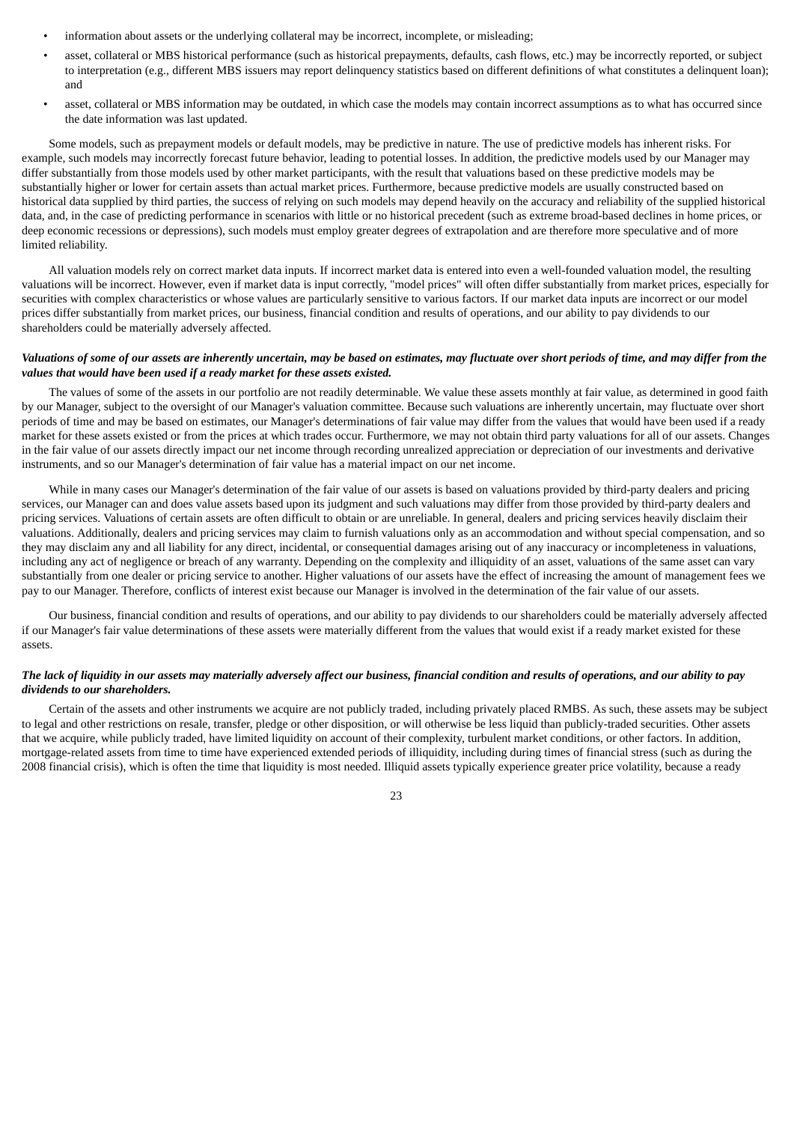- information about assets or the underlying collateral may be incorrect, incomplete, or misleading;
- asset, collateral or MBS historical performance (such as historical prepayments, defaults, cash flows, etc.) may be incorrectly reported, or subject to interpretation (e.g., different MBS issuers may report delinquency statistics based on different definitions of what constitutes a delinquent loan); and
- asset, collateral or MBS information may be outdated, in which case the models may contain incorrect assumptions as to what has occurred since the date information was last updated.

Some models, such as prepayment models or default models, may be predictive in nature. The use of predictive models has inherent risks. For example, such models may incorrectly forecast future behavior, leading to potential losses. In addition, the predictive models used by our Manager may differ substantially from those models used by other market participants, with the result that valuations based on these predictive models may be substantially higher or lower for certain assets than actual market prices. Furthermore, because predictive models are usually constructed based on historical data supplied by third parties, the success of relying on such models may depend heavily on the accuracy and reliability of the supplied historical data, and, in the case of predicting performance in scenarios with little or no historical precedent (such as extreme broad-based declines in home prices, or deep economic recessions or depressions), such models must employ greater degrees of extrapolation and are therefore more speculative and of more limited reliability.

All valuation models rely on correct market data inputs. If incorrect market data is entered into even a well-founded valuation model, the resulting valuations will be incorrect. However, even if market data is input correctly, "model prices" will often differ substantially from market prices, especially for securities with complex characteristics or whose values are particularly sensitive to various factors. If our market data inputs are incorrect or our model prices differ substantially from market prices, our business, financial condition and results of operations, and our ability to pay dividends to our shareholders could be materially adversely affected.

#### Valuations of some of our assets are inherently uncertain, may be based on estimates, may fluctuate over short periods of time, and may differ from the *values that would have been used if a ready market for these assets existed.*

The values of some of the assets in our portfolio are not readily determinable. We value these assets monthly at fair value, as determined in good faith by our Manager, subject to the oversight of our Manager's valuation committee. Because such valuations are inherently uncertain, may fluctuate over short periods of time and may be based on estimates, our Manager's determinations of fair value may differ from the values that would have been used if a ready market for these assets existed or from the prices at which trades occur. Furthermore, we may not obtain third party valuations for all of our assets. Changes in the fair value of our assets directly impact our net income through recording unrealized appreciation or depreciation of our investments and derivative instruments, and so our Manager's determination of fair value has a material impact on our net income.

While in many cases our Manager's determination of the fair value of our assets is based on valuations provided by third-party dealers and pricing services, our Manager can and does value assets based upon its judgment and such valuations may differ from those provided by third-party dealers and pricing services. Valuations of certain assets are often difficult to obtain or are unreliable. In general, dealers and pricing services heavily disclaim their valuations. Additionally, dealers and pricing services may claim to furnish valuations only as an accommodation and without special compensation, and so they may disclaim any and all liability for any direct, incidental, or consequential damages arising out of any inaccuracy or incompleteness in valuations, including any act of negligence or breach of any warranty. Depending on the complexity and illiquidity of an asset, valuations of the same asset can vary substantially from one dealer or pricing service to another. Higher valuations of our assets have the effect of increasing the amount of management fees we pay to our Manager. Therefore, conflicts of interest exist because our Manager is involved in the determination of the fair value of our assets.

Our business, financial condition and results of operations, and our ability to pay dividends to our shareholders could be materially adversely affected if our Manager's fair value determinations of these assets were materially different from the values that would exist if a ready market existed for these assets.

#### The lack of liquidity in our assets may materially adversely affect our business, financial condition and results of operations, and our ability to pay *dividends to our shareholders.*

Certain of the assets and other instruments we acquire are not publicly traded, including privately placed RMBS. As such, these assets may be subject to legal and other restrictions on resale, transfer, pledge or other disposition, or will otherwise be less liquid than publicly-traded securities. Other assets that we acquire, while publicly traded, have limited liquidity on account of their complexity, turbulent market conditions, or other factors. In addition, mortgage-related assets from time to time have experienced extended periods of illiquidity, including during times of financial stress (such as during the 2008 financial crisis), which is often the time that liquidity is most needed. Illiquid assets typically experience greater price volatility, because a ready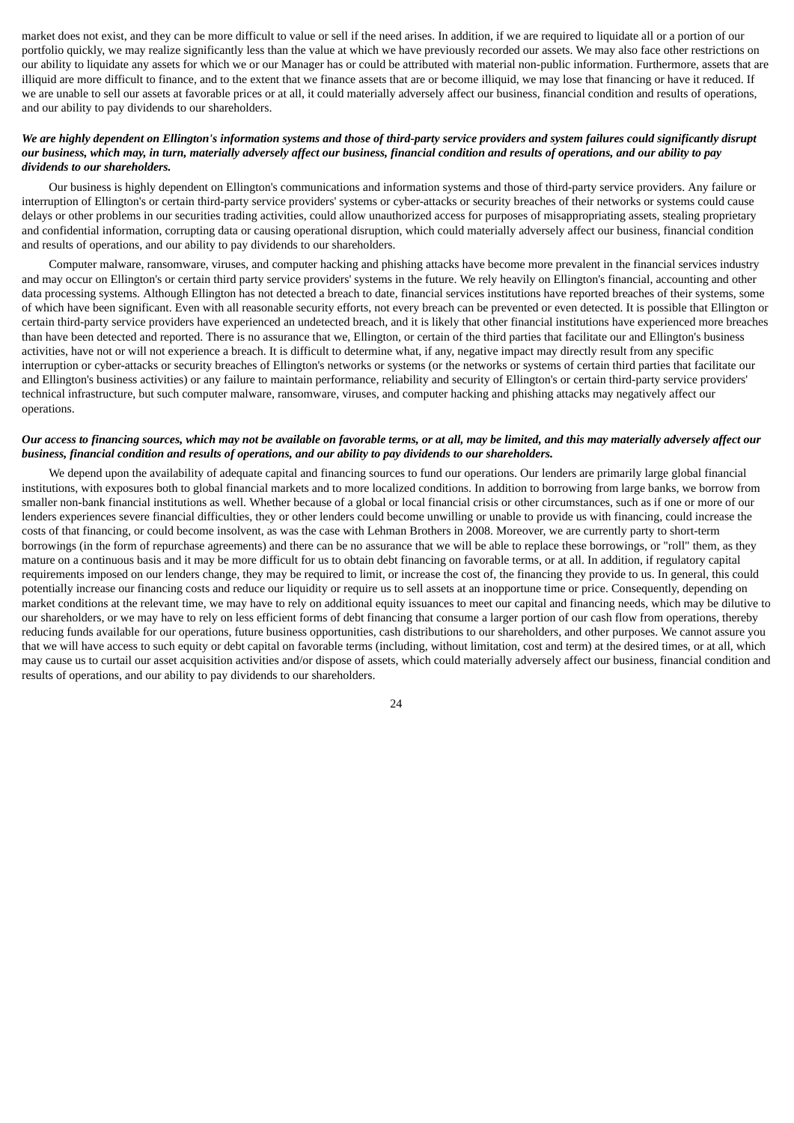market does not exist, and they can be more difficult to value or sell if the need arises. In addition, if we are required to liquidate all or a portion of our portfolio quickly, we may realize significantly less than the value at which we have previously recorded our assets. We may also face other restrictions on our ability to liquidate any assets for which we or our Manager has or could be attributed with material non-public information. Furthermore, assets that are illiquid are more difficult to finance, and to the extent that we finance assets that are or become illiquid, we may lose that financing or have it reduced. If we are unable to sell our assets at favorable prices or at all, it could materially adversely affect our business, financial condition and results of operations, and our ability to pay dividends to our shareholders.

#### We are highly dependent on Ellington's information systems and those of third-party service providers and system failures could significantly disrupt our business, which may, in turn, materially adversely affect our business, financial condition and results of operations, and our ability to pay *dividends to our shareholders.*

Our business is highly dependent on Ellington's communications and information systems and those of third-party service providers. Any failure or interruption of Ellington's or certain third-party service providers' systems or cyber-attacks or security breaches of their networks or systems could cause delays or other problems in our securities trading activities, could allow unauthorized access for purposes of misappropriating assets, stealing proprietary and confidential information, corrupting data or causing operational disruption, which could materially adversely affect our business, financial condition and results of operations, and our ability to pay dividends to our shareholders.

Computer malware, ransomware, viruses, and computer hacking and phishing attacks have become more prevalent in the financial services industry and may occur on Ellington's or certain third party service providers' systems in the future. We rely heavily on Ellington's financial, accounting and other data processing systems. Although Ellington has not detected a breach to date, financial services institutions have reported breaches of their systems, some of which have been significant. Even with all reasonable security efforts, not every breach can be prevented or even detected. It is possible that Ellington or certain third-party service providers have experienced an undetected breach, and it is likely that other financial institutions have experienced more breaches than have been detected and reported. There is no assurance that we, Ellington, or certain of the third parties that facilitate our and Ellington's business activities, have not or will not experience a breach. It is difficult to determine what, if any, negative impact may directly result from any specific interruption or cyber-attacks or security breaches of Ellington's networks or systems (or the networks or systems of certain third parties that facilitate our and Ellington's business activities) or any failure to maintain performance, reliability and security of Ellington's or certain third-party service providers' technical infrastructure, but such computer malware, ransomware, viruses, and computer hacking and phishing attacks may negatively affect our operations.

# Our access to financina sources, which may not be available on favorable terms, or at all, may be limited, and this may materially adversely affect our *business, financial condition and results of operations, and our ability to pay dividends to our shareholders.*

We depend upon the availability of adequate capital and financing sources to fund our operations. Our lenders are primarily large global financial institutions, with exposures both to global financial markets and to more localized conditions. In addition to borrowing from large banks, we borrow from smaller non-bank financial institutions as well. Whether because of a global or local financial crisis or other circumstances, such as if one or more of our lenders experiences severe financial difficulties, they or other lenders could become unwilling or unable to provide us with financing, could increase the costs of that financing, or could become insolvent, as was the case with Lehman Brothers in 2008. Moreover, we are currently party to short-term borrowings (in the form of repurchase agreements) and there can be no assurance that we will be able to replace these borrowings, or "roll" them, as they mature on a continuous basis and it may be more difficult for us to obtain debt financing on favorable terms, or at all. In addition, if regulatory capital requirements imposed on our lenders change, they may be required to limit, or increase the cost of, the financing they provide to us. In general, this could potentially increase our financing costs and reduce our liquidity or require us to sell assets at an inopportune time or price. Consequently, depending on market conditions at the relevant time, we may have to rely on additional equity issuances to meet our capital and financing needs, which may be dilutive to our shareholders, or we may have to rely on less efficient forms of debt financing that consume a larger portion of our cash flow from operations, thereby reducing funds available for our operations, future business opportunities, cash distributions to our shareholders, and other purposes. We cannot assure you that we will have access to such equity or debt capital on favorable terms (including, without limitation, cost and term) at the desired times, or at all, which may cause us to curtail our asset acquisition activities and/or dispose of assets, which could materially adversely affect our business, financial condition and results of operations, and our ability to pay dividends to our shareholders.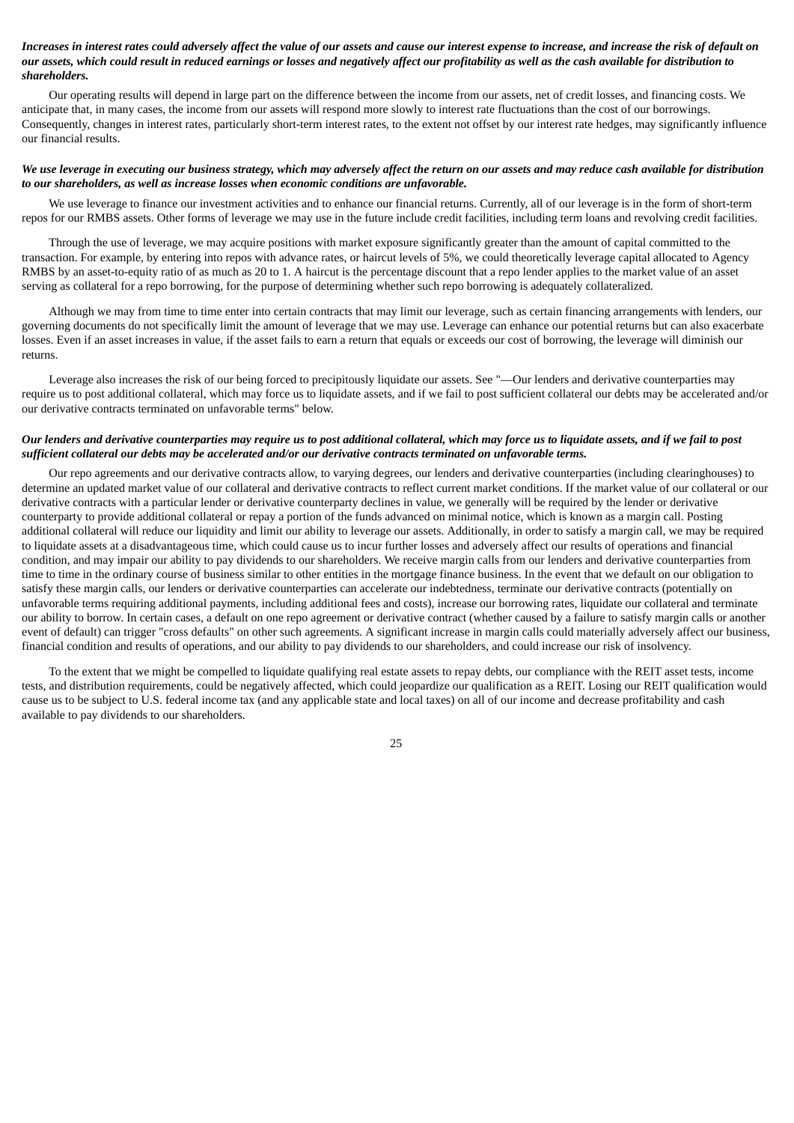#### Increases in interest rates could adversely affect the value of our assets and cause our interest expense to increase, and increase the risk of default on our assets, which could result in reduced earnings or losses and negatively affect our profitability as well as the cash available for distribution to *shareholders.*

Our operating results will depend in large part on the difference between the income from our assets, net of credit losses, and financing costs. We anticipate that, in many cases, the income from our assets will respond more slowly to interest rate fluctuations than the cost of our borrowings. Consequently, changes in interest rates, particularly short-term interest rates, to the extent not offset by our interest rate hedges, may significantly influence our financial results.

# We use leverage in executing our business strategy, which may adversely affect the return on our assets and may reduce cash available for distribution *to our shareholders, as well as increase losses when economic conditions are unfavorable.*

We use leverage to finance our investment activities and to enhance our financial returns. Currently, all of our leverage is in the form of short-term repos for our RMBS assets. Other forms of leverage we may use in the future include credit facilities, including term loans and revolving credit facilities.

Through the use of leverage, we may acquire positions with market exposure significantly greater than the amount of capital committed to the transaction. For example, by entering into repos with advance rates, or haircut levels of 5%, we could theoretically leverage capital allocated to Agency RMBS by an asset-to-equity ratio of as much as 20 to 1. A haircut is the percentage discount that a repo lender applies to the market value of an asset serving as collateral for a repo borrowing, for the purpose of determining whether such repo borrowing is adequately collateralized.

Although we may from time to time enter into certain contracts that may limit our leverage, such as certain financing arrangements with lenders, our governing documents do not specifically limit the amount of leverage that we may use. Leverage can enhance our potential returns but can also exacerbate losses. Even if an asset increases in value, if the asset fails to earn a return that equals or exceeds our cost of borrowing, the leverage will diminish our returns.

Leverage also increases the risk of our being forced to precipitously liquidate our assets. See "—Our lenders and derivative counterparties may require us to post additional collateral, which may force us to liquidate assets, and if we fail to post sufficient collateral our debts may be accelerated and/or our derivative contracts terminated on unfavorable terms" below.

## Our lenders and derivative counterparties may require us to post additional collateral, which may force us to liquidate assets, and if we fail to post *sufficient collateral our debts may be accelerated and/or our derivative contracts terminated on unfavorable terms.*

Our repo agreements and our derivative contracts allow, to varying degrees, our lenders and derivative counterparties (including clearinghouses) to determine an updated market value of our collateral and derivative contracts to reflect current market conditions. If the market value of our collateral or our derivative contracts with a particular lender or derivative counterparty declines in value, we generally will be required by the lender or derivative counterparty to provide additional collateral or repay a portion of the funds advanced on minimal notice, which is known as a margin call. Posting additional collateral will reduce our liquidity and limit our ability to leverage our assets. Additionally, in order to satisfy a margin call, we may be required to liquidate assets at a disadvantageous time, which could cause us to incur further losses and adversely affect our results of operations and financial condition, and may impair our ability to pay dividends to our shareholders. We receive margin calls from our lenders and derivative counterparties from time to time in the ordinary course of business similar to other entities in the mortgage finance business. In the event that we default on our obligation to satisfy these margin calls, our lenders or derivative counterparties can accelerate our indebtedness, terminate our derivative contracts (potentially on unfavorable terms requiring additional payments, including additional fees and costs), increase our borrowing rates, liquidate our collateral and terminate our ability to borrow. In certain cases, a default on one repo agreement or derivative contract (whether caused by a failure to satisfy margin calls or another event of default) can trigger "cross defaults" on other such agreements. A significant increase in margin calls could materially adversely affect our business, financial condition and results of operations, and our ability to pay dividends to our shareholders, and could increase our risk of insolvency.

To the extent that we might be compelled to liquidate qualifying real estate assets to repay debts, our compliance with the REIT asset tests, income tests, and distribution requirements, could be negatively affected, which could jeopardize our qualification as a REIT. Losing our REIT qualification would cause us to be subject to U.S. federal income tax (and any applicable state and local taxes) on all of our income and decrease profitability and cash available to pay dividends to our shareholders.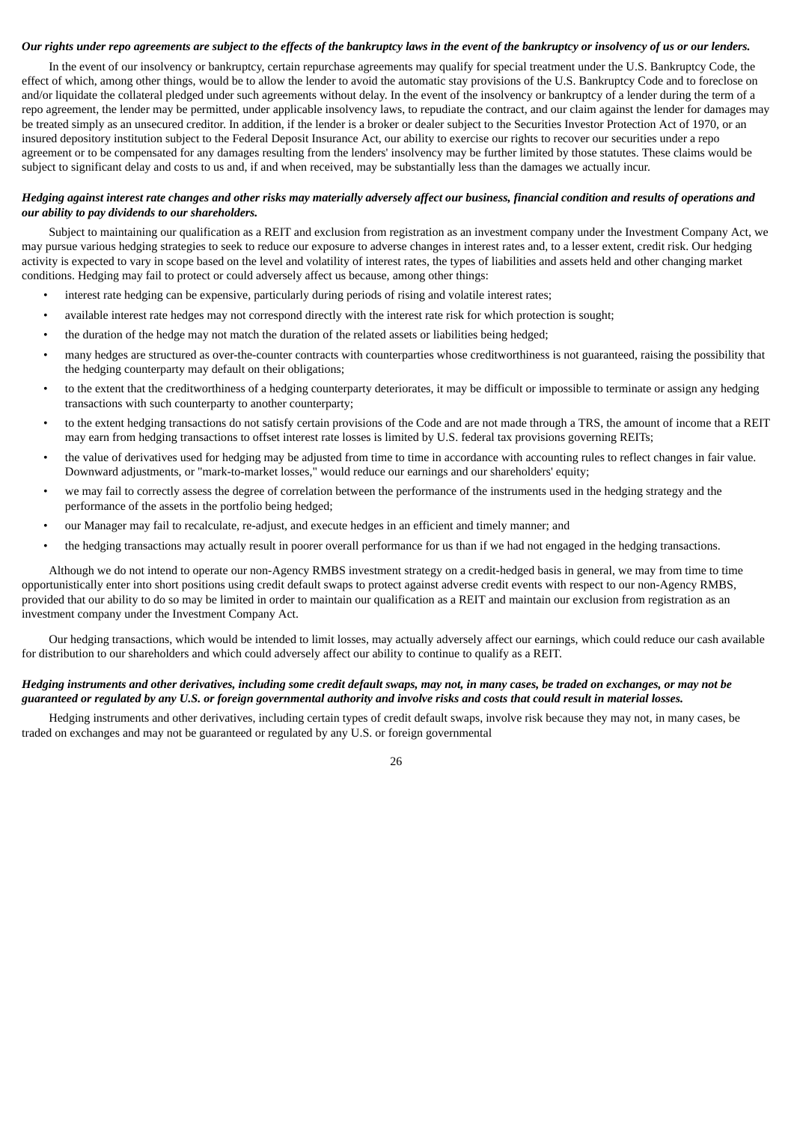#### Our rights under repo agreements are subject to the effects of the bankruptcy laws in the event of the bankruptcy or insolvency of us or our lenders.

In the event of our insolvency or bankruptcy, certain repurchase agreements may qualify for special treatment under the U.S. Bankruptcy Code, the effect of which, among other things, would be to allow the lender to avoid the automatic stay provisions of the U.S. Bankruptcy Code and to foreclose on and/or liquidate the collateral pledged under such agreements without delay. In the event of the insolvency or bankruptcy of a lender during the term of a repo agreement, the lender may be permitted, under applicable insolvency laws, to repudiate the contract, and our claim against the lender for damages may be treated simply as an unsecured creditor. In addition, if the lender is a broker or dealer subject to the Securities Investor Protection Act of 1970, or an insured depository institution subject to the Federal Deposit Insurance Act, our ability to exercise our rights to recover our securities under a repo agreement or to be compensated for any damages resulting from the lenders' insolvency may be further limited by those statutes. These claims would be subject to significant delay and costs to us and, if and when received, may be substantially less than the damages we actually incur.

# Hedging against interest rate changes and other risks may materially adversely affect our business, financial condition and results of operations and *our ability to pay dividends to our shareholders.*

Subject to maintaining our qualification as a REIT and exclusion from registration as an investment company under the Investment Company Act, we may pursue various hedging strategies to seek to reduce our exposure to adverse changes in interest rates and, to a lesser extent, credit risk. Our hedging activity is expected to vary in scope based on the level and volatility of interest rates, the types of liabilities and assets held and other changing market conditions. Hedging may fail to protect or could adversely affect us because, among other things:

- interest rate hedging can be expensive, particularly during periods of rising and volatile interest rates;
- available interest rate hedges may not correspond directly with the interest rate risk for which protection is sought;
- the duration of the hedge may not match the duration of the related assets or liabilities being hedged;
- many hedges are structured as over-the-counter contracts with counterparties whose creditworthiness is not guaranteed, raising the possibility that the hedging counterparty may default on their obligations;
- to the extent that the creditworthiness of a hedging counterparty deteriorates, it may be difficult or impossible to terminate or assign any hedging transactions with such counterparty to another counterparty;
- to the extent hedging transactions do not satisfy certain provisions of the Code and are not made through a TRS, the amount of income that a REIT may earn from hedging transactions to offset interest rate losses is limited by U.S. federal tax provisions governing REITs;
- the value of derivatives used for hedging may be adjusted from time to time in accordance with accounting rules to reflect changes in fair value. Downward adjustments, or "mark-to-market losses," would reduce our earnings and our shareholders' equity;
- we may fail to correctly assess the degree of correlation between the performance of the instruments used in the hedging strategy and the performance of the assets in the portfolio being hedged;
- our Manager may fail to recalculate, re-adjust, and execute hedges in an efficient and timely manner; and
- the hedging transactions may actually result in poorer overall performance for us than if we had not engaged in the hedging transactions.

Although we do not intend to operate our non-Agency RMBS investment strategy on a credit-hedged basis in general, we may from time to time opportunistically enter into short positions using credit default swaps to protect against adverse credit events with respect to our non-Agency RMBS, provided that our ability to do so may be limited in order to maintain our qualification as a REIT and maintain our exclusion from registration as an investment company under the Investment Company Act.

Our hedging transactions, which would be intended to limit losses, may actually adversely affect our earnings, which could reduce our cash available for distribution to our shareholders and which could adversely affect our ability to continue to qualify as a REIT.

# Hedging instruments and other derivatives, including some credit default swaps, may not, in many cases, be traded on exchanges, or may not be quaranteed or regulated by any U.S. or foreign governmental authority and involve risks and costs that could result in material losses.

Hedging instruments and other derivatives, including certain types of credit default swaps, involve risk because they may not, in many cases, be traded on exchanges and may not be guaranteed or regulated by any U.S. or foreign governmental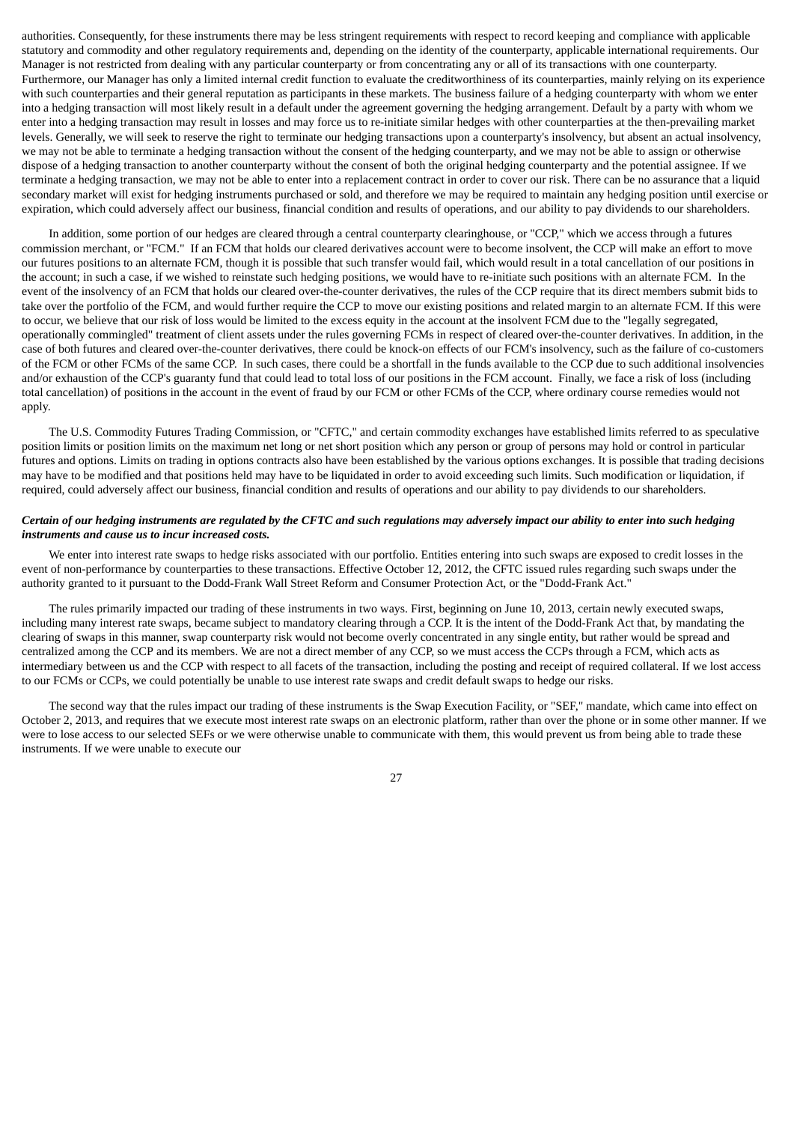authorities. Consequently, for these instruments there may be less stringent requirements with respect to record keeping and compliance with applicable statutory and commodity and other regulatory requirements and, depending on the identity of the counterparty, applicable international requirements. Our Manager is not restricted from dealing with any particular counterparty or from concentrating any or all of its transactions with one counterparty. Furthermore, our Manager has only a limited internal credit function to evaluate the creditworthiness of its counterparties, mainly relying on its experience with such counterparties and their general reputation as participants in these markets. The business failure of a hedging counterparty with whom we enter into a hedging transaction will most likely result in a default under the agreement governing the hedging arrangement. Default by a party with whom we enter into a hedging transaction may result in losses and may force us to re-initiate similar hedges with other counterparties at the then-prevailing market levels. Generally, we will seek to reserve the right to terminate our hedging transactions upon a counterparty's insolvency, but absent an actual insolvency, we may not be able to terminate a hedging transaction without the consent of the hedging counterparty, and we may not be able to assign or otherwise dispose of a hedging transaction to another counterparty without the consent of both the original hedging counterparty and the potential assignee. If we terminate a hedging transaction, we may not be able to enter into a replacement contract in order to cover our risk. There can be no assurance that a liquid secondary market will exist for hedging instruments purchased or sold, and therefore we may be required to maintain any hedging position until exercise or expiration, which could adversely affect our business, financial condition and results of operations, and our ability to pay dividends to our shareholders.

In addition, some portion of our hedges are cleared through a central counterparty clearinghouse, or "CCP," which we access through a futures commission merchant, or "FCM." If an FCM that holds our cleared derivatives account were to become insolvent, the CCP will make an effort to move our futures positions to an alternate FCM, though it is possible that such transfer would fail, which would result in a total cancellation of our positions in the account; in such a case, if we wished to reinstate such hedging positions, we would have to re-initiate such positions with an alternate FCM. In the event of the insolvency of an FCM that holds our cleared over-the-counter derivatives, the rules of the CCP require that its direct members submit bids to take over the portfolio of the FCM, and would further require the CCP to move our existing positions and related margin to an alternate FCM. If this were to occur, we believe that our risk of loss would be limited to the excess equity in the account at the insolvent FCM due to the "legally segregated, operationally commingled" treatment of client assets under the rules governing FCMs in respect of cleared over-the-counter derivatives. In addition, in the case of both futures and cleared over-the-counter derivatives, there could be knock-on effects of our FCM's insolvency, such as the failure of co-customers of the FCM or other FCMs of the same CCP. In such cases, there could be a shortfall in the funds available to the CCP due to such additional insolvencies and/or exhaustion of the CCP's guaranty fund that could lead to total loss of our positions in the FCM account. Finally, we face a risk of loss (including total cancellation) of positions in the account in the event of fraud by our FCM or other FCMs of the CCP, where ordinary course remedies would not apply.

The U.S. Commodity Futures Trading Commission, or "CFTC," and certain commodity exchanges have established limits referred to as speculative position limits or position limits on the maximum net long or net short position which any person or group of persons may hold or control in particular futures and options. Limits on trading in options contracts also have been established by the various options exchanges. It is possible that trading decisions may have to be modified and that positions held may have to be liquidated in order to avoid exceeding such limits. Such modification or liquidation, if required, could adversely affect our business, financial condition and results of operations and our ability to pay dividends to our shareholders.

# Certain of our hedaina instruments are reaulated by the CFTC and such reaulations may adversely impact our ability to enter into such hedaina *instruments and cause us to incur increased costs.*

We enter into interest rate swaps to hedge risks associated with our portfolio. Entities entering into such swaps are exposed to credit losses in the event of non-performance by counterparties to these transactions. Effective October 12, 2012, the CFTC issued rules regarding such swaps under the authority granted to it pursuant to the Dodd-Frank Wall Street Reform and Consumer Protection Act, or the "Dodd-Frank Act."

The rules primarily impacted our trading of these instruments in two ways. First, beginning on June 10, 2013, certain newly executed swaps, including many interest rate swaps, became subject to mandatory clearing through a CCP. It is the intent of the Dodd-Frank Act that, by mandating the clearing of swaps in this manner, swap counterparty risk would not become overly concentrated in any single entity, but rather would be spread and centralized among the CCP and its members. We are not a direct member of any CCP, so we must access the CCPs through a FCM, which acts as intermediary between us and the CCP with respect to all facets of the transaction, including the posting and receipt of required collateral. If we lost access to our FCMs or CCPs, we could potentially be unable to use interest rate swaps and credit default swaps to hedge our risks.

The second way that the rules impact our trading of these instruments is the Swap Execution Facility, or "SEF," mandate, which came into effect on October 2, 2013, and requires that we execute most interest rate swaps on an electronic platform, rather than over the phone or in some other manner. If we were to lose access to our selected SEFs or we were otherwise unable to communicate with them, this would prevent us from being able to trade these instruments. If we were unable to execute our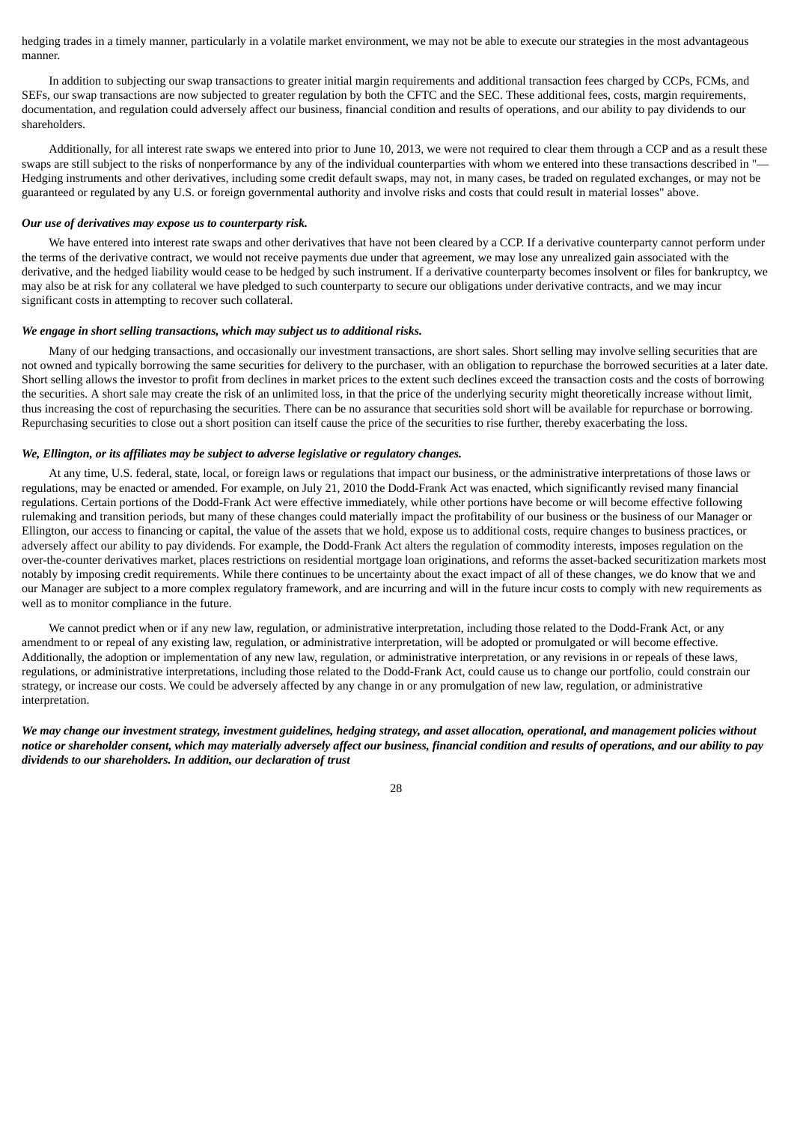hedging trades in a timely manner, particularly in a volatile market environment, we may not be able to execute our strategies in the most advantageous manner.

In addition to subjecting our swap transactions to greater initial margin requirements and additional transaction fees charged by CCPs, FCMs, and SEFs, our swap transactions are now subjected to greater regulation by both the CFTC and the SEC. These additional fees, costs, margin requirements, documentation, and regulation could adversely affect our business, financial condition and results of operations, and our ability to pay dividends to our shareholders.

Additionally, for all interest rate swaps we entered into prior to June 10, 2013, we were not required to clear them through a CCP and as a result these swaps are still subject to the risks of nonperformance by any of the individual counterparties with whom we entered into these transactions described in "— Hedging instruments and other derivatives, including some credit default swaps, may not, in many cases, be traded on regulated exchanges, or may not be guaranteed or regulated by any U.S. or foreign governmental authority and involve risks and costs that could result in material losses" above.

#### *Our use of derivatives may expose us to counterparty risk.*

We have entered into interest rate swaps and other derivatives that have not been cleared by a CCP. If a derivative counterparty cannot perform under the terms of the derivative contract, we would not receive payments due under that agreement, we may lose any unrealized gain associated with the derivative, and the hedged liability would cease to be hedged by such instrument. If a derivative counterparty becomes insolvent or files for bankruptcy, we may also be at risk for any collateral we have pledged to such counterparty to secure our obligations under derivative contracts, and we may incur significant costs in attempting to recover such collateral.

#### *We engage in short selling transactions, which may subject us to additional risks.*

Many of our hedging transactions, and occasionally our investment transactions, are short sales. Short selling may involve selling securities that are not owned and typically borrowing the same securities for delivery to the purchaser, with an obligation to repurchase the borrowed securities at a later date. Short selling allows the investor to profit from declines in market prices to the extent such declines exceed the transaction costs and the costs of borrowing the securities. A short sale may create the risk of an unlimited loss, in that the price of the underlying security might theoretically increase without limit, thus increasing the cost of repurchasing the securities. There can be no assurance that securities sold short will be available for repurchase or borrowing. Repurchasing securities to close out a short position can itself cause the price of the securities to rise further, thereby exacerbating the loss.

#### *We, Ellington, or its affiliates may be subject to adverse legislative or regulatory changes.*

At any time, U.S. federal, state, local, or foreign laws or regulations that impact our business, or the administrative interpretations of those laws or regulations, may be enacted or amended. For example, on July 21, 2010 the Dodd-Frank Act was enacted, which significantly revised many financial regulations. Certain portions of the Dodd-Frank Act were effective immediately, while other portions have become or will become effective following rulemaking and transition periods, but many of these changes could materially impact the profitability of our business or the business of our Manager or Ellington, our access to financing or capital, the value of the assets that we hold, expose us to additional costs, require changes to business practices, or adversely affect our ability to pay dividends. For example, the Dodd-Frank Act alters the regulation of commodity interests, imposes regulation on the over-the-counter derivatives market, places restrictions on residential mortgage loan originations, and reforms the asset-backed securitization markets most notably by imposing credit requirements. While there continues to be uncertainty about the exact impact of all of these changes, we do know that we and our Manager are subject to a more complex regulatory framework, and are incurring and will in the future incur costs to comply with new requirements as well as to monitor compliance in the future.

We cannot predict when or if any new law, regulation, or administrative interpretation, including those related to the Dodd-Frank Act, or any amendment to or repeal of any existing law, regulation, or administrative interpretation, will be adopted or promulgated or will become effective. Additionally, the adoption or implementation of any new law, regulation, or administrative interpretation, or any revisions in or repeals of these laws, regulations, or administrative interpretations, including those related to the Dodd-Frank Act, could cause us to change our portfolio, could constrain our strategy, or increase our costs. We could be adversely affected by any change in or any promulgation of new law, regulation, or administrative interpretation.

We may change our investment strategy, investment guidelines, hedging strategy, and asset allocation, operational, and management policies without notice or shareholder consent, which may materially adversely affect our business, financial condition and results of operations, and our ability to pay *dividends to our shareholders. In addition, our declaration of trust*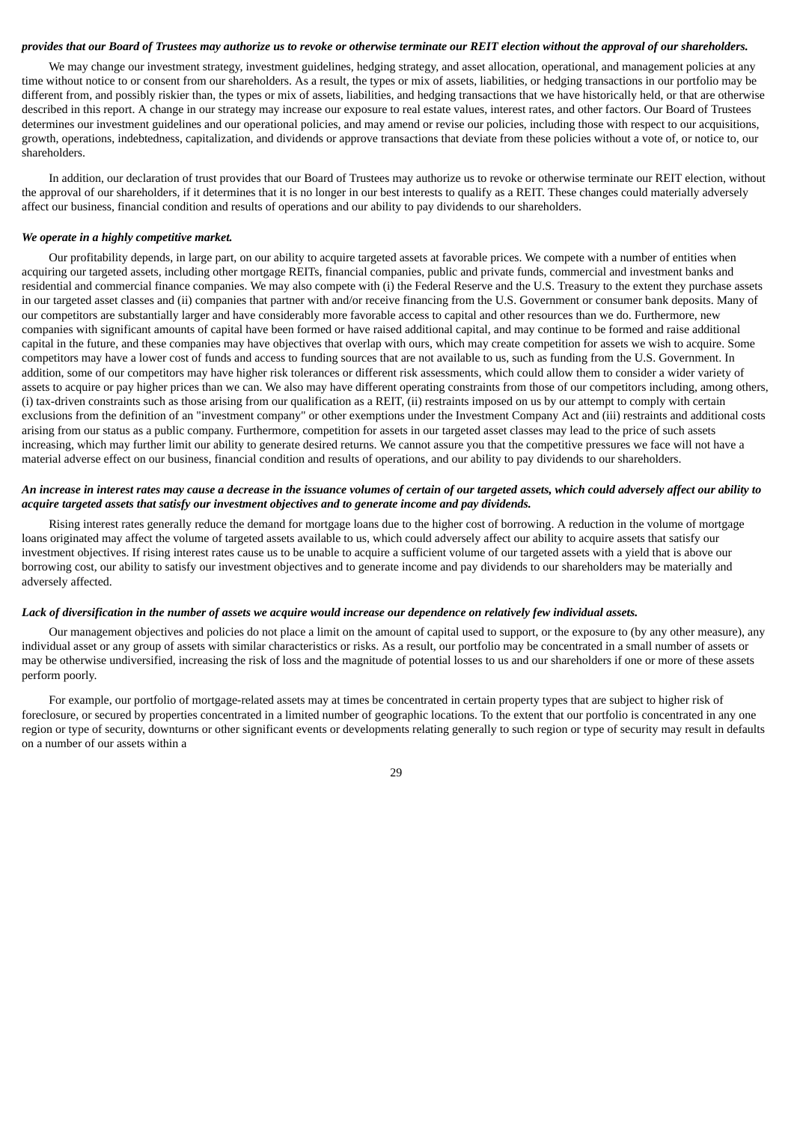#### provides that our Board of Trustees may authorize us to revoke or otherwise terminate our REIT election without the approval of our shareholders.

We may change our investment strategy, investment guidelines, hedging strategy, and asset allocation, operational, and management policies at any time without notice to or consent from our shareholders. As a result, the types or mix of assets, liabilities, or hedging transactions in our portfolio may be different from, and possibly riskier than, the types or mix of assets, liabilities, and hedging transactions that we have historically held, or that are otherwise described in this report. A change in our strategy may increase our exposure to real estate values, interest rates, and other factors. Our Board of Trustees determines our investment guidelines and our operational policies, and may amend or revise our policies, including those with respect to our acquisitions, growth, operations, indebtedness, capitalization, and dividends or approve transactions that deviate from these policies without a vote of, or notice to, our shareholders.

In addition, our declaration of trust provides that our Board of Trustees may authorize us to revoke or otherwise terminate our REIT election, without the approval of our shareholders, if it determines that it is no longer in our best interests to qualify as a REIT. These changes could materially adversely affect our business, financial condition and results of operations and our ability to pay dividends to our shareholders.

#### *We operate in a highly competitive market.*

Our profitability depends, in large part, on our ability to acquire targeted assets at favorable prices. We compete with a number of entities when acquiring our targeted assets, including other mortgage REITs, financial companies, public and private funds, commercial and investment banks and residential and commercial finance companies. We may also compete with (i) the Federal Reserve and the U.S. Treasury to the extent they purchase assets in our targeted asset classes and (ii) companies that partner with and/or receive financing from the U.S. Government or consumer bank deposits. Many of our competitors are substantially larger and have considerably more favorable access to capital and other resources than we do. Furthermore, new companies with significant amounts of capital have been formed or have raised additional capital, and may continue to be formed and raise additional capital in the future, and these companies may have objectives that overlap with ours, which may create competition for assets we wish to acquire. Some competitors may have a lower cost of funds and access to funding sources that are not available to us, such as funding from the U.S. Government. In addition, some of our competitors may have higher risk tolerances or different risk assessments, which could allow them to consider a wider variety of assets to acquire or pay higher prices than we can. We also may have different operating constraints from those of our competitors including, among others, (i) tax-driven constraints such as those arising from our qualification as a REIT, (ii) restraints imposed on us by our attempt to comply with certain exclusions from the definition of an "investment company" or other exemptions under the Investment Company Act and (iii) restraints and additional costs arising from our status as a public company. Furthermore, competition for assets in our targeted asset classes may lead to the price of such assets increasing, which may further limit our ability to generate desired returns. We cannot assure you that the competitive pressures we face will not have a material adverse effect on our business, financial condition and results of operations, and our ability to pay dividends to our shareholders.

# An increase in interest rates may cause a decrease in the issuance volumes of certain of our targeted assets, which could adversely affect our ability to *acquire targeted assets that satisfy our investment objectives and to generate income and pay dividends.*

Rising interest rates generally reduce the demand for mortgage loans due to the higher cost of borrowing. A reduction in the volume of mortgage loans originated may affect the volume of targeted assets available to us, which could adversely affect our ability to acquire assets that satisfy our investment objectives. If rising interest rates cause us to be unable to acquire a sufficient volume of our targeted assets with a yield that is above our borrowing cost, our ability to satisfy our investment objectives and to generate income and pay dividends to our shareholders may be materially and adversely affected.

#### Lack of diversification in the number of assets we acquire would increase our dependence on relatively few individual assets.

Our management objectives and policies do not place a limit on the amount of capital used to support, or the exposure to (by any other measure), any individual asset or any group of assets with similar characteristics or risks. As a result, our portfolio may be concentrated in a small number of assets or may be otherwise undiversified, increasing the risk of loss and the magnitude of potential losses to us and our shareholders if one or more of these assets perform poorly.

For example, our portfolio of mortgage-related assets may at times be concentrated in certain property types that are subject to higher risk of foreclosure, or secured by properties concentrated in a limited number of geographic locations. To the extent that our portfolio is concentrated in any one region or type of security, downturns or other significant events or developments relating generally to such region or type of security may result in defaults on a number of our assets within a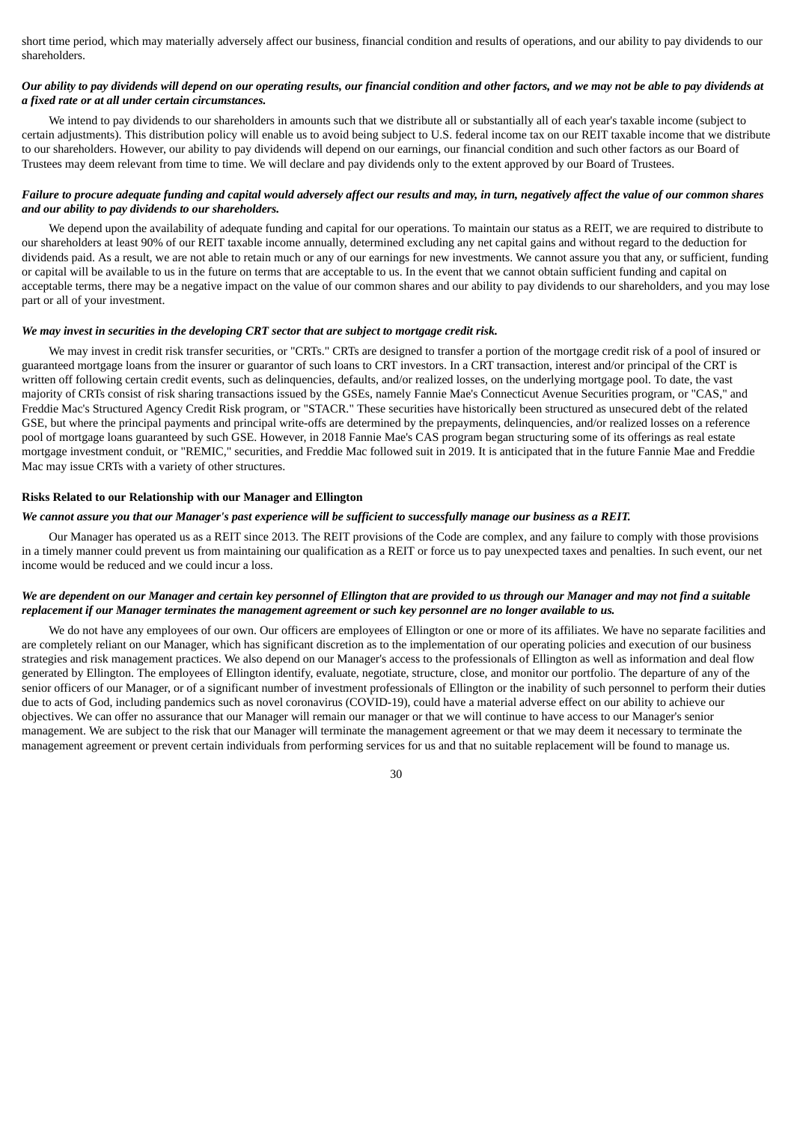short time period, which may materially adversely affect our business, financial condition and results of operations, and our ability to pay dividends to our shareholders.

# Our ability to pay dividends will depend on our operatina results, our financial condition and other factors, and we may not be able to pay dividends at *a fixed rate or at all under certain circumstances.*

We intend to pay dividends to our shareholders in amounts such that we distribute all or substantially all of each year's taxable income (subject to certain adjustments). This distribution policy will enable us to avoid being subject to U.S. federal income tax on our REIT taxable income that we distribute to our shareholders. However, our ability to pay dividends will depend on our earnings, our financial condition and such other factors as our Board of Trustees may deem relevant from time to time. We will declare and pay dividends only to the extent approved by our Board of Trustees.

# Failure to procure adequate funding and capital would adversely affect our results and may, in turn, negatively affect the value of our common shares *and our ability to pay dividends to our shareholders.*

We depend upon the availability of adequate funding and capital for our operations. To maintain our status as a REIT, we are required to distribute to our shareholders at least 90% of our REIT taxable income annually, determined excluding any net capital gains and without regard to the deduction for dividends paid. As a result, we are not able to retain much or any of our earnings for new investments. We cannot assure you that any, or sufficient, funding or capital will be available to us in the future on terms that are acceptable to us. In the event that we cannot obtain sufficient funding and capital on acceptable terms, there may be a negative impact on the value of our common shares and our ability to pay dividends to our shareholders, and you may lose part or all of your investment.

#### *We may invest in securities in the developing CRT sector that are subject to mortgage credit risk.*

We may invest in credit risk transfer securities, or "CRTs." CRTs are designed to transfer a portion of the mortgage credit risk of a pool of insured or guaranteed mortgage loans from the insurer or guarantor of such loans to CRT investors. In a CRT transaction, interest and/or principal of the CRT is written off following certain credit events, such as delinquencies, defaults, and/or realized losses, on the underlying mortgage pool. To date, the vast majority of CRTs consist of risk sharing transactions issued by the GSEs, namely Fannie Mae's Connecticut Avenue Securities program, or "CAS," and Freddie Mac's Structured Agency Credit Risk program, or "STACR." These securities have historically been structured as unsecured debt of the related GSE, but where the principal payments and principal write-offs are determined by the prepayments, delinquencies, and/or realized losses on a reference pool of mortgage loans guaranteed by such GSE. However, in 2018 Fannie Mae's CAS program began structuring some of its offerings as real estate mortgage investment conduit, or "REMIC," securities, and Freddie Mac followed suit in 2019. It is anticipated that in the future Fannie Mae and Freddie Mac may issue CRTs with a variety of other structures.

#### **Risks Related to our Relationship with our Manager and Ellington**

#### We cannot assure you that our Manager's past experience will be sufficient to successfully manage our business as a REIT.

Our Manager has operated us as a REIT since 2013. The REIT provisions of the Code are complex, and any failure to comply with those provisions in a timely manner could prevent us from maintaining our qualification as a REIT or force us to pay unexpected taxes and penalties. In such event, our net income would be reduced and we could incur a loss.

# We are dependent on our Manager and certain key personnel of Ellington that are provided to us through our Manager and may not find a suitable replacement if our Manager terminates the management gareement or such key personnel are no longer available to us.

We do not have any employees of our own. Our officers are employees of Ellington or one or more of its affiliates. We have no separate facilities and are completely reliant on our Manager, which has significant discretion as to the implementation of our operating policies and execution of our business strategies and risk management practices. We also depend on our Manager's access to the professionals of Ellington as well as information and deal flow generated by Ellington. The employees of Ellington identify, evaluate, negotiate, structure, close, and monitor our portfolio. The departure of any of the senior officers of our Manager, or of a significant number of investment professionals of Ellington or the inability of such personnel to perform their duties due to acts of God, including pandemics such as novel coronavirus (COVID-19), could have a material adverse effect on our ability to achieve our objectives. We can offer no assurance that our Manager will remain our manager or that we will continue to have access to our Manager's senior management. We are subject to the risk that our Manager will terminate the management agreement or that we may deem it necessary to terminate the management agreement or prevent certain individuals from performing services for us and that no suitable replacement will be found to manage us.

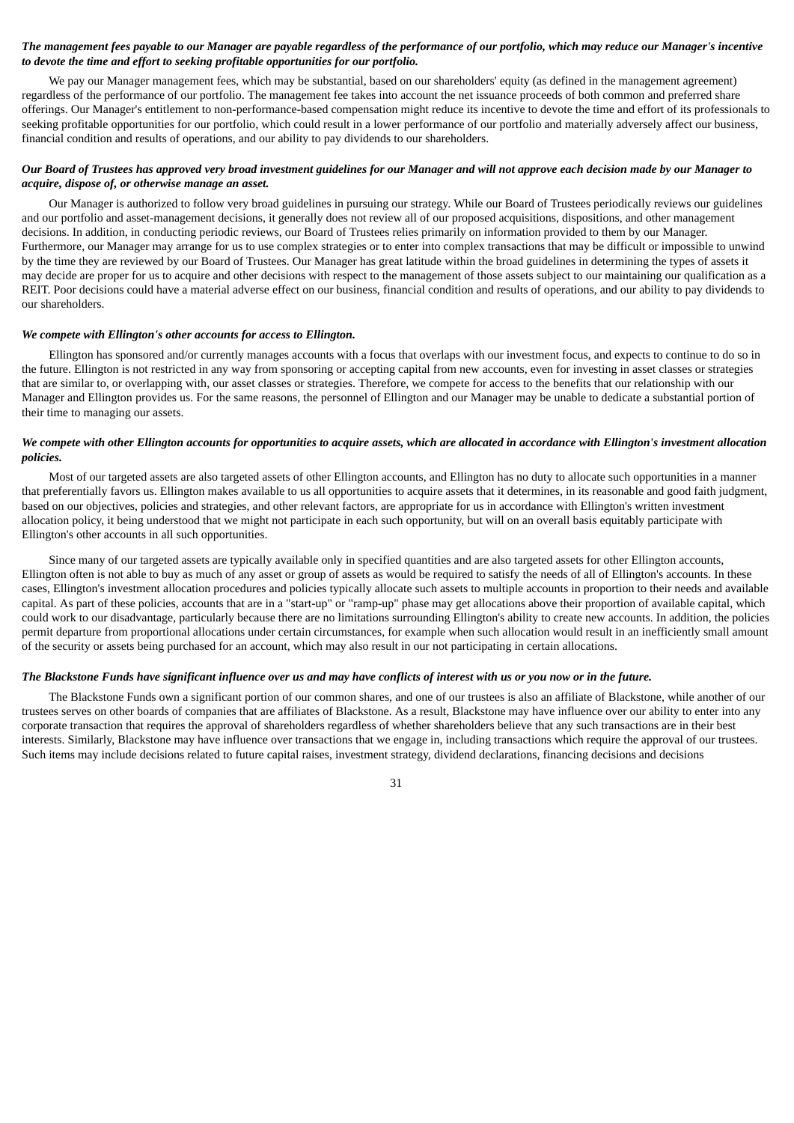#### The management fees payable to our Manager are payable regardless of the performance of our portfolio, which may reduce our Manager's incentive *to devote the time and effort to seeking profitable opportunities for our portfolio.*

We pay our Manager management fees, which may be substantial, based on our shareholders' equity (as defined in the management agreement) regardless of the performance of our portfolio. The management fee takes into account the net issuance proceeds of both common and preferred share offerings. Our Manager's entitlement to non-performance-based compensation might reduce its incentive to devote the time and effort of its professionals to seeking profitable opportunities for our portfolio, which could result in a lower performance of our portfolio and materially adversely affect our business, financial condition and results of operations, and our ability to pay dividends to our shareholders.

# Our Board of Trustees has approved very broad investment guidelines for our Manager and will not approve each decision made by our Manager to *acquire, dispose of, or otherwise manage an asset.*

Our Manager is authorized to follow very broad guidelines in pursuing our strategy. While our Board of Trustees periodically reviews our guidelines and our portfolio and asset-management decisions, it generally does not review all of our proposed acquisitions, dispositions, and other management decisions. In addition, in conducting periodic reviews, our Board of Trustees relies primarily on information provided to them by our Manager. Furthermore, our Manager may arrange for us to use complex strategies or to enter into complex transactions that may be difficult or impossible to unwind by the time they are reviewed by our Board of Trustees. Our Manager has great latitude within the broad guidelines in determining the types of assets it may decide are proper for us to acquire and other decisions with respect to the management of those assets subject to our maintaining our qualification as a REIT. Poor decisions could have a material adverse effect on our business, financial condition and results of operations, and our ability to pay dividends to our shareholders.

#### *We compete with Ellington's other accounts for access to Ellington.*

Ellington has sponsored and/or currently manages accounts with a focus that overlaps with our investment focus, and expects to continue to do so in the future. Ellington is not restricted in any way from sponsoring or accepting capital from new accounts, even for investing in asset classes or strategies that are similar to, or overlapping with, our asset classes or strategies. Therefore, we compete for access to the benefits that our relationship with our Manager and Ellington provides us. For the same reasons, the personnel of Ellington and our Manager may be unable to dedicate a substantial portion of their time to managing our assets.

# We compete with other Ellington accounts for opportunities to acquire assets, which are allocated in accordance with Ellington's investment allocation *policies.*

Most of our targeted assets are also targeted assets of other Ellington accounts, and Ellington has no duty to allocate such opportunities in a manner that preferentially favors us. Ellington makes available to us all opportunities to acquire assets that it determines, in its reasonable and good faith judgment, based on our objectives, policies and strategies, and other relevant factors, are appropriate for us in accordance with Ellington's written investment allocation policy, it being understood that we might not participate in each such opportunity, but will on an overall basis equitably participate with Ellington's other accounts in all such opportunities.

Since many of our targeted assets are typically available only in specified quantities and are also targeted assets for other Ellington accounts, Ellington often is not able to buy as much of any asset or group of assets as would be required to satisfy the needs of all of Ellington's accounts. In these cases, Ellington's investment allocation procedures and policies typically allocate such assets to multiple accounts in proportion to their needs and available capital. As part of these policies, accounts that are in a "start-up" or "ramp-up" phase may get allocations above their proportion of available capital, which could work to our disadvantage, particularly because there are no limitations surrounding Ellington's ability to create new accounts. In addition, the policies permit departure from proportional allocations under certain circumstances, for example when such allocation would result in an inefficiently small amount of the security or assets being purchased for an account, which may also result in our not participating in certain allocations.

# The Blackstone Funds have significant influence over us and may have conflicts of interest with us or you now or in the future.

The Blackstone Funds own a significant portion of our common shares, and one of our trustees is also an affiliate of Blackstone, while another of our trustees serves on other boards of companies that are affiliates of Blackstone. As a result, Blackstone may have influence over our ability to enter into any corporate transaction that requires the approval of shareholders regardless of whether shareholders believe that any such transactions are in their best interests. Similarly, Blackstone may have influence over transactions that we engage in, including transactions which require the approval of our trustees. Such items may include decisions related to future capital raises, investment strategy, dividend declarations, financing decisions and decisions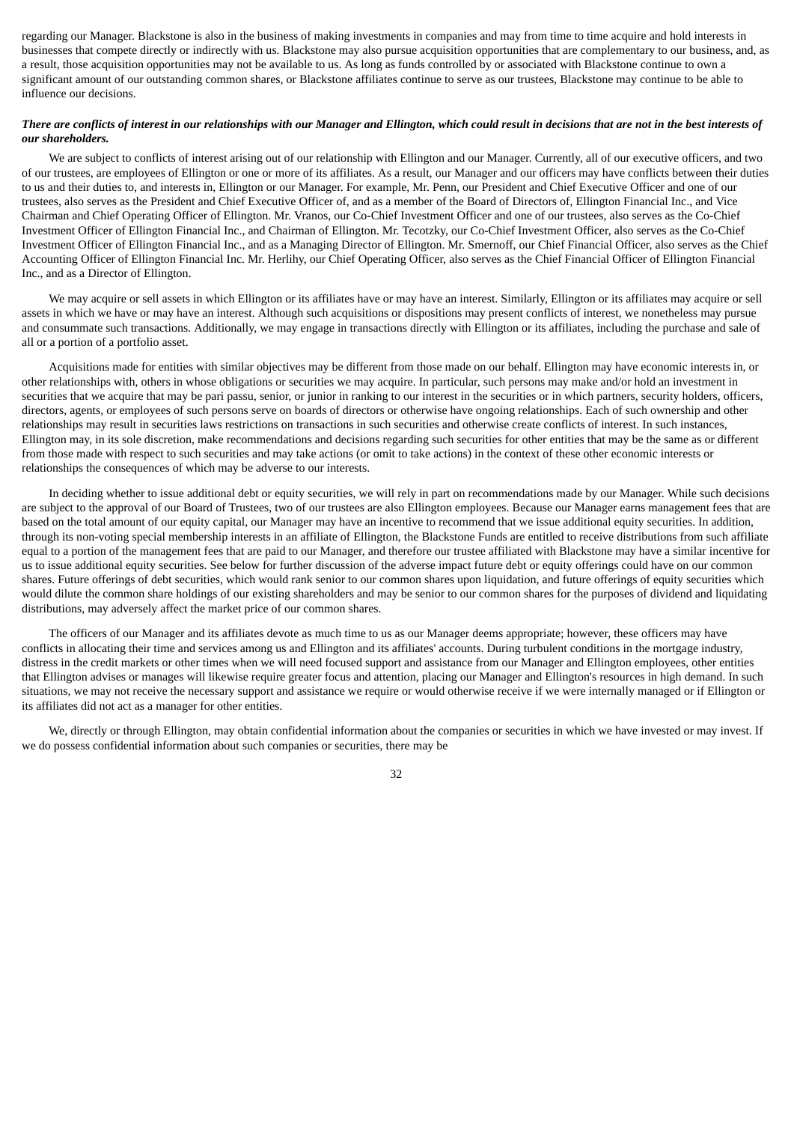regarding our Manager. Blackstone is also in the business of making investments in companies and may from time to time acquire and hold interests in businesses that compete directly or indirectly with us. Blackstone may also pursue acquisition opportunities that are complementary to our business, and, as a result, those acquisition opportunities may not be available to us. As long as funds controlled by or associated with Blackstone continue to own a significant amount of our outstanding common shares, or Blackstone affiliates continue to serve as our trustees, Blackstone may continue to be able to influence our decisions.

# There are conflicts of interest in our relationships with our Manager and Ellington, which could result in decisions that are not in the best interests of *our shareholders.*

We are subject to conflicts of interest arising out of our relationship with Ellington and our Manager. Currently, all of our executive officers, and two of our trustees, are employees of Ellington or one or more of its affiliates. As a result, our Manager and our officers may have conflicts between their duties to us and their duties to, and interests in, Ellington or our Manager. For example, Mr. Penn, our President and Chief Executive Officer and one of our trustees, also serves as the President and Chief Executive Officer of, and as a member of the Board of Directors of, Ellington Financial Inc., and Vice Chairman and Chief Operating Officer of Ellington. Mr. Vranos, our Co-Chief Investment Officer and one of our trustees, also serves as the Co-Chief Investment Officer of Ellington Financial Inc., and Chairman of Ellington. Mr. Tecotzky, our Co-Chief Investment Officer, also serves as the Co-Chief Investment Officer of Ellington Financial Inc., and as a Managing Director of Ellington. Mr. Smernoff, our Chief Financial Officer, also serves as the Chief Accounting Officer of Ellington Financial Inc. Mr. Herlihy, our Chief Operating Officer, also serves as the Chief Financial Officer of Ellington Financial Inc., and as a Director of Ellington.

We may acquire or sell assets in which Ellington or its affiliates have or may have an interest. Similarly, Ellington or its affiliates may acquire or sell assets in which we have or may have an interest. Although such acquisitions or dispositions may present conflicts of interest, we nonetheless may pursue and consummate such transactions. Additionally, we may engage in transactions directly with Ellington or its affiliates, including the purchase and sale of all or a portion of a portfolio asset.

Acquisitions made for entities with similar objectives may be different from those made on our behalf. Ellington may have economic interests in, or other relationships with, others in whose obligations or securities we may acquire. In particular, such persons may make and/or hold an investment in securities that we acquire that may be pari passu, senior, or junior in ranking to our interest in the securities or in which partners, security holders, officers, directors, agents, or employees of such persons serve on boards of directors or otherwise have ongoing relationships. Each of such ownership and other relationships may result in securities laws restrictions on transactions in such securities and otherwise create conflicts of interest. In such instances, Ellington may, in its sole discretion, make recommendations and decisions regarding such securities for other entities that may be the same as or different from those made with respect to such securities and may take actions (or omit to take actions) in the context of these other economic interests or relationships the consequences of which may be adverse to our interests.

In deciding whether to issue additional debt or equity securities, we will rely in part on recommendations made by our Manager. While such decisions are subject to the approval of our Board of Trustees, two of our trustees are also Ellington employees. Because our Manager earns management fees that are based on the total amount of our equity capital, our Manager may have an incentive to recommend that we issue additional equity securities. In addition, through its non-voting special membership interests in an affiliate of Ellington, the Blackstone Funds are entitled to receive distributions from such affiliate equal to a portion of the management fees that are paid to our Manager, and therefore our trustee affiliated with Blackstone may have a similar incentive for us to issue additional equity securities. See below for further discussion of the adverse impact future debt or equity offerings could have on our common shares. Future offerings of debt securities, which would rank senior to our common shares upon liquidation, and future offerings of equity securities which would dilute the common share holdings of our existing shareholders and may be senior to our common shares for the purposes of dividend and liquidating distributions, may adversely affect the market price of our common shares.

The officers of our Manager and its affiliates devote as much time to us as our Manager deems appropriate; however, these officers may have conflicts in allocating their time and services among us and Ellington and its affiliates' accounts. During turbulent conditions in the mortgage industry, distress in the credit markets or other times when we will need focused support and assistance from our Manager and Ellington employees, other entities that Ellington advises or manages will likewise require greater focus and attention, placing our Manager and Ellington's resources in high demand. In such situations, we may not receive the necessary support and assistance we require or would otherwise receive if we were internally managed or if Ellington or its affiliates did not act as a manager for other entities.

We, directly or through Ellington, may obtain confidential information about the companies or securities in which we have invested or may invest. If we do possess confidential information about such companies or securities, there may be

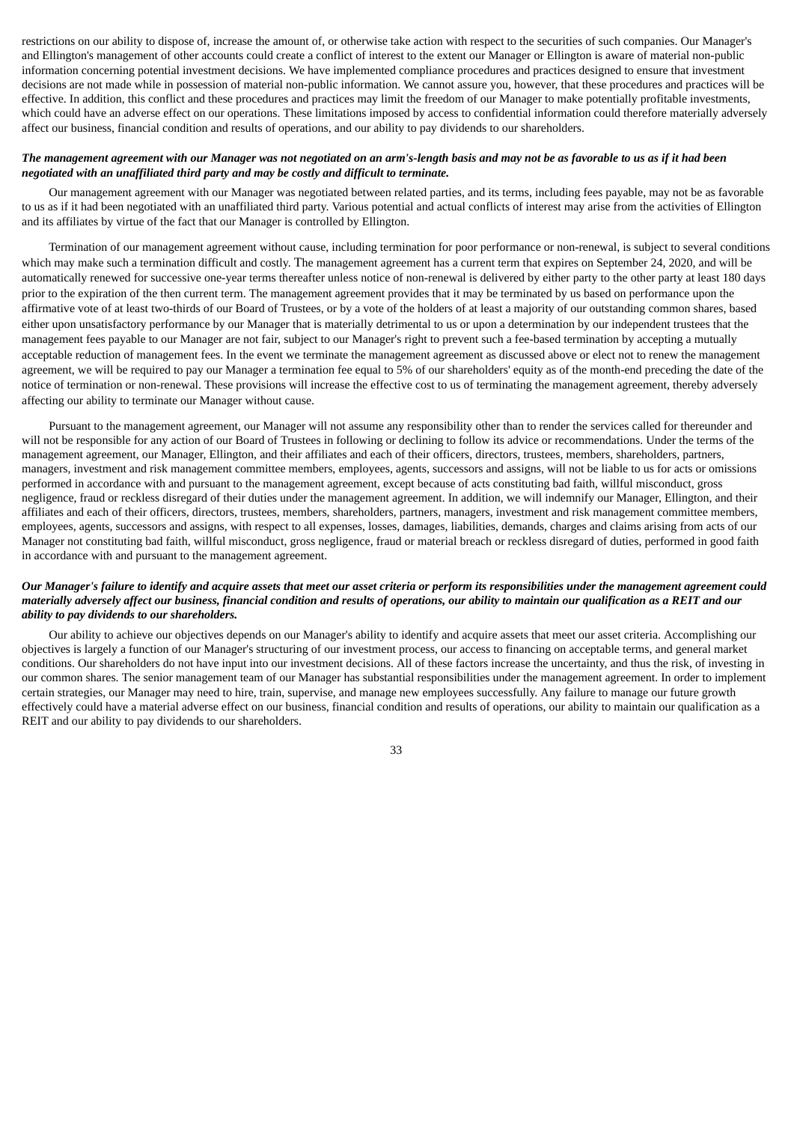restrictions on our ability to dispose of, increase the amount of, or otherwise take action with respect to the securities of such companies. Our Manager's and Ellington's management of other accounts could create a conflict of interest to the extent our Manager or Ellington is aware of material non-public information concerning potential investment decisions. We have implemented compliance procedures and practices designed to ensure that investment decisions are not made while in possession of material non-public information. We cannot assure you, however, that these procedures and practices will be effective. In addition, this conflict and these procedures and practices may limit the freedom of our Manager to make potentially profitable investments, which could have an adverse effect on our operations. These limitations imposed by access to confidential information could therefore materially adversely affect our business, financial condition and results of operations, and our ability to pay dividends to our shareholders.

# The management agreement with our Manager was not negotiated on an arm's-lenath basis and may not be as favorable to us as if it had been *negotiated with an unaffiliated third party and may be costly and difficult to terminate.*

Our management agreement with our Manager was negotiated between related parties, and its terms, including fees payable, may not be as favorable to us as if it had been negotiated with an unaffiliated third party. Various potential and actual conflicts of interest may arise from the activities of Ellington and its affiliates by virtue of the fact that our Manager is controlled by Ellington.

Termination of our management agreement without cause, including termination for poor performance or non-renewal, is subject to several conditions which may make such a termination difficult and costly. The management agreement has a current term that expires on September 24, 2020, and will be automatically renewed for successive one-year terms thereafter unless notice of non-renewal is delivered by either party to the other party at least 180 days prior to the expiration of the then current term. The management agreement provides that it may be terminated by us based on performance upon the affirmative vote of at least two-thirds of our Board of Trustees, or by a vote of the holders of at least a majority of our outstanding common shares, based either upon unsatisfactory performance by our Manager that is materially detrimental to us or upon a determination by our independent trustees that the management fees payable to our Manager are not fair, subject to our Manager's right to prevent such a fee-based termination by accepting a mutually acceptable reduction of management fees. In the event we terminate the management agreement as discussed above or elect not to renew the management agreement, we will be required to pay our Manager a termination fee equal to 5% of our shareholders' equity as of the month-end preceding the date of the notice of termination or non-renewal. These provisions will increase the effective cost to us of terminating the management agreement, thereby adversely affecting our ability to terminate our Manager without cause.

Pursuant to the management agreement, our Manager will not assume any responsibility other than to render the services called for thereunder and will not be responsible for any action of our Board of Trustees in following or declining to follow its advice or recommendations. Under the terms of the management agreement, our Manager, Ellington, and their affiliates and each of their officers, directors, trustees, members, shareholders, partners, managers, investment and risk management committee members, employees, agents, successors and assigns, will not be liable to us for acts or omissions performed in accordance with and pursuant to the management agreement, except because of acts constituting bad faith, willful misconduct, gross negligence, fraud or reckless disregard of their duties under the management agreement. In addition, we will indemnify our Manager, Ellington, and their affiliates and each of their officers, directors, trustees, members, shareholders, partners, managers, investment and risk management committee members, employees, agents, successors and assigns, with respect to all expenses, losses, damages, liabilities, demands, charges and claims arising from acts of our Manager not constituting bad faith, willful misconduct, gross negligence, fraud or material breach or reckless disregard of duties, performed in good faith in accordance with and pursuant to the management agreement.

# Our Manager's failure to identify and acquire assets that meet our asset criteria or perform its responsibilities under the management agreement could materially adversely affect our business, financial condition and results of operations, our ability to maintain our qualification as a REIT and our *ability to pay dividends to our shareholders.*

Our ability to achieve our objectives depends on our Manager's ability to identify and acquire assets that meet our asset criteria. Accomplishing our objectives is largely a function of our Manager's structuring of our investment process, our access to financing on acceptable terms, and general market conditions. Our shareholders do not have input into our investment decisions. All of these factors increase the uncertainty, and thus the risk, of investing in our common shares. The senior management team of our Manager has substantial responsibilities under the management agreement. In order to implement certain strategies, our Manager may need to hire, train, supervise, and manage new employees successfully. Any failure to manage our future growth effectively could have a material adverse effect on our business, financial condition and results of operations, our ability to maintain our qualification as a REIT and our ability to pay dividends to our shareholders.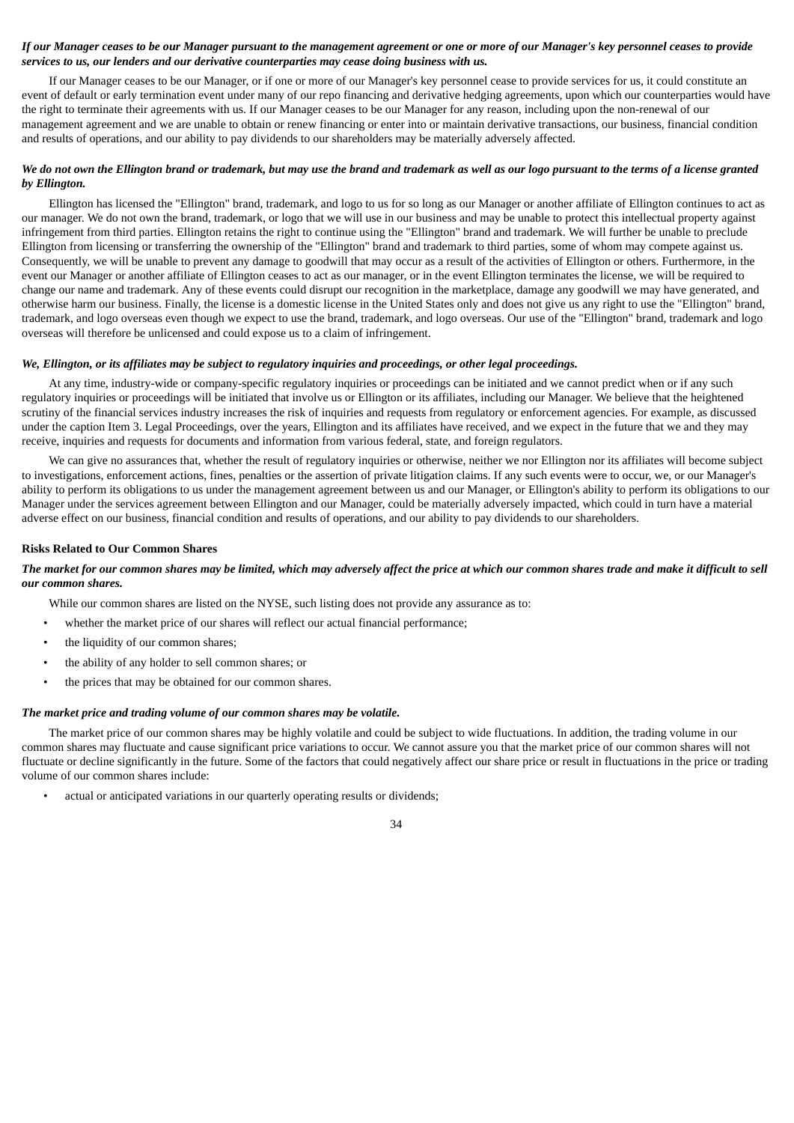# If our Manager ceases to be our Manager pursuant to the management agreement or one or more of our Manager's key personnel ceases to provide *services to us, our lenders and our derivative counterparties may cease doing business with us.*

If our Manager ceases to be our Manager, or if one or more of our Manager's key personnel cease to provide services for us, it could constitute an event of default or early termination event under many of our repo financing and derivative hedging agreements, upon which our counterparties would have the right to terminate their agreements with us. If our Manager ceases to be our Manager for any reason, including upon the non-renewal of our management agreement and we are unable to obtain or renew financing or enter into or maintain derivative transactions, our business, financial condition and results of operations, and our ability to pay dividends to our shareholders may be materially adversely affected.

# We do not own the Ellington brand or trademark, but may use the brand and trademark as well as our logo pursuant to the terms of a license granted *by Ellington.*

Ellington has licensed the "Ellington" brand, trademark, and logo to us for so long as our Manager or another affiliate of Ellington continues to act as our manager. We do not own the brand, trademark, or logo that we will use in our business and may be unable to protect this intellectual property against infringement from third parties. Ellington retains the right to continue using the "Ellington" brand and trademark. We will further be unable to preclude Ellington from licensing or transferring the ownership of the "Ellington" brand and trademark to third parties, some of whom may compete against us. Consequently, we will be unable to prevent any damage to goodwill that may occur as a result of the activities of Ellington or others. Furthermore, in the event our Manager or another affiliate of Ellington ceases to act as our manager, or in the event Ellington terminates the license, we will be required to change our name and trademark. Any of these events could disrupt our recognition in the marketplace, damage any goodwill we may have generated, and otherwise harm our business. Finally, the license is a domestic license in the United States only and does not give us any right to use the "Ellington" brand, trademark, and logo overseas even though we expect to use the brand, trademark, and logo overseas. Our use of the "Ellington" brand, trademark and logo overseas will therefore be unlicensed and could expose us to a claim of infringement.

# We, Ellington, or its affiliates may be subject to regulatory inquiries and proceedings, or other legal proceedings.

At any time, industry-wide or company-specific regulatory inquiries or proceedings can be initiated and we cannot predict when or if any such regulatory inquiries or proceedings will be initiated that involve us or Ellington or its affiliates, including our Manager. We believe that the heightened scrutiny of the financial services industry increases the risk of inquiries and requests from regulatory or enforcement agencies. For example, as discussed under the caption Item 3. Legal Proceedings, over the years, Ellington and its affiliates have received, and we expect in the future that we and they may receive, inquiries and requests for documents and information from various federal, state, and foreign regulators.

We can give no assurances that, whether the result of regulatory inquiries or otherwise, neither we nor Ellington nor its affiliates will become subject to investigations, enforcement actions, fines, penalties or the assertion of private litigation claims. If any such events were to occur, we, or our Manager's ability to perform its obligations to us under the management agreement between us and our Manager, or Ellington's ability to perform its obligations to our Manager under the services agreement between Ellington and our Manager, could be materially adversely impacted, which could in turn have a material adverse effect on our business, financial condition and results of operations, and our ability to pay dividends to our shareholders.

#### **Risks Related to Our Common Shares**

# The market for our common shares may be limited, which may adversely affect the price at which our common shares trade and make it difficult to sell *our common shares.*

While our common shares are listed on the NYSE, such listing does not provide any assurance as to:

- whether the market price of our shares will reflect our actual financial performance;
- the liquidity of our common shares;
- the ability of any holder to sell common shares; or
- the prices that may be obtained for our common shares.

#### *The market price and trading volume of our common shares may be volatile.*

The market price of our common shares may be highly volatile and could be subject to wide fluctuations. In addition, the trading volume in our common shares may fluctuate and cause significant price variations to occur. We cannot assure you that the market price of our common shares will not fluctuate or decline significantly in the future. Some of the factors that could negatively affect our share price or result in fluctuations in the price or trading volume of our common shares include:

• actual or anticipated variations in our quarterly operating results or dividends;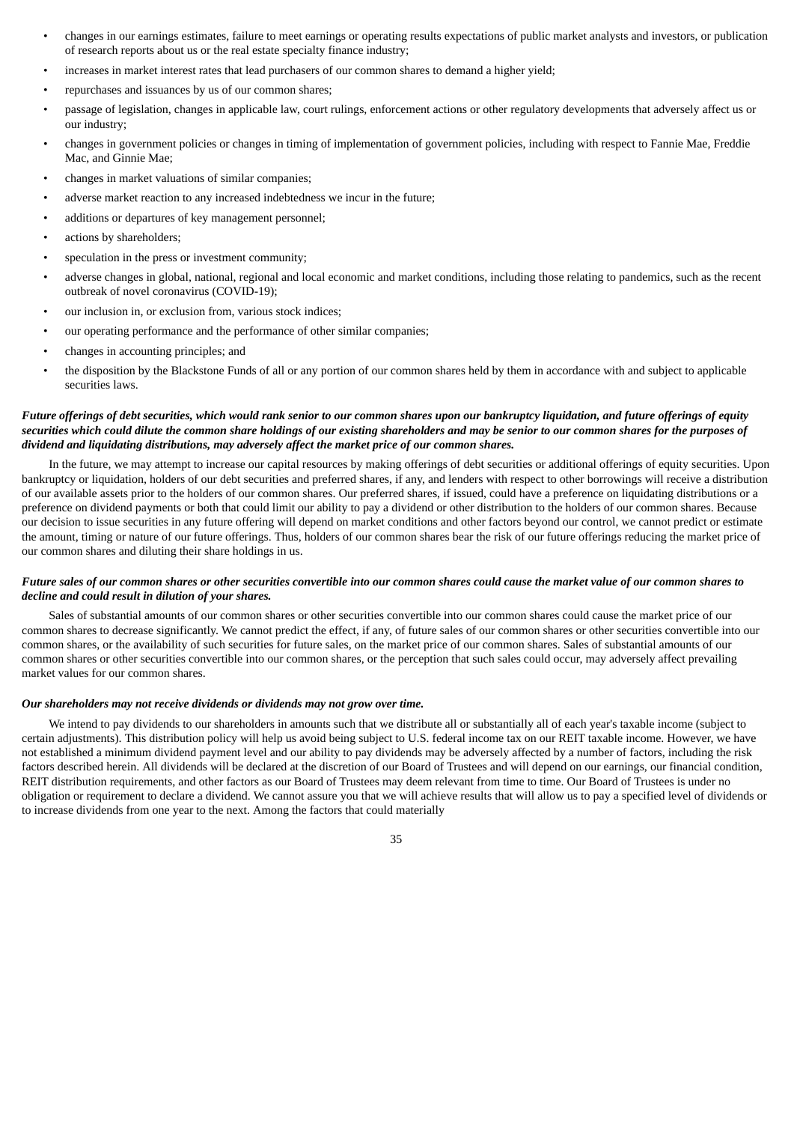- changes in our earnings estimates, failure to meet earnings or operating results expectations of public market analysts and investors, or publication of research reports about us or the real estate specialty finance industry;
- increases in market interest rates that lead purchasers of our common shares to demand a higher yield;
- repurchases and issuances by us of our common shares;
- passage of legislation, changes in applicable law, court rulings, enforcement actions or other regulatory developments that adversely affect us or our industry;
- changes in government policies or changes in timing of implementation of government policies, including with respect to Fannie Mae, Freddie Mac, and Ginnie Mae;
- changes in market valuations of similar companies;
- adverse market reaction to any increased indebtedness we incur in the future;
- additions or departures of key management personnel;
- actions by shareholders;
- speculation in the press or investment community;
- adverse changes in global, national, regional and local economic and market conditions, including those relating to pandemics, such as the recent outbreak of novel coronavirus (COVID-19);
- our inclusion in, or exclusion from, various stock indices;
- our operating performance and the performance of other similar companies;
- changes in accounting principles; and
- the disposition by the Blackstone Funds of all or any portion of our common shares held by them in accordance with and subject to applicable securities laws.

# Future offerings of debt securities, which would rank senior to our common shares upon our bankruptcy liquidation, and future offerings of equity securities which could dilute the common share holdings of our existing shareholders and may be senior to our common shares for the purposes of *dividend and liquidating distributions, may adversely affect the market price of our common shares.*

In the future, we may attempt to increase our capital resources by making offerings of debt securities or additional offerings of equity securities. Upon bankruptcy or liquidation, holders of our debt securities and preferred shares, if any, and lenders with respect to other borrowings will receive a distribution of our available assets prior to the holders of our common shares. Our preferred shares, if issued, could have a preference on liquidating distributions or a preference on dividend payments or both that could limit our ability to pay a dividend or other distribution to the holders of our common shares. Because our decision to issue securities in any future offering will depend on market conditions and other factors beyond our control, we cannot predict or estimate the amount, timing or nature of our future offerings. Thus, holders of our common shares bear the risk of our future offerings reducing the market price of our common shares and diluting their share holdings in us.

#### Future sales of our common shares or other securities convertible into our common shares could cause the market value of our common shares to *decline and could result in dilution of your shares.*

Sales of substantial amounts of our common shares or other securities convertible into our common shares could cause the market price of our common shares to decrease significantly. We cannot predict the effect, if any, of future sales of our common shares or other securities convertible into our common shares, or the availability of such securities for future sales, on the market price of our common shares. Sales of substantial amounts of our common shares or other securities convertible into our common shares, or the perception that such sales could occur, may adversely affect prevailing market values for our common shares.

#### *Our shareholders may not receive dividends or dividends may not grow over time.*

We intend to pay dividends to our shareholders in amounts such that we distribute all or substantially all of each year's taxable income (subject to certain adjustments). This distribution policy will help us avoid being subject to U.S. federal income tax on our REIT taxable income. However, we have not established a minimum dividend payment level and our ability to pay dividends may be adversely affected by a number of factors, including the risk factors described herein. All dividends will be declared at the discretion of our Board of Trustees and will depend on our earnings, our financial condition, REIT distribution requirements, and other factors as our Board of Trustees may deem relevant from time to time. Our Board of Trustees is under no obligation or requirement to declare a dividend. We cannot assure you that we will achieve results that will allow us to pay a specified level of dividends or to increase dividends from one year to the next. Among the factors that could materially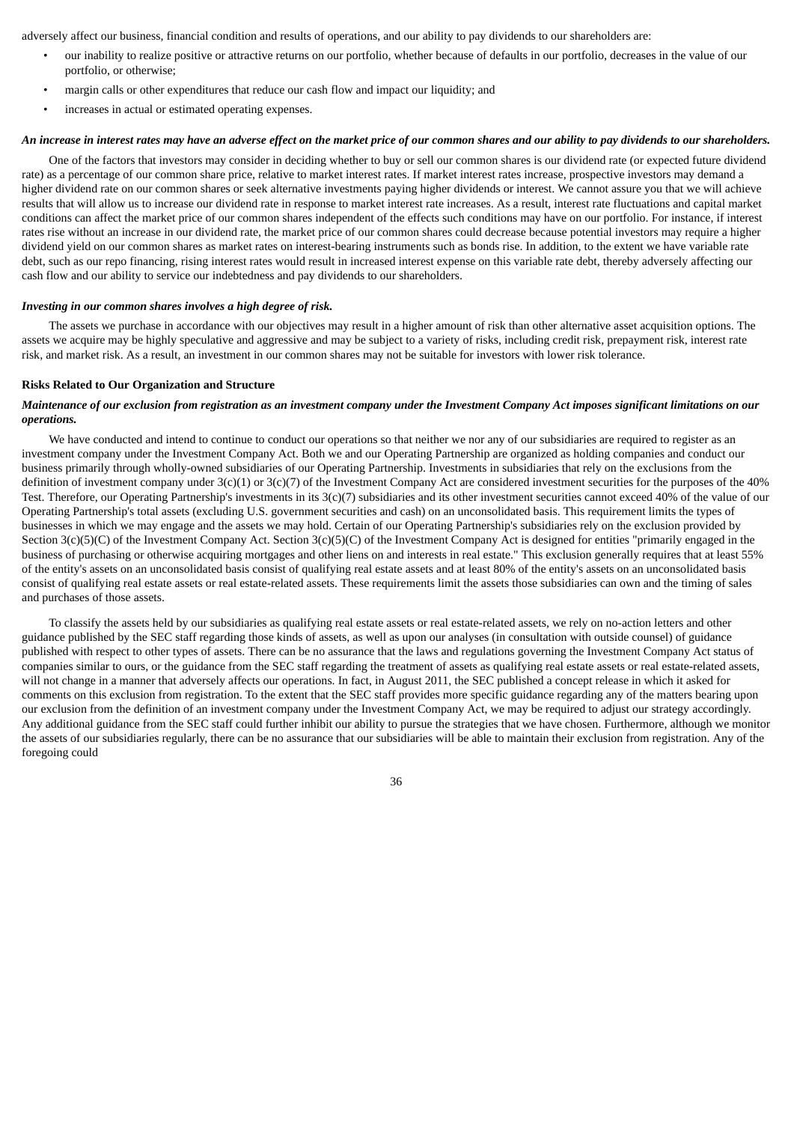adversely affect our business, financial condition and results of operations, and our ability to pay dividends to our shareholders are:

- our inability to realize positive or attractive returns on our portfolio, whether because of defaults in our portfolio, decreases in the value of our portfolio, or otherwise;
- margin calls or other expenditures that reduce our cash flow and impact our liquidity; and
- increases in actual or estimated operating expenses.

# An increase in interest rates may have an adverse effect on the market price of our common shares and our ability to pay dividends to our shareholders.

One of the factors that investors may consider in deciding whether to buy or sell our common shares is our dividend rate (or expected future dividend rate) as a percentage of our common share price, relative to market interest rates. If market interest rates increase, prospective investors may demand a higher dividend rate on our common shares or seek alternative investments paying higher dividends or interest. We cannot assure you that we will achieve results that will allow us to increase our dividend rate in response to market interest rate increases. As a result, interest rate fluctuations and capital market conditions can affect the market price of our common shares independent of the effects such conditions may have on our portfolio. For instance, if interest rates rise without an increase in our dividend rate, the market price of our common shares could decrease because potential investors may require a higher dividend yield on our common shares as market rates on interest-bearing instruments such as bonds rise. In addition, to the extent we have variable rate debt, such as our repo financing, rising interest rates would result in increased interest expense on this variable rate debt, thereby adversely affecting our cash flow and our ability to service our indebtedness and pay dividends to our shareholders.

#### *Investing in our common shares involves a high degree of risk.*

The assets we purchase in accordance with our objectives may result in a higher amount of risk than other alternative asset acquisition options. The assets we acquire may be highly speculative and aggressive and may be subject to a variety of risks, including credit risk, prepayment risk, interest rate risk, and market risk. As a result, an investment in our common shares may not be suitable for investors with lower risk tolerance.

# **Risks Related to Our Organization and Structure**

# Maintenance of our exclusion from registration as an investment company under the Investment Company Act imposes significant limitations on our *operations.*

We have conducted and intend to continue to conduct our operations so that neither we nor any of our subsidiaries are required to register as an investment company under the Investment Company Act. Both we and our Operating Partnership are organized as holding companies and conduct our business primarily through wholly-owned subsidiaries of our Operating Partnership. Investments in subsidiaries that rely on the exclusions from the definition of investment company under  $3(c)(1)$  or  $3(c)(7)$  of the Investment Company Act are considered investment securities for the purposes of the 40% Test. Therefore, our Operating Partnership's investments in its  $3(c)(7)$  subsidiaries and its other investment securities cannot exceed 40% of the value of our Operating Partnership's total assets (excluding U.S. government securities and cash) on an unconsolidated basis. This requirement limits the types of businesses in which we may engage and the assets we may hold. Certain of our Operating Partnership's subsidiaries rely on the exclusion provided by Section  $3(c)(5)(C)$  of the Investment Company Act. Section  $3(c)(5)(C)$  of the Investment Company Act is designed for entities "primarily engaged in the business of purchasing or otherwise acquiring mortgages and other liens on and interests in real estate." This exclusion generally requires that at least 55% of the entity's assets on an unconsolidated basis consist of qualifying real estate assets and at least 80% of the entity's assets on an unconsolidated basis consist of qualifying real estate assets or real estate-related assets. These requirements limit the assets those subsidiaries can own and the timing of sales and purchases of those assets.

To classify the assets held by our subsidiaries as qualifying real estate assets or real estate-related assets, we rely on no-action letters and other guidance published by the SEC staff regarding those kinds of assets, as well as upon our analyses (in consultation with outside counsel) of guidance published with respect to other types of assets. There can be no assurance that the laws and regulations governing the Investment Company Act status of companies similar to ours, or the guidance from the SEC staff regarding the treatment of assets as qualifying real estate assets or real estate-related assets, will not change in a manner that adversely affects our operations. In fact, in August 2011, the SEC published a concept release in which it asked for comments on this exclusion from registration. To the extent that the SEC staff provides more specific guidance regarding any of the matters bearing upon our exclusion from the definition of an investment company under the Investment Company Act, we may be required to adjust our strategy accordingly. Any additional guidance from the SEC staff could further inhibit our ability to pursue the strategies that we have chosen. Furthermore, although we monitor the assets of our subsidiaries regularly, there can be no assurance that our subsidiaries will be able to maintain their exclusion from registration. Any of the foregoing could

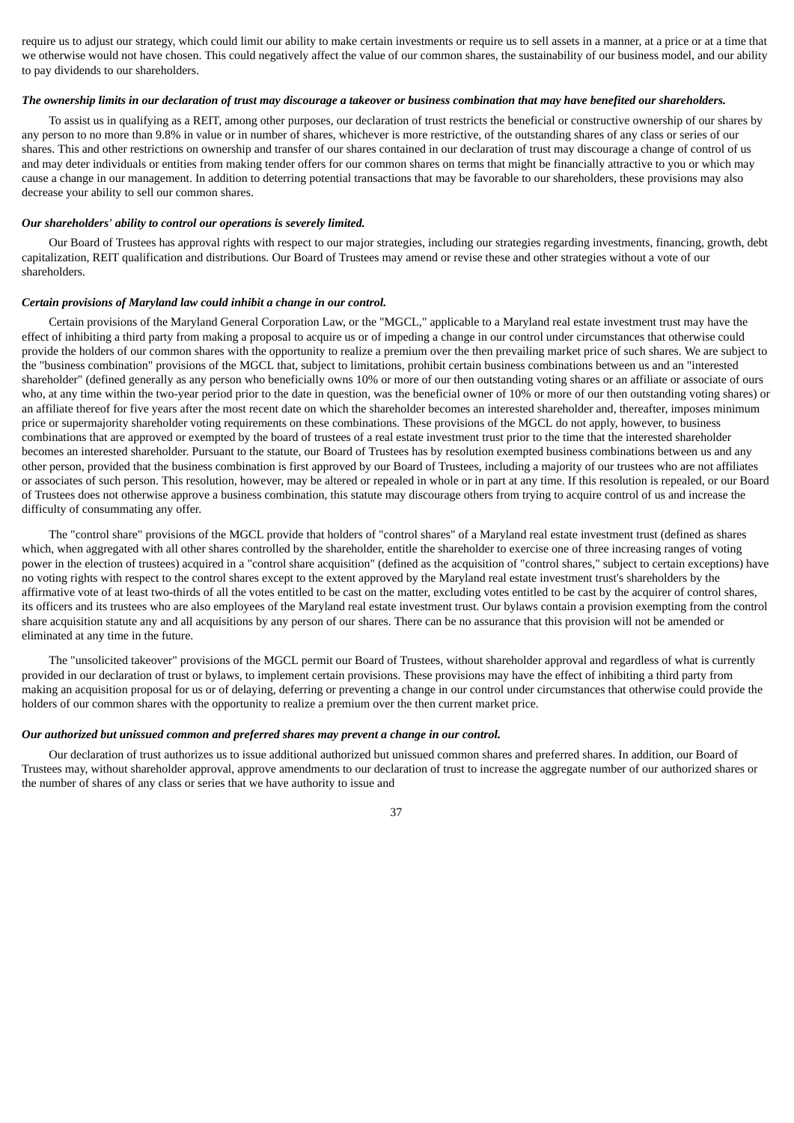require us to adjust our strategy, which could limit our ability to make certain investments or require us to sell assets in a manner, at a price or at a time that we otherwise would not have chosen. This could negatively affect the value of our common shares, the sustainability of our business model, and our ability to pay dividends to our shareholders.

## The ownership limits in our declaration of trust may discourage a takeover or business combination that may have benefited our shareholders.

To assist us in qualifying as a REIT, among other purposes, our declaration of trust restricts the beneficial or constructive ownership of our shares by any person to no more than 9.8% in value or in number of shares, whichever is more restrictive, of the outstanding shares of any class or series of our shares. This and other restrictions on ownership and transfer of our shares contained in our declaration of trust may discourage a change of control of us and may deter individuals or entities from making tender offers for our common shares on terms that might be financially attractive to you or which may cause a change in our management. In addition to deterring potential transactions that may be favorable to our shareholders, these provisions may also decrease your ability to sell our common shares.

#### *Our shareholders' ability to control our operations is severely limited.*

Our Board of Trustees has approval rights with respect to our major strategies, including our strategies regarding investments, financing, growth, debt capitalization, REIT qualification and distributions. Our Board of Trustees may amend or revise these and other strategies without a vote of our shareholders.

#### *Certain provisions of Maryland law could inhibit a change in our control.*

Certain provisions of the Maryland General Corporation Law, or the "MGCL," applicable to a Maryland real estate investment trust may have the effect of inhibiting a third party from making a proposal to acquire us or of impeding a change in our control under circumstances that otherwise could provide the holders of our common shares with the opportunity to realize a premium over the then prevailing market price of such shares. We are subject to the "business combination" provisions of the MGCL that, subject to limitations, prohibit certain business combinations between us and an "interested shareholder" (defined generally as any person who beneficially owns 10% or more of our then outstanding voting shares or an affiliate or associate of ours who, at any time within the two-year period prior to the date in question, was the beneficial owner of 10% or more of our then outstanding voting shares) or an affiliate thereof for five years after the most recent date on which the shareholder becomes an interested shareholder and, thereafter, imposes minimum price or supermajority shareholder voting requirements on these combinations. These provisions of the MGCL do not apply, however, to business combinations that are approved or exempted by the board of trustees of a real estate investment trust prior to the time that the interested shareholder becomes an interested shareholder. Pursuant to the statute, our Board of Trustees has by resolution exempted business combinations between us and any other person, provided that the business combination is first approved by our Board of Trustees, including a majority of our trustees who are not affiliates or associates of such person. This resolution, however, may be altered or repealed in whole or in part at any time. If this resolution is repealed, or our Board of Trustees does not otherwise approve a business combination, this statute may discourage others from trying to acquire control of us and increase the difficulty of consummating any offer.

The "control share" provisions of the MGCL provide that holders of "control shares" of a Maryland real estate investment trust (defined as shares which, when aggregated with all other shares controlled by the shareholder, entitle the shareholder to exercise one of three increasing ranges of voting power in the election of trustees) acquired in a "control share acquisition" (defined as the acquisition of "control shares," subject to certain exceptions) have no voting rights with respect to the control shares except to the extent approved by the Maryland real estate investment trust's shareholders by the affirmative vote of at least two-thirds of all the votes entitled to be cast on the matter, excluding votes entitled to be cast by the acquirer of control shares, its officers and its trustees who are also employees of the Maryland real estate investment trust. Our bylaws contain a provision exempting from the control share acquisition statute any and all acquisitions by any person of our shares. There can be no assurance that this provision will not be amended or eliminated at any time in the future.

The "unsolicited takeover" provisions of the MGCL permit our Board of Trustees, without shareholder approval and regardless of what is currently provided in our declaration of trust or bylaws, to implement certain provisions. These provisions may have the effect of inhibiting a third party from making an acquisition proposal for us or of delaying, deferring or preventing a change in our control under circumstances that otherwise could provide the holders of our common shares with the opportunity to realize a premium over the then current market price.

#### *Our authorized but unissued common and preferred shares may prevent a change in our control.*

Our declaration of trust authorizes us to issue additional authorized but unissued common shares and preferred shares. In addition, our Board of Trustees may, without shareholder approval, approve amendments to our declaration of trust to increase the aggregate number of our authorized shares or the number of shares of any class or series that we have authority to issue and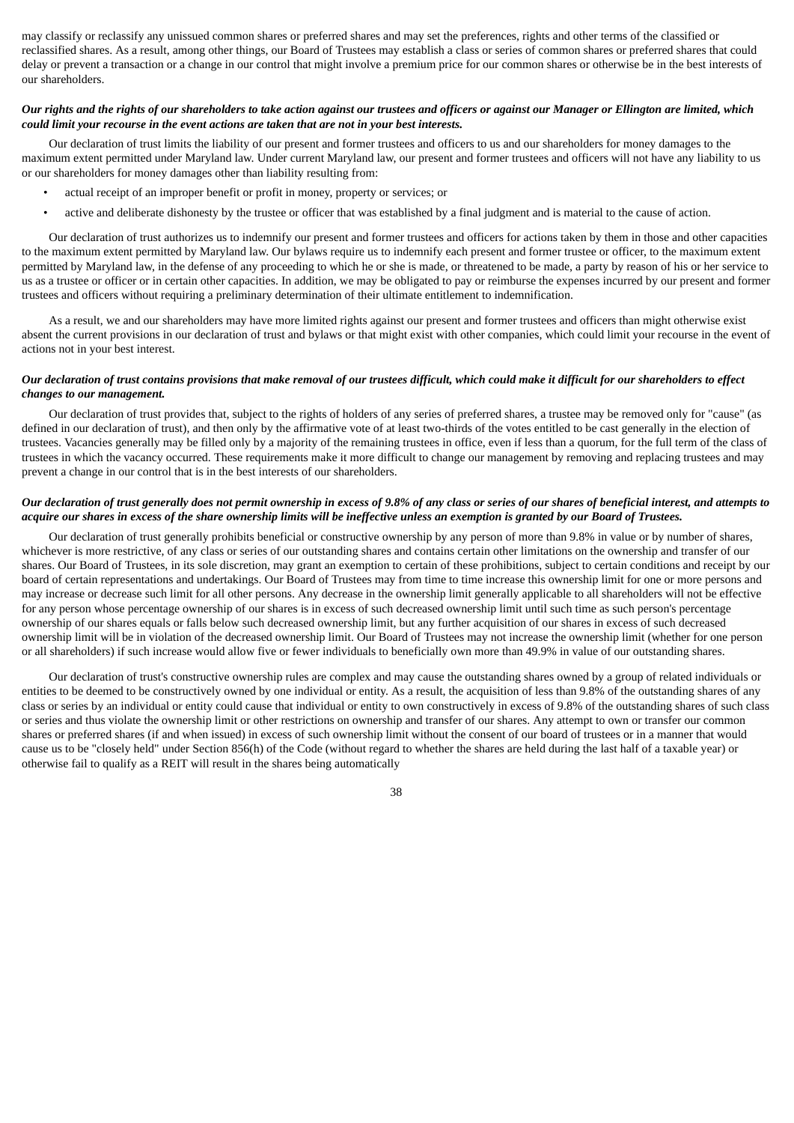may classify or reclassify any unissued common shares or preferred shares and may set the preferences, rights and other terms of the classified or reclassified shares. As a result, among other things, our Board of Trustees may establish a class or series of common shares or preferred shares that could delay or prevent a transaction or a change in our control that might involve a premium price for our common shares or otherwise be in the best interests of our shareholders.

## Our rights and the rights of our shareholders to take action against our trustees and officers or against our Manager or Ellington are limited, which *could limit your recourse in the event actions are taken that are not in your best interests.*

Our declaration of trust limits the liability of our present and former trustees and officers to us and our shareholders for money damages to the maximum extent permitted under Maryland law. Under current Maryland law, our present and former trustees and officers will not have any liability to us or our shareholders for money damages other than liability resulting from:

- actual receipt of an improper benefit or profit in money, property or services; or
- active and deliberate dishonesty by the trustee or officer that was established by a final judgment and is material to the cause of action.

Our declaration of trust authorizes us to indemnify our present and former trustees and officers for actions taken by them in those and other capacities to the maximum extent permitted by Maryland law. Our bylaws require us to indemnify each present and former trustee or officer, to the maximum extent permitted by Maryland law, in the defense of any proceeding to which he or she is made, or threatened to be made, a party by reason of his or her service to us as a trustee or officer or in certain other capacities. In addition, we may be obligated to pay or reimburse the expenses incurred by our present and former trustees and officers without requiring a preliminary determination of their ultimate entitlement to indemnification.

As a result, we and our shareholders may have more limited rights against our present and former trustees and officers than might otherwise exist absent the current provisions in our declaration of trust and bylaws or that might exist with other companies, which could limit your recourse in the event of actions not in your best interest.

## Our declaration of trust contains provisions that make removal of our trustees difficult, which could make it difficult for our shareholders to effect *changes to our management.*

Our declaration of trust provides that, subject to the rights of holders of any series of preferred shares, a trustee may be removed only for "cause" (as defined in our declaration of trust), and then only by the affirmative vote of at least two-thirds of the votes entitled to be cast generally in the election of trustees. Vacancies generally may be filled only by a majority of the remaining trustees in office, even if less than a quorum, for the full term of the class of trustees in which the vacancy occurred. These requirements make it more difficult to change our management by removing and replacing trustees and may prevent a change in our control that is in the best interests of our shareholders.

## Our declaration of trust generally does not permit ownership in excess of 9.8% of any class or series of our shares of beneficial interest, and attempts to acquire our shares in excess of the share ownership limits will be ineffective unless an exemption is granted by our Board of Trustees.

Our declaration of trust generally prohibits beneficial or constructive ownership by any person of more than 9.8% in value or by number of shares, whichever is more restrictive, of any class or series of our outstanding shares and contains certain other limitations on the ownership and transfer of our shares. Our Board of Trustees, in its sole discretion, may grant an exemption to certain of these prohibitions, subject to certain conditions and receipt by our board of certain representations and undertakings. Our Board of Trustees may from time to time increase this ownership limit for one or more persons and may increase or decrease such limit for all other persons. Any decrease in the ownership limit generally applicable to all shareholders will not be effective for any person whose percentage ownership of our shares is in excess of such decreased ownership limit until such time as such person's percentage ownership of our shares equals or falls below such decreased ownership limit, but any further acquisition of our shares in excess of such decreased ownership limit will be in violation of the decreased ownership limit. Our Board of Trustees may not increase the ownership limit (whether for one person or all shareholders) if such increase would allow five or fewer individuals to beneficially own more than 49.9% in value of our outstanding shares.

Our declaration of trust's constructive ownership rules are complex and may cause the outstanding shares owned by a group of related individuals or entities to be deemed to be constructively owned by one individual or entity. As a result, the acquisition of less than 9.8% of the outstanding shares of any class or series by an individual or entity could cause that individual or entity to own constructively in excess of 9.8% of the outstanding shares of such class or series and thus violate the ownership limit or other restrictions on ownership and transfer of our shares. Any attempt to own or transfer our common shares or preferred shares (if and when issued) in excess of such ownership limit without the consent of our board of trustees or in a manner that would cause us to be "closely held" under Section 856(h) of the Code (without regard to whether the shares are held during the last half of a taxable year) or otherwise fail to qualify as a REIT will result in the shares being automatically

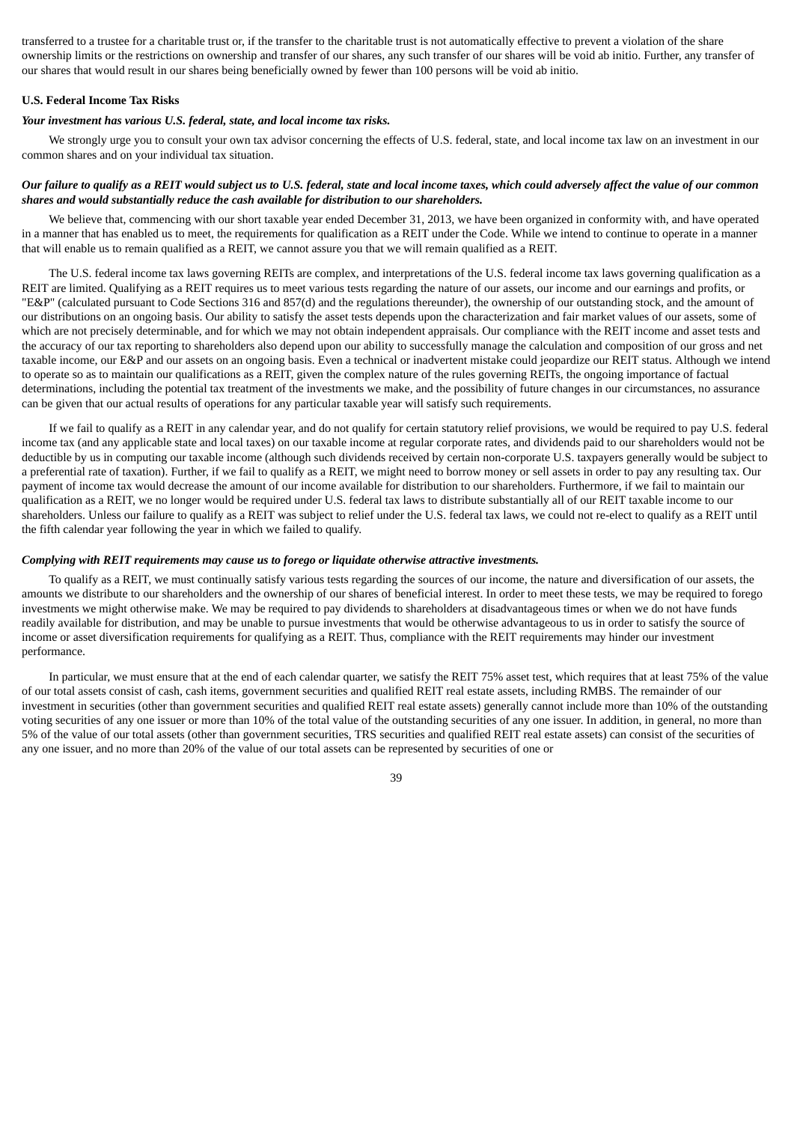transferred to a trustee for a charitable trust or, if the transfer to the charitable trust is not automatically effective to prevent a violation of the share ownership limits or the restrictions on ownership and transfer of our shares, any such transfer of our shares will be void ab initio. Further, any transfer of our shares that would result in our shares being beneficially owned by fewer than 100 persons will be void ab initio.

## **U.S. Federal Income Tax Risks**

## *Your investment has various U.S. federal, state, and local income tax risks.*

We strongly urge you to consult your own tax advisor concerning the effects of U.S. federal, state, and local income tax law on an investment in our common shares and on your individual tax situation.

## Our failure to qualify as a REIT would subject us to U.S. federal, state and local income taxes, which could adversely affect the value of our common *shares and would substantially reduce the cash available for distribution to our shareholders.*

We believe that, commencing with our short taxable year ended December 31, 2013, we have been organized in conformity with, and have operated in a manner that has enabled us to meet, the requirements for qualification as a REIT under the Code. While we intend to continue to operate in a manner that will enable us to remain qualified as a REIT, we cannot assure you that we will remain qualified as a REIT.

The U.S. federal income tax laws governing REITs are complex, and interpretations of the U.S. federal income tax laws governing qualification as a REIT are limited. Qualifying as a REIT requires us to meet various tests regarding the nature of our assets, our income and our earnings and profits, or "E&P" (calculated pursuant to Code Sections 316 and 857(d) and the regulations thereunder), the ownership of our outstanding stock, and the amount of our distributions on an ongoing basis. Our ability to satisfy the asset tests depends upon the characterization and fair market values of our assets, some of which are not precisely determinable, and for which we may not obtain independent appraisals. Our compliance with the REIT income and asset tests and the accuracy of our tax reporting to shareholders also depend upon our ability to successfully manage the calculation and composition of our gross and net taxable income, our E&P and our assets on an ongoing basis. Even a technical or inadvertent mistake could jeopardize our REIT status. Although we intend to operate so as to maintain our qualifications as a REIT, given the complex nature of the rules governing REITs, the ongoing importance of factual determinations, including the potential tax treatment of the investments we make, and the possibility of future changes in our circumstances, no assurance can be given that our actual results of operations for any particular taxable year will satisfy such requirements.

If we fail to qualify as a REIT in any calendar year, and do not qualify for certain statutory relief provisions, we would be required to pay U.S. federal income tax (and any applicable state and local taxes) on our taxable income at regular corporate rates, and dividends paid to our shareholders would not be deductible by us in computing our taxable income (although such dividends received by certain non-corporate U.S. taxpayers generally would be subject to a preferential rate of taxation). Further, if we fail to qualify as a REIT, we might need to borrow money or sell assets in order to pay any resulting tax. Our payment of income tax would decrease the amount of our income available for distribution to our shareholders. Furthermore, if we fail to maintain our qualification as a REIT, we no longer would be required under U.S. federal tax laws to distribute substantially all of our REIT taxable income to our shareholders. Unless our failure to qualify as a REIT was subject to relief under the U.S. federal tax laws, we could not re-elect to qualify as a REIT until the fifth calendar year following the year in which we failed to qualify.

#### *Complying with REIT requirements may cause us to forego or liquidate otherwise attractive investments.*

To qualify as a REIT, we must continually satisfy various tests regarding the sources of our income, the nature and diversification of our assets, the amounts we distribute to our shareholders and the ownership of our shares of beneficial interest. In order to meet these tests, we may be required to forego investments we might otherwise make. We may be required to pay dividends to shareholders at disadvantageous times or when we do not have funds readily available for distribution, and may be unable to pursue investments that would be otherwise advantageous to us in order to satisfy the source of income or asset diversification requirements for qualifying as a REIT. Thus, compliance with the REIT requirements may hinder our investment performance.

In particular, we must ensure that at the end of each calendar quarter, we satisfy the REIT 75% asset test, which requires that at least 75% of the value of our total assets consist of cash, cash items, government securities and qualified REIT real estate assets, including RMBS. The remainder of our investment in securities (other than government securities and qualified REIT real estate assets) generally cannot include more than 10% of the outstanding voting securities of any one issuer or more than 10% of the total value of the outstanding securities of any one issuer. In addition, in general, no more than 5% of the value of our total assets (other than government securities, TRS securities and qualified REIT real estate assets) can consist of the securities of any one issuer, and no more than 20% of the value of our total assets can be represented by securities of one or

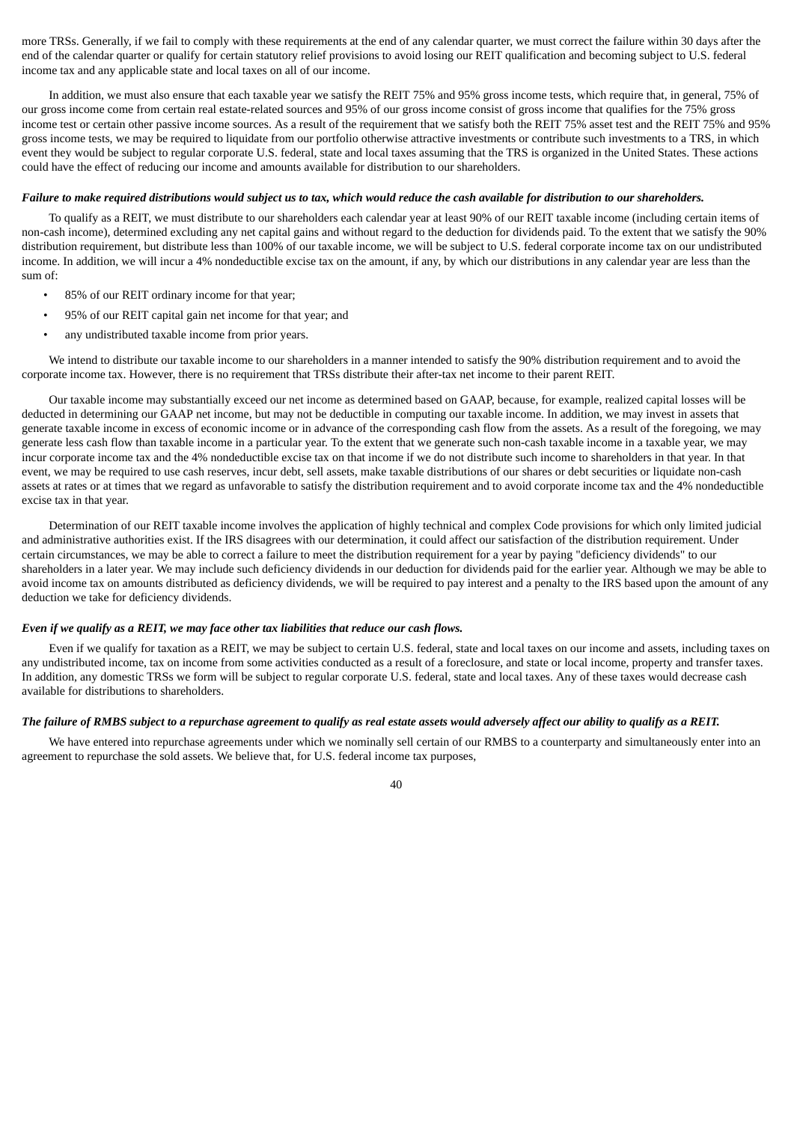more TRSs. Generally, if we fail to comply with these requirements at the end of any calendar quarter, we must correct the failure within 30 days after the end of the calendar quarter or qualify for certain statutory relief provisions to avoid losing our REIT qualification and becoming subject to U.S. federal income tax and any applicable state and local taxes on all of our income.

In addition, we must also ensure that each taxable year we satisfy the REIT 75% and 95% gross income tests, which require that, in general, 75% of our gross income come from certain real estate-related sources and 95% of our gross income consist of gross income that qualifies for the 75% gross income test or certain other passive income sources. As a result of the requirement that we satisfy both the REIT 75% asset test and the REIT 75% and 95% gross income tests, we may be required to liquidate from our portfolio otherwise attractive investments or contribute such investments to a TRS, in which event they would be subject to regular corporate U.S. federal, state and local taxes assuming that the TRS is organized in the United States. These actions could have the effect of reducing our income and amounts available for distribution to our shareholders.

## Failure to make required distributions would subject us to tax, which would reduce the cash available for distribution to our shareholders.

To qualify as a REIT, we must distribute to our shareholders each calendar year at least 90% of our REIT taxable income (including certain items of non-cash income), determined excluding any net capital gains and without regard to the deduction for dividends paid. To the extent that we satisfy the 90% distribution requirement, but distribute less than 100% of our taxable income, we will be subject to U.S. federal corporate income tax on our undistributed income. In addition, we will incur a 4% nondeductible excise tax on the amount, if any, by which our distributions in any calendar year are less than the sum of:

- 85% of our REIT ordinary income for that year;
- 95% of our REIT capital gain net income for that year; and
- any undistributed taxable income from prior years.

We intend to distribute our taxable income to our shareholders in a manner intended to satisfy the 90% distribution requirement and to avoid the corporate income tax. However, there is no requirement that TRSs distribute their after-tax net income to their parent REIT.

Our taxable income may substantially exceed our net income as determined based on GAAP, because, for example, realized capital losses will be deducted in determining our GAAP net income, but may not be deductible in computing our taxable income. In addition, we may invest in assets that generate taxable income in excess of economic income or in advance of the corresponding cash flow from the assets. As a result of the foregoing, we may generate less cash flow than taxable income in a particular year. To the extent that we generate such non-cash taxable income in a taxable year, we may incur corporate income tax and the 4% nondeductible excise tax on that income if we do not distribute such income to shareholders in that year. In that event, we may be required to use cash reserves, incur debt, sell assets, make taxable distributions of our shares or debt securities or liquidate non-cash assets at rates or at times that we regard as unfavorable to satisfy the distribution requirement and to avoid corporate income tax and the 4% nondeductible excise tax in that year.

Determination of our REIT taxable income involves the application of highly technical and complex Code provisions for which only limited judicial and administrative authorities exist. If the IRS disagrees with our determination, it could affect our satisfaction of the distribution requirement. Under certain circumstances, we may be able to correct a failure to meet the distribution requirement for a year by paying "deficiency dividends" to our shareholders in a later year. We may include such deficiency dividends in our deduction for dividends paid for the earlier year. Although we may be able to avoid income tax on amounts distributed as deficiency dividends, we will be required to pay interest and a penalty to the IRS based upon the amount of any deduction we take for deficiency dividends.

#### *Even if we qualify as a REIT, we may face other tax liabilities that reduce our cash flows.*

Even if we qualify for taxation as a REIT, we may be subject to certain U.S. federal, state and local taxes on our income and assets, including taxes on any undistributed income, tax on income from some activities conducted as a result of a foreclosure, and state or local income, property and transfer taxes. In addition, any domestic TRSs we form will be subject to regular corporate U.S. federal, state and local taxes. Any of these taxes would decrease cash available for distributions to shareholders.

## The failure of RMBS subject to a repurchase agreement to qualify as real estate assets would adversely affect our ability to qualify as a REIT.

We have entered into repurchase agreements under which we nominally sell certain of our RMBS to a counterparty and simultaneously enter into an agreement to repurchase the sold assets. We believe that, for U.S. federal income tax purposes,

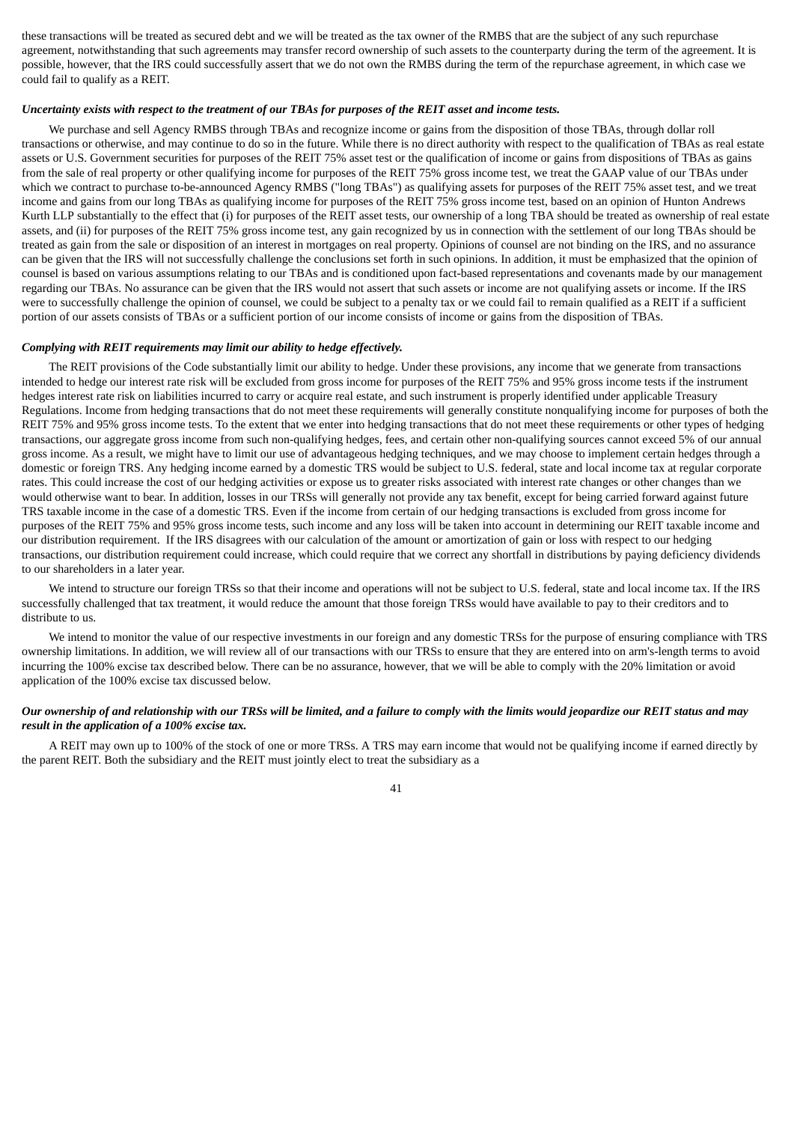these transactions will be treated as secured debt and we will be treated as the tax owner of the RMBS that are the subject of any such repurchase agreement, notwithstanding that such agreements may transfer record ownership of such assets to the counterparty during the term of the agreement. It is possible, however, that the IRS could successfully assert that we do not own the RMBS during the term of the repurchase agreement, in which case we could fail to qualify as a REIT.

### Uncertainty exists with respect to the treatment of our TBAs for purposes of the REIT asset and income tests.

We purchase and sell Agency RMBS through TBAs and recognize income or gains from the disposition of those TBAs, through dollar roll transactions or otherwise, and may continue to do so in the future. While there is no direct authority with respect to the qualification of TBAs as real estate assets or U.S. Government securities for purposes of the REIT 75% asset test or the qualification of income or gains from dispositions of TBAs as gains from the sale of real property or other qualifying income for purposes of the REIT 75% gross income test, we treat the GAAP value of our TBAs under which we contract to purchase to-be-announced Agency RMBS ("long TBAs") as qualifying assets for purposes of the REIT 75% asset test, and we treat income and gains from our long TBAs as qualifying income for purposes of the REIT 75% gross income test, based on an opinion of Hunton Andrews Kurth LLP substantially to the effect that (i) for purposes of the REIT asset tests, our ownership of a long TBA should be treated as ownership of real estate assets, and (ii) for purposes of the REIT 75% gross income test, any gain recognized by us in connection with the settlement of our long TBAs should be treated as gain from the sale or disposition of an interest in mortgages on real property. Opinions of counsel are not binding on the IRS, and no assurance can be given that the IRS will not successfully challenge the conclusions set forth in such opinions. In addition, it must be emphasized that the opinion of counsel is based on various assumptions relating to our TBAs and is conditioned upon fact-based representations and covenants made by our management regarding our TBAs. No assurance can be given that the IRS would not assert that such assets or income are not qualifying assets or income. If the IRS were to successfully challenge the opinion of counsel, we could be subject to a penalty tax or we could fail to remain qualified as a REIT if a sufficient portion of our assets consists of TBAs or a sufficient portion of our income consists of income or gains from the disposition of TBAs.

#### *Complying with REIT requirements may limit our ability to hedge effectively.*

The REIT provisions of the Code substantially limit our ability to hedge. Under these provisions, any income that we generate from transactions intended to hedge our interest rate risk will be excluded from gross income for purposes of the REIT 75% and 95% gross income tests if the instrument hedges interest rate risk on liabilities incurred to carry or acquire real estate, and such instrument is properly identified under applicable Treasury Regulations. Income from hedging transactions that do not meet these requirements will generally constitute nonqualifying income for purposes of both the REIT 75% and 95% gross income tests. To the extent that we enter into hedging transactions that do not meet these requirements or other types of hedging transactions, our aggregate gross income from such non-qualifying hedges, fees, and certain other non-qualifying sources cannot exceed 5% of our annual gross income. As a result, we might have to limit our use of advantageous hedging techniques, and we may choose to implement certain hedges through a domestic or foreign TRS. Any hedging income earned by a domestic TRS would be subject to U.S. federal, state and local income tax at regular corporate rates. This could increase the cost of our hedging activities or expose us to greater risks associated with interest rate changes or other changes than we would otherwise want to bear. In addition, losses in our TRSs will generally not provide any tax benefit, except for being carried forward against future TRS taxable income in the case of a domestic TRS. Even if the income from certain of our hedging transactions is excluded from gross income for purposes of the REIT 75% and 95% gross income tests, such income and any loss will be taken into account in determining our REIT taxable income and our distribution requirement. If the IRS disagrees with our calculation of the amount or amortization of gain or loss with respect to our hedging transactions, our distribution requirement could increase, which could require that we correct any shortfall in distributions by paying deficiency dividends to our shareholders in a later year.

We intend to structure our foreign TRSs so that their income and operations will not be subject to U.S. federal, state and local income tax. If the IRS successfully challenged that tax treatment, it would reduce the amount that those foreign TRSs would have available to pay to their creditors and to distribute to us.

We intend to monitor the value of our respective investments in our foreign and any domestic TRSs for the purpose of ensuring compliance with TRS ownership limitations. In addition, we will review all of our transactions with our TRSs to ensure that they are entered into on arm's-length terms to avoid incurring the 100% excise tax described below. There can be no assurance, however, that we will be able to comply with the 20% limitation or avoid application of the 100% excise tax discussed below.

## Our ownership of and relationship with our TRSs will be limited, and a failure to comply with the limits would jeopardize our REIT status and may *result in the application of a 100% excise tax.*

A REIT may own up to 100% of the stock of one or more TRSs. A TRS may earn income that would not be qualifying income if earned directly by the parent REIT. Both the subsidiary and the REIT must jointly elect to treat the subsidiary as a

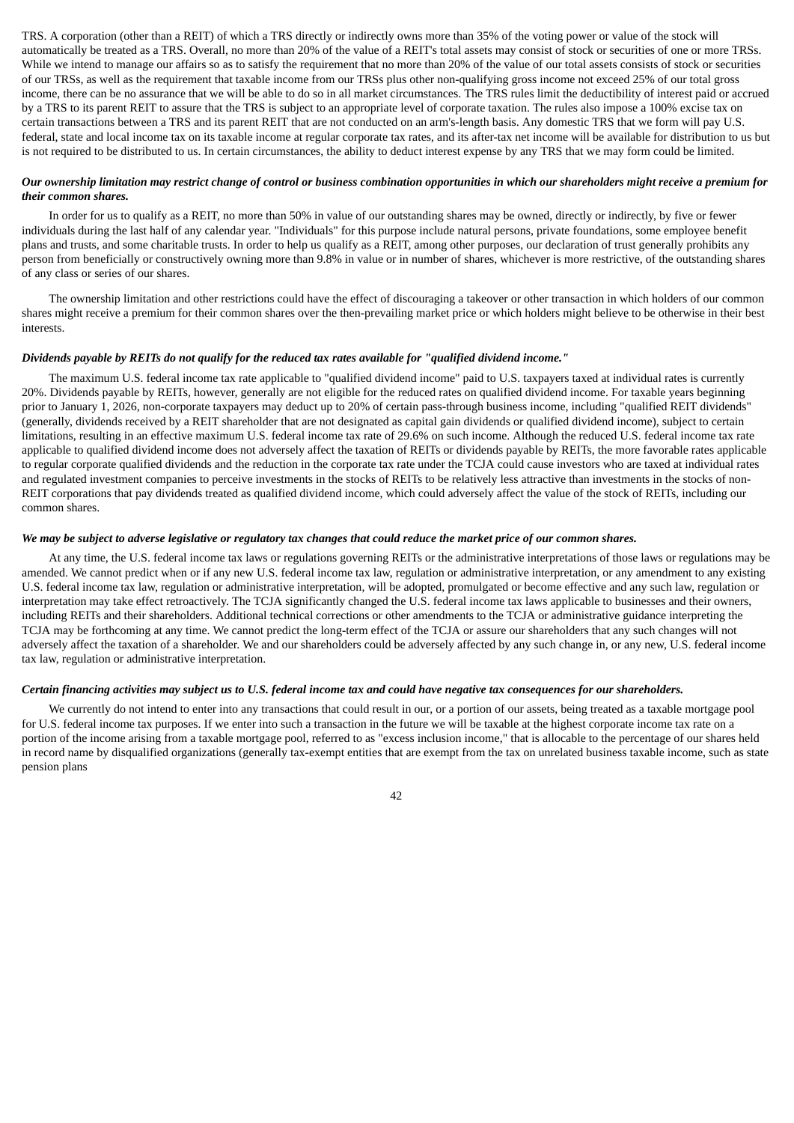TRS. A corporation (other than a REIT) of which a TRS directly or indirectly owns more than 35% of the voting power or value of the stock will automatically be treated as a TRS. Overall, no more than 20% of the value of a REIT's total assets may consist of stock or securities of one or more TRSs. While we intend to manage our affairs so as to satisfy the requirement that no more than 20% of the value of our total assets consists of stock or securities of our TRSs, as well as the requirement that taxable income from our TRSs plus other non-qualifying gross income not exceed 25% of our total gross income, there can be no assurance that we will be able to do so in all market circumstances. The TRS rules limit the deductibility of interest paid or accrued by a TRS to its parent REIT to assure that the TRS is subject to an appropriate level of corporate taxation. The rules also impose a 100% excise tax on certain transactions between a TRS and its parent REIT that are not conducted on an arm's-length basis. Any domestic TRS that we form will pay U.S. federal, state and local income tax on its taxable income at regular corporate tax rates, and its after-tax net income will be available for distribution to us but is not required to be distributed to us. In certain circumstances, the ability to deduct interest expense by any TRS that we may form could be limited.

## Our ownership limitation may restrict change of control or business combination opportunities in which our shareholders might receive a premium for *their common shares.*

In order for us to qualify as a REIT, no more than 50% in value of our outstanding shares may be owned, directly or indirectly, by five or fewer individuals during the last half of any calendar year. "Individuals" for this purpose include natural persons, private foundations, some employee benefit plans and trusts, and some charitable trusts. In order to help us qualify as a REIT, among other purposes, our declaration of trust generally prohibits any person from beneficially or constructively owning more than 9.8% in value or in number of shares, whichever is more restrictive, of the outstanding shares of any class or series of our shares.

The ownership limitation and other restrictions could have the effect of discouraging a takeover or other transaction in which holders of our common shares might receive a premium for their common shares over the then-prevailing market price or which holders might believe to be otherwise in their best interests.

## Dividends payable by REITs do not qualify for the reduced tax rates available for "qualified dividend income."

The maximum U.S. federal income tax rate applicable to "qualified dividend income" paid to U.S. taxpayers taxed at individual rates is currently 20%. Dividends payable by REITs, however, generally are not eligible for the reduced rates on qualified dividend income. For taxable years beginning prior to January 1, 2026, non-corporate taxpayers may deduct up to 20% of certain pass-through business income, including "qualified REIT dividends" (generally, dividends received by a REIT shareholder that are not designated as capital gain dividends or qualified dividend income), subject to certain limitations, resulting in an effective maximum U.S. federal income tax rate of 29.6% on such income. Although the reduced U.S. federal income tax rate applicable to qualified dividend income does not adversely affect the taxation of REITs or dividends payable by REITs, the more favorable rates applicable to regular corporate qualified dividends and the reduction in the corporate tax rate under the TCJA could cause investors who are taxed at individual rates and regulated investment companies to perceive investments in the stocks of REITs to be relatively less attractive than investments in the stocks of non-REIT corporations that pay dividends treated as qualified dividend income, which could adversely affect the value of the stock of REITs, including our common shares.

#### We may be subject to adverse legislative or regulatory tax changes that could reduce the market price of our common shares.

At any time, the U.S. federal income tax laws or regulations governing REITs or the administrative interpretations of those laws or regulations may be amended. We cannot predict when or if any new U.S. federal income tax law, regulation or administrative interpretation, or any amendment to any existing U.S. federal income tax law, regulation or administrative interpretation, will be adopted, promulgated or become effective and any such law, regulation or interpretation may take effect retroactively. The TCJA significantly changed the U.S. federal income tax laws applicable to businesses and their owners, including REITs and their shareholders. Additional technical corrections or other amendments to the TCJA or administrative guidance interpreting the TCJA may be forthcoming at any time. We cannot predict the long-term effect of the TCJA or assure our shareholders that any such changes will not adversely affect the taxation of a shareholder. We and our shareholders could be adversely affected by any such change in, or any new, U.S. federal income tax law, regulation or administrative interpretation.

#### Certain financing activities may subject us to U.S. federal income tax and could have negative tax consequences for our shareholders.

We currently do not intend to enter into any transactions that could result in our, or a portion of our assets, being treated as a taxable mortgage pool for U.S. federal income tax purposes. If we enter into such a transaction in the future we will be taxable at the highest corporate income tax rate on a portion of the income arising from a taxable mortgage pool, referred to as "excess inclusion income," that is allocable to the percentage of our shares held in record name by disqualified organizations (generally tax-exempt entities that are exempt from the tax on unrelated business taxable income, such as state pension plans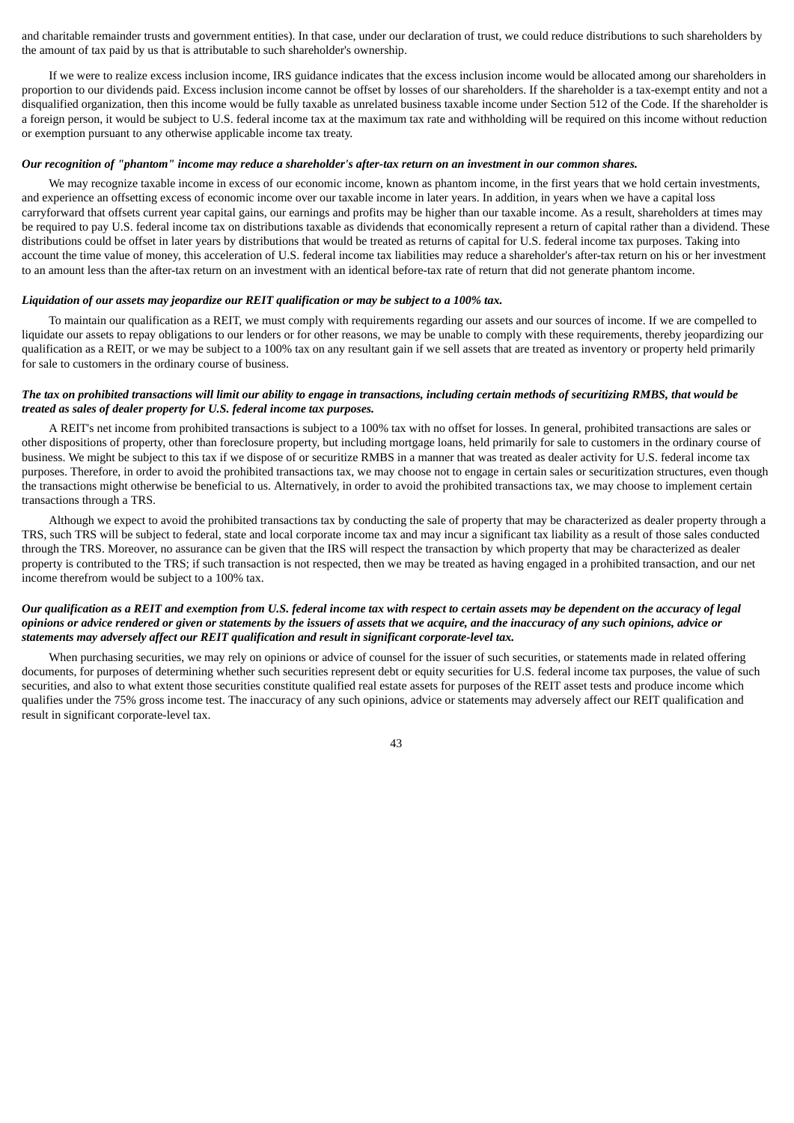and charitable remainder trusts and government entities). In that case, under our declaration of trust, we could reduce distributions to such shareholders by the amount of tax paid by us that is attributable to such shareholder's ownership.

If we were to realize excess inclusion income, IRS guidance indicates that the excess inclusion income would be allocated among our shareholders in proportion to our dividends paid. Excess inclusion income cannot be offset by losses of our shareholders. If the shareholder is a tax-exempt entity and not a disqualified organization, then this income would be fully taxable as unrelated business taxable income under Section 512 of the Code. If the shareholder is a foreign person, it would be subject to U.S. federal income tax at the maximum tax rate and withholding will be required on this income without reduction or exemption pursuant to any otherwise applicable income tax treaty.

#### Our recognition of "phantom" income may reduce a shareholder's after-tax return on an investment in our common shares.

We may recognize taxable income in excess of our economic income, known as phantom income, in the first years that we hold certain investments, and experience an offsetting excess of economic income over our taxable income in later years. In addition, in years when we have a capital loss carryforward that offsets current year capital gains, our earnings and profits may be higher than our taxable income. As a result, shareholders at times may be required to pay U.S. federal income tax on distributions taxable as dividends that economically represent a return of capital rather than a dividend. These distributions could be offset in later years by distributions that would be treated as returns of capital for U.S. federal income tax purposes. Taking into account the time value of money, this acceleration of U.S. federal income tax liabilities may reduce a shareholder's after-tax return on his or her investment to an amount less than the after-tax return on an investment with an identical before-tax rate of return that did not generate phantom income.

#### *Liquidation of our assets may jeopardize our REIT qualification or may be subject to a 100% tax.*

To maintain our qualification as a REIT, we must comply with requirements regarding our assets and our sources of income. If we are compelled to liquidate our assets to repay obligations to our lenders or for other reasons, we may be unable to comply with these requirements, thereby jeopardizing our qualification as a REIT, or we may be subject to a 100% tax on any resultant gain if we sell assets that are treated as inventory or property held primarily for sale to customers in the ordinary course of business.

## The tax on prohibited transactions will limit our ability to engage in transactions, including certain methods of securitizing RMBS, that would be *treated as sales of dealer property for U.S. federal income tax purposes.*

A REIT's net income from prohibited transactions is subject to a 100% tax with no offset for losses. In general, prohibited transactions are sales or other dispositions of property, other than foreclosure property, but including mortgage loans, held primarily for sale to customers in the ordinary course of business. We might be subject to this tax if we dispose of or securitize RMBS in a manner that was treated as dealer activity for U.S. federal income tax purposes. Therefore, in order to avoid the prohibited transactions tax, we may choose not to engage in certain sales or securitization structures, even though the transactions might otherwise be beneficial to us. Alternatively, in order to avoid the prohibited transactions tax, we may choose to implement certain transactions through a TRS.

Although we expect to avoid the prohibited transactions tax by conducting the sale of property that may be characterized as dealer property through a TRS, such TRS will be subject to federal, state and local corporate income tax and may incur a significant tax liability as a result of those sales conducted through the TRS. Moreover, no assurance can be given that the IRS will respect the transaction by which property that may be characterized as dealer property is contributed to the TRS; if such transaction is not respected, then we may be treated as having engaged in a prohibited transaction, and our net income therefrom would be subject to a 100% tax.

## Our qualification as a REIT and exemption from U.S. federal income tax with respect to certain assets may be dependent on the accuracy of legal opinions or advice rendered or given or statements by the issuers of assets that we acquire, and the inaccuracy of any such opinions, advice or *statements may adversely affect our REIT qualification and result in significant corporate-level tax.*

When purchasing securities, we may rely on opinions or advice of counsel for the issuer of such securities, or statements made in related offering documents, for purposes of determining whether such securities represent debt or equity securities for U.S. federal income tax purposes, the value of such securities, and also to what extent those securities constitute qualified real estate assets for purposes of the REIT asset tests and produce income which qualifies under the 75% gross income test. The inaccuracy of any such opinions, advice or statements may adversely affect our REIT qualification and result in significant corporate-level tax.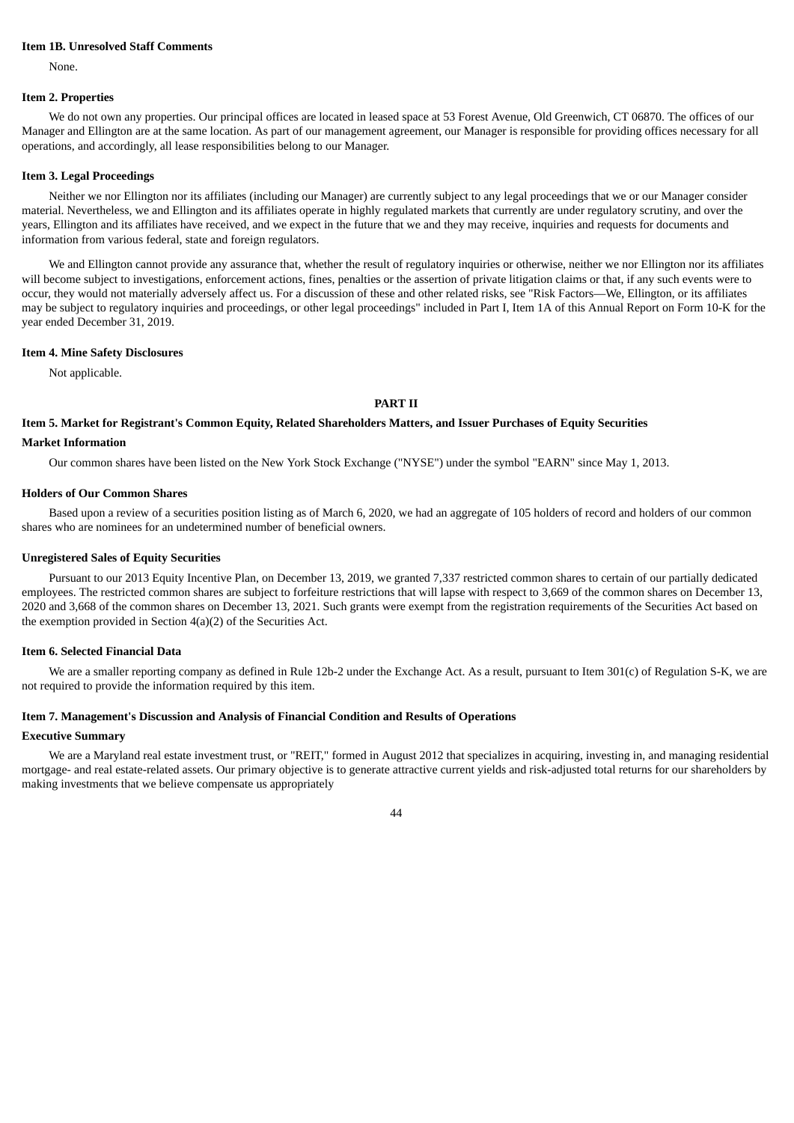#### **Item 1B. Unresolved Staff Comments**

None.

## **Item 2. Properties**

We do not own any properties. Our principal offices are located in leased space at 53 Forest Avenue, Old Greenwich, CT 06870. The offices of our Manager and Ellington are at the same location. As part of our management agreement, our Manager is responsible for providing offices necessary for all operations, and accordingly, all lease responsibilities belong to our Manager.

#### **Item 3. Legal Proceedings**

Neither we nor Ellington nor its affiliates (including our Manager) are currently subject to any legal proceedings that we or our Manager consider material. Nevertheless, we and Ellington and its affiliates operate in highly regulated markets that currently are under regulatory scrutiny, and over the years, Ellington and its affiliates have received, and we expect in the future that we and they may receive, inquiries and requests for documents and information from various federal, state and foreign regulators.

We and Ellington cannot provide any assurance that, whether the result of regulatory inquiries or otherwise, neither we nor Ellington nor its affiliates will become subject to investigations, enforcement actions, fines, penalties or the assertion of private litigation claims or that, if any such events were to occur, they would not materially adversely affect us. For a discussion of these and other related risks, see "Risk Factors—We, Ellington, or its affiliates may be subject to regulatory inquiries and proceedings, or other legal proceedings" included in Part I, Item 1A of this Annual Report on Form 10-K for the year ended December 31, 2019.

## **Item 4. Mine Safety Disclosures**

Not applicable.

## **PART II**

## Item 5. Market for Registrant's Common Equity, Related Shareholders Matters, and Issuer Purchases of Equity Securities **Market Information**

Our common shares have been listed on the New York Stock Exchange ("NYSE") under the symbol "EARN" since May 1, 2013.

## **Holders of Our Common Shares**

Based upon a review of a securities position listing as of March 6, 2020, we had an aggregate of 105 holders of record and holders of our common shares who are nominees for an undetermined number of beneficial owners.

#### **Unregistered Sales of Equity Securities**

Pursuant to our 2013 Equity Incentive Plan, on December 13, 2019, we granted 7,337 restricted common shares to certain of our partially dedicated employees. The restricted common shares are subject to forfeiture restrictions that will lapse with respect to 3,669 of the common shares on December 13, 2020 and 3,668 of the common shares on December 13, 2021. Such grants were exempt from the registration requirements of the Securities Act based on the exemption provided in Section 4(a)(2) of the Securities Act.

## **Item 6. Selected Financial Data**

We are a smaller reporting company as defined in Rule 12b-2 under the Exchange Act. As a result, pursuant to Item 301(c) of Regulation S-K, we are not required to provide the information required by this item.

#### **Item 7. Management's Discussion and Analysis of Financial Condition and Results of Operations**

#### **Executive Summary**

We are a Maryland real estate investment trust, or "REIT," formed in August 2012 that specializes in acquiring, investing in, and managing residential mortgage- and real estate-related assets. Our primary objective is to generate attractive current yields and risk-adjusted total returns for our shareholders by making investments that we believe compensate us appropriately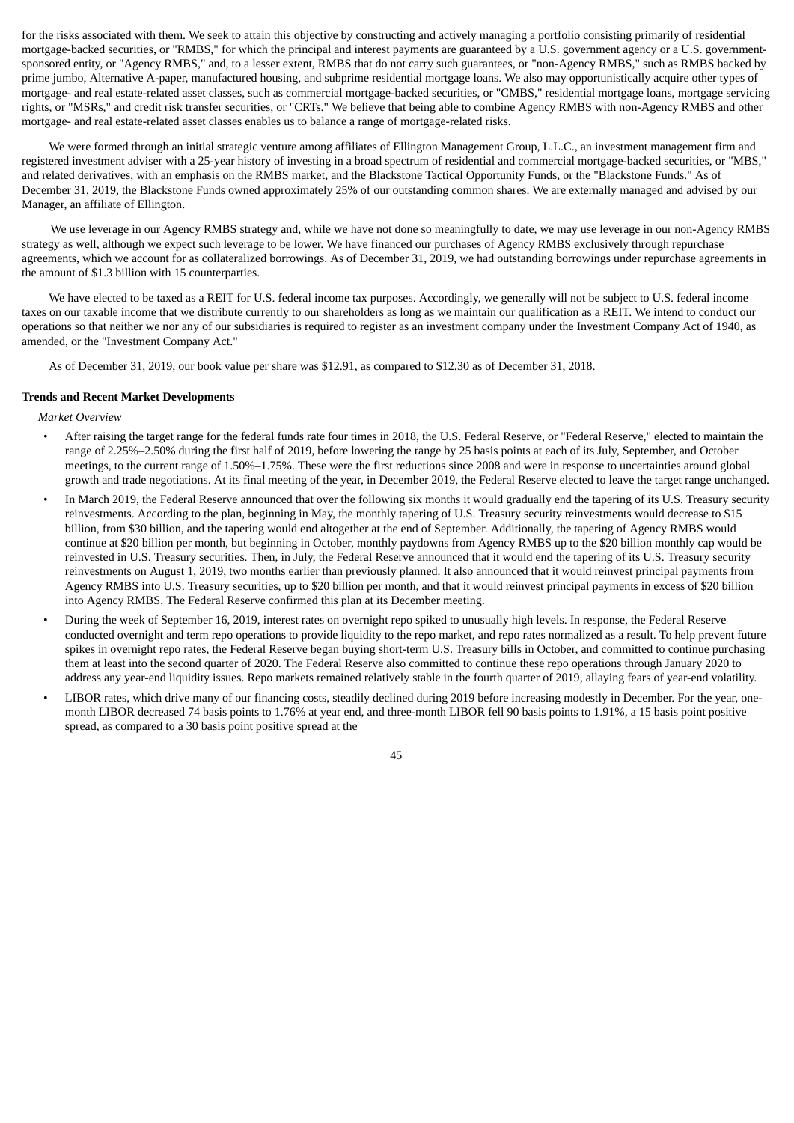for the risks associated with them. We seek to attain this objective by constructing and actively managing a portfolio consisting primarily of residential mortgage-backed securities, or "RMBS," for which the principal and interest payments are guaranteed by a U.S. government agency or a U.S. governmentsponsored entity, or "Agency RMBS," and, to a lesser extent, RMBS that do not carry such guarantees, or "non-Agency RMBS," such as RMBS backed by prime jumbo, Alternative A-paper, manufactured housing, and subprime residential mortgage loans. We also may opportunistically acquire other types of mortgage- and real estate-related asset classes, such as commercial mortgage-backed securities, or "CMBS," residential mortgage loans, mortgage servicing rights, or "MSRs," and credit risk transfer securities, or "CRTs." We believe that being able to combine Agency RMBS with non-Agency RMBS and other mortgage- and real estate-related asset classes enables us to balance a range of mortgage-related risks.

We were formed through an initial strategic venture among affiliates of Ellington Management Group, L.L.C., an investment management firm and registered investment adviser with a 25-year history of investing in a broad spectrum of residential and commercial mortgage-backed securities, or "MBS," and related derivatives, with an emphasis on the RMBS market, and the Blackstone Tactical Opportunity Funds, or the "Blackstone Funds." As of December 31, 2019, the Blackstone Funds owned approximately 25% of our outstanding common shares. We are externally managed and advised by our Manager, an affiliate of Ellington.

We use leverage in our Agency RMBS strategy and, while we have not done so meaningfully to date, we may use leverage in our non-Agency RMBS strategy as well, although we expect such leverage to be lower. We have financed our purchases of Agency RMBS exclusively through repurchase agreements, which we account for as collateralized borrowings. As of December 31, 2019, we had outstanding borrowings under repurchase agreements in the amount of \$1.3 billion with 15 counterparties.

We have elected to be taxed as a REIT for U.S. federal income tax purposes. Accordingly, we generally will not be subject to U.S. federal income taxes on our taxable income that we distribute currently to our shareholders as long as we maintain our qualification as a REIT. We intend to conduct our operations so that neither we nor any of our subsidiaries is required to register as an investment company under the Investment Company Act of 1940, as amended, or the "Investment Company Act."

As of December 31, 2019, our book value per share was \$12.91, as compared to \$12.30 as of December 31, 2018.

#### **Trends and Recent Market Developments**

*Market Overview*

- After raising the target range for the federal funds rate four times in 2018, the U.S. Federal Reserve, or "Federal Reserve," elected to maintain the range of 2.25%–2.50% during the first half of 2019, before lowering the range by 25 basis points at each of its July, September, and October meetings, to the current range of 1.50%–1.75%. These were the first reductions since 2008 and were in response to uncertainties around global growth and trade negotiations. At its final meeting of the year, in December 2019, the Federal Reserve elected to leave the target range unchanged.
- In March 2019, the Federal Reserve announced that over the following six months it would gradually end the tapering of its U.S. Treasury security reinvestments. According to the plan, beginning in May, the monthly tapering of U.S. Treasury security reinvestments would decrease to \$15 billion, from \$30 billion, and the tapering would end altogether at the end of September. Additionally, the tapering of Agency RMBS would continue at \$20 billion per month, but beginning in October, monthly paydowns from Agency RMBS up to the \$20 billion monthly cap would be reinvested in U.S. Treasury securities. Then, in July, the Federal Reserve announced that it would end the tapering of its U.S. Treasury security reinvestments on August 1, 2019, two months earlier than previously planned. It also announced that it would reinvest principal payments from Agency RMBS into U.S. Treasury securities, up to \$20 billion per month, and that it would reinvest principal payments in excess of \$20 billion into Agency RMBS. The Federal Reserve confirmed this plan at its December meeting.
- During the week of September 16, 2019, interest rates on overnight repo spiked to unusually high levels. In response, the Federal Reserve conducted overnight and term repo operations to provide liquidity to the repo market, and repo rates normalized as a result. To help prevent future spikes in overnight repo rates, the Federal Reserve began buying short-term U.S. Treasury bills in October, and committed to continue purchasing them at least into the second quarter of 2020. The Federal Reserve also committed to continue these repo operations through January 2020 to address any year-end liquidity issues. Repo markets remained relatively stable in the fourth quarter of 2019, allaying fears of year-end volatility.
- LIBOR rates, which drive many of our financing costs, steadily declined during 2019 before increasing modestly in December. For the year, onemonth LIBOR decreased 74 basis points to 1.76% at year end, and three-month LIBOR fell 90 basis points to 1.91%, a 15 basis point positive spread, as compared to a 30 basis point positive spread at the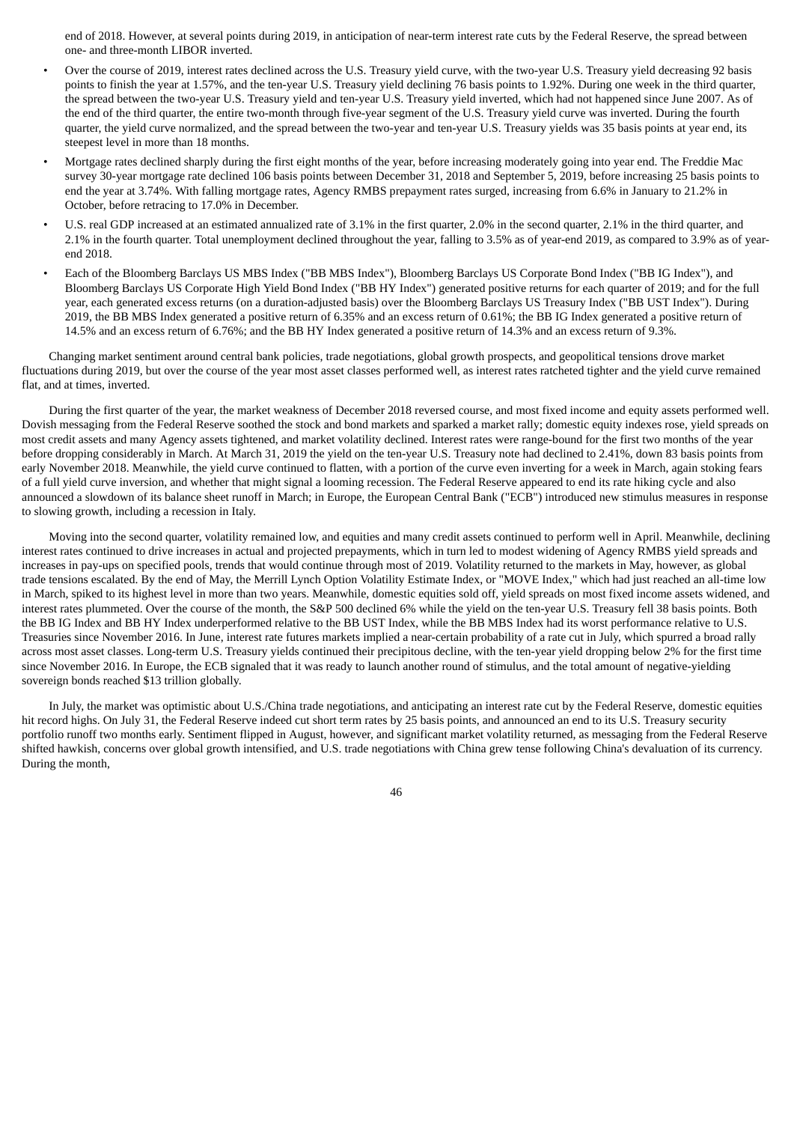end of 2018. However, at several points during 2019, in anticipation of near-term interest rate cuts by the Federal Reserve, the spread between one- and three-month LIBOR inverted.

- Over the course of 2019, interest rates declined across the U.S. Treasury yield curve, with the two-year U.S. Treasury yield decreasing 92 basis points to finish the year at 1.57%, and the ten-year U.S. Treasury yield declining 76 basis points to 1.92%. During one week in the third quarter, the spread between the two-year U.S. Treasury yield and ten-year U.S. Treasury yield inverted, which had not happened since June 2007. As of the end of the third quarter, the entire two-month through five-year segment of the U.S. Treasury yield curve was inverted. During the fourth quarter, the yield curve normalized, and the spread between the two-year and ten-year U.S. Treasury yields was 35 basis points at year end, its steepest level in more than 18 months.
- Mortgage rates declined sharply during the first eight months of the year, before increasing moderately going into year end. The Freddie Mac survey 30-year mortgage rate declined 106 basis points between December 31, 2018 and September 5, 2019, before increasing 25 basis points to end the year at 3.74%. With falling mortgage rates, Agency RMBS prepayment rates surged, increasing from 6.6% in January to 21.2% in October, before retracing to 17.0% in December.
- U.S. real GDP increased at an estimated annualized rate of 3.1% in the first quarter, 2.0% in the second quarter, 2.1% in the third quarter, and 2.1% in the fourth quarter. Total unemployment declined throughout the year, falling to 3.5% as of year-end 2019, as compared to 3.9% as of yearend 2018.
- Each of the Bloomberg Barclays US MBS Index ("BB MBS Index"), Bloomberg Barclays US Corporate Bond Index ("BB IG Index"), and Bloomberg Barclays US Corporate High Yield Bond Index ("BB HY Index") generated positive returns for each quarter of 2019; and for the full year, each generated excess returns (on a duration-adjusted basis) over the Bloomberg Barclays US Treasury Index ("BB UST Index"). During 2019, the BB MBS Index generated a positive return of 6.35% and an excess return of 0.61%; the BB IG Index generated a positive return of 14.5% and an excess return of 6.76%; and the BB HY Index generated a positive return of 14.3% and an excess return of 9.3%.

Changing market sentiment around central bank policies, trade negotiations, global growth prospects, and geopolitical tensions drove market fluctuations during 2019, but over the course of the year most asset classes performed well, as interest rates ratcheted tighter and the yield curve remained flat, and at times, inverted.

During the first quarter of the year, the market weakness of December 2018 reversed course, and most fixed income and equity assets performed well. Dovish messaging from the Federal Reserve soothed the stock and bond markets and sparked a market rally; domestic equity indexes rose, yield spreads on most credit assets and many Agency assets tightened, and market volatility declined. Interest rates were range-bound for the first two months of the year before dropping considerably in March. At March 31, 2019 the yield on the ten-year U.S. Treasury note had declined to 2.41%, down 83 basis points from early November 2018. Meanwhile, the yield curve continued to flatten, with a portion of the curve even inverting for a week in March, again stoking fears of a full yield curve inversion, and whether that might signal a looming recession. The Federal Reserve appeared to end its rate hiking cycle and also announced a slowdown of its balance sheet runoff in March; in Europe, the European Central Bank ("ECB") introduced new stimulus measures in response to slowing growth, including a recession in Italy.

Moving into the second quarter, volatility remained low, and equities and many credit assets continued to perform well in April. Meanwhile, declining interest rates continued to drive increases in actual and projected prepayments, which in turn led to modest widening of Agency RMBS yield spreads and increases in pay-ups on specified pools, trends that would continue through most of 2019. Volatility returned to the markets in May, however, as global trade tensions escalated. By the end of May, the Merrill Lynch Option Volatility Estimate Index, or "MOVE Index," which had just reached an all-time low in March, spiked to its highest level in more than two years. Meanwhile, domestic equities sold off, yield spreads on most fixed income assets widened, and interest rates plummeted. Over the course of the month, the S&P 500 declined 6% while the yield on the ten-year U.S. Treasury fell 38 basis points. Both the BB IG Index and BB HY Index underperformed relative to the BB UST Index, while the BB MBS Index had its worst performance relative to U.S. Treasuries since November 2016. In June, interest rate futures markets implied a near-certain probability of a rate cut in July, which spurred a broad rally across most asset classes. Long-term U.S. Treasury yields continued their precipitous decline, with the ten-year yield dropping below 2% for the first time since November 2016. In Europe, the ECB signaled that it was ready to launch another round of stimulus, and the total amount of negative-yielding sovereign bonds reached \$13 trillion globally.

In July, the market was optimistic about U.S./China trade negotiations, and anticipating an interest rate cut by the Federal Reserve, domestic equities hit record highs. On July 31, the Federal Reserve indeed cut short term rates by 25 basis points, and announced an end to its U.S. Treasury security portfolio runoff two months early. Sentiment flipped in August, however, and significant market volatility returned, as messaging from the Federal Reserve shifted hawkish, concerns over global growth intensified, and U.S. trade negotiations with China grew tense following China's devaluation of its currency. During the month,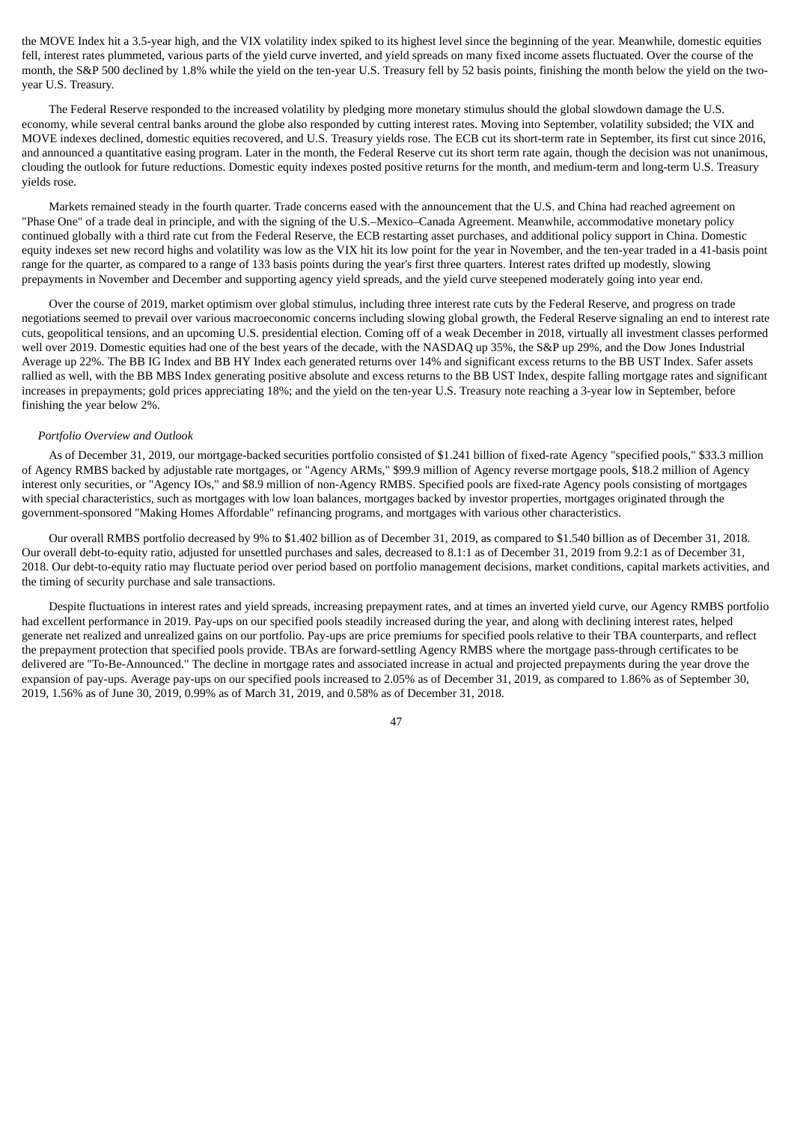the MOVE Index hit a 3.5-year high, and the VIX volatility index spiked to its highest level since the beginning of the year. Meanwhile, domestic equities fell, interest rates plummeted, various parts of the yield curve inverted, and yield spreads on many fixed income assets fluctuated. Over the course of the month, the S&P 500 declined by 1.8% while the yield on the ten-year U.S. Treasury fell by 52 basis points, finishing the month below the yield on the twoyear U.S. Treasury.

The Federal Reserve responded to the increased volatility by pledging more monetary stimulus should the global slowdown damage the U.S. economy, while several central banks around the globe also responded by cutting interest rates. Moving into September, volatility subsided; the VIX and MOVE indexes declined, domestic equities recovered, and U.S. Treasury yields rose. The ECB cut its short-term rate in September, its first cut since 2016, and announced a quantitative easing program. Later in the month, the Federal Reserve cut its short term rate again, though the decision was not unanimous, clouding the outlook for future reductions. Domestic equity indexes posted positive returns for the month, and medium-term and long-term U.S. Treasury yields rose.

Markets remained steady in the fourth quarter. Trade concerns eased with the announcement that the U.S. and China had reached agreement on "Phase One" of a trade deal in principle, and with the signing of the U.S.–Mexico–Canada Agreement. Meanwhile, accommodative monetary policy continued globally with a third rate cut from the Federal Reserve, the ECB restarting asset purchases, and additional policy support in China. Domestic equity indexes set new record highs and volatility was low as the VIX hit its low point for the year in November, and the ten-year traded in a 41-basis point range for the quarter, as compared to a range of 133 basis points during the year's first three quarters. Interest rates drifted up modestly, slowing prepayments in November and December and supporting agency yield spreads, and the yield curve steepened moderately going into year end.

Over the course of 2019, market optimism over global stimulus, including three interest rate cuts by the Federal Reserve, and progress on trade negotiations seemed to prevail over various macroeconomic concerns including slowing global growth, the Federal Reserve signaling an end to interest rate cuts, geopolitical tensions, and an upcoming U.S. presidential election. Coming off of a weak December in 2018, virtually all investment classes performed well over 2019. Domestic equities had one of the best years of the decade, with the NASDAQ up 35%, the S&P up 29%, and the Dow Jones Industrial Average up 22%. The BB IG Index and BB HY Index each generated returns over 14% and significant excess returns to the BB UST Index. Safer assets rallied as well, with the BB MBS Index generating positive absolute and excess returns to the BB UST Index, despite falling mortgage rates and significant increases in prepayments; gold prices appreciating 18%; and the yield on the ten-year U.S. Treasury note reaching a 3-year low in September, before finishing the year below 2%.

#### *Portfolio Overview and Outlook*

As of December 31, 2019, our mortgage-backed securities portfolio consisted of \$1.241 billion of fixed-rate Agency "specified pools," \$33.3 million of Agency RMBS backed by adjustable rate mortgages, or "Agency ARMs," \$99.9 million of Agency reverse mortgage pools, \$18.2 million of Agency interest only securities, or "Agency IOs," and \$8.9 million of non-Agency RMBS. Specified pools are fixed-rate Agency pools consisting of mortgages with special characteristics, such as mortgages with low loan balances, mortgages backed by investor properties, mortgages originated through the government-sponsored "Making Homes Affordable" refinancing programs, and mortgages with various other characteristics.

Our overall RMBS portfolio decreased by 9% to \$1.402 billion as of December 31, 2019, as compared to \$1.540 billion as of December 31, 2018. Our overall debt-to-equity ratio, adjusted for unsettled purchases and sales, decreased to 8.1:1 as of December 31, 2019 from 9.2:1 as of December 31, 2018. Our debt-to-equity ratio may fluctuate period over period based on portfolio management decisions, market conditions, capital markets activities, and the timing of security purchase and sale transactions.

Despite fluctuations in interest rates and yield spreads, increasing prepayment rates, and at times an inverted yield curve, our Agency RMBS portfolio had excellent performance in 2019. Pay-ups on our specified pools steadily increased during the year, and along with declining interest rates, helped generate net realized and unrealized gains on our portfolio. Pay-ups are price premiums for specified pools relative to their TBA counterparts, and reflect the prepayment protection that specified pools provide. TBAs are forward-settling Agency RMBS where the mortgage pass-through certificates to be delivered are "To-Be-Announced." The decline in mortgage rates and associated increase in actual and projected prepayments during the year drove the expansion of pay-ups. Average pay-ups on our specified pools increased to 2.05% as of December 31, 2019, as compared to 1.86% as of September 30, 2019, 1.56% as of June 30, 2019, 0.99% as of March 31, 2019, and 0.58% as of December 31, 2018.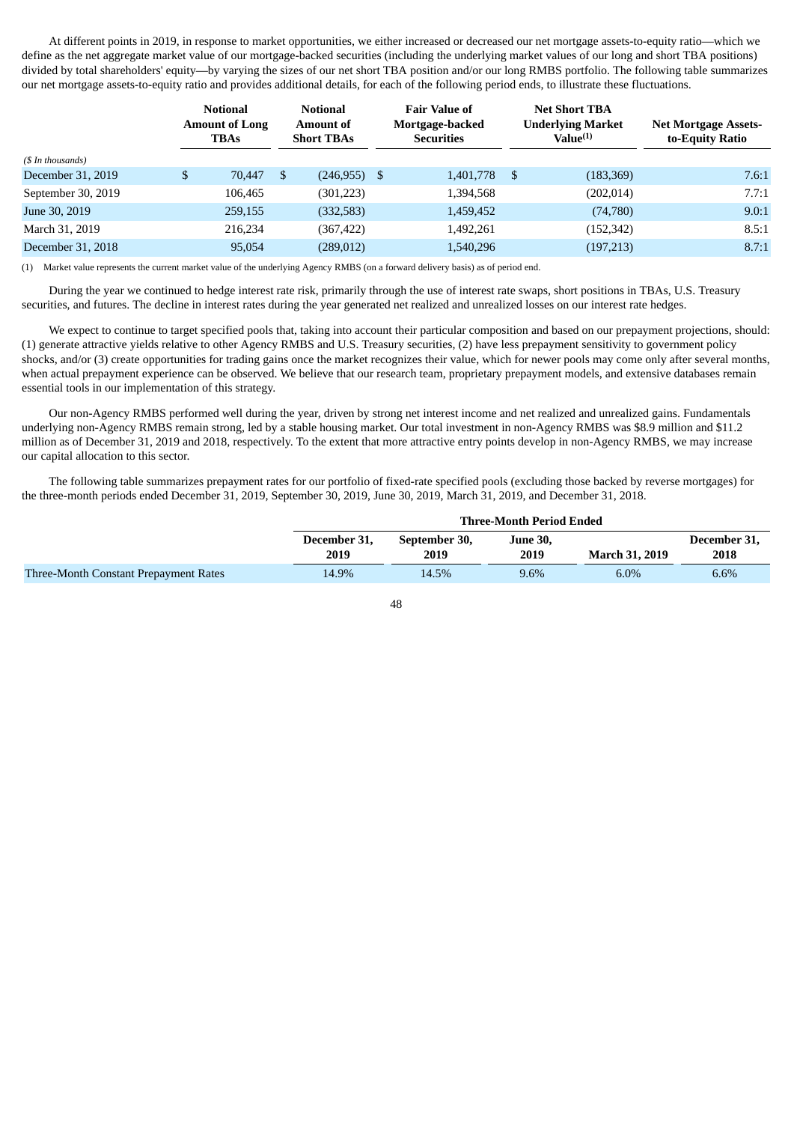At different points in 2019, in response to market opportunities, we either increased or decreased our net mortgage assets-to-equity ratio—which we define as the net aggregate market value of our mortgage-backed securities (including the underlying market values of our long and short TBA positions) divided by total shareholders' equity—by varying the sizes of our net short TBA position and/or our long RMBS portfolio. The following table summarizes our net mortgage assets-to-equity ratio and provides additional details, for each of the following period ends, to illustrate these fluctuations.

|                    | <b>Notional</b><br><b>Amount of Long</b><br>TBAs |            | <b>Notional</b><br><b>Amount of</b><br><b>Short TBAs</b> | <b>Fair Value of</b><br>Mortgage-backed<br><b>Securities</b> | <b>Net Short TBA</b><br><b>Underlying Market</b><br>$Value^{(1)}$ | <b>Net Mortgage Assets-</b><br>to-Equity Ratio |
|--------------------|--------------------------------------------------|------------|----------------------------------------------------------|--------------------------------------------------------------|-------------------------------------------------------------------|------------------------------------------------|
| (\$ In thousands)  |                                                  |            |                                                          |                                                              |                                                                   |                                                |
| December 31, 2019  | \$<br>70,447                                     | \$.        | $(246,955)$ \$                                           | 1,401,778                                                    | (183, 369)<br>-S                                                  | 7.6:1                                          |
| September 30, 2019 | 106,465                                          | (301, 223) |                                                          | 1,394,568                                                    | (202, 014)                                                        | 7.7:1                                          |
| June 30, 2019      | 259,155                                          | (332,583)  |                                                          | 1,459,452                                                    | (74, 780)                                                         | 9.0:1                                          |
| March 31, 2019     | 216,234                                          | (367,422)  |                                                          | 1,492,261                                                    | (152, 342)                                                        | 8.5:1                                          |
| December 31, 2018  | 95,054                                           | (289, 012) |                                                          | 1,540,296                                                    | (197,213)                                                         | 8.7:1                                          |

(1) Market value represents the current market value of the underlying Agency RMBS (on a forward delivery basis) as of period end.

During the year we continued to hedge interest rate risk, primarily through the use of interest rate swaps, short positions in TBAs, U.S. Treasury securities, and futures. The decline in interest rates during the year generated net realized and unrealized losses on our interest rate hedges.

We expect to continue to target specified pools that, taking into account their particular composition and based on our prepayment projections, should: (1) generate attractive yields relative to other Agency RMBS and U.S. Treasury securities, (2) have less prepayment sensitivity to government policy shocks, and/or (3) create opportunities for trading gains once the market recognizes their value, which for newer pools may come only after several months, when actual prepayment experience can be observed. We believe that our research team, proprietary prepayment models, and extensive databases remain essential tools in our implementation of this strategy.

Our non-Agency RMBS performed well during the year, driven by strong net interest income and net realized and unrealized gains. Fundamentals underlying non-Agency RMBS remain strong, led by a stable housing market. Our total investment in non-Agency RMBS was \$8.9 million and \$11.2 million as of December 31, 2019 and 2018, respectively. To the extent that more attractive entry points develop in non-Agency RMBS, we may increase our capital allocation to this sector.

The following table summarizes prepayment rates for our portfolio of fixed-rate specified pools (excluding those backed by reverse mortgages) for the three-month periods ended December 31, 2019, September 30, 2019, June 30, 2019, March 31, 2019, and December 31, 2018.

|                                       |                      | <b>Three-Month Period Ended</b> |                         |                       |                      |  |  |  |  |  |  |
|---------------------------------------|----------------------|---------------------------------|-------------------------|-----------------------|----------------------|--|--|--|--|--|--|
|                                       | December 31,<br>2019 | September 30,<br>2019           | <b>June 30,</b><br>2019 | <b>March 31, 2019</b> | December 31,<br>2018 |  |  |  |  |  |  |
| Three-Month Constant Prepayment Rates | 14.9%                | 14.5%                           | 9.6%                    | 6.0%                  | 6.6%                 |  |  |  |  |  |  |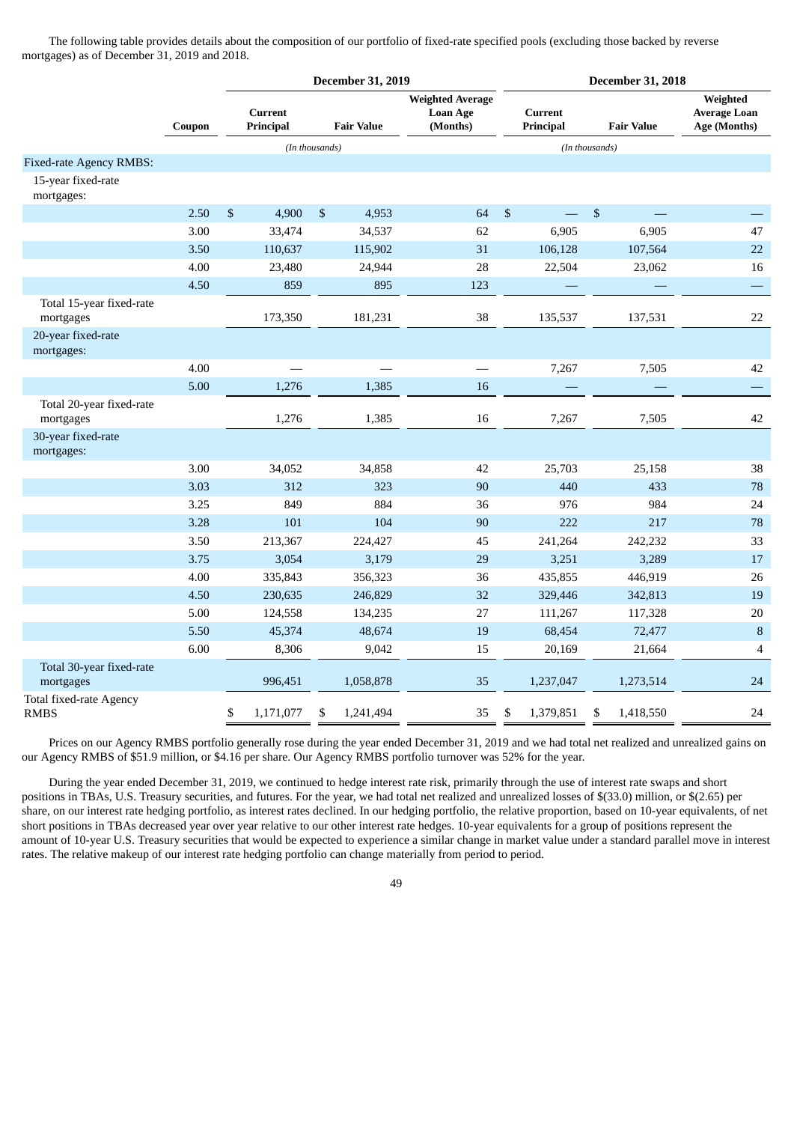The following table provides details about the composition of our portfolio of fixed-rate specified pools (excluding those backed by reverse mortgages) as of December 31, 2019 and 2018.

|                                               |        |                                                  | December 31, 2019 |                                                        | <b>December 31, 2018</b>    |                   |                                                 |  |  |  |
|-----------------------------------------------|--------|--------------------------------------------------|-------------------|--------------------------------------------------------|-----------------------------|-------------------|-------------------------------------------------|--|--|--|
|                                               | Coupon | <b>Current</b><br>Principal<br><b>Fair Value</b> |                   | <b>Weighted Average</b><br><b>Loan Age</b><br>(Months) | <b>Current</b><br>Principal | <b>Fair Value</b> | Weighted<br><b>Average Loan</b><br>Age (Months) |  |  |  |
|                                               |        | (In thousands)                                   |                   |                                                        | (In thousands)              |                   |                                                 |  |  |  |
| <b>Fixed-rate Agency RMBS:</b>                |        |                                                  |                   |                                                        |                             |                   |                                                 |  |  |  |
| 15-year fixed-rate<br>mortgages:              |        |                                                  |                   |                                                        |                             |                   |                                                 |  |  |  |
|                                               | 2.50   | $\,$<br>4,900                                    | \$<br>4,953       | 64                                                     | \$                          | $\mathbb{S}$      |                                                 |  |  |  |
|                                               | 3.00   | 33,474                                           | 34,537            | 62                                                     | 6,905                       | 6,905             | 47                                              |  |  |  |
|                                               | 3.50   | 110,637                                          | 115,902           | 31                                                     | 106,128                     | 107,564           | 22                                              |  |  |  |
|                                               | 4.00   | 23,480                                           | 24,944            | 28                                                     | 22,504                      | 23,062            | 16                                              |  |  |  |
|                                               | 4.50   | 859                                              | 895               | 123                                                    |                             |                   |                                                 |  |  |  |
| Total 15-year fixed-rate<br>mortgages         |        | 173,350                                          | 181,231           | 38                                                     | 135,537                     | 137,531           | 22                                              |  |  |  |
| 20-year fixed-rate<br>mortgages:              |        |                                                  |                   |                                                        |                             |                   |                                                 |  |  |  |
|                                               | 4.00   |                                                  |                   |                                                        | 7,267                       | 7,505             | 42                                              |  |  |  |
|                                               | 5.00   | 1,276                                            | 1,385             | 16                                                     |                             |                   |                                                 |  |  |  |
| Total 20-year fixed-rate<br>mortgages         |        | 1,276                                            | 1,385             | 16                                                     | 7,267                       | 7,505             | 42                                              |  |  |  |
| 30-year fixed-rate<br>mortgages:              |        |                                                  |                   |                                                        |                             |                   |                                                 |  |  |  |
|                                               | 3.00   | 34,052                                           | 34,858            | 42                                                     | 25,703                      | 25,158            | 38                                              |  |  |  |
|                                               | 3.03   | 312                                              | 323               | 90                                                     | 440                         | 433               | 78                                              |  |  |  |
|                                               | 3.25   | 849                                              | 884               | 36                                                     | 976                         | 984               | 24                                              |  |  |  |
|                                               | 3.28   | 101                                              | 104               | 90                                                     | 222                         | 217               | 78                                              |  |  |  |
|                                               | 3.50   | 213,367                                          | 224,427           | 45                                                     | 241,264                     | 242,232           | 33                                              |  |  |  |
|                                               | 3.75   | 3,054                                            | 3,179             | 29                                                     | 3,251                       | 3,289             | $17\,$                                          |  |  |  |
|                                               | 4.00   | 335,843                                          | 356,323           | 36                                                     | 435,855                     | 446,919           | 26                                              |  |  |  |
|                                               | 4.50   | 230,635                                          | 246,829           | 32                                                     | 329,446                     | 342,813           | 19                                              |  |  |  |
|                                               | 5.00   | 124,558                                          | 134,235           | 27                                                     | 111,267                     | 117,328           | $20\,$                                          |  |  |  |
|                                               | 5.50   | 45,374                                           | 48,674            | 19                                                     | 68,454                      | 72,477            | $\, 8$                                          |  |  |  |
|                                               | 6.00   | 8,306                                            | 9,042             | 15                                                     | 20,169                      | 21,664            | $\overline{4}$                                  |  |  |  |
| Total 30-year fixed-rate<br>mortgages         |        | 996,451                                          | 1,058,878         | 35                                                     | 1,237,047                   | 1,273,514         | 24                                              |  |  |  |
| <b>Total fixed-rate Agency</b><br><b>RMBS</b> |        | \$<br>1,171,077                                  | \$<br>1,241,494   | 35                                                     | \$<br>1,379,851             | \$<br>1,418,550   | 24                                              |  |  |  |

Prices on our Agency RMBS portfolio generally rose during the year ended December 31, 2019 and we had total net realized and unrealized gains on our Agency RMBS of \$51.9 million, or \$4.16 per share. Our Agency RMBS portfolio turnover was 52% for the year.

During the year ended December 31, 2019, we continued to hedge interest rate risk, primarily through the use of interest rate swaps and short positions in TBAs, U.S. Treasury securities, and futures. For the year, we had total net realized and unrealized losses of \$(33.0) million, or \$(2.65) per share, on our interest rate hedging portfolio, as interest rates declined. In our hedging portfolio, the relative proportion, based on 10-year equivalents, of net short positions in TBAs decreased year over year relative to our other interest rate hedges. 10-year equivalents for a group of positions represent the amount of 10-year U.S. Treasury securities that would be expected to experience a similar change in market value under a standard parallel move in interest rates. The relative makeup of our interest rate hedging portfolio can change materially from period to period.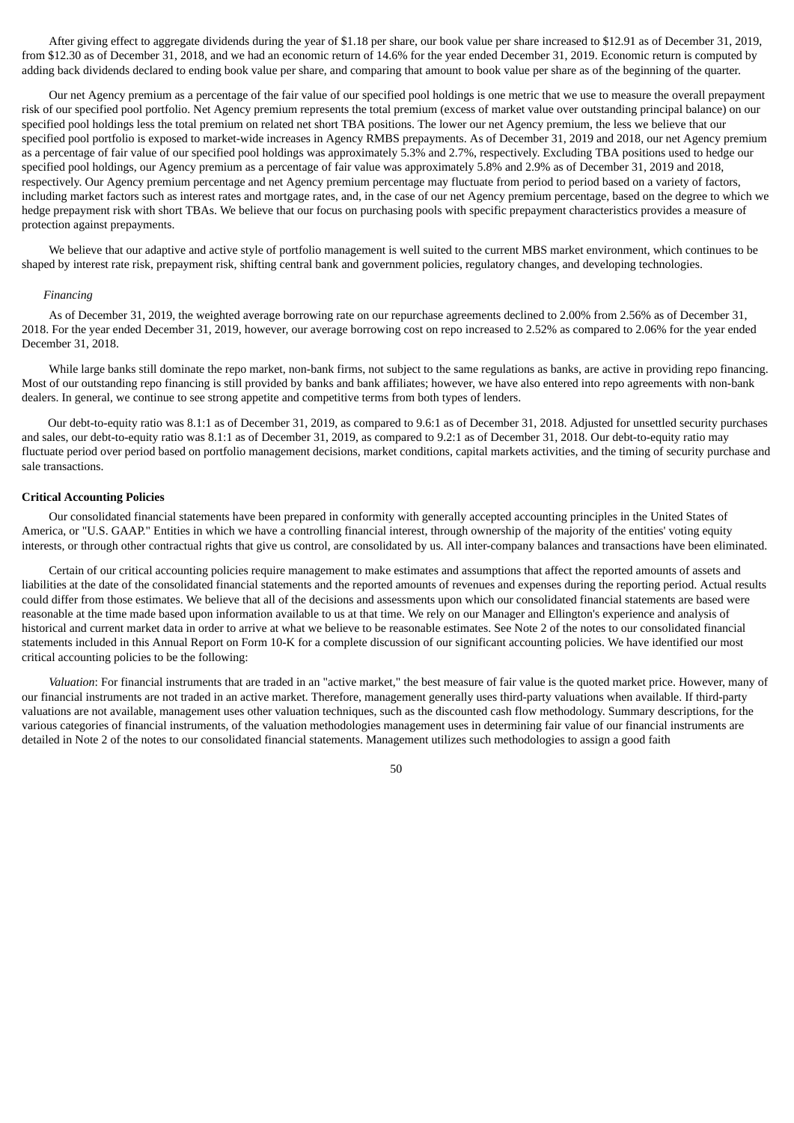After giving effect to aggregate dividends during the year of \$1.18 per share, our book value per share increased to \$12.91 as of December 31, 2019, from \$12.30 as of December 31, 2018, and we had an economic return of 14.6% for the year ended December 31, 2019. Economic return is computed by adding back dividends declared to ending book value per share, and comparing that amount to book value per share as of the beginning of the quarter.

Our net Agency premium as a percentage of the fair value of our specified pool holdings is one metric that we use to measure the overall prepayment risk of our specified pool portfolio. Net Agency premium represents the total premium (excess of market value over outstanding principal balance) on our specified pool holdings less the total premium on related net short TBA positions. The lower our net Agency premium, the less we believe that our specified pool portfolio is exposed to market-wide increases in Agency RMBS prepayments. As of December 31, 2019 and 2018, our net Agency premium as a percentage of fair value of our specified pool holdings was approximately 5.3% and 2.7%, respectively. Excluding TBA positions used to hedge our specified pool holdings, our Agency premium as a percentage of fair value was approximately 5.8% and 2.9% as of December 31, 2019 and 2018, respectively. Our Agency premium percentage and net Agency premium percentage may fluctuate from period to period based on a variety of factors, including market factors such as interest rates and mortgage rates, and, in the case of our net Agency premium percentage, based on the degree to which we hedge prepayment risk with short TBAs. We believe that our focus on purchasing pools with specific prepayment characteristics provides a measure of protection against prepayments.

We believe that our adaptive and active style of portfolio management is well suited to the current MBS market environment, which continues to be shaped by interest rate risk, prepayment risk, shifting central bank and government policies, regulatory changes, and developing technologies.

#### *Financing*

As of December 31, 2019, the weighted average borrowing rate on our repurchase agreements declined to 2.00% from 2.56% as of December 31, 2018. For the year ended December 31, 2019, however, our average borrowing cost on repo increased to 2.52% as compared to 2.06% for the year ended December 31, 2018.

While large banks still dominate the repo market, non-bank firms, not subject to the same regulations as banks, are active in providing repo financing. Most of our outstanding repo financing is still provided by banks and bank affiliates; however, we have also entered into repo agreements with non-bank dealers. In general, we continue to see strong appetite and competitive terms from both types of lenders.

Our debt-to-equity ratio was 8.1:1 as of December 31, 2019, as compared to 9.6:1 as of December 31, 2018. Adjusted for unsettled security purchases and sales, our debt-to-equity ratio was 8.1:1 as of December 31, 2019, as compared to 9.2:1 as of December 31, 2018. Our debt-to-equity ratio may fluctuate period over period based on portfolio management decisions, market conditions, capital markets activities, and the timing of security purchase and sale transactions.

#### **Critical Accounting Policies**

Our consolidated financial statements have been prepared in conformity with generally accepted accounting principles in the United States of America, or "U.S. GAAP." Entities in which we have a controlling financial interest, through ownership of the majority of the entities' voting equity interests, or through other contractual rights that give us control, are consolidated by us. All inter-company balances and transactions have been eliminated.

Certain of our critical accounting policies require management to make estimates and assumptions that affect the reported amounts of assets and liabilities at the date of the consolidated financial statements and the reported amounts of revenues and expenses during the reporting period. Actual results could differ from those estimates. We believe that all of the decisions and assessments upon which our consolidated financial statements are based were reasonable at the time made based upon information available to us at that time. We rely on our Manager and Ellington's experience and analysis of historical and current market data in order to arrive at what we believe to be reasonable estimates. See Note 2 of the notes to our consolidated financial statements included in this Annual Report on Form 10-K for a complete discussion of our significant accounting policies. We have identified our most critical accounting policies to be the following:

*Valuation*: For financial instruments that are traded in an "active market," the best measure of fair value is the quoted market price. However, many of our financial instruments are not traded in an active market. Therefore, management generally uses third-party valuations when available. If third-party valuations are not available, management uses other valuation techniques, such as the discounted cash flow methodology. Summary descriptions, for the various categories of financial instruments, of the valuation methodologies management uses in determining fair value of our financial instruments are detailed in Note 2 of the notes to our consolidated financial statements. Management utilizes such methodologies to assign a good faith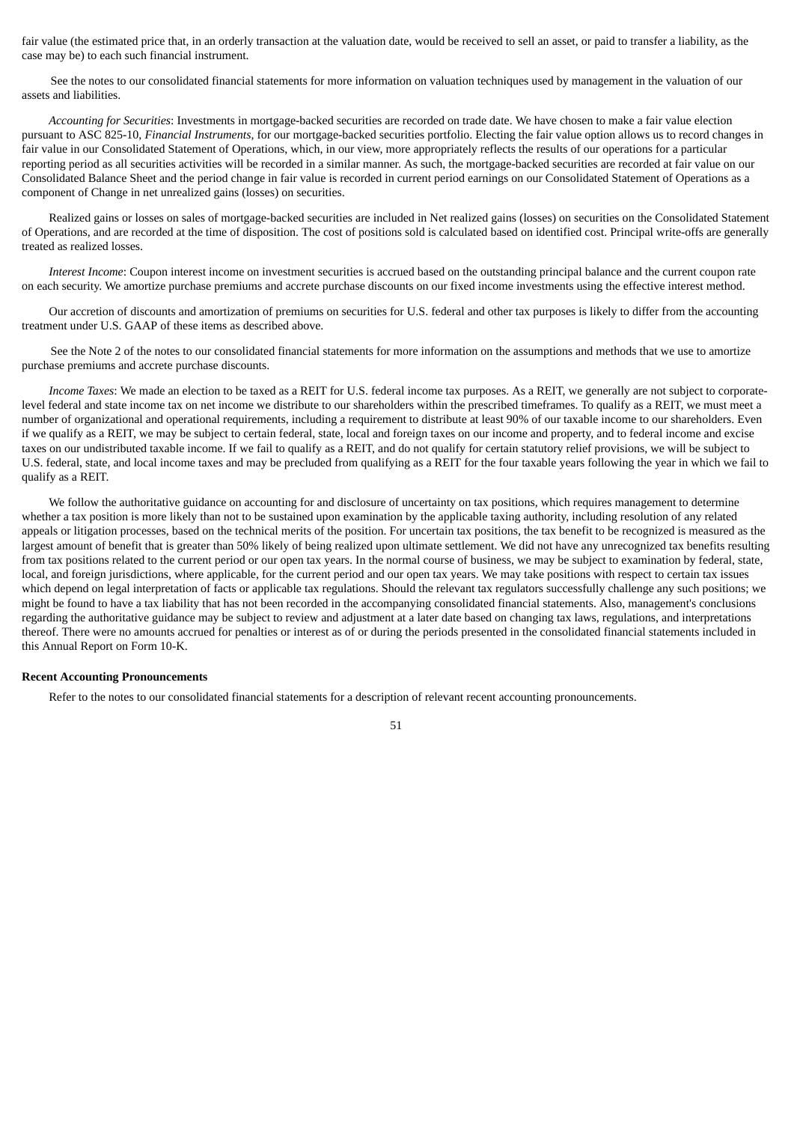fair value (the estimated price that, in an orderly transaction at the valuation date, would be received to sell an asset, or paid to transfer a liability, as the case may be) to each such financial instrument.

See the notes to our consolidated financial statements for more information on valuation techniques used by management in the valuation of our assets and liabilities.

*Accounting for Securities*: Investments in mortgage-backed securities are recorded on trade date. We have chosen to make a fair value election pursuant to ASC 825-10, *Financial Instruments*, for our mortgage-backed securities portfolio. Electing the fair value option allows us to record changes in fair value in our Consolidated Statement of Operations, which, in our view, more appropriately reflects the results of our operations for a particular reporting period as all securities activities will be recorded in a similar manner. As such, the mortgage-backed securities are recorded at fair value on our Consolidated Balance Sheet and the period change in fair value is recorded in current period earnings on our Consolidated Statement of Operations as a component of Change in net unrealized gains (losses) on securities.

Realized gains or losses on sales of mortgage-backed securities are included in Net realized gains (losses) on securities on the Consolidated Statement of Operations, and are recorded at the time of disposition. The cost of positions sold is calculated based on identified cost. Principal write-offs are generally treated as realized losses.

*Interest Income*: Coupon interest income on investment securities is accrued based on the outstanding principal balance and the current coupon rate on each security. We amortize purchase premiums and accrete purchase discounts on our fixed income investments using the effective interest method.

Our accretion of discounts and amortization of premiums on securities for U.S. federal and other tax purposes is likely to differ from the accounting treatment under U.S. GAAP of these items as described above.

See the Note 2 of the notes to our consolidated financial statements for more information on the assumptions and methods that we use to amortize purchase premiums and accrete purchase discounts.

*Income Taxes*: We made an election to be taxed as a REIT for U.S. federal income tax purposes. As a REIT, we generally are not subject to corporatelevel federal and state income tax on net income we distribute to our shareholders within the prescribed timeframes. To qualify as a REIT, we must meet a number of organizational and operational requirements, including a requirement to distribute at least 90% of our taxable income to our shareholders. Even if we qualify as a REIT, we may be subject to certain federal, state, local and foreign taxes on our income and property, and to federal income and excise taxes on our undistributed taxable income. If we fail to qualify as a REIT, and do not qualify for certain statutory relief provisions, we will be subject to U.S. federal, state, and local income taxes and may be precluded from qualifying as a REIT for the four taxable years following the year in which we fail to qualify as a REIT.

We follow the authoritative guidance on accounting for and disclosure of uncertainty on tax positions, which requires management to determine whether a tax position is more likely than not to be sustained upon examination by the applicable taxing authority, including resolution of any related appeals or litigation processes, based on the technical merits of the position. For uncertain tax positions, the tax benefit to be recognized is measured as the largest amount of benefit that is greater than 50% likely of being realized upon ultimate settlement. We did not have any unrecognized tax benefits resulting from tax positions related to the current period or our open tax years. In the normal course of business, we may be subject to examination by federal, state, local, and foreign jurisdictions, where applicable, for the current period and our open tax years. We may take positions with respect to certain tax issues which depend on legal interpretation of facts or applicable tax regulations. Should the relevant tax regulators successfully challenge any such positions; we might be found to have a tax liability that has not been recorded in the accompanying consolidated financial statements. Also, management's conclusions regarding the authoritative guidance may be subject to review and adjustment at a later date based on changing tax laws, regulations, and interpretations thereof. There were no amounts accrued for penalties or interest as of or during the periods presented in the consolidated financial statements included in this Annual Report on Form 10-K.

## **Recent Accounting Pronouncements**

Refer to the notes to our consolidated financial statements for a description of relevant recent accounting pronouncements.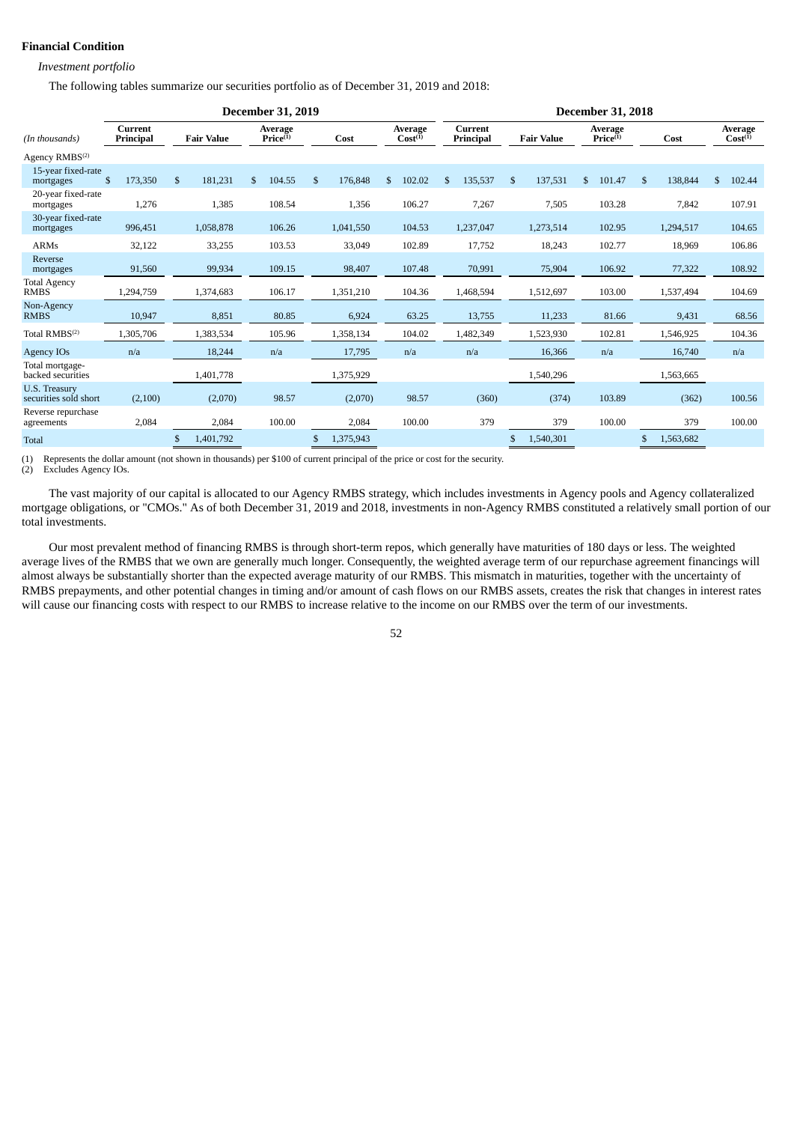## **Financial Condition**

## *Investment portfolio*

The following tables summarize our securities portfolio as of December 31, 2019 and 2018:

|                                        | <b>December 31, 2019</b>    |              |                   |    |                                 |    |           |    |                                | <b>December 31, 2018</b> |                             |              |                   |    |                                 |    |           |                                |
|----------------------------------------|-----------------------------|--------------|-------------------|----|---------------------------------|----|-----------|----|--------------------------------|--------------------------|-----------------------------|--------------|-------------------|----|---------------------------------|----|-----------|--------------------------------|
| (In thousands)                         | <b>Current</b><br>Principal |              | <b>Fair Value</b> |    | Average<br>Price <sup>(1)</sup> |    | Cost      |    | Average<br>Cost <sup>(1)</sup> |                          | <b>Current</b><br>Principal |              | <b>Fair Value</b> |    | Average<br>Price <sup>(1)</sup> |    | Cost      | Average<br>Cost <sup>(1)</sup> |
| Agency RMBS <sup>(2)</sup>             |                             |              |                   |    |                                 |    |           |    |                                |                          |                             |              |                   |    |                                 |    |           |                                |
| 15-year fixed-rate<br>mortgages        | 173,350<br>\$               | $\mathbb{S}$ | 181,231           | \$ | 104.55                          | \$ | 176,848   | \$ | 102.02                         | \$                       | 135,537                     | $\mathbb{S}$ | 137,531           | \$ | 101.47                          | \$ | 138,844   | \$<br>102.44                   |
| 20-year fixed-rate<br>mortgages        | 1,276                       |              | 1,385             |    | 108.54                          |    | 1,356     |    | 106.27                         |                          | 7,267                       |              | 7,505             |    | 103.28                          |    | 7,842     | 107.91                         |
| 30-year fixed-rate<br>mortgages        | 996,451                     |              | 1,058,878         |    | 106.26                          |    | 1,041,550 |    | 104.53                         |                          | 1,237,047                   |              | 1,273,514         |    | 102.95                          |    | 1,294,517 | 104.65                         |
| <b>ARMs</b>                            | 32,122                      |              | 33,255            |    | 103.53                          |    | 33,049    |    | 102.89                         |                          | 17,752                      |              | 18,243            |    | 102.77                          |    | 18,969    | 106.86                         |
| Reverse<br>mortgages                   | 91,560                      |              | 99,934            |    | 109.15                          |    | 98,407    |    | 107.48                         |                          | 70,991                      |              | 75,904            |    | 106.92                          |    | 77,322    | 108.92                         |
| <b>Total Agency</b><br><b>RMBS</b>     | 1,294,759                   |              | 1,374,683         |    | 106.17                          |    | 1,351,210 |    | 104.36                         |                          | 1,468,594                   |              | 1,512,697         |    | 103.00                          |    | 1,537,494 | 104.69                         |
| Non-Agency<br><b>RMBS</b>              | 10,947                      |              | 8,851             |    | 80.85                           |    | 6,924     |    | 63.25                          |                          | 13,755                      |              | 11,233            |    | 81.66                           |    | 9,431     | 68.56                          |
| Total RMBS <sup>(2)</sup>              | 1,305,706                   |              | 1,383,534         |    | 105.96                          |    | 1,358,134 |    | 104.02                         |                          | 1,482,349                   |              | 1,523,930         |    | 102.81                          |    | 1,546,925 | 104.36                         |
| Agency IOs                             | n/a                         |              | 18,244            |    | n/a                             |    | 17,795    |    | n/a                            |                          | n/a                         |              | 16,366            |    | n/a                             |    | 16,740    | n/a                            |
| Total mortgage-<br>backed securities   |                             |              | 1,401,778         |    |                                 |    | 1,375,929 |    |                                |                          |                             |              | 1,540,296         |    |                                 |    | 1,563,665 |                                |
| U.S. Treasury<br>securities sold short | (2,100)                     |              | (2,070)           |    | 98.57                           |    | (2,070)   |    | 98.57                          |                          | (360)                       |              | (374)             |    | 103.89                          |    | (362)     | 100.56                         |
| Reverse repurchase<br>agreements       | 2,084                       |              | 2,084             |    | 100.00                          |    | 2,084     |    | 100.00                         |                          | 379                         |              | 379               |    | 100.00                          |    | 379       | 100.00                         |
| <b>Total</b>                           |                             | \$           | 1,401,792         |    |                                 | S  | 1,375,943 |    |                                |                          |                             | \$           | 1,540,301         |    |                                 |    | 1,563,682 |                                |

(1) Represents the dollar amount (not shown in thousands) per \$100 of current principal of the price or cost for the security.

(2) Excludes Agency IOs.

The vast majority of our capital is allocated to our Agency RMBS strategy, which includes investments in Agency pools and Agency collateralized mortgage obligations, or "CMOs." As of both December 31, 2019 and 2018, investments in non-Agency RMBS constituted a relatively small portion of our total investments.

Our most prevalent method of financing RMBS is through short-term repos, which generally have maturities of 180 days or less. The weighted average lives of the RMBS that we own are generally much longer. Consequently, the weighted average term of our repurchase agreement financings will almost always be substantially shorter than the expected average maturity of our RMBS. This mismatch in maturities, together with the uncertainty of RMBS prepayments, and other potential changes in timing and/or amount of cash flows on our RMBS assets, creates the risk that changes in interest rates will cause our financing costs with respect to our RMBS to increase relative to the income on our RMBS over the term of our investments.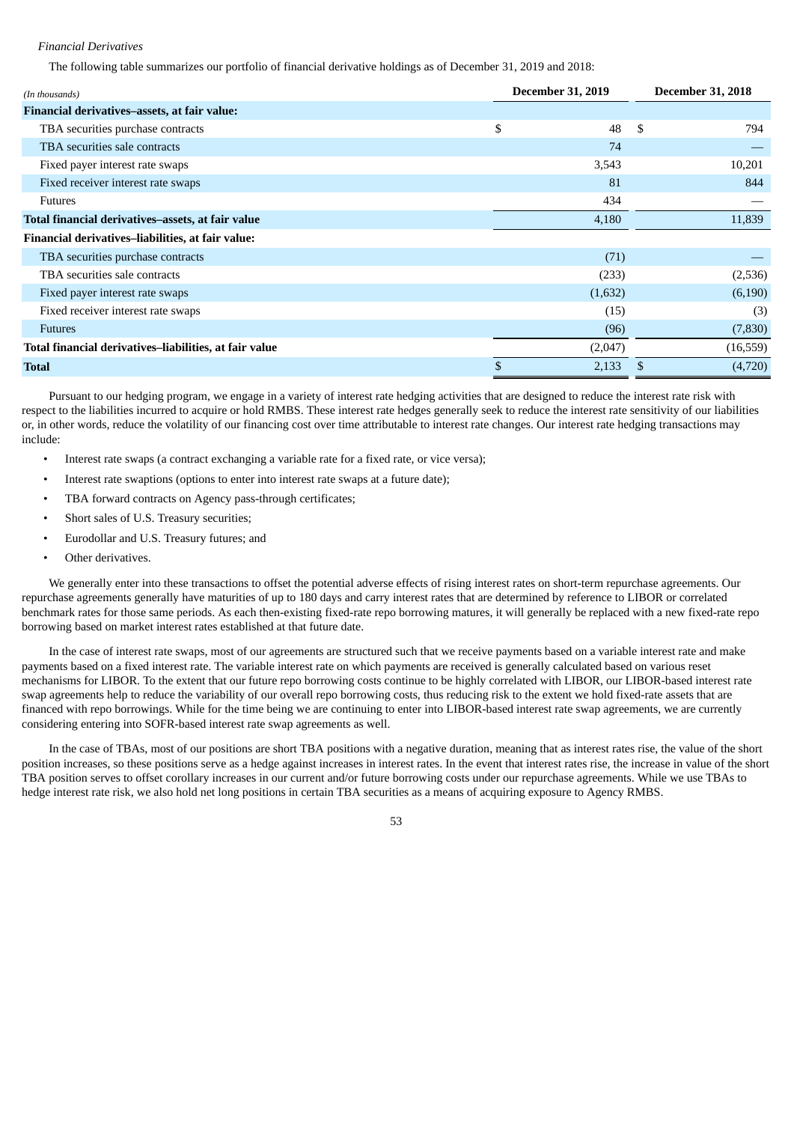## *Financial Derivatives*

The following table summarizes our portfolio of financial derivative holdings as of December 31, 2019 and 2018:

| (In thousands)                                         | <b>December 31, 2019</b> |         | <b>December 31, 2018</b> |           |
|--------------------------------------------------------|--------------------------|---------|--------------------------|-----------|
| Financial derivatives–assets, at fair value:           |                          |         |                          |           |
| TBA securities purchase contracts                      | \$                       | 48      | \$                       | 794       |
| TBA securities sale contracts                          |                          | 74      |                          |           |
| Fixed payer interest rate swaps                        |                          | 3,543   |                          | 10,201    |
| Fixed receiver interest rate swaps                     |                          | 81      |                          | 844       |
| <b>Futures</b>                                         |                          | 434     |                          |           |
| Total financial derivatives–assets, at fair value      |                          | 4,180   |                          | 11,839    |
| Financial derivatives-liabilities, at fair value:      |                          |         |                          |           |
| TBA securities purchase contracts                      |                          | (71)    |                          |           |
| TBA securities sale contracts                          |                          | (233)   |                          | (2,536)   |
| Fixed payer interest rate swaps                        |                          | (1,632) |                          | (6,190)   |
| Fixed receiver interest rate swaps                     |                          | (15)    |                          | (3)       |
| <b>Futures</b>                                         |                          | (96)    |                          | (7, 830)  |
| Total financial derivatives-liabilities, at fair value |                          | (2,047) |                          | (16, 559) |
| <b>Total</b>                                           |                          | 2,133   |                          | (4,720)   |

Pursuant to our hedging program, we engage in a variety of interest rate hedging activities that are designed to reduce the interest rate risk with respect to the liabilities incurred to acquire or hold RMBS. These interest rate hedges generally seek to reduce the interest rate sensitivity of our liabilities or, in other words, reduce the volatility of our financing cost over time attributable to interest rate changes. Our interest rate hedging transactions may include:

- Interest rate swaps (a contract exchanging a variable rate for a fixed rate, or vice versa);
- Interest rate swaptions (options to enter into interest rate swaps at a future date);
- TBA forward contracts on Agency pass-through certificates;
- Short sales of U.S. Treasury securities;
- Eurodollar and U.S. Treasury futures; and
- Other derivatives.

We generally enter into these transactions to offset the potential adverse effects of rising interest rates on short-term repurchase agreements. Our repurchase agreements generally have maturities of up to 180 days and carry interest rates that are determined by reference to LIBOR or correlated benchmark rates for those same periods. As each then-existing fixed-rate repo borrowing matures, it will generally be replaced with a new fixed-rate repo borrowing based on market interest rates established at that future date.

In the case of interest rate swaps, most of our agreements are structured such that we receive payments based on a variable interest rate and make payments based on a fixed interest rate. The variable interest rate on which payments are received is generally calculated based on various reset mechanisms for LIBOR. To the extent that our future repo borrowing costs continue to be highly correlated with LIBOR, our LIBOR-based interest rate swap agreements help to reduce the variability of our overall repo borrowing costs, thus reducing risk to the extent we hold fixed-rate assets that are financed with repo borrowings. While for the time being we are continuing to enter into LIBOR-based interest rate swap agreements, we are currently considering entering into SOFR-based interest rate swap agreements as well.

In the case of TBAs, most of our positions are short TBA positions with a negative duration, meaning that as interest rates rise, the value of the short position increases, so these positions serve as a hedge against increases in interest rates. In the event that interest rates rise, the increase in value of the short TBA position serves to offset corollary increases in our current and/or future borrowing costs under our repurchase agreements. While we use TBAs to hedge interest rate risk, we also hold net long positions in certain TBA securities as a means of acquiring exposure to Agency RMBS.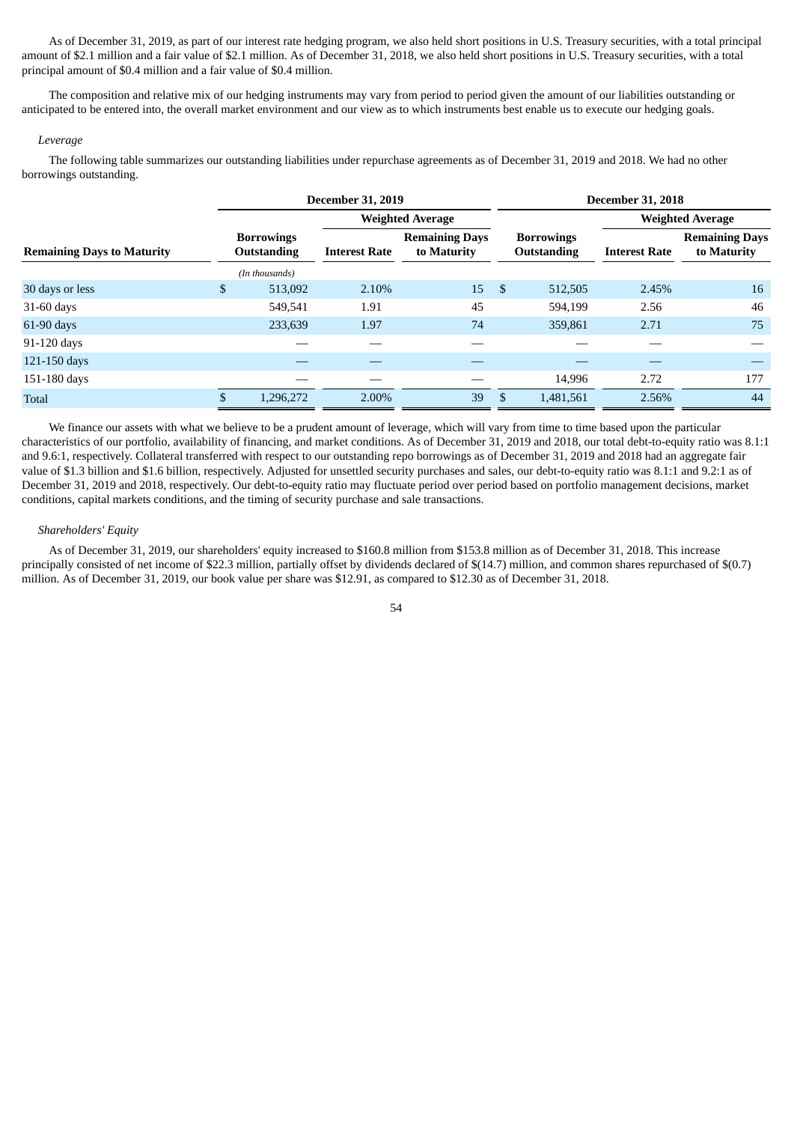As of December 31, 2019, as part of our interest rate hedging program, we also held short positions in U.S. Treasury securities, with a total principal amount of \$2.1 million and a fair value of \$2.1 million. As of December 31, 2018, we also held short positions in U.S. Treasury securities, with a total principal amount of \$0.4 million and a fair value of \$0.4 million.

The composition and relative mix of our hedging instruments may vary from period to period given the amount of our liabilities outstanding or anticipated to be entered into, the overall market environment and our view as to which instruments best enable us to execute our hedging goals.

#### *Leverage*

The following table summarizes our outstanding liabilities under repurchase agreements as of December 31, 2019 and 2018. We had no other borrowings outstanding.

|                                   |                                         | <b>December 31, 2019</b> |                                      |               | <b>December 31, 2018</b>                |                         |                                      |  |  |  |
|-----------------------------------|-----------------------------------------|--------------------------|--------------------------------------|---------------|-----------------------------------------|-------------------------|--------------------------------------|--|--|--|
|                                   |                                         |                          | <b>Weighted Average</b>              |               |                                         | <b>Weighted Average</b> |                                      |  |  |  |
| <b>Remaining Days to Maturity</b> | <b>Borrowings</b><br><b>Outstanding</b> | <b>Interest Rate</b>     | <b>Remaining Days</b><br>to Maturity |               | <b>Borrowings</b><br><b>Outstanding</b> | <b>Interest Rate</b>    | <b>Remaining Days</b><br>to Maturity |  |  |  |
|                                   | (In thousands)                          |                          |                                      |               |                                         |                         |                                      |  |  |  |
| 30 days or less                   | \$<br>513,092                           | 2.10%                    | 15                                   | $^{\circ}$    | 512,505                                 | 2.45%                   | 16                                   |  |  |  |
| 31-60 days                        | 549,541                                 | 1.91                     | 45                                   |               | 594,199                                 | 2.56                    | 46                                   |  |  |  |
| 61-90 days                        | 233,639                                 | 1.97                     | 74                                   |               | 359,861                                 | 2.71                    | 75                                   |  |  |  |
| 91-120 days                       |                                         |                          |                                      |               |                                         |                         |                                      |  |  |  |
| 121-150 days                      |                                         |                          |                                      |               |                                         |                         |                                      |  |  |  |
| 151-180 days                      |                                         |                          |                                      |               | 14,996                                  | 2.72                    | 177                                  |  |  |  |
| <b>Total</b>                      | 1,296,272                               | 2.00%                    | 39                                   | <sup>\$</sup> | 1,481,561                               | 2.56%                   | 44                                   |  |  |  |

We finance our assets with what we believe to be a prudent amount of leverage, which will vary from time to time based upon the particular characteristics of our portfolio, availability of financing, and market conditions. As of December 31, 2019 and 2018, our total debt-to-equity ratio was 8.1:1 and 9.6:1, respectively. Collateral transferred with respect to our outstanding repo borrowings as of December 31, 2019 and 2018 had an aggregate fair value of \$1.3 billion and \$1.6 billion, respectively. Adjusted for unsettled security purchases and sales, our debt-to-equity ratio was 8.1:1 and 9.2:1 as of December 31, 2019 and 2018, respectively. Our debt-to-equity ratio may fluctuate period over period based on portfolio management decisions, market conditions, capital markets conditions, and the timing of security purchase and sale transactions.

#### *Shareholders' Equity*

As of December 31, 2019, our shareholders' equity increased to \$160.8 million from \$153.8 million as of December 31, 2018. This increase principally consisted of net income of \$22.3 million, partially offset by dividends declared of \$(14.7) million, and common shares repurchased of \$(0.7) million. As of December 31, 2019, our book value per share was \$12.91, as compared to \$12.30 as of December 31, 2018.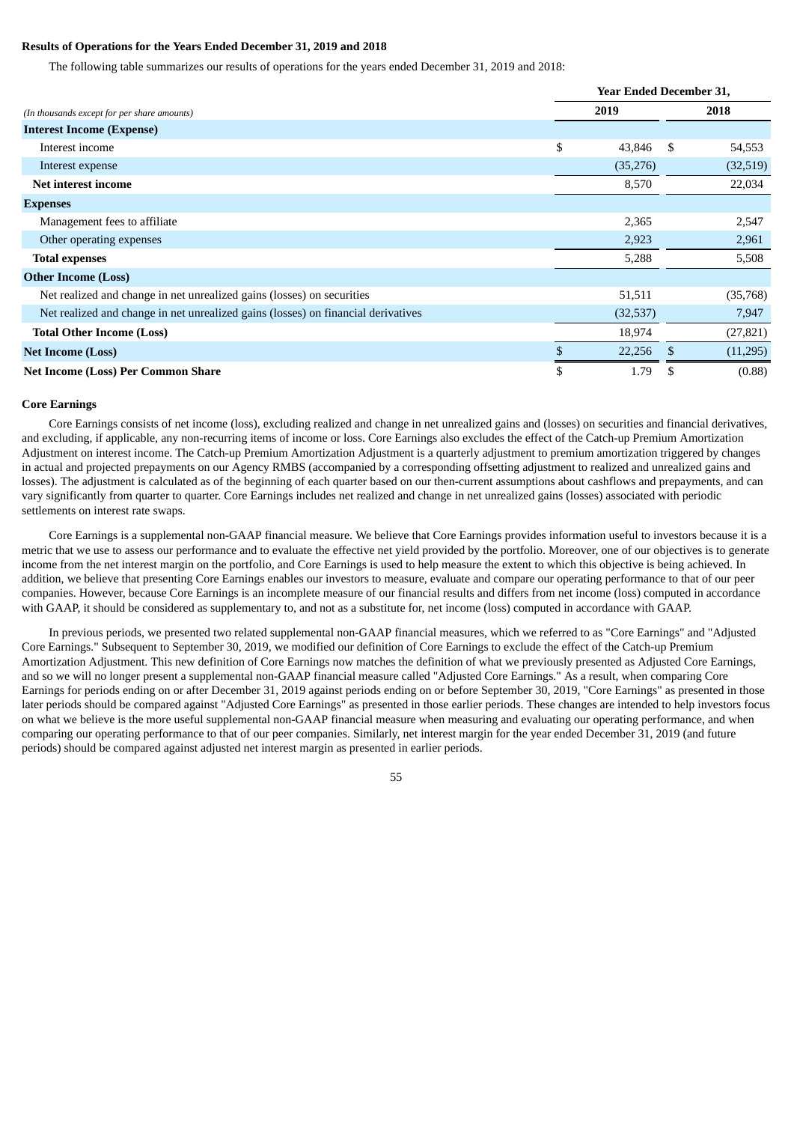## **Results of Operations for the Years Ended December 31, 2019 and 2018**

The following table summarizes our results of operations for the years ended December 31, 2019 and 2018:

|                                                                                   | <b>Year Ended December 31,</b> |    |           |
|-----------------------------------------------------------------------------------|--------------------------------|----|-----------|
| (In thousands except for per share amounts)                                       | 2019                           |    | 2018      |
| <b>Interest Income (Expense)</b>                                                  |                                |    |           |
| Interest income                                                                   | \$<br>43,846                   | S. | 54,553    |
| Interest expense                                                                  | (35, 276)                      |    | (32,519)  |
| Net interest income                                                               | 8,570                          |    | 22,034    |
| <b>Expenses</b>                                                                   |                                |    |           |
| Management fees to affiliate                                                      | 2,365                          |    | 2,547     |
| Other operating expenses                                                          | 2,923                          |    | 2,961     |
| <b>Total expenses</b>                                                             | 5,288                          |    | 5,508     |
| <b>Other Income (Loss)</b>                                                        |                                |    |           |
| Net realized and change in net unrealized gains (losses) on securities            | 51,511                         |    | (35,768)  |
| Net realized and change in net unrealized gains (losses) on financial derivatives | (32,537)                       |    | 7,947     |
| <b>Total Other Income (Loss)</b>                                                  | 18,974                         |    | (27, 821) |
| <b>Net Income (Loss)</b>                                                          | 22,256                         |    | (11,295)  |
| <b>Net Income (Loss) Per Common Share</b>                                         | \$<br>1.79                     |    | (0.88)    |

## **Core Earnings**

Core Earnings consists of net income (loss), excluding realized and change in net unrealized gains and (losses) on securities and financial derivatives, and excluding, if applicable, any non-recurring items of income or loss. Core Earnings also excludes the effect of the Catch-up Premium Amortization Adjustment on interest income. The Catch-up Premium Amortization Adjustment is a quarterly adjustment to premium amortization triggered by changes in actual and projected prepayments on our Agency RMBS (accompanied by a corresponding offsetting adjustment to realized and unrealized gains and losses). The adjustment is calculated as of the beginning of each quarter based on our then-current assumptions about cashflows and prepayments, and can vary significantly from quarter to quarter. Core Earnings includes net realized and change in net unrealized gains (losses) associated with periodic settlements on interest rate swaps.

Core Earnings is a supplemental non-GAAP financial measure. We believe that Core Earnings provides information useful to investors because it is a metric that we use to assess our performance and to evaluate the effective net yield provided by the portfolio. Moreover, one of our objectives is to generate income from the net interest margin on the portfolio, and Core Earnings is used to help measure the extent to which this objective is being achieved. In addition, we believe that presenting Core Earnings enables our investors to measure, evaluate and compare our operating performance to that of our peer companies. However, because Core Earnings is an incomplete measure of our financial results and differs from net income (loss) computed in accordance with GAAP, it should be considered as supplementary to, and not as a substitute for, net income (loss) computed in accordance with GAAP.

In previous periods, we presented two related supplemental non-GAAP financial measures, which we referred to as "Core Earnings" and "Adjusted Core Earnings." Subsequent to September 30, 2019, we modified our definition of Core Earnings to exclude the effect of the Catch-up Premium Amortization Adjustment. This new definition of Core Earnings now matches the definition of what we previously presented as Adjusted Core Earnings, and so we will no longer present a supplemental non-GAAP financial measure called "Adjusted Core Earnings." As a result, when comparing Core Earnings for periods ending on or after December 31, 2019 against periods ending on or before September 30, 2019, "Core Earnings" as presented in those later periods should be compared against "Adjusted Core Earnings" as presented in those earlier periods. These changes are intended to help investors focus on what we believe is the more useful supplemental non-GAAP financial measure when measuring and evaluating our operating performance, and when comparing our operating performance to that of our peer companies. Similarly, net interest margin for the year ended December 31, 2019 (and future periods) should be compared against adjusted net interest margin as presented in earlier periods.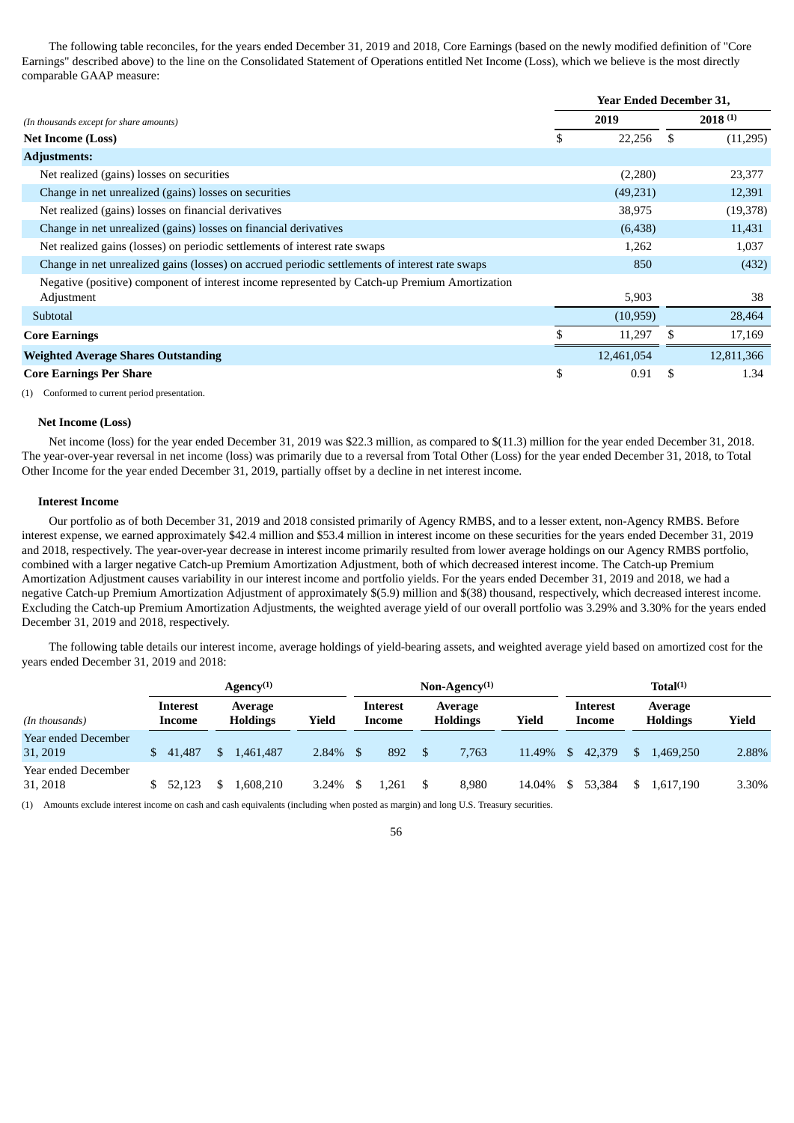The following table reconciles, for the years ended December 31, 2019 and 2018, Core Earnings (based on the newly modified definition of "Core Earnings" described above) to the line on the Consolidated Statement of Operations entitled Net Income (Loss), which we believe is the most directly comparable GAAP measure:

|                                                                                                | <b>Year Ended December 31,</b> |              |
|------------------------------------------------------------------------------------------------|--------------------------------|--------------|
| (In thousands except for share amounts)                                                        | 2019                           | $2018^{(1)}$ |
| <b>Net Income (Loss)</b>                                                                       | \$<br>22,256                   | (11,295)     |
| <b>Adjustments:</b>                                                                            |                                |              |
| Net realized (gains) losses on securities                                                      | (2,280)                        | 23,377       |
| Change in net unrealized (gains) losses on securities                                          | (49, 231)                      | 12,391       |
| Net realized (gains) losses on financial derivatives                                           | 38,975                         | (19, 378)    |
| Change in net unrealized (gains) losses on financial derivatives                               | (6, 438)                       | 11,431       |
| Net realized gains (losses) on periodic settlements of interest rate swaps                     | 1,262                          | 1,037        |
| Change in net unrealized gains (losses) on accrued periodic settlements of interest rate swaps | 850                            | (432)        |
| Negative (positive) component of interest income represented by Catch-up Premium Amortization  |                                |              |
| Adjustment                                                                                     | 5,903                          | 38           |
| Subtotal                                                                                       | (10, 959)                      | 28,464       |
| <b>Core Earnings</b>                                                                           | 11,297                         | 17,169       |
| <b>Weighted Average Shares Outstanding</b>                                                     | 12,461,054                     | 12,811,366   |
| <b>Core Earnings Per Share</b>                                                                 | \$<br>0.91                     | 1.34         |

(1) Conformed to current period presentation.

#### **Net Income (Loss)**

Net income (loss) for the year ended December 31, 2019 was \$22.3 million, as compared to \$(11.3) million for the year ended December 31, 2018. The year-over-year reversal in net income (loss) was primarily due to a reversal from Total Other (Loss) for the year ended December 31, 2018, to Total Other Income for the year ended December 31, 2019, partially offset by a decline in net interest income.

## **Interest Income**

Our portfolio as of both December 31, 2019 and 2018 consisted primarily of Agency RMBS, and to a lesser extent, non-Agency RMBS. Before interest expense, we earned approximately \$42.4 million and \$53.4 million in interest income on these securities for the years ended December 31, 2019 and 2018, respectively. The year-over-year decrease in interest income primarily resulted from lower average holdings on our Agency RMBS portfolio, combined with a larger negative Catch-up Premium Amortization Adjustment, both of which decreased interest income. The Catch-up Premium Amortization Adjustment causes variability in our interest income and portfolio yields. For the years ended December 31, 2019 and 2018, we had a negative Catch-up Premium Amortization Adjustment of approximately \$(5.9) million and \$(38) thousand, respectively, which decreased interest income. Excluding the Catch-up Premium Amortization Adjustments, the weighted average yield of our overall portfolio was 3.29% and 3.30% for the years ended December 31, 2019 and 2018, respectively.

The following table details our interest income, average holdings of yield-bearing assets, and weighted average yield based on amortized cost for the years ended December 31, 2019 and 2018:

|                                 |                           |                            | Non-Agency <sup>(1)</sup> |                    | Total <sup>(1)</sup> |                            |           |                    |                            |       |
|---------------------------------|---------------------------|----------------------------|---------------------------|--------------------|----------------------|----------------------------|-----------|--------------------|----------------------------|-------|
| (In thousands)                  | <b>Interest</b><br>Income | Average<br><b>Holdings</b> | Yield                     | Interest<br>Income |                      | Average<br><b>Holdings</b> | Yield     | Interest<br>Income | Average<br><b>Holdings</b> | Yield |
| Year ended December<br>31, 2019 | 41,487                    | 1.461.487                  | 2.84%                     | 892                | - \$                 | 7.763                      | 11.49% \$ | 42,379             | 1.469.250<br><sup>\$</sup> | 2.88% |
| Year ended December<br>31, 2018 | 52.123                    | 1.608.210                  | 3.24%                     | 1.261              |                      | 8.980                      | 14.04%    | 53.384<br>- \$     | 1.617.190<br>S.            | 3.30% |

(1) Amounts exclude interest income on cash and cash equivalents (including when posted as margin) and long U.S. Treasury securities.

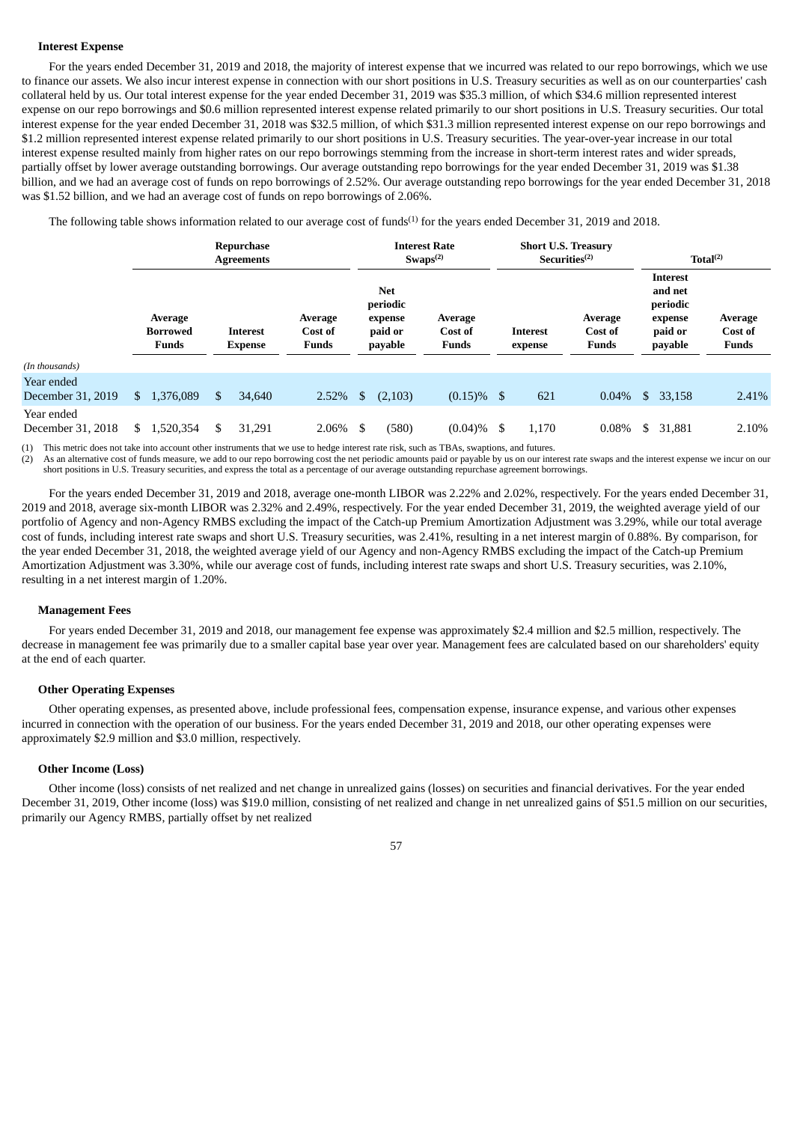#### **Interest Expense**

For the years ended December 31, 2019 and 2018, the majority of interest expense that we incurred was related to our repo borrowings, which we use to finance our assets. We also incur interest expense in connection with our short positions in U.S. Treasury securities as well as on our counterparties' cash collateral held by us. Our total interest expense for the year ended December 31, 2019 was \$35.3 million, of which \$34.6 million represented interest expense on our repo borrowings and \$0.6 million represented interest expense related primarily to our short positions in U.S. Treasury securities. Our total interest expense for the year ended December 31, 2018 was \$32.5 million, of which \$31.3 million represented interest expense on our repo borrowings and \$1.2 million represented interest expense related primarily to our short positions in U.S. Treasury securities. The year-over-year increase in our total interest expense resulted mainly from higher rates on our repo borrowings stemming from the increase in short-term interest rates and wider spreads, partially offset by lower average outstanding borrowings. Our average outstanding repo borrowings for the year ended December 31, 2019 was \$1.38 billion, and we had an average cost of funds on repo borrowings of 2.52%. Our average outstanding repo borrowings for the year ended December 31, 2018 was \$1.52 billion, and we had an average cost of funds on repo borrowings of 2.06%.

The following table shows information related to our average cost of funds<sup>(1)</sup> for the years ended December 31, 2019 and 2018.

|                                 |    | Repurchase<br><b>Agreements</b>            |    |                                   |  |                                    |      |                                                         | <b>Interest Rate</b><br>$Swaps^{(2)}$ |                             | <b>Short U.S. Treasury</b><br>Securities <sup>(2)</sup> |                            |                             |       | Total <sup>(2)</sup> |                                                                         |                                    |  |
|---------------------------------|----|--------------------------------------------|----|-----------------------------------|--|------------------------------------|------|---------------------------------------------------------|---------------------------------------|-----------------------------|---------------------------------------------------------|----------------------------|-----------------------------|-------|----------------------|-------------------------------------------------------------------------|------------------------------------|--|
|                                 |    | Average<br><b>Borrowed</b><br><b>Funds</b> |    | <b>Interest</b><br><b>Expense</b> |  | Average<br>Cost of<br><b>Funds</b> |      | <b>Net</b><br>periodic<br>expense<br>paid or<br>payable |                                       | Average<br>Cost of<br>Funds |                                                         | <b>Interest</b><br>expense | Average<br>Cost of<br>Funds |       |                      | <b>Interest</b><br>and net<br>periodic<br>expense<br>paid or<br>payable | Average<br>Cost of<br><b>Funds</b> |  |
| (In thousands)                  |    |                                            |    |                                   |  |                                    |      |                                                         |                                       |                             |                                                         |                            |                             |       |                      |                                                                         |                                    |  |
| Year ended<br>December 31, 2019 |    | \$ 1,376,089                               | \$ | 34,640                            |  | 2.52%                              | - \$ | (2,103)                                                 |                                       | $(0.15)\%$ \$               |                                                         | 621                        |                             | 0.04% | $\mathbb{S}$         | 33,158                                                                  | 2.41%                              |  |
| Year ended<br>December 31, 2018 | S. | .520,354                                   | \$ | 31,291                            |  | 2.06%                              | \$   | (580)                                                   |                                       | $(0.04)\%$ \$               |                                                         | 1,170                      |                             | 0.08% | \$                   | 31.881                                                                  | 2.10%                              |  |

(1) This metric does not take into account other instruments that we use to hedge interest rate risk, such as TBAs, swaptions, and futures.

(2) As an alternative cost of funds measure, we add to our repo borrowing cost the net periodic amounts paid or payable by us on our interest rate swaps and the interest expense we incur on our short positions in U.S. Treasury securities, and express the total as a percentage of our average outstanding repurchase agreement borrowings.

For the years ended December 31, 2019 and 2018, average one-month LIBOR was 2.22% and 2.02%, respectively. For the years ended December 31, 2019 and 2018, average six-month LIBOR was 2.32% and 2.49%, respectively. For the year ended December 31, 2019, the weighted average yield of our portfolio of Agency and non-Agency RMBS excluding the impact of the Catch-up Premium Amortization Adjustment was 3.29%, while our total average cost of funds, including interest rate swaps and short U.S. Treasury securities, was 2.41%, resulting in a net interest margin of 0.88%. By comparison, for the year ended December 31, 2018, the weighted average yield of our Agency and non-Agency RMBS excluding the impact of the Catch-up Premium Amortization Adjustment was 3.30%, while our average cost of funds, including interest rate swaps and short U.S. Treasury securities, was 2.10%, resulting in a net interest margin of 1.20%.

## **Management Fees**

For years ended December 31, 2019 and 2018, our management fee expense was approximately \$2.4 million and \$2.5 million, respectively. The decrease in management fee was primarily due to a smaller capital base year over year. Management fees are calculated based on our shareholders' equity at the end of each quarter.

#### **Other Operating Expenses**

Other operating expenses, as presented above, include professional fees, compensation expense, insurance expense, and various other expenses incurred in connection with the operation of our business. For the years ended December 31, 2019 and 2018, our other operating expenses were approximately \$2.9 million and \$3.0 million, respectively.

#### **Other Income (Loss)**

Other income (loss) consists of net realized and net change in unrealized gains (losses) on securities and financial derivatives. For the year ended December 31, 2019, Other income (loss) was \$19.0 million, consisting of net realized and change in net unrealized gains of \$51.5 million on our securities, primarily our Agency RMBS, partially offset by net realized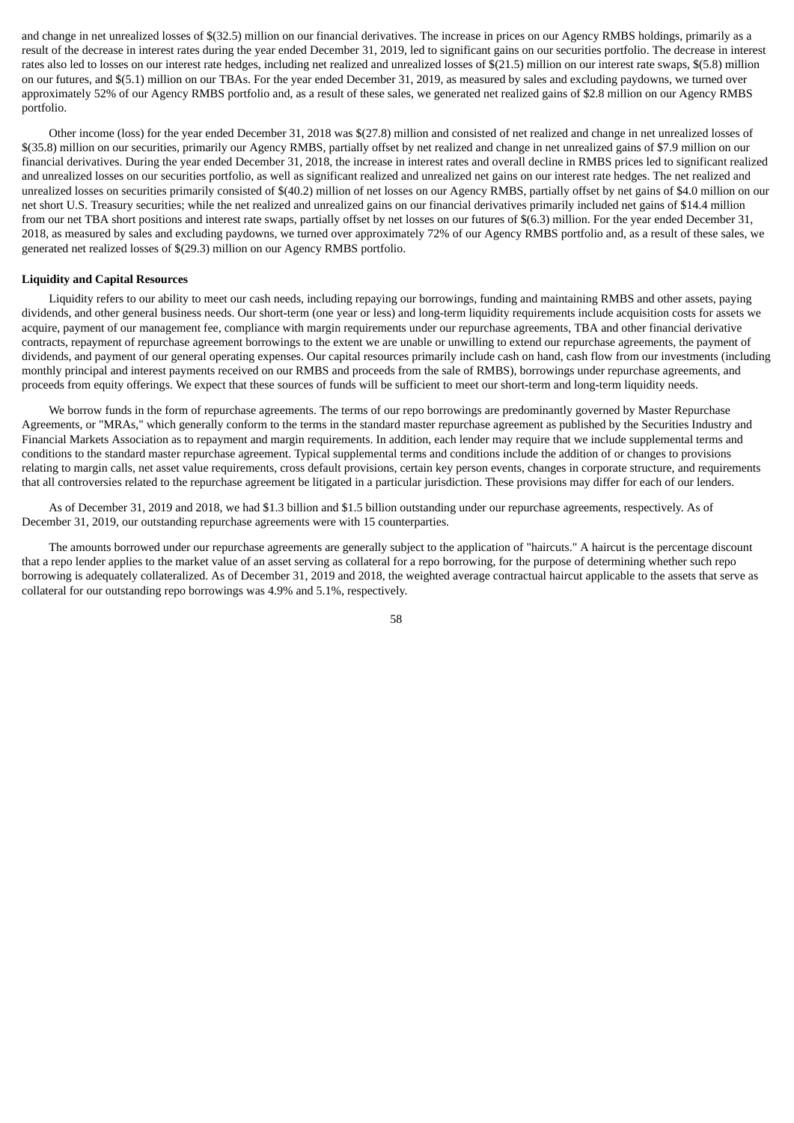and change in net unrealized losses of \$(32.5) million on our financial derivatives. The increase in prices on our Agency RMBS holdings, primarily as a result of the decrease in interest rates during the year ended December 31, 2019, led to significant gains on our securities portfolio. The decrease in interest rates also led to losses on our interest rate hedges, including net realized and unrealized losses of \$(21.5) million on our interest rate swaps, \$(5.8) million on our futures, and \$(5.1) million on our TBAs. For the year ended December 31, 2019, as measured by sales and excluding paydowns, we turned over approximately 52% of our Agency RMBS portfolio and, as a result of these sales, we generated net realized gains of \$2.8 million on our Agency RMBS portfolio.

Other income (loss) for the year ended December 31, 2018 was \$(27.8) million and consisted of net realized and change in net unrealized losses of \$(35.8) million on our securities, primarily our Agency RMBS, partially offset by net realized and change in net unrealized gains of \$7.9 million on our financial derivatives. During the year ended December 31, 2018, the increase in interest rates and overall decline in RMBS prices led to significant realized and unrealized losses on our securities portfolio, as well as significant realized and unrealized net gains on our interest rate hedges. The net realized and unrealized losses on securities primarily consisted of \$(40.2) million of net losses on our Agency RMBS, partially offset by net gains of \$4.0 million on our net short U.S. Treasury securities; while the net realized and unrealized gains on our financial derivatives primarily included net gains of \$14.4 million from our net TBA short positions and interest rate swaps, partially offset by net losses on our futures of \$(6.3) million. For the year ended December 31, 2018, as measured by sales and excluding paydowns, we turned over approximately 72% of our Agency RMBS portfolio and, as a result of these sales, we generated net realized losses of \$(29.3) million on our Agency RMBS portfolio.

#### **Liquidity and Capital Resources**

Liquidity refers to our ability to meet our cash needs, including repaying our borrowings, funding and maintaining RMBS and other assets, paying dividends, and other general business needs. Our short-term (one year or less) and long-term liquidity requirements include acquisition costs for assets we acquire, payment of our management fee, compliance with margin requirements under our repurchase agreements, TBA and other financial derivative contracts, repayment of repurchase agreement borrowings to the extent we are unable or unwilling to extend our repurchase agreements, the payment of dividends, and payment of our general operating expenses. Our capital resources primarily include cash on hand, cash flow from our investments (including monthly principal and interest payments received on our RMBS and proceeds from the sale of RMBS), borrowings under repurchase agreements, and proceeds from equity offerings. We expect that these sources of funds will be sufficient to meet our short-term and long-term liquidity needs.

We borrow funds in the form of repurchase agreements. The terms of our repo borrowings are predominantly governed by Master Repurchase Agreements, or "MRAs," which generally conform to the terms in the standard master repurchase agreement as published by the Securities Industry and Financial Markets Association as to repayment and margin requirements. In addition, each lender may require that we include supplemental terms and conditions to the standard master repurchase agreement. Typical supplemental terms and conditions include the addition of or changes to provisions relating to margin calls, net asset value requirements, cross default provisions, certain key person events, changes in corporate structure, and requirements that all controversies related to the repurchase agreement be litigated in a particular jurisdiction. These provisions may differ for each of our lenders.

As of December 31, 2019 and 2018, we had \$1.3 billion and \$1.5 billion outstanding under our repurchase agreements, respectively. As of December 31, 2019, our outstanding repurchase agreements were with 15 counterparties.

The amounts borrowed under our repurchase agreements are generally subject to the application of "haircuts." A haircut is the percentage discount that a repo lender applies to the market value of an asset serving as collateral for a repo borrowing, for the purpose of determining whether such repo borrowing is adequately collateralized. As of December 31, 2019 and 2018, the weighted average contractual haircut applicable to the assets that serve as collateral for our outstanding repo borrowings was 4.9% and 5.1%, respectively.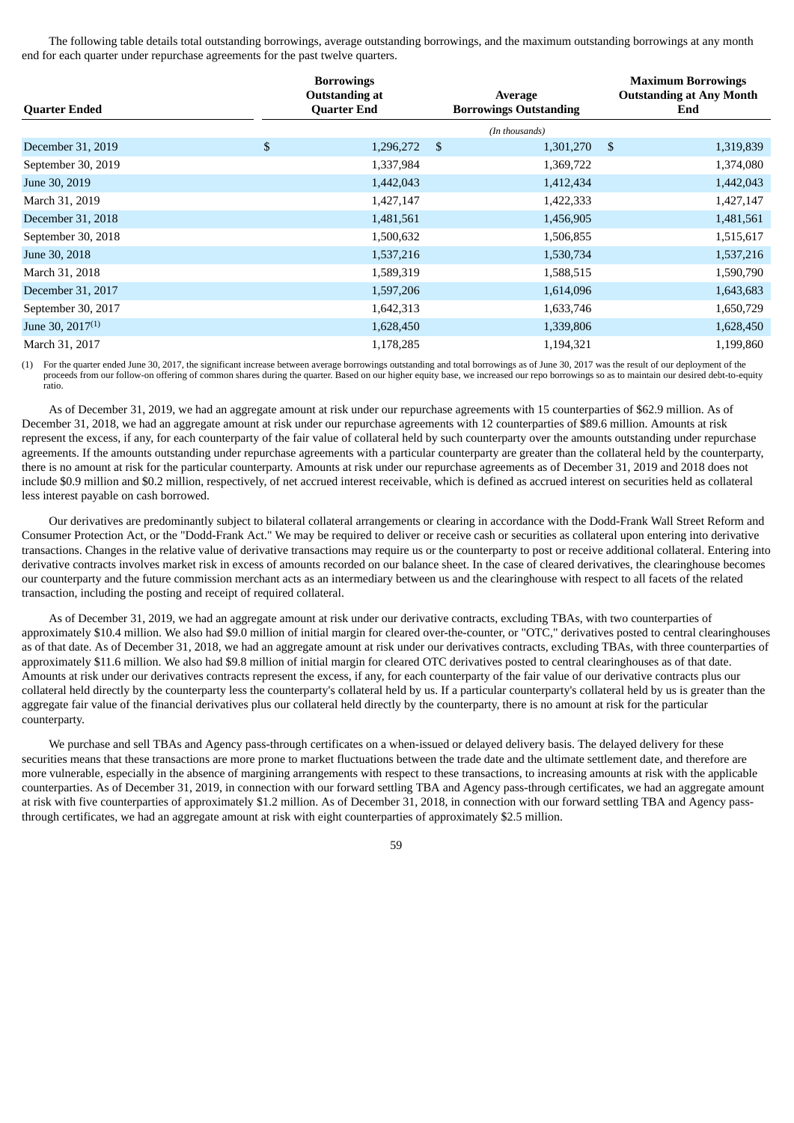The following table details total outstanding borrowings, average outstanding borrowings, and the maximum outstanding borrowings at any month end for each quarter under repurchase agreements for the past twelve quarters.

| <b>Quarter Ended</b>  | <b>Borrowings</b><br><b>Outstanding at</b><br><b>Quarter End</b> |          | Average<br><b>Borrowings Outstanding</b> |              | <b>Maximum Borrowings</b><br><b>Outstanding at Any Month</b><br>End |
|-----------------------|------------------------------------------------------------------|----------|------------------------------------------|--------------|---------------------------------------------------------------------|
|                       |                                                                  |          | (In thousands)                           |              |                                                                     |
| December 31, 2019     | \$<br>1,296,272                                                  | <b>S</b> | 1,301,270                                | $\mathbb{S}$ | 1,319,839                                                           |
| September 30, 2019    | 1,337,984                                                        |          | 1,369,722                                |              | 1,374,080                                                           |
| June 30, 2019         | 1,442,043                                                        |          | 1,412,434                                |              | 1,442,043                                                           |
| March 31, 2019        | 1,427,147                                                        |          | 1,422,333                                |              | 1,427,147                                                           |
| December 31, 2018     | 1,481,561                                                        |          | 1,456,905                                |              | 1,481,561                                                           |
| September 30, 2018    | 1,500,632                                                        |          | 1,506,855                                |              | 1,515,617                                                           |
| June 30, 2018         | 1,537,216                                                        |          | 1,530,734                                |              | 1,537,216                                                           |
| March 31, 2018        | 1,589,319                                                        |          | 1,588,515                                |              | 1,590,790                                                           |
| December 31, 2017     | 1,597,206                                                        |          | 1,614,096                                |              | 1,643,683                                                           |
| September 30, 2017    | 1,642,313                                                        |          | 1,633,746                                |              | 1,650,729                                                           |
| June 30, $2017^{(1)}$ | 1,628,450                                                        |          | 1,339,806                                |              | 1,628,450                                                           |
| March 31, 2017        | 1,178,285                                                        |          | 1,194,321                                |              | 1,199,860                                                           |

(1) For the quarter ended June 30, 2017, the significant increase between average borrowings outstanding and total borrowings as of June 30, 2017 was the result of our deployment of the proceeds from our follow-on offering of common shares during the quarter. Based on our higher equity base, we increased our repo borrowings so as to maintain our desired debt-to-equity ratio.

As of December 31, 2019, we had an aggregate amount at risk under our repurchase agreements with 15 counterparties of \$62.9 million. As of December 31, 2018, we had an aggregate amount at risk under our repurchase agreements with 12 counterparties of \$89.6 million. Amounts at risk represent the excess, if any, for each counterparty of the fair value of collateral held by such counterparty over the amounts outstanding under repurchase agreements. If the amounts outstanding under repurchase agreements with a particular counterparty are greater than the collateral held by the counterparty, there is no amount at risk for the particular counterparty. Amounts at risk under our repurchase agreements as of December 31, 2019 and 2018 does not include \$0.9 million and \$0.2 million, respectively, of net accrued interest receivable, which is defined as accrued interest on securities held as collateral less interest payable on cash borrowed.

Our derivatives are predominantly subject to bilateral collateral arrangements or clearing in accordance with the Dodd-Frank Wall Street Reform and Consumer Protection Act, or the "Dodd-Frank Act." We may be required to deliver or receive cash or securities as collateral upon entering into derivative transactions. Changes in the relative value of derivative transactions may require us or the counterparty to post or receive additional collateral. Entering into derivative contracts involves market risk in excess of amounts recorded on our balance sheet. In the case of cleared derivatives, the clearinghouse becomes our counterparty and the future commission merchant acts as an intermediary between us and the clearinghouse with respect to all facets of the related transaction, including the posting and receipt of required collateral.

As of December 31, 2019, we had an aggregate amount at risk under our derivative contracts, excluding TBAs, with two counterparties of approximately \$10.4 million. We also had \$9.0 million of initial margin for cleared over-the-counter, or "OTC," derivatives posted to central clearinghouses as of that date. As of December 31, 2018, we had an aggregate amount at risk under our derivatives contracts, excluding TBAs, with three counterparties of approximately \$11.6 million. We also had \$9.8 million of initial margin for cleared OTC derivatives posted to central clearinghouses as of that date. Amounts at risk under our derivatives contracts represent the excess, if any, for each counterparty of the fair value of our derivative contracts plus our collateral held directly by the counterparty less the counterparty's collateral held by us. If a particular counterparty's collateral held by us is greater than the aggregate fair value of the financial derivatives plus our collateral held directly by the counterparty, there is no amount at risk for the particular counterparty.

We purchase and sell TBAs and Agency pass-through certificates on a when-issued or delayed delivery basis. The delayed delivery for these securities means that these transactions are more prone to market fluctuations between the trade date and the ultimate settlement date, and therefore are more vulnerable, especially in the absence of margining arrangements with respect to these transactions, to increasing amounts at risk with the applicable counterparties. As of December 31, 2019, in connection with our forward settling TBA and Agency pass-through certificates, we had an aggregate amount at risk with five counterparties of approximately \$1.2 million. As of December 31, 2018, in connection with our forward settling TBA and Agency passthrough certificates, we had an aggregate amount at risk with eight counterparties of approximately \$2.5 million.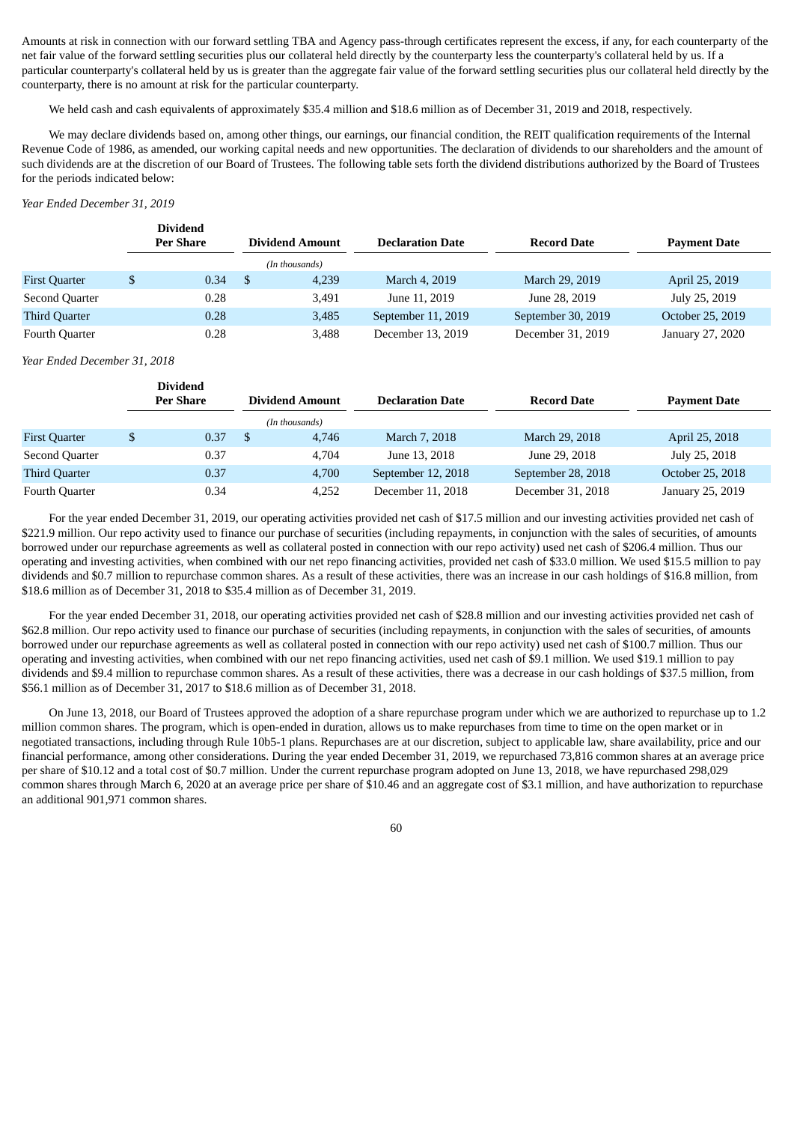Amounts at risk in connection with our forward settling TBA and Agency pass-through certificates represent the excess, if any, for each counterparty of the net fair value of the forward settling securities plus our collateral held directly by the counterparty less the counterparty's collateral held by us. If a particular counterparty's collateral held by us is greater than the aggregate fair value of the forward settling securities plus our collateral held directly by the counterparty, there is no amount at risk for the particular counterparty.

We held cash and cash equivalents of approximately \$35.4 million and \$18.6 million as of December 31, 2019 and 2018, respectively.

We may declare dividends based on, among other things, our earnings, our financial condition, the REIT qualification requirements of the Internal Revenue Code of 1986, as amended, our working capital needs and new opportunities. The declaration of dividends to our shareholders and the amount of such dividends are at the discretion of our Board of Trustees. The following table sets forth the dividend distributions authorized by the Board of Trustees for the periods indicated below:

## *Year Ended December 31, 2019*

|                      | <b>Dividend</b><br><b>Per Share</b> |    | <b>Dividend Amount</b> | <b>Declaration Date</b> | <b>Record Date</b> | <b>Payment Date</b> |
|----------------------|-------------------------------------|----|------------------------|-------------------------|--------------------|---------------------|
|                      |                                     |    | (In thousands)         |                         |                    |                     |
| <b>First Quarter</b> | 0.34                                | -S | 4.239                  | March 4, 2019           | March 29, 2019     | April 25, 2019      |
| Second Quarter       | 0.28                                |    | 3.491                  | June 11, 2019           | June 28, 2019      | July 25, 2019       |
| <b>Third Quarter</b> | 0.28                                |    | 3,485                  | September 11, 2019      | September 30, 2019 | October 25, 2019    |
| Fourth Quarter       | 0.28                                |    | 3,488                  | December 13, 2019       | December 31, 2019  | January 27, 2020    |

#### *Year Ended December 31, 2018*

|                       | <b>Dividend</b><br><b>Per Share</b> |      |    | <b>Dividend Amount</b> | <b>Declaration Date</b> | <b>Record Date</b> | <b>Payment Date</b> |
|-----------------------|-------------------------------------|------|----|------------------------|-------------------------|--------------------|---------------------|
|                       |                                     |      |    | (In thousands)         |                         |                    |                     |
| <b>First Quarter</b>  |                                     | 0.37 | S. | 4.746                  | March 7, 2018           | March 29, 2018     | April 25, 2018      |
| <b>Second Quarter</b> |                                     | 0.37 |    | 4.704                  | June 13, 2018           | June 29, 2018      | July 25, 2018       |
| <b>Third Quarter</b>  |                                     | 0.37 |    | 4,700                  | September 12, 2018      | September 28, 2018 | October 25, 2018    |
| Fourth Quarter        |                                     | 0.34 |    | 4.252                  | December 11, 2018       | December 31, 2018  | January 25, 2019    |

For the year ended December 31, 2019, our operating activities provided net cash of \$17.5 million and our investing activities provided net cash of \$221.9 million. Our repo activity used to finance our purchase of securities (including repayments, in conjunction with the sales of securities, of amounts borrowed under our repurchase agreements as well as collateral posted in connection with our repo activity) used net cash of \$206.4 million. Thus our operating and investing activities, when combined with our net repo financing activities, provided net cash of \$33.0 million. We used \$15.5 million to pay dividends and \$0.7 million to repurchase common shares. As a result of these activities, there was an increase in our cash holdings of \$16.8 million, from \$18.6 million as of December 31, 2018 to \$35.4 million as of December 31, 2019.

For the year ended December 31, 2018, our operating activities provided net cash of \$28.8 million and our investing activities provided net cash of \$62.8 million. Our repo activity used to finance our purchase of securities (including repayments, in conjunction with the sales of securities, of amounts borrowed under our repurchase agreements as well as collateral posted in connection with our repo activity) used net cash of \$100.7 million. Thus our operating and investing activities, when combined with our net repo financing activities, used net cash of \$9.1 million. We used \$19.1 million to pay dividends and \$9.4 million to repurchase common shares. As a result of these activities, there was a decrease in our cash holdings of \$37.5 million, from \$56.1 million as of December 31, 2017 to \$18.6 million as of December 31, 2018.

On June 13, 2018, our Board of Trustees approved the adoption of a share repurchase program under which we are authorized to repurchase up to 1.2 million common shares. The program, which is open-ended in duration, allows us to make repurchases from time to time on the open market or in negotiated transactions, including through Rule 10b5-1 plans. Repurchases are at our discretion, subject to applicable law, share availability, price and our financial performance, among other considerations. During the year ended December 31, 2019, we repurchased 73,816 common shares at an average price per share of \$10.12 and a total cost of \$0.7 million. Under the current repurchase program adopted on June 13, 2018, we have repurchased 298,029 common shares through March 6, 2020 at an average price per share of \$10.46 and an aggregate cost of \$3.1 million, and have authorization to repurchase an additional 901,971 common shares.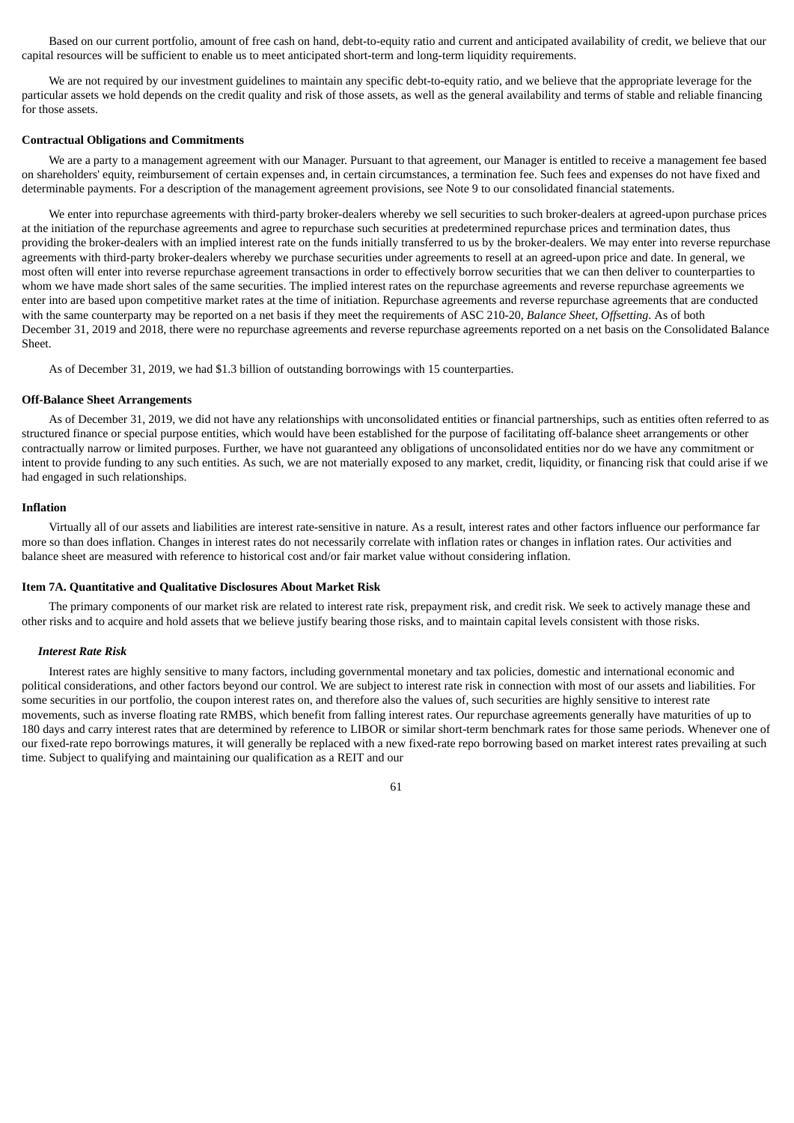Based on our current portfolio, amount of free cash on hand, debt-to-equity ratio and current and anticipated availability of credit, we believe that our capital resources will be sufficient to enable us to meet anticipated short-term and long-term liquidity requirements.

We are not required by our investment guidelines to maintain any specific debt-to-equity ratio, and we believe that the appropriate leverage for the particular assets we hold depends on the credit quality and risk of those assets, as well as the general availability and terms of stable and reliable financing for those assets.

#### **Contractual Obligations and Commitments**

We are a party to a management agreement with our Manager. Pursuant to that agreement, our Manager is entitled to receive a management fee based on shareholders' equity, reimbursement of certain expenses and, in certain circumstances, a termination fee. Such fees and expenses do not have fixed and determinable payments. For a description of the management agreement provisions, see Note 9 to our consolidated financial statements.

We enter into repurchase agreements with third-party broker-dealers whereby we sell securities to such broker-dealers at agreed-upon purchase prices at the initiation of the repurchase agreements and agree to repurchase such securities at predetermined repurchase prices and termination dates, thus providing the broker-dealers with an implied interest rate on the funds initially transferred to us by the broker-dealers. We may enter into reverse repurchase agreements with third-party broker-dealers whereby we purchase securities under agreements to resell at an agreed-upon price and date. In general, we most often will enter into reverse repurchase agreement transactions in order to effectively borrow securities that we can then deliver to counterparties to whom we have made short sales of the same securities. The implied interest rates on the repurchase agreements and reverse repurchase agreements we enter into are based upon competitive market rates at the time of initiation. Repurchase agreements and reverse repurchase agreements that are conducted with the same counterparty may be reported on a net basis if they meet the requirements of ASC 210-20, *Balance Sheet, Offsetting*. As of both December 31, 2019 and 2018, there were no repurchase agreements and reverse repurchase agreements reported on a net basis on the Consolidated Balance Sheet.

As of December 31, 2019, we had \$1.3 billion of outstanding borrowings with 15 counterparties.

### **Off-Balance Sheet Arrangements**

As of December 31, 2019, we did not have any relationships with unconsolidated entities or financial partnerships, such as entities often referred to as structured finance or special purpose entities, which would have been established for the purpose of facilitating off-balance sheet arrangements or other contractually narrow or limited purposes. Further, we have not guaranteed any obligations of unconsolidated entities nor do we have any commitment or intent to provide funding to any such entities. As such, we are not materially exposed to any market, credit, liquidity, or financing risk that could arise if we had engaged in such relationships.

#### **Inflation**

Virtually all of our assets and liabilities are interest rate-sensitive in nature. As a result, interest rates and other factors influence our performance far more so than does inflation. Changes in interest rates do not necessarily correlate with inflation rates or changes in inflation rates. Our activities and balance sheet are measured with reference to historical cost and/or fair market value without considering inflation.

#### **Item 7A. Quantitative and Qualitative Disclosures About Market Risk**

The primary components of our market risk are related to interest rate risk, prepayment risk, and credit risk. We seek to actively manage these and other risks and to acquire and hold assets that we believe justify bearing those risks, and to maintain capital levels consistent with those risks.

## *Interest Rate Risk*

Interest rates are highly sensitive to many factors, including governmental monetary and tax policies, domestic and international economic and political considerations, and other factors beyond our control. We are subject to interest rate risk in connection with most of our assets and liabilities. For some securities in our portfolio, the coupon interest rates on, and therefore also the values of, such securities are highly sensitive to interest rate movements, such as inverse floating rate RMBS, which benefit from falling interest rates. Our repurchase agreements generally have maturities of up to 180 days and carry interest rates that are determined by reference to LIBOR or similar short-term benchmark rates for those same periods. Whenever one of our fixed-rate repo borrowings matures, it will generally be replaced with a new fixed-rate repo borrowing based on market interest rates prevailing at such time. Subject to qualifying and maintaining our qualification as a REIT and our

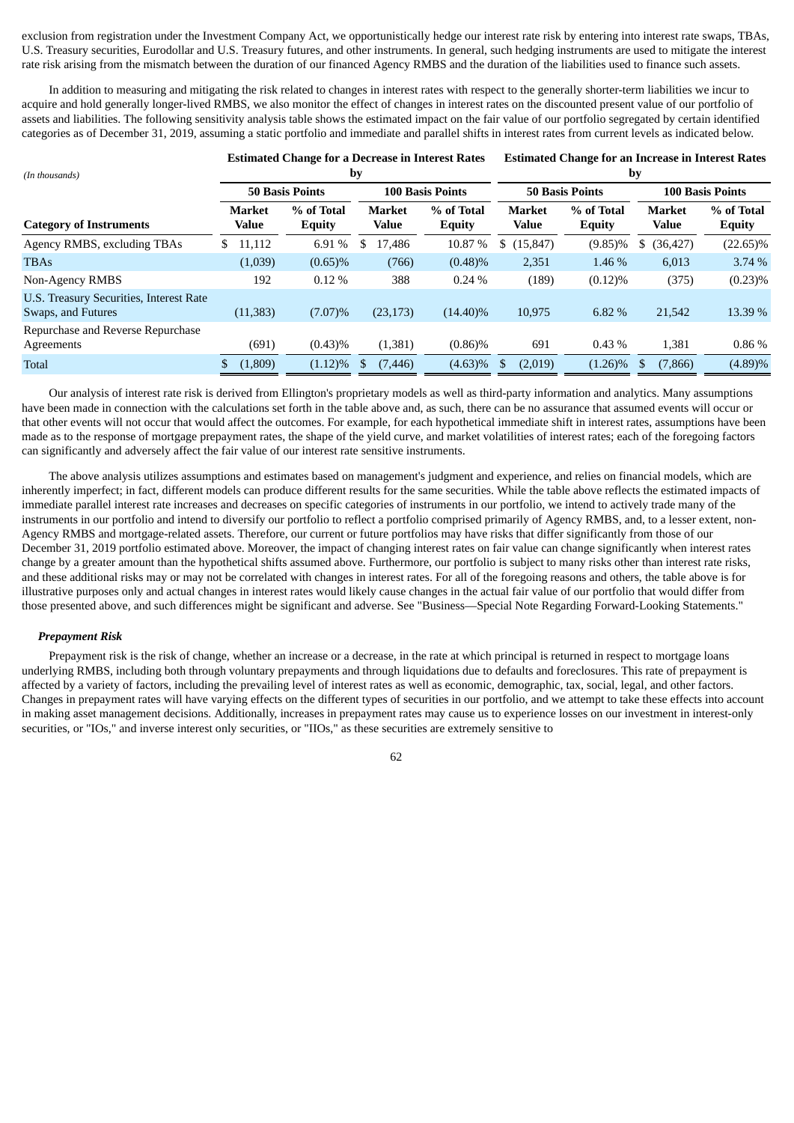exclusion from registration under the Investment Company Act, we opportunistically hedge our interest rate risk by entering into interest rate swaps, TBAs, U.S. Treasury securities, Eurodollar and U.S. Treasury futures, and other instruments. In general, such hedging instruments are used to mitigate the interest rate risk arising from the mismatch between the duration of our financed Agency RMBS and the duration of the liabilities used to finance such assets.

In addition to measuring and mitigating the risk related to changes in interest rates with respect to the generally shorter-term liabilities we incur to acquire and hold generally longer-lived RMBS, we also monitor the effect of changes in interest rates on the discounted present value of our portfolio of assets and liabilities. The following sensitivity analysis table shows the estimated impact on the fair value of our portfolio segregated by certain identified categories as of December 31, 2019, assuming a static portfolio and immediate and parallel shifts in interest rates from current levels as indicated below.

| (In thousands)                                                |                        | <b>Estimated Change for a Decrease in Interest Rates</b> | by                            |                             | <b>Estimated Change for an Increase in Interest Rates</b><br>by |                             |                         |                             |  |  |
|---------------------------------------------------------------|------------------------|----------------------------------------------------------|-------------------------------|-----------------------------|-----------------------------------------------------------------|-----------------------------|-------------------------|-----------------------------|--|--|
|                                                               |                        | <b>50 Basis Points</b>                                   |                               | <b>100 Basis Points</b>     |                                                                 | <b>50 Basis Points</b>      | <b>100 Basis Points</b> |                             |  |  |
| <b>Category of Instruments</b>                                | <b>Market</b><br>Value | % of Total<br><b>Equity</b>                              | <b>Market</b><br><b>Value</b> | % of Total<br><b>Equity</b> | <b>Market</b><br><b>Value</b>                                   | % of Total<br><b>Equity</b> | Market<br><b>Value</b>  | % of Total<br><b>Equity</b> |  |  |
| Agency RMBS, excluding TBAs                                   | 11,112<br>\$           | 6.91 %                                                   | 17.486<br>S.                  | 10.87%                      | (15, 847)<br>S                                                  | $(9.85)\%$                  | (36, 427)<br>S.         | $(22.65)\%$                 |  |  |
| <b>TBAs</b>                                                   | (1,039)                | $(0.65)\%$                                               | (766)                         | $(0.48)\%$                  | 2,351                                                           | 1.46 %                      | 6,013                   | 3.74%                       |  |  |
| Non-Agency RMBS                                               | 192                    | 0.12%                                                    | 388                           | 0.24%                       | (189)                                                           | $(0.12)\%$                  | (375)                   | $(0.23)\%$                  |  |  |
| U.S. Treasury Securities, Interest Rate<br>Swaps, and Futures | (11, 383)              | $(7.07)\%$                                               | (23, 173)                     | $(14.40)\%$                 | 10,975                                                          | 6.82 %                      | 21,542                  | 13.39 %                     |  |  |
| Repurchase and Reverse Repurchase<br>Agreements               | (691)                  | $(0.43)\%$                                               | (1,381)                       | $(0.86)\%$                  | 691                                                             | $0.43\%$                    | 1,381                   | 0.86%                       |  |  |
| <b>Total</b>                                                  | (1,809)                | $(1.12)\%$                                               | (7, 446)                      | $(4.63)\%$                  | (2,019)                                                         | $(1.26)\%$                  | (7,866)                 | $(4.89)\%$                  |  |  |

Our analysis of interest rate risk is derived from Ellington's proprietary models as well as third-party information and analytics. Many assumptions have been made in connection with the calculations set forth in the table above and, as such, there can be no assurance that assumed events will occur or that other events will not occur that would affect the outcomes. For example, for each hypothetical immediate shift in interest rates, assumptions have been made as to the response of mortgage prepayment rates, the shape of the yield curve, and market volatilities of interest rates; each of the foregoing factors can significantly and adversely affect the fair value of our interest rate sensitive instruments.

The above analysis utilizes assumptions and estimates based on management's judgment and experience, and relies on financial models, which are inherently imperfect; in fact, different models can produce different results for the same securities. While the table above reflects the estimated impacts of immediate parallel interest rate increases and decreases on specific categories of instruments in our portfolio, we intend to actively trade many of the instruments in our portfolio and intend to diversify our portfolio to reflect a portfolio comprised primarily of Agency RMBS, and, to a lesser extent, non-Agency RMBS and mortgage-related assets. Therefore, our current or future portfolios may have risks that differ significantly from those of our December 31, 2019 portfolio estimated above. Moreover, the impact of changing interest rates on fair value can change significantly when interest rates change by a greater amount than the hypothetical shifts assumed above. Furthermore, our portfolio is subject to many risks other than interest rate risks, and these additional risks may or may not be correlated with changes in interest rates. For all of the foregoing reasons and others, the table above is for illustrative purposes only and actual changes in interest rates would likely cause changes in the actual fair value of our portfolio that would differ from those presented above, and such differences might be significant and adverse. See "Business—Special Note Regarding Forward-Looking Statements."

## *Prepayment Risk*

Prepayment risk is the risk of change, whether an increase or a decrease, in the rate at which principal is returned in respect to mortgage loans underlying RMBS, including both through voluntary prepayments and through liquidations due to defaults and foreclosures. This rate of prepayment is affected by a variety of factors, including the prevailing level of interest rates as well as economic, demographic, tax, social, legal, and other factors. Changes in prepayment rates will have varying effects on the different types of securities in our portfolio, and we attempt to take these effects into account in making asset management decisions. Additionally, increases in prepayment rates may cause us to experience losses on our investment in interest-only securities, or "IOs," and inverse interest only securities, or "IIOs," as these securities are extremely sensitive to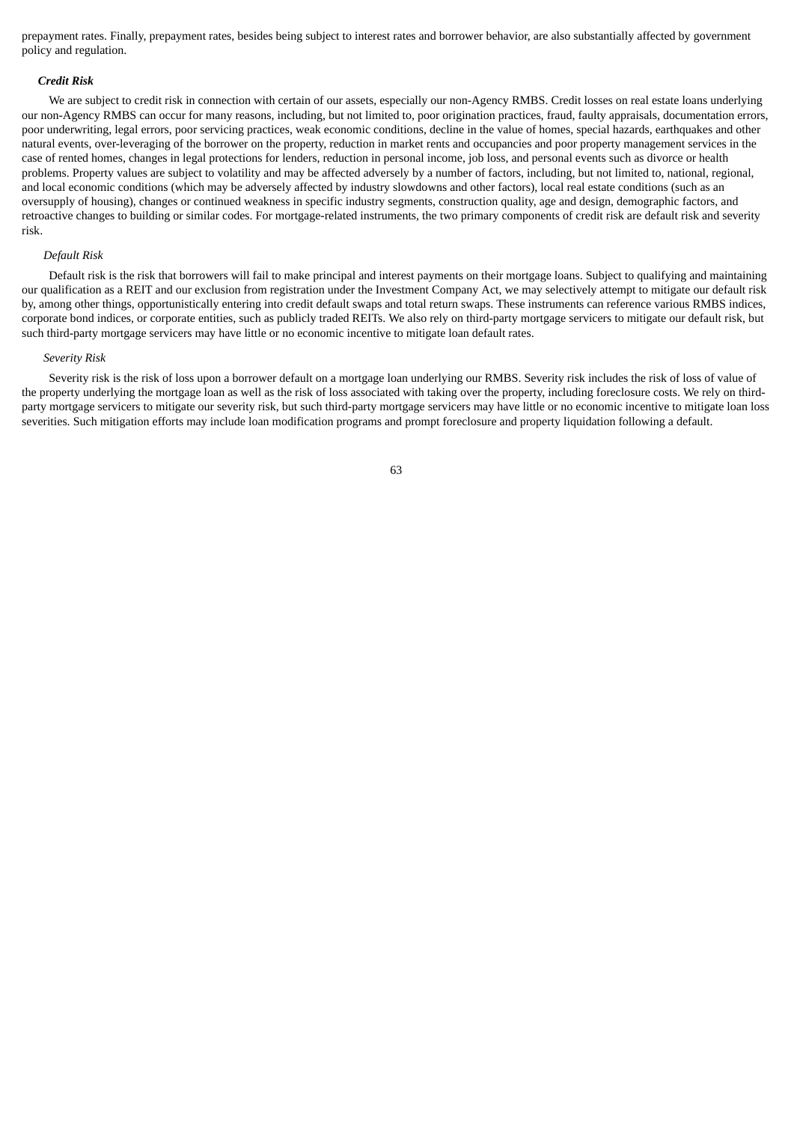prepayment rates. Finally, prepayment rates, besides being subject to interest rates and borrower behavior, are also substantially affected by government policy and regulation.

#### *Credit Risk*

We are subject to credit risk in connection with certain of our assets, especially our non-Agency RMBS. Credit losses on real estate loans underlying our non-Agency RMBS can occur for many reasons, including, but not limited to, poor origination practices, fraud, faulty appraisals, documentation errors, poor underwriting, legal errors, poor servicing practices, weak economic conditions, decline in the value of homes, special hazards, earthquakes and other natural events, over-leveraging of the borrower on the property, reduction in market rents and occupancies and poor property management services in the case of rented homes, changes in legal protections for lenders, reduction in personal income, job loss, and personal events such as divorce or health problems. Property values are subject to volatility and may be affected adversely by a number of factors, including, but not limited to, national, regional, and local economic conditions (which may be adversely affected by industry slowdowns and other factors), local real estate conditions (such as an oversupply of housing), changes or continued weakness in specific industry segments, construction quality, age and design, demographic factors, and retroactive changes to building or similar codes. For mortgage-related instruments, the two primary components of credit risk are default risk and severity risk.

## *Default Risk*

Default risk is the risk that borrowers will fail to make principal and interest payments on their mortgage loans. Subject to qualifying and maintaining our qualification as a REIT and our exclusion from registration under the Investment Company Act, we may selectively attempt to mitigate our default risk by, among other things, opportunistically entering into credit default swaps and total return swaps. These instruments can reference various RMBS indices, corporate bond indices, or corporate entities, such as publicly traded REITs. We also rely on third-party mortgage servicers to mitigate our default risk, but such third-party mortgage servicers may have little or no economic incentive to mitigate loan default rates.

#### *Severity Risk*

Severity risk is the risk of loss upon a borrower default on a mortgage loan underlying our RMBS. Severity risk includes the risk of loss of value of the property underlying the mortgage loan as well as the risk of loss associated with taking over the property, including foreclosure costs. We rely on thirdparty mortgage servicers to mitigate our severity risk, but such third-party mortgage servicers may have little or no economic incentive to mitigate loan loss severities. Such mitigation efforts may include loan modification programs and prompt foreclosure and property liquidation following a default.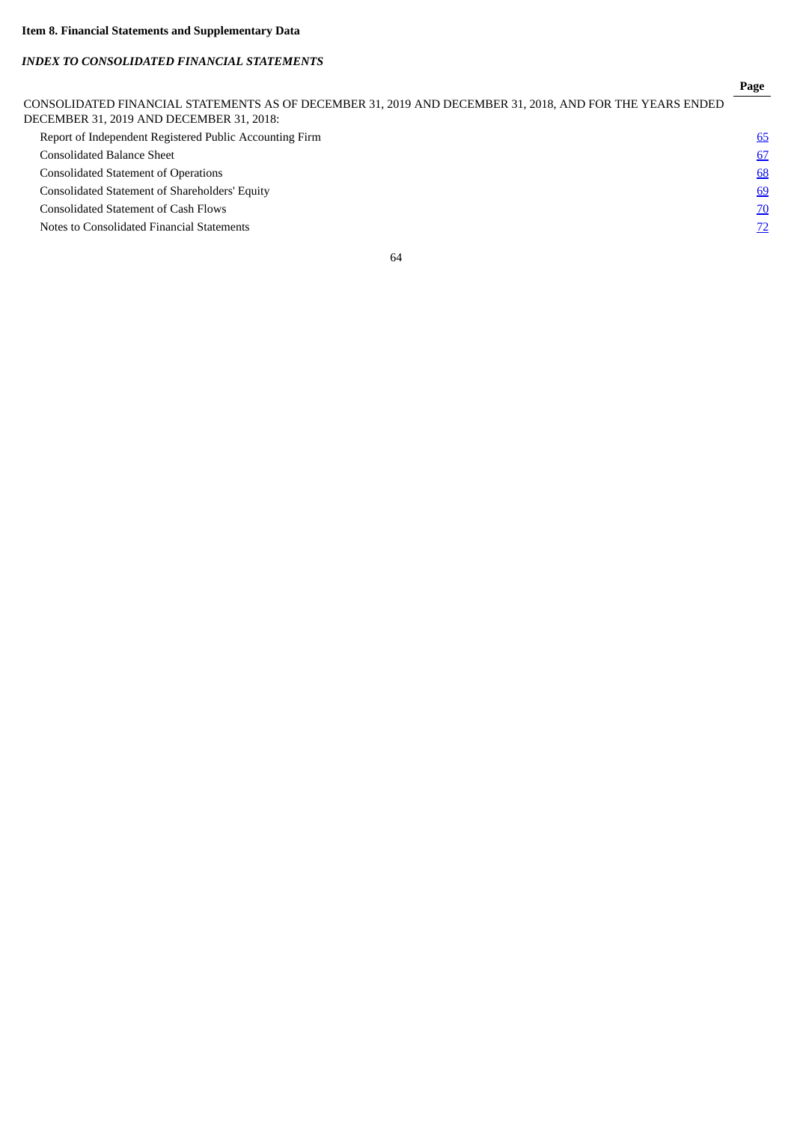## *INDEX TO CONSOLIDATED FINANCIAL STATEMENTS*

|                                                                                                                                                      | Page |
|------------------------------------------------------------------------------------------------------------------------------------------------------|------|
| CONSOLIDATED FINANCIAL STATEMENTS AS OF DECEMBER 31, 2019 AND DECEMBER 31, 2018, AND FOR THE YEARS ENDED<br>DECEMBER 31, 2019 AND DECEMBER 31, 2018: |      |
| Report of Independent Registered Public Accounting Firm                                                                                              | 65   |
| <b>Consolidated Balance Sheet</b>                                                                                                                    | 67   |
| <b>Consolidated Statement of Operations</b>                                                                                                          | 68   |
| Consolidated Statement of Shareholders' Equity                                                                                                       | 69   |
| Consolidated Statement of Cash Flows                                                                                                                 | 70   |
| Notes to Consolidated Financial Statements                                                                                                           | 72   |
| $\sim$ $\sim$                                                                                                                                        |      |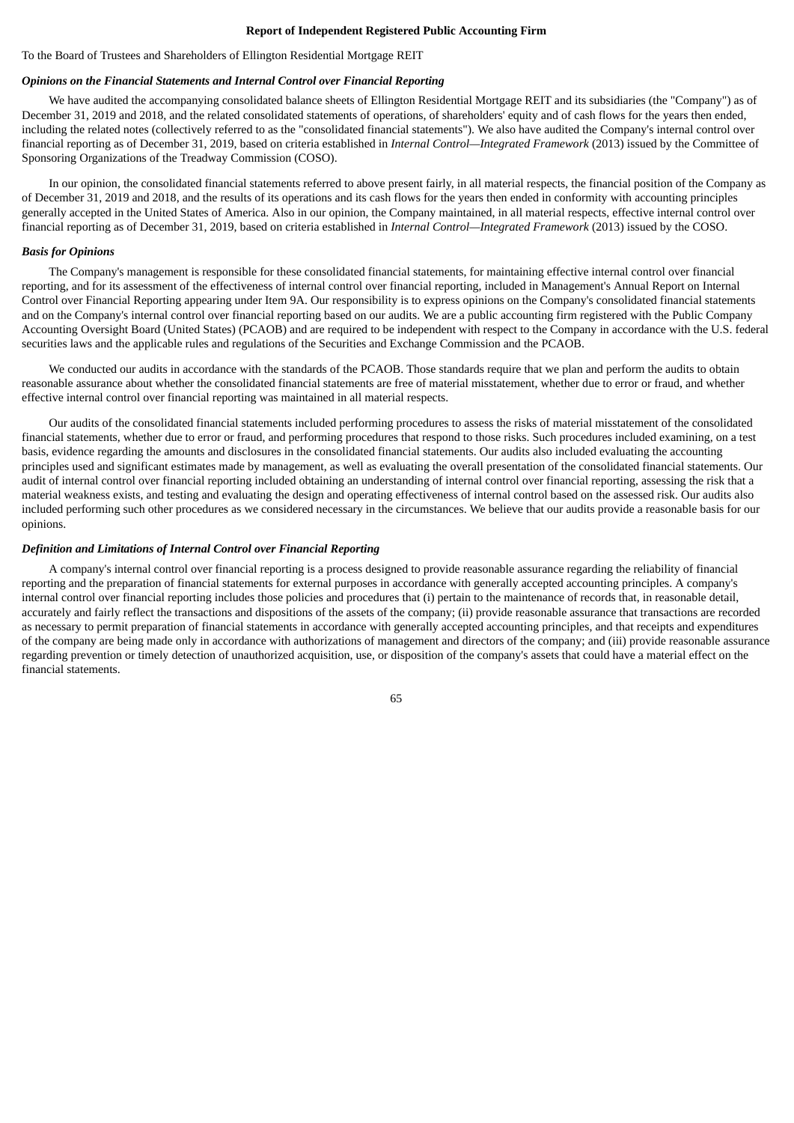## **Report of Independent Registered Public Accounting Firm**

## <span id="page-64-0"></span>To the Board of Trustees and Shareholders of Ellington Residential Mortgage REIT

## *Opinions on the Financial Statements and Internal Control over Financial Reporting*

We have audited the accompanying consolidated balance sheets of Ellington Residential Mortgage REIT and its subsidiaries (the "Company") as of December 31, 2019 and 2018, and the related consolidated statements of operations, of shareholders' equity and of cash flows for the years then ended, including the related notes (collectively referred to as the "consolidated financial statements"). We also have audited the Company's internal control over financial reporting as of December 31, 2019, based on criteria established in *Internal Control—Integrated Framework* (2013) issued by the Committee of Sponsoring Organizations of the Treadway Commission (COSO).

In our opinion, the consolidated financial statements referred to above present fairly, in all material respects, the financial position of the Company as of December 31, 2019 and 2018, and the results of its operations and its cash flows for the years then ended in conformity with accounting principles generally accepted in the United States of America. Also in our opinion, the Company maintained, in all material respects, effective internal control over financial reporting as of December 31, 2019, based on criteria established in *Internal Control—Integrated Framework* (2013) issued by the COSO.

#### *Basis for Opinions*

The Company's management is responsible for these consolidated financial statements, for maintaining effective internal control over financial reporting, and for its assessment of the effectiveness of internal control over financial reporting, included in Management's Annual Report on Internal Control over Financial Reporting appearing under Item 9A. Our responsibility is to express opinions on the Company's consolidated financial statements and on the Company's internal control over financial reporting based on our audits. We are a public accounting firm registered with the Public Company Accounting Oversight Board (United States) (PCAOB) and are required to be independent with respect to the Company in accordance with the U.S. federal securities laws and the applicable rules and regulations of the Securities and Exchange Commission and the PCAOB.

We conducted our audits in accordance with the standards of the PCAOB. Those standards require that we plan and perform the audits to obtain reasonable assurance about whether the consolidated financial statements are free of material misstatement, whether due to error or fraud, and whether effective internal control over financial reporting was maintained in all material respects.

Our audits of the consolidated financial statements included performing procedures to assess the risks of material misstatement of the consolidated financial statements, whether due to error or fraud, and performing procedures that respond to those risks. Such procedures included examining, on a test basis, evidence regarding the amounts and disclosures in the consolidated financial statements. Our audits also included evaluating the accounting principles used and significant estimates made by management, as well as evaluating the overall presentation of the consolidated financial statements. Our audit of internal control over financial reporting included obtaining an understanding of internal control over financial reporting, assessing the risk that a material weakness exists, and testing and evaluating the design and operating effectiveness of internal control based on the assessed risk. Our audits also included performing such other procedures as we considered necessary in the circumstances. We believe that our audits provide a reasonable basis for our opinions.

## *Definition and Limitations of Internal Control over Financial Reporting*

A company's internal control over financial reporting is a process designed to provide reasonable assurance regarding the reliability of financial reporting and the preparation of financial statements for external purposes in accordance with generally accepted accounting principles. A company's internal control over financial reporting includes those policies and procedures that (i) pertain to the maintenance of records that, in reasonable detail, accurately and fairly reflect the transactions and dispositions of the assets of the company; (ii) provide reasonable assurance that transactions are recorded as necessary to permit preparation of financial statements in accordance with generally accepted accounting principles, and that receipts and expenditures of the company are being made only in accordance with authorizations of management and directors of the company; and (iii) provide reasonable assurance regarding prevention or timely detection of unauthorized acquisition, use, or disposition of the company's assets that could have a material effect on the financial statements.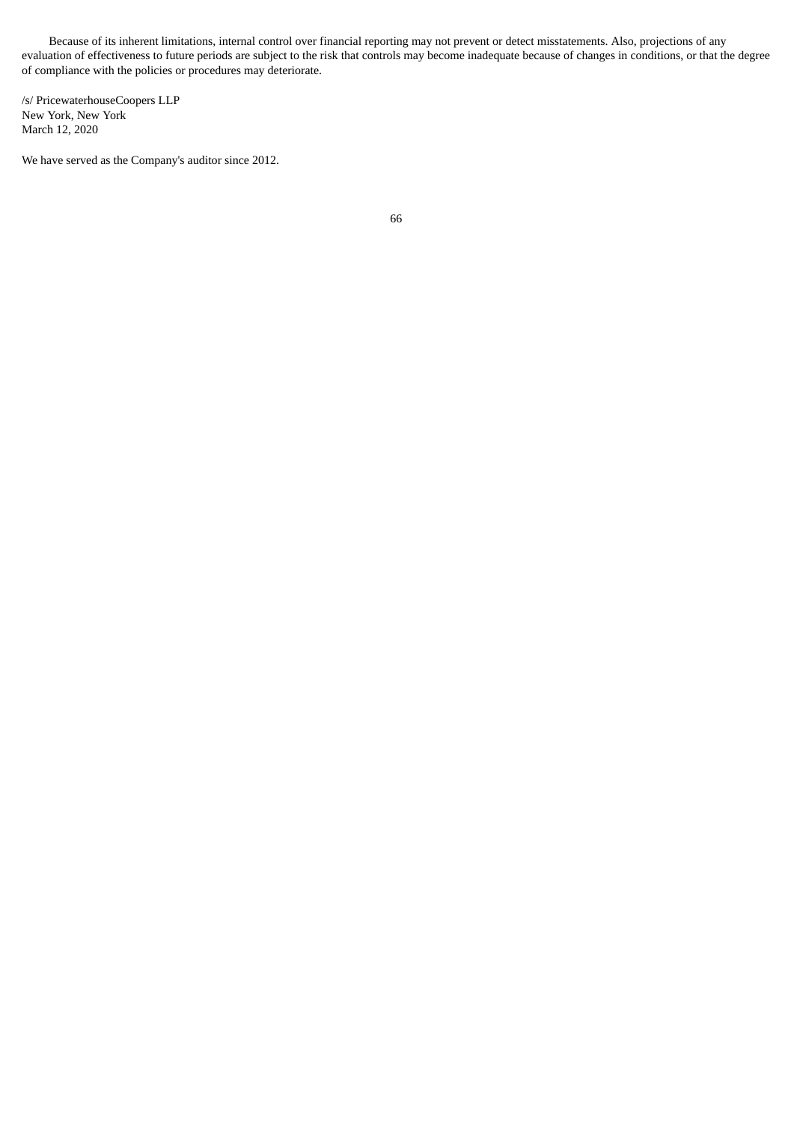Because of its inherent limitations, internal control over financial reporting may not prevent or detect misstatements. Also, projections of any evaluation of effectiveness to future periods are subject to the risk that controls may become inadequate because of changes in conditions, or that the degree of compliance with the policies or procedures may deteriorate.

/s/ PricewaterhouseCoopers LLP New York, New York March 12, 2020

We have served as the Company's auditor since 2012.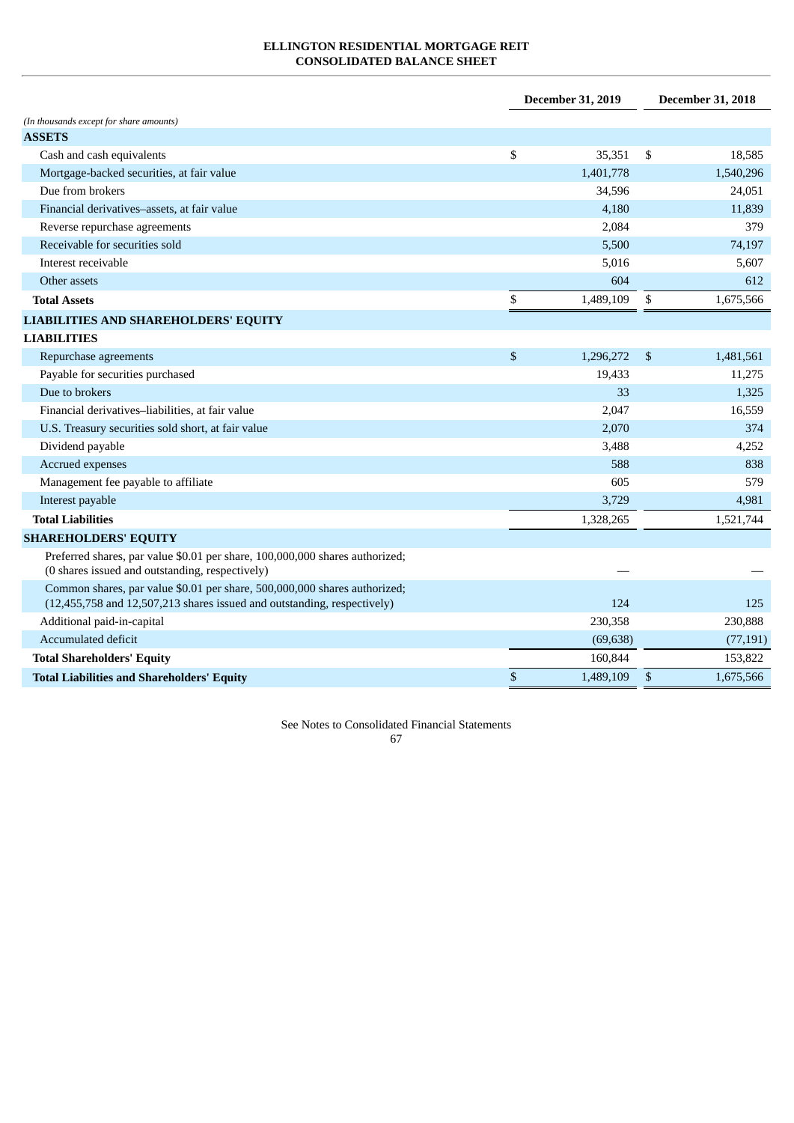## **ELLINGTON RESIDENTIAL MORTGAGE REIT CONSOLIDATED BALANCE SHEET**

<span id="page-66-0"></span>

|                                                                                                                                                      |                           | <b>December 31, 2019</b> | <b>December 31, 2018</b> |           |  |
|------------------------------------------------------------------------------------------------------------------------------------------------------|---------------------------|--------------------------|--------------------------|-----------|--|
| (In thousands except for share amounts)                                                                                                              |                           |                          |                          |           |  |
| <b>ASSETS</b>                                                                                                                                        |                           |                          |                          |           |  |
| Cash and cash equivalents                                                                                                                            | \$                        | 35,351                   | -\$                      | 18,585    |  |
| Mortgage-backed securities, at fair value                                                                                                            |                           | 1,401,778                |                          | 1,540,296 |  |
| Due from brokers                                                                                                                                     |                           | 34,596                   |                          | 24,051    |  |
| Financial derivatives-assets, at fair value                                                                                                          |                           | 4,180                    |                          | 11,839    |  |
| Reverse repurchase agreements                                                                                                                        |                           | 2,084                    |                          | 379       |  |
| Receivable for securities sold                                                                                                                       |                           | 5,500                    |                          | 74,197    |  |
| Interest receivable                                                                                                                                  |                           | 5,016                    |                          | 5,607     |  |
| Other assets                                                                                                                                         |                           | 604                      |                          | 612       |  |
| <b>Total Assets</b>                                                                                                                                  | \$                        | 1,489,109                | \$                       | 1,675,566 |  |
| <b>LIABILITIES AND SHAREHOLDERS' EQUITY</b>                                                                                                          |                           |                          |                          |           |  |
| <b>LIABILITIES</b>                                                                                                                                   |                           |                          |                          |           |  |
| Repurchase agreements                                                                                                                                | \$                        | 1,296,272                | <sup>\$</sup>            | 1,481,561 |  |
| Payable for securities purchased                                                                                                                     |                           | 19,433                   |                          | 11,275    |  |
| Due to brokers                                                                                                                                       |                           | 33                       |                          | 1,325     |  |
| Financial derivatives-liabilities, at fair value                                                                                                     |                           | 2,047                    |                          | 16,559    |  |
| U.S. Treasury securities sold short, at fair value                                                                                                   |                           | 2,070                    |                          | 374       |  |
| Dividend payable                                                                                                                                     |                           | 3,488                    |                          | 4,252     |  |
| Accrued expenses                                                                                                                                     |                           | 588                      |                          | 838       |  |
| Management fee payable to affiliate                                                                                                                  |                           | 605                      |                          | 579       |  |
| Interest payable                                                                                                                                     |                           | 3,729                    |                          | 4,981     |  |
| <b>Total Liabilities</b>                                                                                                                             |                           | 1,328,265                |                          | 1,521,744 |  |
| <b>SHAREHOLDERS' EQUITY</b>                                                                                                                          |                           |                          |                          |           |  |
| Preferred shares, par value \$0.01 per share, 100,000,000 shares authorized;<br>(0 shares issued and outstanding, respectively)                      |                           |                          |                          |           |  |
| Common shares, par value \$0.01 per share, 500,000,000 shares authorized;<br>(12,455,758 and 12,507,213 shares issued and outstanding, respectively) |                           | 124                      |                          | 125       |  |
| Additional paid-in-capital                                                                                                                           |                           | 230,358                  |                          | 230,888   |  |
| <b>Accumulated deficit</b>                                                                                                                           |                           | (69, 638)                |                          | (77, 191) |  |
| <b>Total Shareholders' Equity</b>                                                                                                                    |                           | 160,844                  |                          | 153,822   |  |
| <b>Total Liabilities and Shareholders' Equity</b>                                                                                                    | $\boldsymbol{\mathsf{S}}$ | 1,489,109                | \$                       | 1,675,566 |  |

See Notes to Consolidated Financial Statements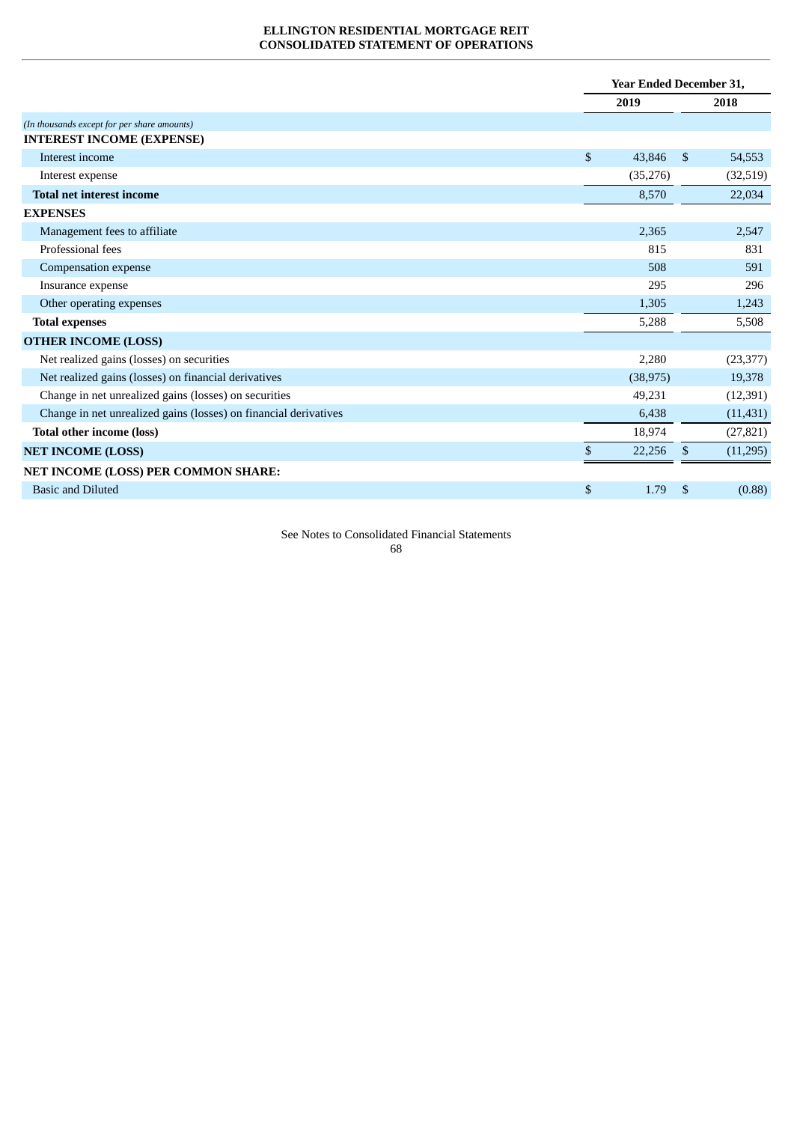## **ELLINGTON RESIDENTIAL MORTGAGE REIT CONSOLIDATED STATEMENT OF OPERATIONS**

<span id="page-67-0"></span>

|                                                                  | <b>Year Ended December 31,</b> |    |           |  |
|------------------------------------------------------------------|--------------------------------|----|-----------|--|
|                                                                  | 2019                           |    | 2018      |  |
| (In thousands except for per share amounts)                      |                                |    |           |  |
| <b>INTEREST INCOME (EXPENSE)</b>                                 |                                |    |           |  |
| Interest income                                                  | \$<br>43,846                   | \$ | 54,553    |  |
| Interest expense                                                 | (35, 276)                      |    | (32, 519) |  |
| <b>Total net interest income</b>                                 | 8,570                          |    | 22,034    |  |
| <b>EXPENSES</b>                                                  |                                |    |           |  |
| Management fees to affiliate                                     | 2,365                          |    | 2,547     |  |
| Professional fees                                                | 815                            |    | 831       |  |
| Compensation expense                                             | 508                            |    | 591       |  |
| Insurance expense                                                | 295                            |    | 296       |  |
| Other operating expenses                                         | 1,305                          |    | 1,243     |  |
| <b>Total expenses</b>                                            | 5,288                          |    | 5,508     |  |
| <b>OTHER INCOME (LOSS)</b>                                       |                                |    |           |  |
| Net realized gains (losses) on securities                        | 2,280                          |    | (23, 377) |  |
| Net realized gains (losses) on financial derivatives             | (38, 975)                      |    | 19,378    |  |
| Change in net unrealized gains (losses) on securities            | 49,231                         |    | (12, 391) |  |
| Change in net unrealized gains (losses) on financial derivatives | 6,438                          |    | (11, 431) |  |
| <b>Total other income (loss)</b>                                 | 18,974                         |    | (27, 821) |  |
| <b>NET INCOME (LOSS)</b>                                         | \$<br>22,256                   | \$ | (11,295)  |  |
| NET INCOME (LOSS) PER COMMON SHARE:                              |                                |    |           |  |
| <b>Basic and Diluted</b>                                         | \$<br>1.79                     | S  | (0.88)    |  |

See Notes to Consolidated Financial Statements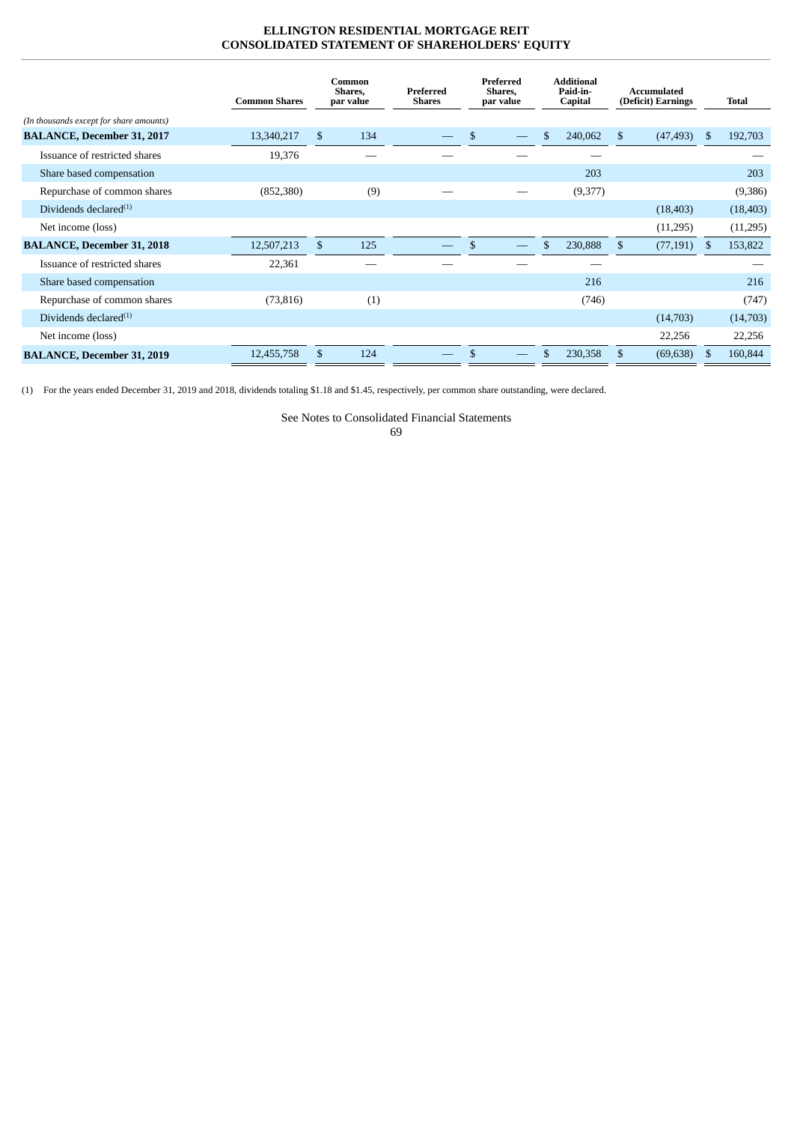## **ELLINGTON RESIDENTIAL MORTGAGE REIT CONSOLIDATED STATEMENT OF SHAREHOLDERS' EQUITY**

<span id="page-68-0"></span>

|                                         | <b>Common Shares</b> | Common<br>Shares,<br>par value |     | Preferred<br><b>Shares</b> |    | Preferred<br>Shares,<br>par value |              | Additional<br>Paid-in-<br>Capital | <b>Accumulated</b><br>(Deficit) Earnings |           | <b>Total</b>  |           |
|-----------------------------------------|----------------------|--------------------------------|-----|----------------------------|----|-----------------------------------|--------------|-----------------------------------|------------------------------------------|-----------|---------------|-----------|
| (In thousands except for share amounts) |                      |                                |     |                            |    |                                   |              |                                   |                                          |           |               |           |
| <b>BALANCE, December 31, 2017</b>       | 13,340,217           | S.                             | 134 |                            | \$ |                                   | $\mathbb{S}$ | 240,062                           | \$                                       | (47, 493) | -S            | 192,703   |
| Issuance of restricted shares           | 19,376               |                                |     |                            |    |                                   |              |                                   |                                          |           |               |           |
| Share based compensation                |                      |                                |     |                            |    |                                   |              | 203                               |                                          |           |               | 203       |
| Repurchase of common shares             | (852, 380)           |                                | (9) |                            |    |                                   |              | (9, 377)                          |                                          |           |               | (9,386)   |
| Dividends declared $(1)$                |                      |                                |     |                            |    |                                   |              |                                   |                                          | (18, 403) |               | (18, 403) |
| Net income (loss)                       |                      |                                |     |                            |    |                                   |              |                                   |                                          | (11,295)  |               | (11,295)  |
| <b>BALANCE, December 31, 2018</b>       | 12,507,213           | $\mathbb{S}$                   | 125 |                            | S  |                                   | \$           | 230,888                           | $\mathbf{s}$                             | (77, 191) | - \$          | 153,822   |
| Issuance of restricted shares           | 22,361               |                                |     |                            |    |                                   |              |                                   |                                          |           |               |           |
| Share based compensation                |                      |                                |     |                            |    |                                   |              | 216                               |                                          |           |               | 216       |
| Repurchase of common shares             | (73, 816)            |                                | (1) |                            |    |                                   |              | (746)                             |                                          |           |               | (747)     |
| Dividends declared $(1)$                |                      |                                |     |                            |    |                                   |              |                                   |                                          | (14,703)  |               | (14,703)  |
| Net income (loss)                       |                      |                                |     |                            |    |                                   |              |                                   |                                          | 22,256    |               | 22,256    |
| <b>BALANCE, December 31, 2019</b>       | 12,455,758           | $\mathbb{S}$                   | 124 |                            |    |                                   | \$           | 230,358                           | \$                                       | (69, 638) | <sup>\$</sup> | 160,844   |

(1) For the years ended December 31, 2019 and 2018, dividends totaling \$1.18 and \$1.45, respectively, per common share outstanding, were declared.

See Notes to Consolidated Financial Statements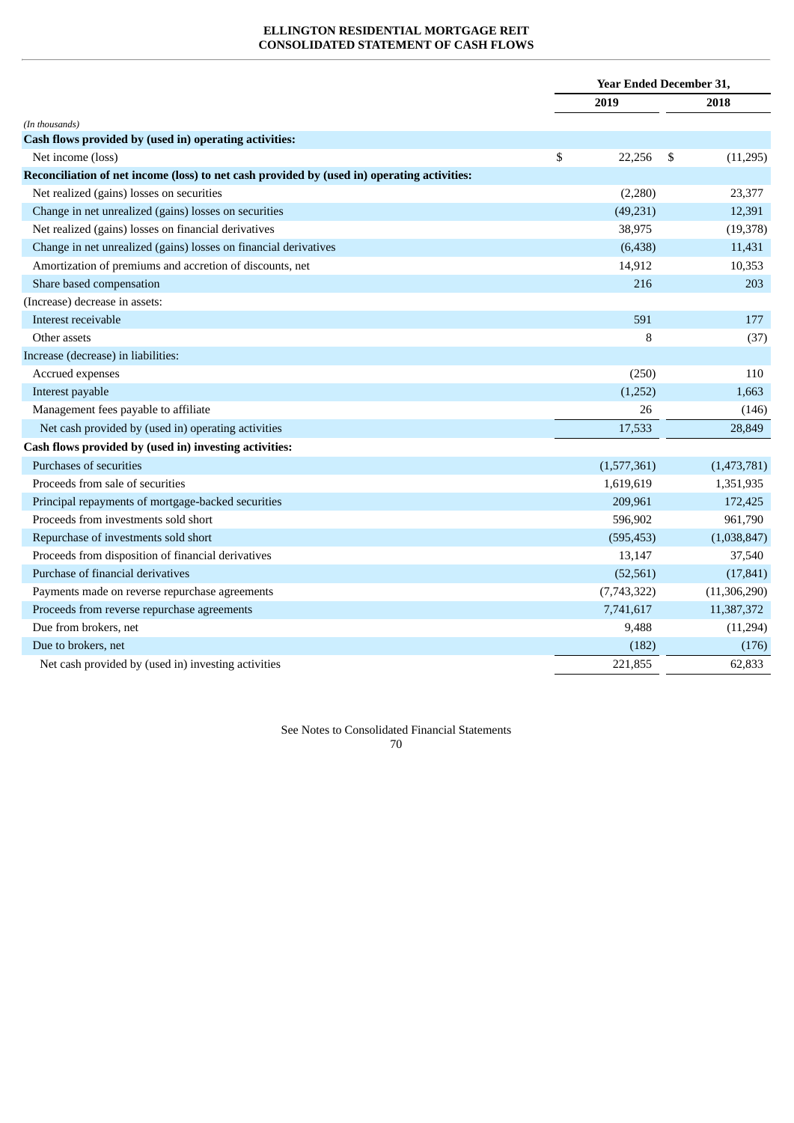## **ELLINGTON RESIDENTIAL MORTGAGE REIT CONSOLIDATED STATEMENT OF CASH FLOWS**

<span id="page-69-0"></span>

|                                                                                             | <b>Year Ended December 31,</b> |    |                |  |
|---------------------------------------------------------------------------------------------|--------------------------------|----|----------------|--|
|                                                                                             | 2019                           |    | 2018           |  |
| (In thousands)                                                                              |                                |    |                |  |
| Cash flows provided by (used in) operating activities:                                      |                                |    |                |  |
| Net income (loss)                                                                           | \$<br>22,256                   | \$ | (11, 295)      |  |
| Reconciliation of net income (loss) to net cash provided by (used in) operating activities: |                                |    |                |  |
| Net realized (gains) losses on securities                                                   | (2,280)                        |    | 23,377         |  |
| Change in net unrealized (gains) losses on securities                                       | (49, 231)                      |    | 12,391         |  |
| Net realized (gains) losses on financial derivatives                                        | 38,975                         |    | (19, 378)      |  |
| Change in net unrealized (gains) losses on financial derivatives                            | (6, 438)                       |    | 11,431         |  |
| Amortization of premiums and accretion of discounts, net                                    | 14,912                         |    | 10,353         |  |
| Share based compensation                                                                    | 216                            |    | 203            |  |
| (Increase) decrease in assets:                                                              |                                |    |                |  |
| Interest receivable                                                                         | 591                            |    | 177            |  |
| Other assets                                                                                | 8                              |    | (37)           |  |
| Increase (decrease) in liabilities:                                                         |                                |    |                |  |
| Accrued expenses                                                                            | (250)                          |    | 110            |  |
| Interest payable                                                                            | (1,252)                        |    | 1,663          |  |
| Management fees payable to affiliate                                                        | 26                             |    | (146)          |  |
| Net cash provided by (used in) operating activities                                         | 17,533                         |    | 28,849         |  |
| Cash flows provided by (used in) investing activities:                                      |                                |    |                |  |
| Purchases of securities                                                                     | (1,577,361)                    |    | (1,473,781)    |  |
| Proceeds from sale of securities                                                            | 1,619,619                      |    | 1,351,935      |  |
| Principal repayments of mortgage-backed securities                                          | 209,961                        |    | 172,425        |  |
| Proceeds from investments sold short                                                        | 596,902                        |    | 961,790        |  |
| Repurchase of investments sold short                                                        | (595, 453)                     |    | (1,038,847)    |  |
| Proceeds from disposition of financial derivatives                                          | 13,147                         |    | 37,540         |  |
| Purchase of financial derivatives                                                           | (52, 561)                      |    | (17, 841)      |  |
| Payments made on reverse repurchase agreements                                              | (7,743,322)                    |    | (11, 306, 290) |  |
| Proceeds from reverse repurchase agreements                                                 | 7,741,617                      |    | 11,387,372     |  |
| Due from brokers, net                                                                       | 9,488                          |    | (11, 294)      |  |
| Due to brokers, net                                                                         | (182)                          |    | (176)          |  |
| Net cash provided by (used in) investing activities                                         | 221,855                        |    | 62,833         |  |

See Notes to Consolidated Financial Statements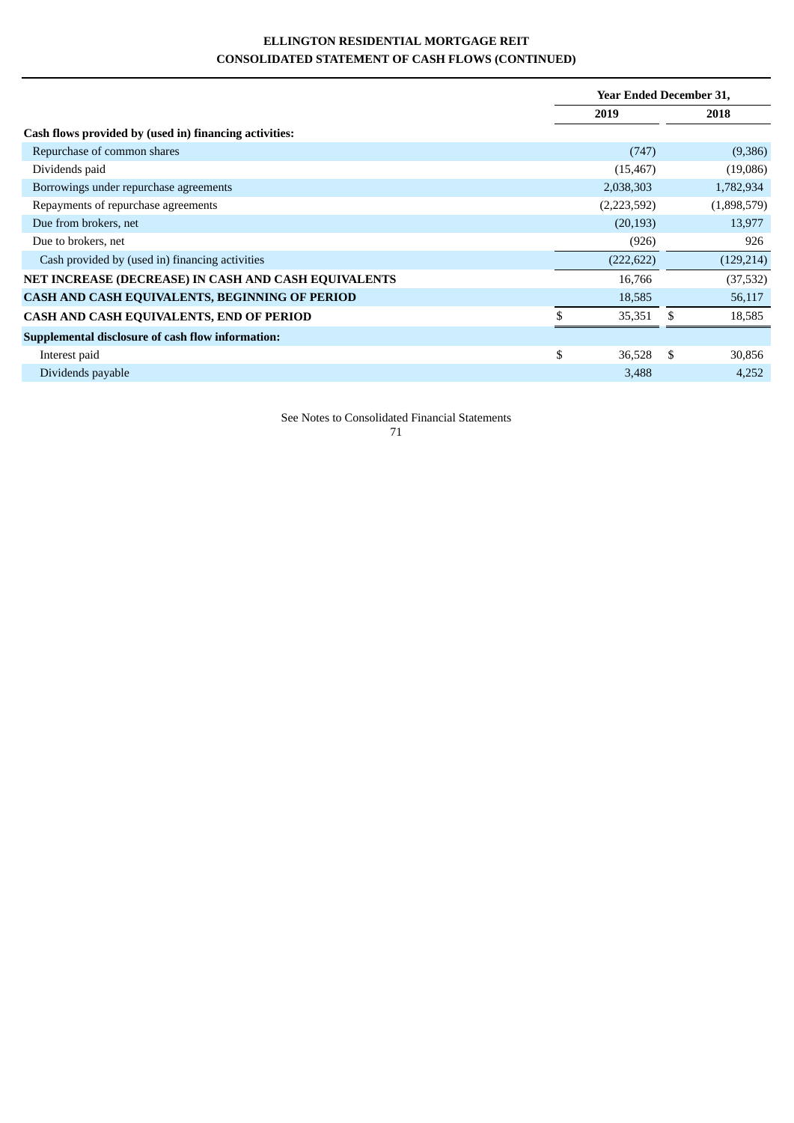# **ELLINGTON RESIDENTIAL MORTGAGE REIT CONSOLIDATED STATEMENT OF CASH FLOWS (CONTINUED)**

|                                                        | <b>Year Ended December 31,</b> |    |             |  |
|--------------------------------------------------------|--------------------------------|----|-------------|--|
|                                                        | 2019                           |    | 2018        |  |
| Cash flows provided by (used in) financing activities: |                                |    |             |  |
| Repurchase of common shares                            | (747)                          |    | (9,386)     |  |
| Dividends paid                                         | (15, 467)                      |    | (19,086)    |  |
| Borrowings under repurchase agreements                 | 2,038,303                      |    | 1,782,934   |  |
| Repayments of repurchase agreements                    | (2,223,592)                    |    | (1,898,579) |  |
| Due from brokers, net                                  | (20, 193)                      |    | 13,977      |  |
| Due to brokers, net                                    | (926)                          |    | 926         |  |
| Cash provided by (used in) financing activities        | (222, 622)                     |    | (129, 214)  |  |
| NET INCREASE (DECREASE) IN CASH AND CASH EQUIVALENTS   | 16,766                         |    | (37, 532)   |  |
| CASH AND CASH EQUIVALENTS, BEGINNING OF PERIOD         | 18,585                         |    | 56,117      |  |
| CASH AND CASH EQUIVALENTS, END OF PERIOD               | 35,351                         |    | 18,585      |  |
| Supplemental disclosure of cash flow information:      |                                |    |             |  |
| Interest paid                                          | \$<br>36,528                   | -S | 30,856      |  |
| Dividends payable                                      | 3,488                          |    | 4,252       |  |

See Notes to Consolidated Financial Statements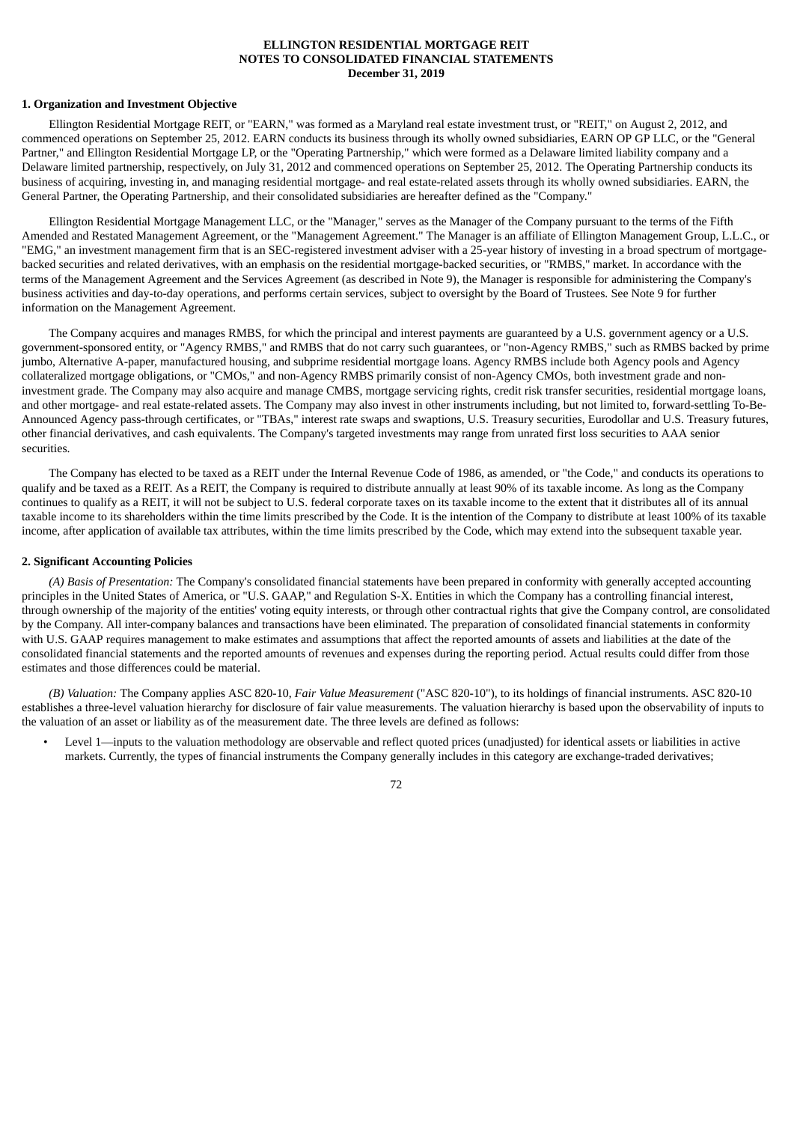## **ELLINGTON RESIDENTIAL MORTGAGE REIT NOTES TO CONSOLIDATED FINANCIAL STATEMENTS December 31, 2019**

#### <span id="page-71-0"></span>**1. Organization and Investment Objective**

Ellington Residential Mortgage REIT, or "EARN," was formed as a Maryland real estate investment trust, or "REIT," on August 2, 2012, and commenced operations on September 25, 2012. EARN conducts its business through its wholly owned subsidiaries, EARN OP GP LLC, or the "General Partner," and Ellington Residential Mortgage LP, or the "Operating Partnership," which were formed as a Delaware limited liability company and a Delaware limited partnership, respectively, on July 31, 2012 and commenced operations on September 25, 2012. The Operating Partnership conducts its business of acquiring, investing in, and managing residential mortgage- and real estate-related assets through its wholly owned subsidiaries. EARN, the General Partner, the Operating Partnership, and their consolidated subsidiaries are hereafter defined as the "Company."

Ellington Residential Mortgage Management LLC, or the "Manager," serves as the Manager of the Company pursuant to the terms of the Fifth Amended and Restated Management Agreement, or the "Management Agreement." The Manager is an affiliate of Ellington Management Group, L.L.C., or "EMG," an investment management firm that is an SEC-registered investment adviser with a 25-year history of investing in a broad spectrum of mortgagebacked securities and related derivatives, with an emphasis on the residential mortgage-backed securities, or "RMBS," market. In accordance with the terms of the Management Agreement and the Services Agreement (as described in Note 9), the Manager is responsible for administering the Company's business activities and day-to-day operations, and performs certain services, subject to oversight by the Board of Trustees. See Note 9 for further information on the Management Agreement.

The Company acquires and manages RMBS, for which the principal and interest payments are guaranteed by a U.S. government agency or a U.S. government-sponsored entity, or "Agency RMBS," and RMBS that do not carry such guarantees, or "non-Agency RMBS," such as RMBS backed by prime jumbo, Alternative A-paper, manufactured housing, and subprime residential mortgage loans. Agency RMBS include both Agency pools and Agency collateralized mortgage obligations, or "CMOs," and non-Agency RMBS primarily consist of non-Agency CMOs, both investment grade and noninvestment grade. The Company may also acquire and manage CMBS, mortgage servicing rights, credit risk transfer securities, residential mortgage loans, and other mortgage- and real estate-related assets. The Company may also invest in other instruments including, but not limited to, forward-settling To-Be-Announced Agency pass-through certificates, or "TBAs," interest rate swaps and swaptions, U.S. Treasury securities, Eurodollar and U.S. Treasury futures, other financial derivatives, and cash equivalents. The Company's targeted investments may range from unrated first loss securities to AAA senior securities.

The Company has elected to be taxed as a REIT under the Internal Revenue Code of 1986, as amended, or "the Code," and conducts its operations to qualify and be taxed as a REIT. As a REIT, the Company is required to distribute annually at least 90% of its taxable income. As long as the Company continues to qualify as a REIT, it will not be subject to U.S. federal corporate taxes on its taxable income to the extent that it distributes all of its annual taxable income to its shareholders within the time limits prescribed by the Code. It is the intention of the Company to distribute at least 100% of its taxable income, after application of available tax attributes, within the time limits prescribed by the Code, which may extend into the subsequent taxable year.

#### **2. Significant Accounting Policies**

*(A) Basis of Presentation:* The Company's consolidated financial statements have been prepared in conformity with generally accepted accounting principles in the United States of America, or "U.S. GAAP," and Regulation S-X. Entities in which the Company has a controlling financial interest, through ownership of the majority of the entities' voting equity interests, or through other contractual rights that give the Company control, are consolidated by the Company. All inter-company balances and transactions have been eliminated. The preparation of consolidated financial statements in conformity with U.S. GAAP requires management to make estimates and assumptions that affect the reported amounts of assets and liabilities at the date of the consolidated financial statements and the reported amounts of revenues and expenses during the reporting period. Actual results could differ from those estimates and those differences could be material.

*(B) Valuation:* The Company applies ASC 820-10, *Fair Value Measurement* ("ASC 820-10"), to its holdings of financial instruments. ASC 820-10 establishes a three-level valuation hierarchy for disclosure of fair value measurements. The valuation hierarchy is based upon the observability of inputs to the valuation of an asset or liability as of the measurement date. The three levels are defined as follows:

• Level 1—inputs to the valuation methodology are observable and reflect quoted prices (unadjusted) for identical assets or liabilities in active markets. Currently, the types of financial instruments the Company generally includes in this category are exchange-traded derivatives;

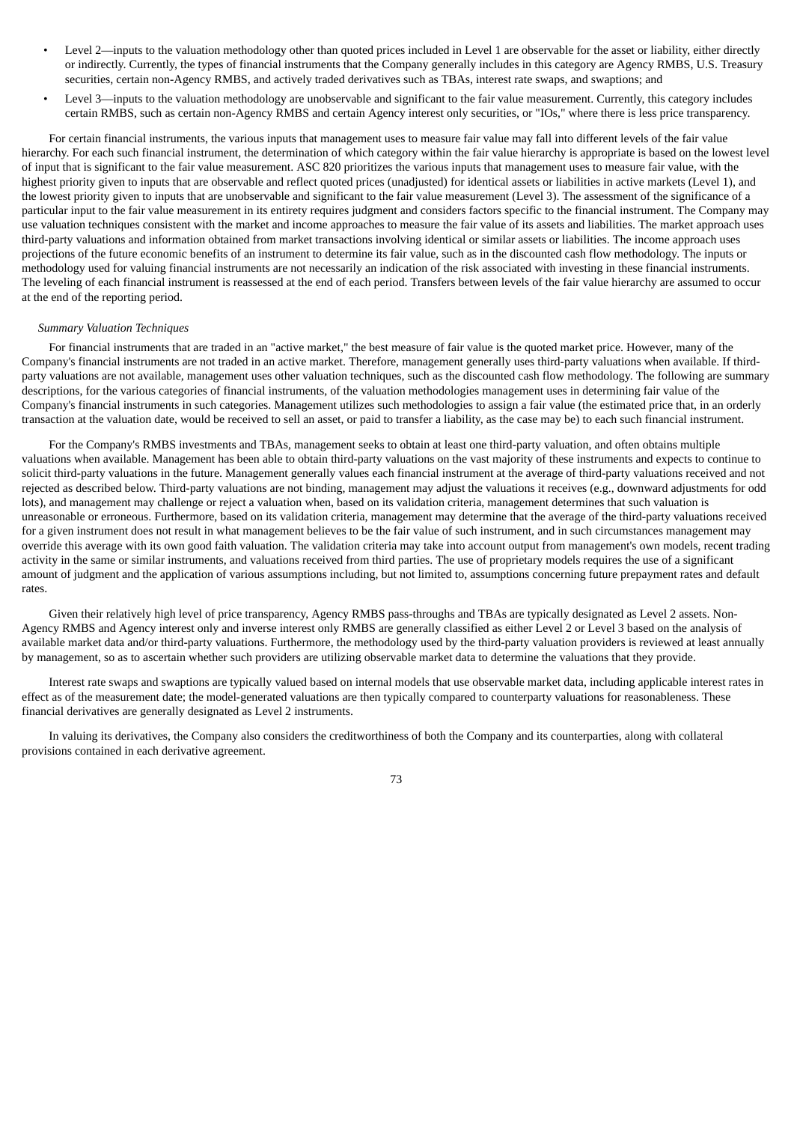- Level 2—inputs to the valuation methodology other than quoted prices included in Level 1 are observable for the asset or liability, either directly or indirectly. Currently, the types of financial instruments that the Company generally includes in this category are Agency RMBS, U.S. Treasury securities, certain non-Agency RMBS, and actively traded derivatives such as TBAs, interest rate swaps, and swaptions; and
- Level 3—inputs to the valuation methodology are unobservable and significant to the fair value measurement. Currently, this category includes certain RMBS, such as certain non-Agency RMBS and certain Agency interest only securities, or "IOs," where there is less price transparency.

For certain financial instruments, the various inputs that management uses to measure fair value may fall into different levels of the fair value hierarchy. For each such financial instrument, the determination of which category within the fair value hierarchy is appropriate is based on the lowest level of input that is significant to the fair value measurement. ASC 820 prioritizes the various inputs that management uses to measure fair value, with the highest priority given to inputs that are observable and reflect quoted prices (unadjusted) for identical assets or liabilities in active markets (Level 1), and the lowest priority given to inputs that are unobservable and significant to the fair value measurement (Level 3). The assessment of the significance of a particular input to the fair value measurement in its entirety requires judgment and considers factors specific to the financial instrument. The Company may use valuation techniques consistent with the market and income approaches to measure the fair value of its assets and liabilities. The market approach uses third-party valuations and information obtained from market transactions involving identical or similar assets or liabilities. The income approach uses projections of the future economic benefits of an instrument to determine its fair value, such as in the discounted cash flow methodology. The inputs or methodology used for valuing financial instruments are not necessarily an indication of the risk associated with investing in these financial instruments. The leveling of each financial instrument is reassessed at the end of each period. Transfers between levels of the fair value hierarchy are assumed to occur at the end of the reporting period.

### *Summary Valuation Techniques*

For financial instruments that are traded in an "active market," the best measure of fair value is the quoted market price. However, many of the Company's financial instruments are not traded in an active market. Therefore, management generally uses third-party valuations when available. If thirdparty valuations are not available, management uses other valuation techniques, such as the discounted cash flow methodology. The following are summary descriptions, for the various categories of financial instruments, of the valuation methodologies management uses in determining fair value of the Company's financial instruments in such categories. Management utilizes such methodologies to assign a fair value (the estimated price that, in an orderly transaction at the valuation date, would be received to sell an asset, or paid to transfer a liability, as the case may be) to each such financial instrument.

For the Company's RMBS investments and TBAs, management seeks to obtain at least one third-party valuation, and often obtains multiple valuations when available. Management has been able to obtain third-party valuations on the vast majority of these instruments and expects to continue to solicit third-party valuations in the future. Management generally values each financial instrument at the average of third-party valuations received and not rejected as described below. Third-party valuations are not binding, management may adjust the valuations it receives (e.g., downward adjustments for odd lots), and management may challenge or reject a valuation when, based on its validation criteria, management determines that such valuation is unreasonable or erroneous. Furthermore, based on its validation criteria, management may determine that the average of the third-party valuations received for a given instrument does not result in what management believes to be the fair value of such instrument, and in such circumstances management may override this average with its own good faith valuation. The validation criteria may take into account output from management's own models, recent trading activity in the same or similar instruments, and valuations received from third parties. The use of proprietary models requires the use of a significant amount of judgment and the application of various assumptions including, but not limited to, assumptions concerning future prepayment rates and default rates.

Given their relatively high level of price transparency, Agency RMBS pass-throughs and TBAs are typically designated as Level 2 assets. Non-Agency RMBS and Agency interest only and inverse interest only RMBS are generally classified as either Level 2 or Level 3 based on the analysis of available market data and/or third-party valuations. Furthermore, the methodology used by the third-party valuation providers is reviewed at least annually by management, so as to ascertain whether such providers are utilizing observable market data to determine the valuations that they provide.

Interest rate swaps and swaptions are typically valued based on internal models that use observable market data, including applicable interest rates in effect as of the measurement date; the model-generated valuations are then typically compared to counterparty valuations for reasonableness. These financial derivatives are generally designated as Level 2 instruments.

In valuing its derivatives, the Company also considers the creditworthiness of both the Company and its counterparties, along with collateral provisions contained in each derivative agreement.

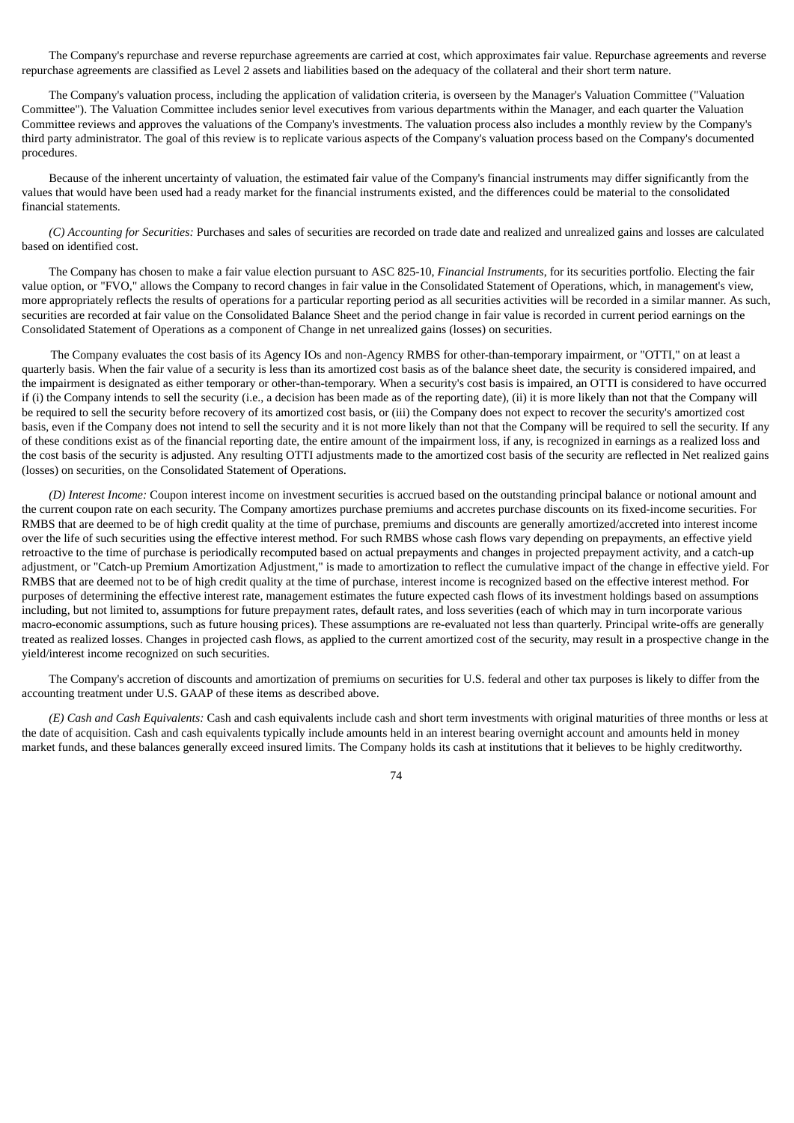The Company's repurchase and reverse repurchase agreements are carried at cost, which approximates fair value. Repurchase agreements and reverse repurchase agreements are classified as Level 2 assets and liabilities based on the adequacy of the collateral and their short term nature.

The Company's valuation process, including the application of validation criteria, is overseen by the Manager's Valuation Committee ("Valuation Committee"). The Valuation Committee includes senior level executives from various departments within the Manager, and each quarter the Valuation Committee reviews and approves the valuations of the Company's investments. The valuation process also includes a monthly review by the Company's third party administrator. The goal of this review is to replicate various aspects of the Company's valuation process based on the Company's documented procedures.

Because of the inherent uncertainty of valuation, the estimated fair value of the Company's financial instruments may differ significantly from the values that would have been used had a ready market for the financial instruments existed, and the differences could be material to the consolidated financial statements.

*(C) Accounting for Securities:* Purchases and sales of securities are recorded on trade date and realized and unrealized gains and losses are calculated based on identified cost.

The Company has chosen to make a fair value election pursuant to ASC 825-10, *Financial Instruments*, for its securities portfolio. Electing the fair value option, or "FVO," allows the Company to record changes in fair value in the Consolidated Statement of Operations, which, in management's view, more appropriately reflects the results of operations for a particular reporting period as all securities activities will be recorded in a similar manner. As such, securities are recorded at fair value on the Consolidated Balance Sheet and the period change in fair value is recorded in current period earnings on the Consolidated Statement of Operations as a component of Change in net unrealized gains (losses) on securities.

The Company evaluates the cost basis of its Agency IOs and non-Agency RMBS for other-than-temporary impairment, or "OTTI," on at least a quarterly basis. When the fair value of a security is less than its amortized cost basis as of the balance sheet date, the security is considered impaired, and the impairment is designated as either temporary or other-than-temporary. When a security's cost basis is impaired, an OTTI is considered to have occurred if (i) the Company intends to sell the security (i.e., a decision has been made as of the reporting date), (ii) it is more likely than not that the Company will be required to sell the security before recovery of its amortized cost basis, or (iii) the Company does not expect to recover the security's amortized cost basis, even if the Company does not intend to sell the security and it is not more likely than not that the Company will be required to sell the security. If any of these conditions exist as of the financial reporting date, the entire amount of the impairment loss, if any, is recognized in earnings as a realized loss and the cost basis of the security is adjusted. Any resulting OTTI adjustments made to the amortized cost basis of the security are reflected in Net realized gains (losses) on securities, on the Consolidated Statement of Operations.

*(D) Interest Income:* Coupon interest income on investment securities is accrued based on the outstanding principal balance or notional amount and the current coupon rate on each security. The Company amortizes purchase premiums and accretes purchase discounts on its fixed-income securities. For RMBS that are deemed to be of high credit quality at the time of purchase, premiums and discounts are generally amortized/accreted into interest income over the life of such securities using the effective interest method. For such RMBS whose cash flows vary depending on prepayments, an effective yield retroactive to the time of purchase is periodically recomputed based on actual prepayments and changes in projected prepayment activity, and a catch-up adjustment, or "Catch-up Premium Amortization Adjustment," is made to amortization to reflect the cumulative impact of the change in effective yield. For RMBS that are deemed not to be of high credit quality at the time of purchase, interest income is recognized based on the effective interest method. For purposes of determining the effective interest rate, management estimates the future expected cash flows of its investment holdings based on assumptions including, but not limited to, assumptions for future prepayment rates, default rates, and loss severities (each of which may in turn incorporate various macro-economic assumptions, such as future housing prices). These assumptions are re-evaluated not less than quarterly. Principal write-offs are generally treated as realized losses. Changes in projected cash flows, as applied to the current amortized cost of the security, may result in a prospective change in the yield/interest income recognized on such securities.

The Company's accretion of discounts and amortization of premiums on securities for U.S. federal and other tax purposes is likely to differ from the accounting treatment under U.S. GAAP of these items as described above.

*(E) Cash and Cash Equivalents:* Cash and cash equivalents include cash and short term investments with original maturities of three months or less at the date of acquisition. Cash and cash equivalents typically include amounts held in an interest bearing overnight account and amounts held in money market funds, and these balances generally exceed insured limits. The Company holds its cash at institutions that it believes to be highly creditworthy.

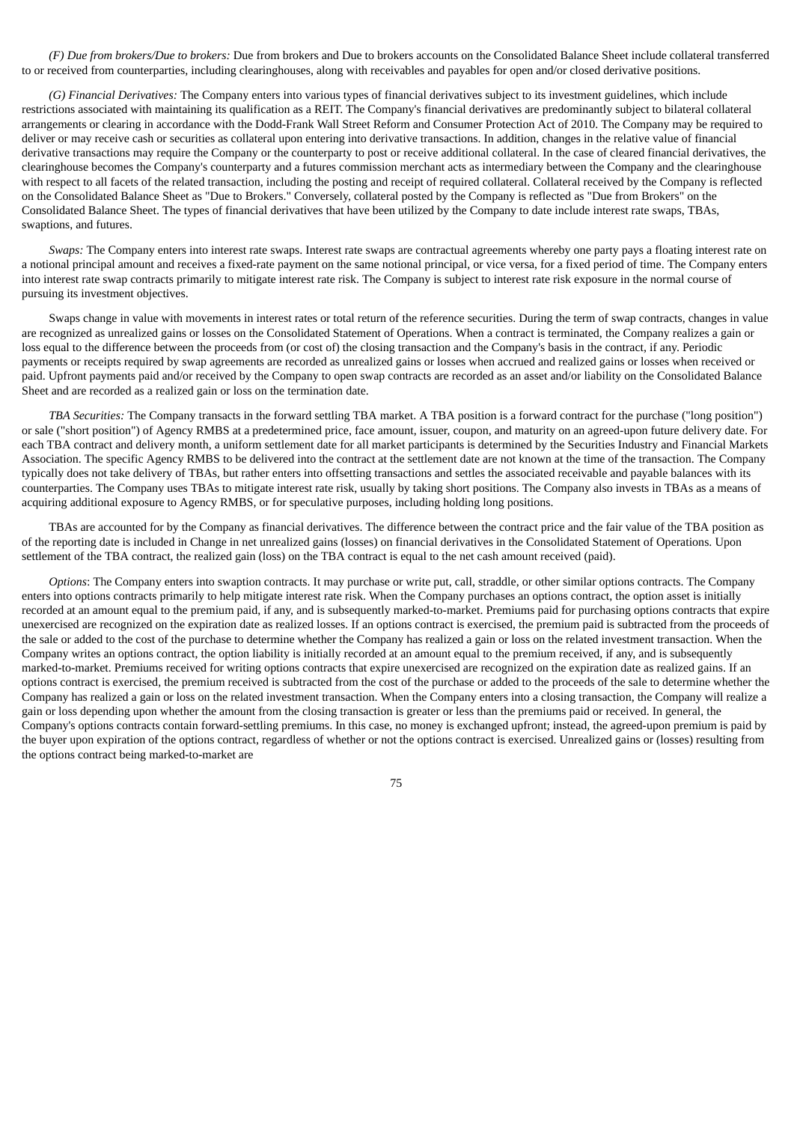*(F) Due from brokers/Due to brokers:* Due from brokers and Due to brokers accounts on the Consolidated Balance Sheet include collateral transferred to or received from counterparties, including clearinghouses, along with receivables and payables for open and/or closed derivative positions.

*(G) Financial Derivatives:* The Company enters into various types of financial derivatives subject to its investment guidelines, which include restrictions associated with maintaining its qualification as a REIT. The Company's financial derivatives are predominantly subject to bilateral collateral arrangements or clearing in accordance with the Dodd-Frank Wall Street Reform and Consumer Protection Act of 2010. The Company may be required to deliver or may receive cash or securities as collateral upon entering into derivative transactions. In addition, changes in the relative value of financial derivative transactions may require the Company or the counterparty to post or receive additional collateral. In the case of cleared financial derivatives, the clearinghouse becomes the Company's counterparty and a futures commission merchant acts as intermediary between the Company and the clearinghouse with respect to all facets of the related transaction, including the posting and receipt of required collateral. Collateral received by the Company is reflected on the Consolidated Balance Sheet as "Due to Brokers." Conversely, collateral posted by the Company is reflected as "Due from Brokers" on the Consolidated Balance Sheet. The types of financial derivatives that have been utilized by the Company to date include interest rate swaps, TBAs, swaptions, and futures.

*Swaps:* The Company enters into interest rate swaps. Interest rate swaps are contractual agreements whereby one party pays a floating interest rate on a notional principal amount and receives a fixed-rate payment on the same notional principal, or vice versa, for a fixed period of time. The Company enters into interest rate swap contracts primarily to mitigate interest rate risk. The Company is subject to interest rate risk exposure in the normal course of pursuing its investment objectives.

Swaps change in value with movements in interest rates or total return of the reference securities. During the term of swap contracts, changes in value are recognized as unrealized gains or losses on the Consolidated Statement of Operations. When a contract is terminated, the Company realizes a gain or loss equal to the difference between the proceeds from (or cost of) the closing transaction and the Company's basis in the contract, if any. Periodic payments or receipts required by swap agreements are recorded as unrealized gains or losses when accrued and realized gains or losses when received or paid. Upfront payments paid and/or received by the Company to open swap contracts are recorded as an asset and/or liability on the Consolidated Balance Sheet and are recorded as a realized gain or loss on the termination date.

*TBA Securities:* The Company transacts in the forward settling TBA market. A TBA position is a forward contract for the purchase ("long position") or sale ("short position") of Agency RMBS at a predetermined price, face amount, issuer, coupon, and maturity on an agreed-upon future delivery date. For each TBA contract and delivery month, a uniform settlement date for all market participants is determined by the Securities Industry and Financial Markets Association. The specific Agency RMBS to be delivered into the contract at the settlement date are not known at the time of the transaction. The Company typically does not take delivery of TBAs, but rather enters into offsetting transactions and settles the associated receivable and payable balances with its counterparties. The Company uses TBAs to mitigate interest rate risk, usually by taking short positions. The Company also invests in TBAs as a means of acquiring additional exposure to Agency RMBS, or for speculative purposes, including holding long positions.

TBAs are accounted for by the Company as financial derivatives. The difference between the contract price and the fair value of the TBA position as of the reporting date is included in Change in net unrealized gains (losses) on financial derivatives in the Consolidated Statement of Operations. Upon settlement of the TBA contract, the realized gain (loss) on the TBA contract is equal to the net cash amount received (paid).

*Options*: The Company enters into swaption contracts. It may purchase or write put, call, straddle, or other similar options contracts. The Company enters into options contracts primarily to help mitigate interest rate risk. When the Company purchases an options contract, the option asset is initially recorded at an amount equal to the premium paid, if any, and is subsequently marked-to-market. Premiums paid for purchasing options contracts that expire unexercised are recognized on the expiration date as realized losses. If an options contract is exercised, the premium paid is subtracted from the proceeds of the sale or added to the cost of the purchase to determine whether the Company has realized a gain or loss on the related investment transaction. When the Company writes an options contract, the option liability is initially recorded at an amount equal to the premium received, if any, and is subsequently marked-to-market. Premiums received for writing options contracts that expire unexercised are recognized on the expiration date as realized gains. If an options contract is exercised, the premium received is subtracted from the cost of the purchase or added to the proceeds of the sale to determine whether the Company has realized a gain or loss on the related investment transaction. When the Company enters into a closing transaction, the Company will realize a gain or loss depending upon whether the amount from the closing transaction is greater or less than the premiums paid or received. In general, the Company's options contracts contain forward-settling premiums. In this case, no money is exchanged upfront; instead, the agreed-upon premium is paid by the buyer upon expiration of the options contract, regardless of whether or not the options contract is exercised. Unrealized gains or (losses) resulting from the options contract being marked-to-market are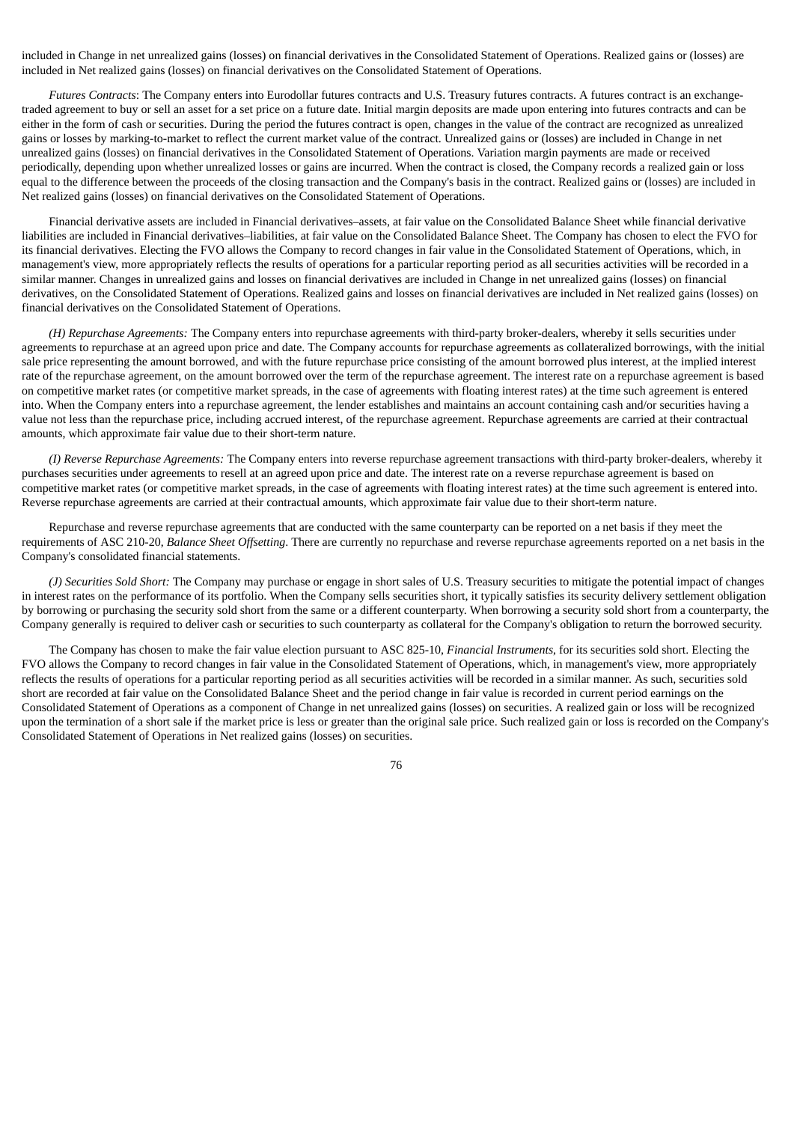included in Change in net unrealized gains (losses) on financial derivatives in the Consolidated Statement of Operations. Realized gains or (losses) are included in Net realized gains (losses) on financial derivatives on the Consolidated Statement of Operations.

*Futures Contracts*: The Company enters into Eurodollar futures contracts and U.S. Treasury futures contracts. A futures contract is an exchangetraded agreement to buy or sell an asset for a set price on a future date. Initial margin deposits are made upon entering into futures contracts and can be either in the form of cash or securities. During the period the futures contract is open, changes in the value of the contract are recognized as unrealized gains or losses by marking-to-market to reflect the current market value of the contract. Unrealized gains or (losses) are included in Change in net unrealized gains (losses) on financial derivatives in the Consolidated Statement of Operations. Variation margin payments are made or received periodically, depending upon whether unrealized losses or gains are incurred. When the contract is closed, the Company records a realized gain or loss equal to the difference between the proceeds of the closing transaction and the Company's basis in the contract. Realized gains or (losses) are included in Net realized gains (losses) on financial derivatives on the Consolidated Statement of Operations.

Financial derivative assets are included in Financial derivatives–assets, at fair value on the Consolidated Balance Sheet while financial derivative liabilities are included in Financial derivatives–liabilities, at fair value on the Consolidated Balance Sheet. The Company has chosen to elect the FVO for its financial derivatives. Electing the FVO allows the Company to record changes in fair value in the Consolidated Statement of Operations, which, in management's view, more appropriately reflects the results of operations for a particular reporting period as all securities activities will be recorded in a similar manner. Changes in unrealized gains and losses on financial derivatives are included in Change in net unrealized gains (losses) on financial derivatives, on the Consolidated Statement of Operations. Realized gains and losses on financial derivatives are included in Net realized gains (losses) on financial derivatives on the Consolidated Statement of Operations.

*(H) Repurchase Agreements:* The Company enters into repurchase agreements with third-party broker-dealers, whereby it sells securities under agreements to repurchase at an agreed upon price and date. The Company accounts for repurchase agreements as collateralized borrowings, with the initial sale price representing the amount borrowed, and with the future repurchase price consisting of the amount borrowed plus interest, at the implied interest rate of the repurchase agreement, on the amount borrowed over the term of the repurchase agreement. The interest rate on a repurchase agreement is based on competitive market rates (or competitive market spreads, in the case of agreements with floating interest rates) at the time such agreement is entered into. When the Company enters into a repurchase agreement, the lender establishes and maintains an account containing cash and/or securities having a value not less than the repurchase price, including accrued interest, of the repurchase agreement. Repurchase agreements are carried at their contractual amounts, which approximate fair value due to their short-term nature.

*(I) Reverse Repurchase Agreements:* The Company enters into reverse repurchase agreement transactions with third-party broker-dealers, whereby it purchases securities under agreements to resell at an agreed upon price and date. The interest rate on a reverse repurchase agreement is based on competitive market rates (or competitive market spreads, in the case of agreements with floating interest rates) at the time such agreement is entered into. Reverse repurchase agreements are carried at their contractual amounts, which approximate fair value due to their short-term nature.

Repurchase and reverse repurchase agreements that are conducted with the same counterparty can be reported on a net basis if they meet the requirements of ASC 210-20, *Balance Sheet Offsetting*. There are currently no repurchase and reverse repurchase agreements reported on a net basis in the Company's consolidated financial statements.

*(J) Securities Sold Short:* The Company may purchase or engage in short sales of U.S. Treasury securities to mitigate the potential impact of changes in interest rates on the performance of its portfolio. When the Company sells securities short, it typically satisfies its security delivery settlement obligation by borrowing or purchasing the security sold short from the same or a different counterparty. When borrowing a security sold short from a counterparty, the Company generally is required to deliver cash or securities to such counterparty as collateral for the Company's obligation to return the borrowed security.

The Company has chosen to make the fair value election pursuant to ASC 825-10, *Financial Instruments*, for its securities sold short. Electing the FVO allows the Company to record changes in fair value in the Consolidated Statement of Operations, which, in management's view, more appropriately reflects the results of operations for a particular reporting period as all securities activities will be recorded in a similar manner. As such, securities sold short are recorded at fair value on the Consolidated Balance Sheet and the period change in fair value is recorded in current period earnings on the Consolidated Statement of Operations as a component of Change in net unrealized gains (losses) on securities. A realized gain or loss will be recognized upon the termination of a short sale if the market price is less or greater than the original sale price. Such realized gain or loss is recorded on the Company's Consolidated Statement of Operations in Net realized gains (losses) on securities.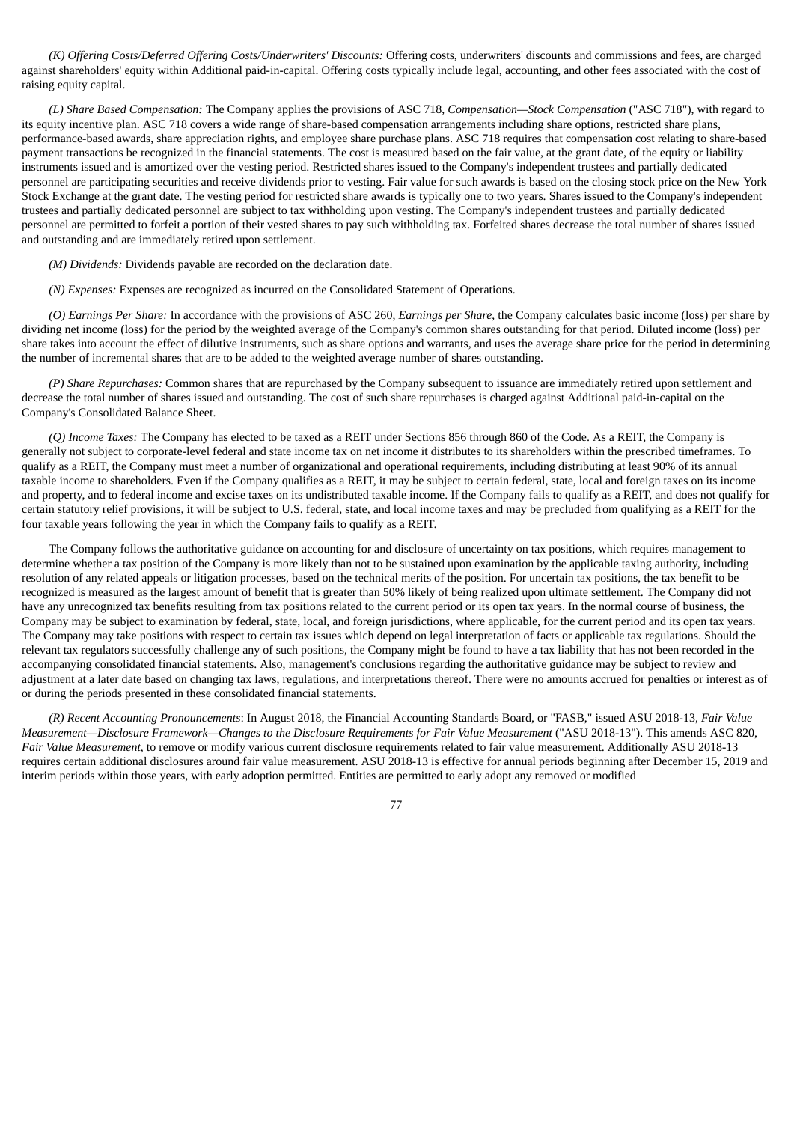*(K) Offering Costs/Deferred Offering Costs/Underwriters' Discounts:* Offering costs, underwriters' discounts and commissions and fees, are charged against shareholders' equity within Additional paid-in-capital. Offering costs typically include legal, accounting, and other fees associated with the cost of raising equity capital.

*(L) Share Based Compensation:* The Company applies the provisions of ASC 718, *Compensation—Stock Compensation* ("ASC 718"), with regard to its equity incentive plan. ASC 718 covers a wide range of share-based compensation arrangements including share options, restricted share plans, performance-based awards, share appreciation rights, and employee share purchase plans. ASC 718 requires that compensation cost relating to share-based payment transactions be recognized in the financial statements. The cost is measured based on the fair value, at the grant date, of the equity or liability instruments issued and is amortized over the vesting period. Restricted shares issued to the Company's independent trustees and partially dedicated personnel are participating securities and receive dividends prior to vesting. Fair value for such awards is based on the closing stock price on the New York Stock Exchange at the grant date. The vesting period for restricted share awards is typically one to two years. Shares issued to the Company's independent trustees and partially dedicated personnel are subject to tax withholding upon vesting. The Company's independent trustees and partially dedicated personnel are permitted to forfeit a portion of their vested shares to pay such withholding tax. Forfeited shares decrease the total number of shares issued and outstanding and are immediately retired upon settlement.

*(M) Dividends:* Dividends payable are recorded on the declaration date.

*(N) Expenses:* Expenses are recognized as incurred on the Consolidated Statement of Operations.

*(O) Earnings Per Share:* In accordance with the provisions of ASC 260, *Earnings per Share*, the Company calculates basic income (loss) per share by dividing net income (loss) for the period by the weighted average of the Company's common shares outstanding for that period. Diluted income (loss) per share takes into account the effect of dilutive instruments, such as share options and warrants, and uses the average share price for the period in determining the number of incremental shares that are to be added to the weighted average number of shares outstanding.

*(P) Share Repurchases:* Common shares that are repurchased by the Company subsequent to issuance are immediately retired upon settlement and decrease the total number of shares issued and outstanding. The cost of such share repurchases is charged against Additional paid-in-capital on the Company's Consolidated Balance Sheet.

*(Q) Income Taxes:* The Company has elected to be taxed as a REIT under Sections 856 through 860 of the Code. As a REIT, the Company is generally not subject to corporate-level federal and state income tax on net income it distributes to its shareholders within the prescribed timeframes. To qualify as a REIT, the Company must meet a number of organizational and operational requirements, including distributing at least 90% of its annual taxable income to shareholders. Even if the Company qualifies as a REIT, it may be subject to certain federal, state, local and foreign taxes on its income and property, and to federal income and excise taxes on its undistributed taxable income. If the Company fails to qualify as a REIT, and does not qualify for certain statutory relief provisions, it will be subject to U.S. federal, state, and local income taxes and may be precluded from qualifying as a REIT for the four taxable years following the year in which the Company fails to qualify as a REIT.

The Company follows the authoritative guidance on accounting for and disclosure of uncertainty on tax positions, which requires management to determine whether a tax position of the Company is more likely than not to be sustained upon examination by the applicable taxing authority, including resolution of any related appeals or litigation processes, based on the technical merits of the position. For uncertain tax positions, the tax benefit to be recognized is measured as the largest amount of benefit that is greater than 50% likely of being realized upon ultimate settlement. The Company did not have any unrecognized tax benefits resulting from tax positions related to the current period or its open tax years. In the normal course of business, the Company may be subject to examination by federal, state, local, and foreign jurisdictions, where applicable, for the current period and its open tax years. The Company may take positions with respect to certain tax issues which depend on legal interpretation of facts or applicable tax regulations. Should the relevant tax regulators successfully challenge any of such positions, the Company might be found to have a tax liability that has not been recorded in the accompanying consolidated financial statements. Also, management's conclusions regarding the authoritative guidance may be subject to review and adjustment at a later date based on changing tax laws, regulations, and interpretations thereof. There were no amounts accrued for penalties or interest as of or during the periods presented in these consolidated financial statements.

*(R) Recent Accounting Pronouncements*: In August 2018, the Financial Accounting Standards Board, or "FASB," issued ASU 2018-13, *Fair Value Measurement—Disclosure Framework—Changes to the Disclosure Requirements for Fair Value Measurement* ("ASU 2018-13"). This amends ASC 820, *Fair Value Measurement*, to remove or modify various current disclosure requirements related to fair value measurement. Additionally ASU 2018-13 requires certain additional disclosures around fair value measurement. ASU 2018-13 is effective for annual periods beginning after December 15, 2019 and interim periods within those years, with early adoption permitted. Entities are permitted to early adopt any removed or modified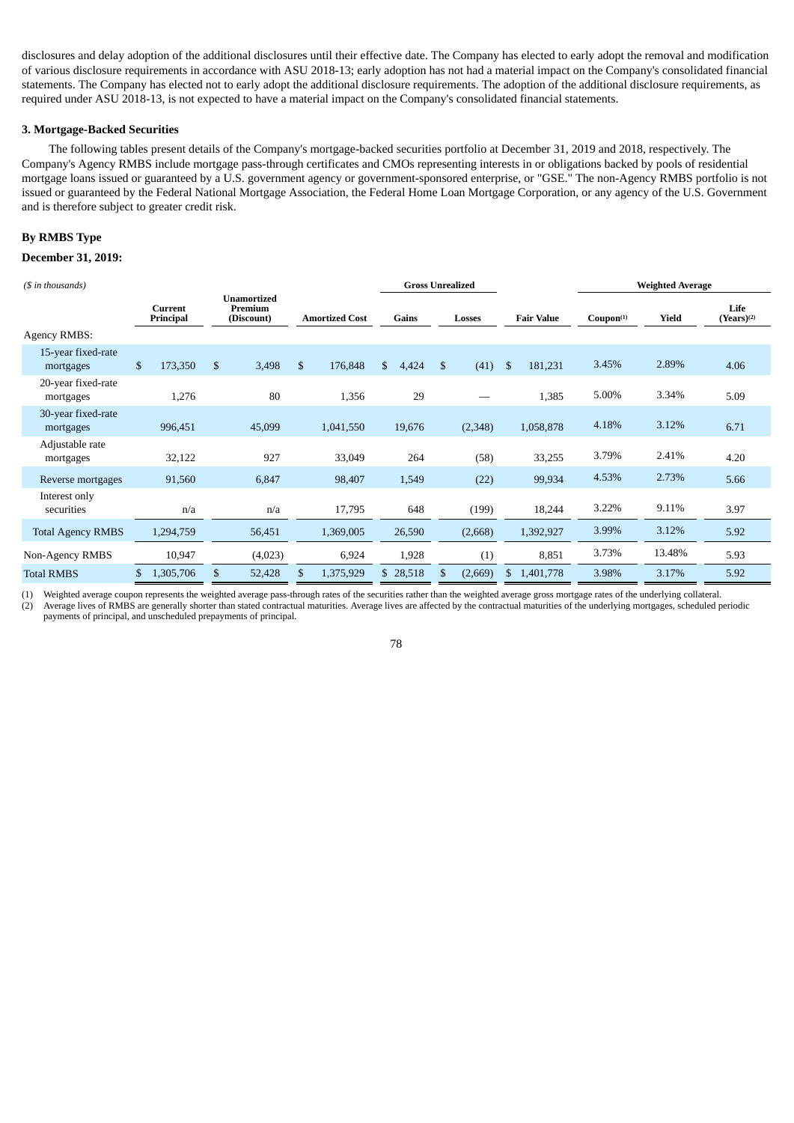disclosures and delay adoption of the additional disclosures until their effective date. The Company has elected to early adopt the removal and modification of various disclosure requirements in accordance with ASU 2018-13; early adoption has not had a material impact on the Company's consolidated financial statements. The Company has elected not to early adopt the additional disclosure requirements. The adoption of the additional disclosure requirements, as required under ASU 2018-13, is not expected to have a material impact on the Company's consolidated financial statements.

### **3. Mortgage-Backed Securities**

The following tables present details of the Company's mortgage-backed securities portfolio at December 31, 2019 and 2018, respectively. The Company's Agency RMBS include mortgage pass-through certificates and CMOs representing interests in or obligations backed by pools of residential mortgage loans issued or guaranteed by a U.S. government agency or government-sponsored enterprise, or "GSE." The non-Agency RMBS portfolio is not issued or guaranteed by the Federal National Mortgage Association, the Federal Home Loan Mortgage Corporation, or any agency of the U.S. Government and is therefore subject to greater credit risk.

# **By RMBS Type**

# **December 31, 2019:**

| (\$ in thousands)               |                      |                                      |                       | <b>Gross Unrealized</b> |               |                   |                | <b>Weighted Average</b> |                         |
|---------------------------------|----------------------|--------------------------------------|-----------------------|-------------------------|---------------|-------------------|----------------|-------------------------|-------------------------|
|                                 | Current<br>Principal | Unamortized<br>Premium<br>(Discount) | <b>Amortized Cost</b> | Gains                   | Losses        | <b>Fair Value</b> | $Coupon^{(1)}$ | Yield                   | Life<br>$(Years)^{(2)}$ |
| Agency RMBS:                    |                      |                                      |                       |                         |               |                   |                |                         |                         |
| 15-year fixed-rate<br>mortgages | \$<br>173,350        | \$<br>3,498                          | \$<br>176,848         | \$<br>4,424             | \$<br>(41)    | - \$<br>181,231   | 3.45%          | 2.89%                   | 4.06                    |
| 20-year fixed-rate<br>mortgages | 1,276                | 80                                   | 1,356                 | 29                      |               | 1,385             | 5.00%          | 3.34%                   | 5.09                    |
| 30-year fixed-rate<br>mortgages | 996,451              | 45,099                               | 1,041,550             | 19,676                  | (2,348)       | 1,058,878         | 4.18%          | 3.12%                   | 6.71                    |
| Adjustable rate<br>mortgages    | 32,122               | 927                                  | 33,049                | 264                     | (58)          | 33,255            | 3.79%          | 2.41%                   | 4.20                    |
| Reverse mortgages               | 91,560               | 6,847                                | 98,407                | 1,549                   | (22)          | 99,934            | 4.53%          | 2.73%                   | 5.66                    |
| Interest only<br>securities     | n/a                  | n/a                                  | 17,795                | 648                     | (199)         | 18,244            | 3.22%          | 9.11%                   | 3.97                    |
| <b>Total Agency RMBS</b>        | 1,294,759            | 56,451                               | 1,369,005             | 26,590                  | (2,668)       | 1,392,927         | 3.99%          | 3.12%                   | 5.92                    |
| Non-Agency RMBS                 | 10,947               | (4,023)                              | 6,924                 | 1,928                   | (1)           | 8,851             | 3.73%          | 13.48%                  | 5.93                    |
| <b>Total RMBS</b>               | 1,305,706            | \$<br>52,428                         | \$<br>1,375,929       | \$28,518                | \$<br>(2,669) | \$1,401,778       | 3.98%          | 3.17%                   | 5.92                    |
|                                 |                      |                                      |                       |                         |               |                   |                |                         |                         |

(1) Weighted average coupon represents the weighted average pass-through rates of the securities rather than the weighted average gross mortgage rates of the underlying collateral.<br>(2) Average lives of RMBS are generally s Average lives of RMBS are generally shorter than stated contractual maturities. Average lives are affected by the contractual maturities of the underlying mortgages, scheduled periodic

payments of principal, and unscheduled prepayments of principal.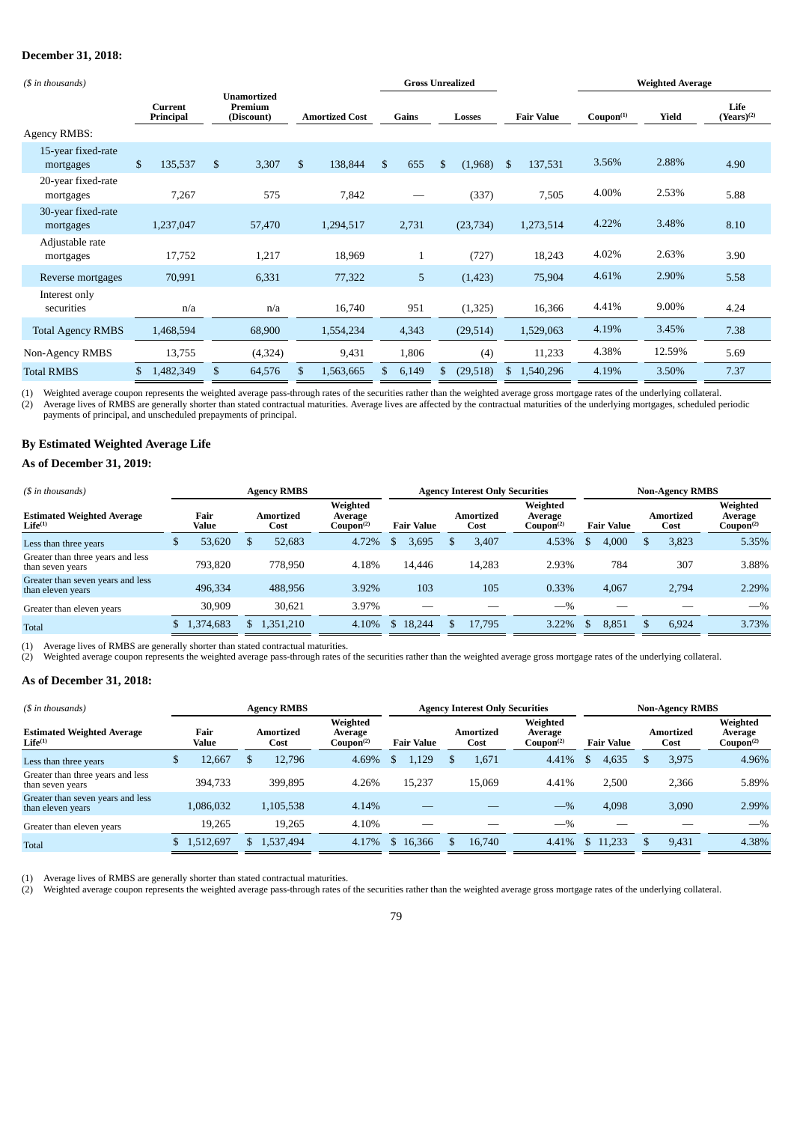# **December 31, 2018:**

| (\$ in thousands)               |    |                      |                                      |              |                       | <b>Gross Unrealized</b> |              |           |     |                   |                | <b>Weighted Average</b> |                         |
|---------------------------------|----|----------------------|--------------------------------------|--------------|-----------------------|-------------------------|--------------|-----------|-----|-------------------|----------------|-------------------------|-------------------------|
| <b>Agency RMBS:</b>             |    | Current<br>Principal | Unamortized<br>Premium<br>(Discount) |              | <b>Amortized Cost</b> | Gains                   |              | Losses    |     | <b>Fair Value</b> | $Coupon^{(1)}$ | Yield                   | Life<br>$(Years)^{(2)}$ |
| 15-year fixed-rate<br>mortgages | \$ | 135,537              | \$<br>3,307                          | $\mathbb{S}$ | 138,844               | \$<br>655               | $\mathbf{s}$ | (1,968)   | -\$ | 137,531           | 3.56%          | 2.88%                   | 4.90                    |
| 20-year fixed-rate<br>mortgages |    | 7,267                | 575                                  |              | 7,842                 |                         |              | (337)     |     | 7,505             | 4.00%          | 2.53%                   | 5.88                    |
| 30-year fixed-rate<br>mortgages |    | 1,237,047            | 57,470                               |              | 1,294,517             | 2,731                   |              | (23, 734) |     | 1,273,514         | 4.22%          | 3.48%                   | 8.10                    |
| Adjustable rate<br>mortgages    |    | 17,752               | 1,217                                |              | 18,969                | 1                       |              | (727)     |     | 18,243            | 4.02%          | 2.63%                   | 3.90                    |
| Reverse mortgages               |    | 70,991               | 6,331                                |              | 77,322                | 5                       |              | (1, 423)  |     | 75,904            | 4.61%          | 2.90%                   | 5.58                    |
| Interest only<br>securities     |    | n/a                  | n/a                                  |              | 16,740                | 951                     |              | (1,325)   |     | 16,366            | 4.41%          | 9.00%                   | 4.24                    |
| <b>Total Agency RMBS</b>        |    | 1,468,594            | 68,900                               |              | 1,554,234             | 4,343                   |              | (29, 514) |     | 1,529,063         | 4.19%          | 3.45%                   | 7.38                    |
| Non-Agency RMBS                 |    | 13,755               | (4,324)                              |              | 9,431                 | 1,806                   |              | (4)       |     | 11,233            | 4.38%          | 12.59%                  | 5.69                    |
| <b>Total RMBS</b>               | \$ | 1,482,349            | \$<br>64,576                         | \$           | 1,563,665             | \$<br>6,149             | \$           | (29, 518) | \$  | 1,540,296         | 4.19%          | 3.50%                   | 7.37                    |

(1) Weighted average coupon represents the weighted average pass-through rates of the securities rather than the weighted average gross mortgage rates of the underlying collateral.<br>(2) Average lives of RMBS are generally s Average lives of RMBS are generally shorter than stated contractual maturities. Average lives are affected by the contractual maturities of the underlying mortgages, scheduled periodic payments of principal, and unscheduled prepayments of principal.

# **By Estimated Weighted Average Life**

# **As of December 31, 2019:**

| (\$ in thousands)                                      | <b>Agency RMBS</b> |               |  |                   |                                              |       |                   | <b>Agency Interest Only Securities</b> |                                              | <b>Non-Agency RMBS</b> |                   |  |                   |                                                  |
|--------------------------------------------------------|--------------------|---------------|--|-------------------|----------------------------------------------|-------|-------------------|----------------------------------------|----------------------------------------------|------------------------|-------------------|--|-------------------|--------------------------------------------------|
| <b>Estimated Weighted Average</b><br>$Life^{(1)}$      |                    | Fair<br>Value |  | Amortized<br>Cost | Weighted<br>Average<br>Coupon <sup>(2)</sup> |       | <b>Fair Value</b> | Amortized<br>Cost                      | Weighted<br>Average<br>Coupon <sup>(2)</sup> |                        | <b>Fair Value</b> |  | Amortized<br>Cost | Weighted<br>Average<br>$\bf{C} \bf{oupon}^{(2)}$ |
| Less than three years                                  |                    | 53,620        |  | 52,683            |                                              | 4.72% | 3,695             | 3.407                                  | 4.53%                                        |                        | 4,000             |  | 3,823             | 5.35%                                            |
| Greater than three years and less<br>than seven years  |                    | 793.820       |  | 778.950           |                                              | 4.18% | 14.446            | 14.283                                 | 2.93%                                        |                        | 784               |  | 307               | 3.88%                                            |
| Greater than seven years and less<br>than eleven years |                    | 496,334       |  | 488,956           |                                              | 3.92% | 103               | 105                                    | 0.33%                                        |                        | 4.067             |  | 2,794             | 2.29%                                            |
| Greater than eleven years                              |                    | 30,909        |  | 30.621            |                                              | 3.97% | --                |                                        | $-$ %                                        |                        |                   |  |                   | $-$ %                                            |
| <b>Total</b>                                           |                    | 1,374,683     |  | 1,351,210         |                                              | 4.10% | \$18.244          | 17.795                                 | 3.22%                                        |                        | 8.851             |  | 6,924             | 3.73%                                            |

(1) Average lives of RMBS are generally shorter than stated contractual maturities.

(2) Weighted average coupon represents the weighted average pass-through rates of the securities rather than the weighted average gross mortgage rates of the underlying collateral.

### **As of December 31, 2018:**

| (\$ in thousands)                                        | Agency RMBS |               |  |                   |  |                                              |                   | <b>Agency Interest Only Securities</b> |                                              |       | <b>Non-Agency RMBS</b> |                   |    |                   |                                              |
|----------------------------------------------------------|-------------|---------------|--|-------------------|--|----------------------------------------------|-------------------|----------------------------------------|----------------------------------------------|-------|------------------------|-------------------|----|-------------------|----------------------------------------------|
| <b>Estimated Weighted Average</b><br>Life <sup>(1)</sup> |             | Fair<br>Value |  | Amortized<br>Cost |  | Weighted<br>Average<br>Coupon <sup>(2)</sup> | <b>Fair Value</b> | Amortized<br>Cost                      | Weighted<br>Average<br>Coupon <sup>(2)</sup> |       |                        | <b>Fair Value</b> |    | Amortized<br>Cost | Weighted<br>Average<br>$\text{Coupon}^{(2)}$ |
| Less than three years                                    |             | 12,667        |  | 12,796            |  | 4.69%                                        | 1,129             | 1,671                                  |                                              | 4.41% |                        | 4,635             | S. | 3,975             | 4.96%                                        |
| Greater than three years and less<br>than seven years    |             | 394,733       |  | 399.895           |  | 4.26%                                        | 15.237            | 15.069                                 |                                              | 4.41% |                        | 2.500             |    | 2.366             | 5.89%                                        |
| Greater than seven years and less<br>than eleven years   |             | 1,086,032     |  | 1,105,538         |  | 4.14%                                        |                   |                                        |                                              | $-$ % |                        | 4,098             |    | 3,090             | 2.99%                                        |
| Greater than eleven years                                |             | 19.265        |  | 19,265            |  | 4.10%                                        |                   |                                        |                                              | $-$ % |                        |                   |    |                   | $-$ %                                        |
| Total                                                    |             | 1,512,697     |  | \$1,537,494       |  | 4.17%                                        | \$16.366          | 16,740                                 |                                              | 4.41% |                        | 11.233            |    | 9,431             | 4.38%                                        |

(1) Average lives of RMBS are generally shorter than stated contractual maturities.

(2) Weighted average coupon represents the weighted average pass-through rates of the securities rather than the weighted average gross mortgage rates of the underlying collateral.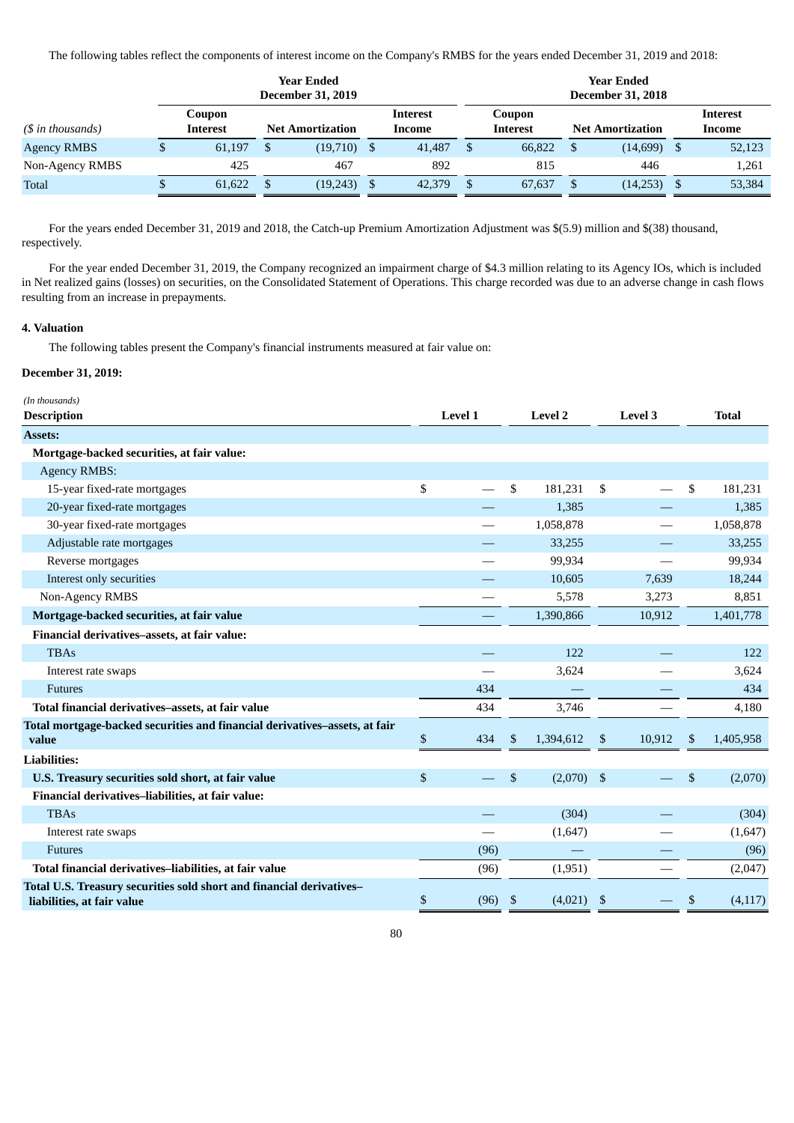The following tables reflect the components of interest income on the Company's RMBS for the years ended December 31, 2019 and 2018:

|                   |                    |        |      | <b>Year Ended</b><br><b>December 31, 2019</b> |                           | <b>Year Ended</b><br><b>December 31, 2018</b> |  |                         |      |                           |  |  |  |
|-------------------|--------------------|--------|------|-----------------------------------------------|---------------------------|-----------------------------------------------|--|-------------------------|------|---------------------------|--|--|--|
| (\$ in thousands) | Coupon<br>Interest |        |      | <b>Net Amortization</b>                       | <b>Interest</b><br>Income | Coupon<br><b>Interest</b>                     |  | <b>Net Amortization</b> |      | <b>Interest</b><br>Income |  |  |  |
| Agency RMBS       |                    | 61,197 | - \$ | $(19,710)$ \$                                 | 41,487                    | 66,822                                        |  | (14, 699)               | - \$ | 52,123                    |  |  |  |
| Non-Agency RMBS   |                    | 425    |      | 467                                           | 892                       | 815                                           |  | 446                     |      | 1,261                     |  |  |  |
| <b>Total</b>      |                    | 61,622 | -S   | (19,243)                                      | 42,379                    | 67,637                                        |  | (14,253)                | - \$ | 53,384                    |  |  |  |

For the years ended December 31, 2019 and 2018, the Catch-up Premium Amortization Adjustment was \$(5.9) million and \$(38) thousand, respectively.

For the year ended December 31, 2019, the Company recognized an impairment charge of \$4.3 million relating to its Agency IOs, which is included in Net realized gains (losses) on securities, on the Consolidated Statement of Operations. This charge recorded was due to an adverse change in cash flows resulting from an increase in prepayments.

# **4. Valuation**

The following tables present the Company's financial instruments measured at fair value on:

# **December 31, 2019:**

| (In thousands)                                                                                     |            |                |                |                |                 |
|----------------------------------------------------------------------------------------------------|------------|----------------|----------------|----------------|-----------------|
| <b>Description</b>                                                                                 | Level 1    |                | <b>Level 2</b> | <b>Level 3</b> | <b>Total</b>    |
| Assets:                                                                                            |            |                |                |                |                 |
| Mortgage-backed securities, at fair value:                                                         |            |                |                |                |                 |
| <b>Agency RMBS:</b>                                                                                |            |                |                |                |                 |
| 15-year fixed-rate mortgages                                                                       | \$         | \$             | 181,231        | \$             | \$<br>181,231   |
| 20-year fixed-rate mortgages                                                                       |            |                | 1,385          |                | 1,385           |
| 30-year fixed-rate mortgages                                                                       |            |                | 1,058,878      |                | 1,058,878       |
| Adjustable rate mortgages                                                                          |            |                | 33,255         |                | 33,255          |
| Reverse mortgages                                                                                  |            |                | 99,934         |                | 99,934          |
| Interest only securities                                                                           |            |                | 10,605         | 7,639          | 18,244          |
| Non-Agency RMBS                                                                                    |            |                | 5,578          | 3,273          | 8,851           |
| Mortgage-backed securities, at fair value                                                          |            |                | 1,390,866      | 10,912         | 1,401,778       |
| Financial derivatives-assets, at fair value:                                                       |            |                |                |                |                 |
| <b>TBAs</b>                                                                                        |            |                | 122            |                | 122             |
| Interest rate swaps                                                                                |            |                | 3,624          |                | 3,624           |
| <b>Futures</b>                                                                                     | 434        |                |                |                | 434             |
| Total financial derivatives-assets, at fair value                                                  | 434        |                | 3,746          |                | 4,180           |
| Total mortgage-backed securities and financial derivatives–assets, at fair<br>value                | \$<br>434  | \$             | 1,394,612      | \$<br>10,912   | \$<br>1,405,958 |
| <b>Liabilities:</b>                                                                                |            |                |                |                |                 |
| U.S. Treasury securities sold short, at fair value                                                 | \$         | \$             | $(2,070)$ \$   |                | \$<br>(2,070)   |
| Financial derivatives-liabilities, at fair value:                                                  |            |                |                |                |                 |
| <b>TBAs</b>                                                                                        |            |                | (304)          |                | (304)           |
| Interest rate swaps                                                                                |            |                | (1,647)        |                | (1,647)         |
| <b>Futures</b>                                                                                     | (96)       |                |                |                | (96)            |
| Total financial derivatives-liabilities, at fair value                                             | (96)       |                | (1,951)        |                | (2,047)         |
| Total U.S. Treasury securities sold short and financial derivatives-<br>liabilities, at fair value | \$<br>(96) | $\mathfrak{F}$ | (4,021)        | \$             | \$<br>(4,117)   |
|                                                                                                    |            |                |                |                |                 |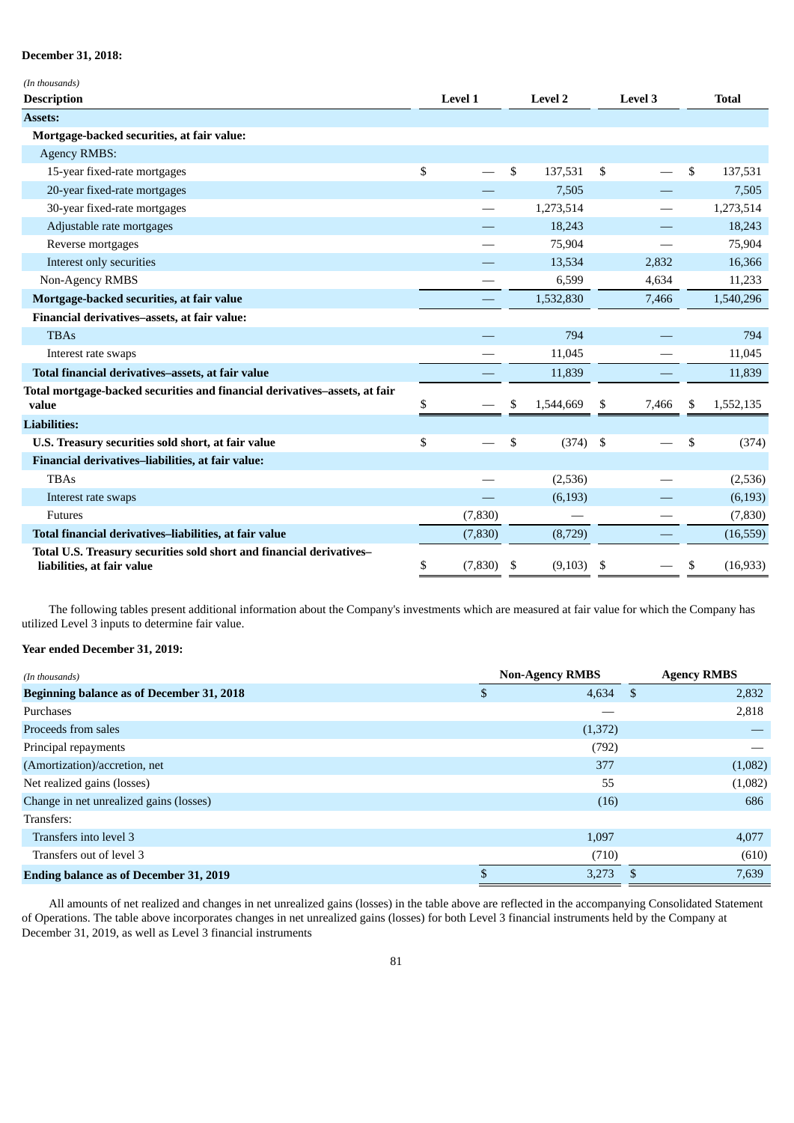# **December 31, 2018:**

| (In thousands)                                                                                     |                |                  |             |                 |
|----------------------------------------------------------------------------------------------------|----------------|------------------|-------------|-----------------|
| <b>Description</b>                                                                                 | <b>Level 1</b> | <b>Level 2</b>   | Level 3     | <b>Total</b>    |
| Assets:                                                                                            |                |                  |             |                 |
| Mortgage-backed securities, at fair value:                                                         |                |                  |             |                 |
| <b>Agency RMBS:</b>                                                                                |                |                  |             |                 |
| 15-year fixed-rate mortgages                                                                       | \$             | \$<br>137,531    | \$          | \$<br>137,531   |
| 20-year fixed-rate mortgages                                                                       |                | 7,505            |             | 7,505           |
| 30-year fixed-rate mortgages                                                                       |                | 1,273,514        |             | 1,273,514       |
| Adjustable rate mortgages                                                                          |                | 18,243           |             | 18,243          |
| Reverse mortgages                                                                                  |                | 75,904           |             | 75,904          |
| Interest only securities                                                                           |                | 13,534           | 2,832       | 16,366          |
| Non-Agency RMBS                                                                                    |                | 6,599            | 4,634       | 11,233          |
| Mortgage-backed securities, at fair value                                                          |                | 1,532,830        | 7,466       | 1,540,296       |
| Financial derivatives-assets, at fair value:                                                       |                |                  |             |                 |
| <b>TBAs</b>                                                                                        |                | 794              |             | 794             |
| Interest rate swaps                                                                                |                | 11,045           |             | 11,045          |
| Total financial derivatives-assets, at fair value                                                  |                | 11,839           |             | 11,839          |
| Total mortgage-backed securities and financial derivatives–assets, at fair                         |                |                  |             |                 |
| value                                                                                              | \$             | \$<br>1,544,669  | \$<br>7,466 | \$<br>1,552,135 |
| <b>Liabilities:</b>                                                                                |                |                  |             |                 |
| U.S. Treasury securities sold short, at fair value                                                 | \$             | \$<br>$(374)$ \$ |             | \$<br>(374)     |
| Financial derivatives-liabilities, at fair value:                                                  |                |                  |             |                 |
| <b>TBAs</b>                                                                                        |                | (2,536)          |             | (2,536)         |
| Interest rate swaps                                                                                |                | (6, 193)         |             | (6, 193)        |
| <b>Futures</b>                                                                                     | (7, 830)       |                  |             | (7, 830)        |
| Total financial derivatives-liabilities, at fair value                                             | (7,830)        | (8,729)          |             | (16, 559)       |
| Total U.S. Treasury securities sold short and financial derivatives-<br>liabilities, at fair value | \$<br>(7, 830) | \$<br>(9,103)    | \$          | \$<br>(16,933)  |

The following tables present additional information about the Company's investments which are measured at fair value for which the Company has utilized Level 3 inputs to determine fair value.

# **Year ended December 31, 2019:**

| (In thousands)                            | <b>Non-Agency RMBS</b> |         |         | <b>Agency RMBS</b> |
|-------------------------------------------|------------------------|---------|---------|--------------------|
| Beginning balance as of December 31, 2018 | л                      | 4,634   | -\$     | 2,832              |
| Purchases                                 |                        |         |         | 2,818              |
| Proceeds from sales                       |                        | (1,372) |         |                    |
| Principal repayments                      |                        | (792)   |         |                    |
| (Amortization)/accretion, net             |                        |         | (1,082) |                    |
| Net realized gains (losses)               |                        | 55      |         | (1,082)            |
| Change in net unrealized gains (losses)   |                        | (16)    |         | 686                |
| Transfers:                                |                        |         |         |                    |
| Transfers into level 3                    |                        | 1,097   |         | 4,077              |
| Transfers out of level 3                  |                        | (710)   |         | (610)              |
| Ending balance as of December 31, 2019    |                        | 3,273   |         | 7,639              |

All amounts of net realized and changes in net unrealized gains (losses) in the table above are reflected in the accompanying Consolidated Statement of Operations. The table above incorporates changes in net unrealized gains (losses) for both Level 3 financial instruments held by the Company at December 31, 2019, as well as Level 3 financial instruments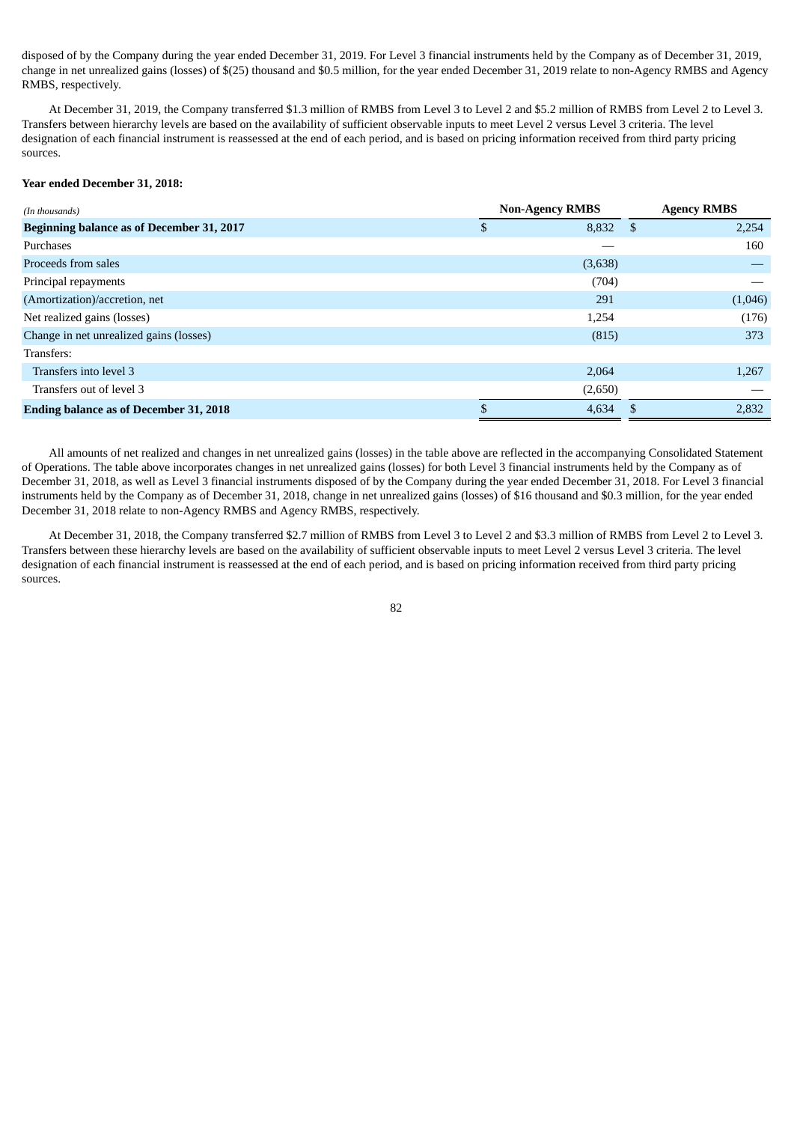disposed of by the Company during the year ended December 31, 2019. For Level 3 financial instruments held by the Company as of December 31, 2019, change in net unrealized gains (losses) of \$(25) thousand and \$0.5 million, for the year ended December 31, 2019 relate to non-Agency RMBS and Agency RMBS, respectively.

At December 31, 2019, the Company transferred \$1.3 million of RMBS from Level 3 to Level 2 and \$5.2 million of RMBS from Level 2 to Level 3. Transfers between hierarchy levels are based on the availability of sufficient observable inputs to meet Level 2 versus Level 3 criteria. The level designation of each financial instrument is reassessed at the end of each period, and is based on pricing information received from third party pricing sources.

# **Year ended December 31, 2018:**

| (In thousands)                                | <b>Non-Agency RMBS</b> |         |         | <b>Agency RMBS</b> |  |
|-----------------------------------------------|------------------------|---------|---------|--------------------|--|
| Beginning balance as of December 31, 2017     | \$                     | 8,832   | - \$    | 2,254              |  |
| Purchases                                     |                        |         |         | 160                |  |
| Proceeds from sales                           |                        | (3,638) |         |                    |  |
| Principal repayments                          |                        |         |         |                    |  |
| (Amortization)/accretion, net                 |                        |         | (1,046) |                    |  |
| Net realized gains (losses)                   |                        | 1,254   |         | (176)              |  |
| Change in net unrealized gains (losses)       |                        | (815)   |         | 373                |  |
| Transfers:                                    |                        |         |         |                    |  |
| Transfers into level 3                        |                        | 2,064   |         | 1,267              |  |
| Transfers out of level 3                      |                        | (2,650) |         |                    |  |
| <b>Ending balance as of December 31, 2018</b> |                        | 4,634   |         | 2,832              |  |

All amounts of net realized and changes in net unrealized gains (losses) in the table above are reflected in the accompanying Consolidated Statement of Operations. The table above incorporates changes in net unrealized gains (losses) for both Level 3 financial instruments held by the Company as of December 31, 2018, as well as Level 3 financial instruments disposed of by the Company during the year ended December 31, 2018. For Level 3 financial instruments held by the Company as of December 31, 2018, change in net unrealized gains (losses) of \$16 thousand and \$0.3 million, for the year ended December 31, 2018 relate to non-Agency RMBS and Agency RMBS, respectively.

At December 31, 2018, the Company transferred \$2.7 million of RMBS from Level 3 to Level 2 and \$3.3 million of RMBS from Level 2 to Level 3. Transfers between these hierarchy levels are based on the availability of sufficient observable inputs to meet Level 2 versus Level 3 criteria. The level designation of each financial instrument is reassessed at the end of each period, and is based on pricing information received from third party pricing sources.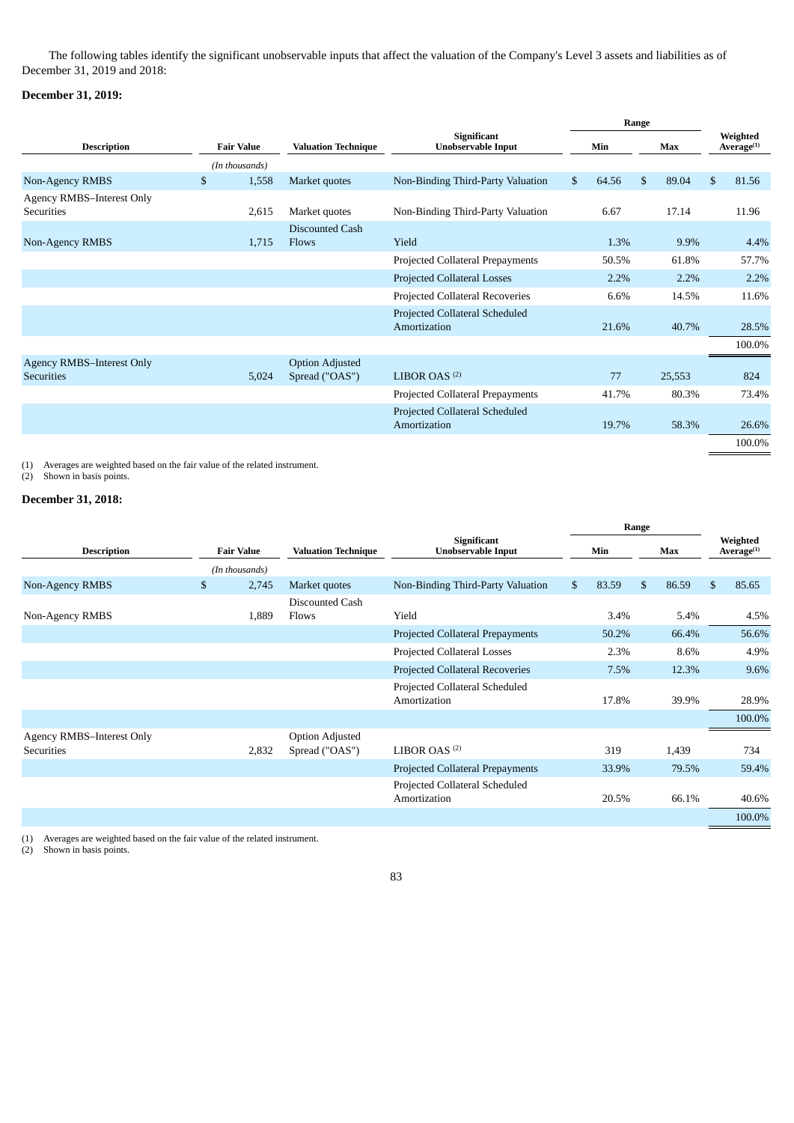The following tables identify the significant unobservable inputs that affect the valuation of the Company's Level 3 assets and liabilities as of December 31, 2019 and 2018:

# **December 31, 2019:**

|                                                       |                   |                                          |                                                |              |       | Range        |        |              |                                    |
|-------------------------------------------------------|-------------------|------------------------------------------|------------------------------------------------|--------------|-------|--------------|--------|--------------|------------------------------------|
| <b>Description</b>                                    | <b>Fair Value</b> | <b>Valuation Technique</b>               | <b>Significant</b><br>Unobservable Input       |              | Min   |              | Max    |              | Weighted<br>Average <sup>(1)</sup> |
|                                                       | (In thousands)    |                                          |                                                |              |       |              |        |              |                                    |
| Non-Agency RMBS                                       | \$<br>1,558       | Market quotes                            | Non-Binding Third-Party Valuation              | $\mathbb{S}$ | 64.56 | $\mathbb{S}$ | 89.04  | $\mathbb{S}$ | 81.56                              |
| Agency RMBS-Interest Only<br><b>Securities</b>        | 2,615             | Market quotes                            | Non-Binding Third-Party Valuation              |              | 6.67  |              | 17.14  |              | 11.96                              |
| Non-Agency RMBS                                       | 1,715             | Discounted Cash<br><b>Flows</b>          | Yield                                          |              | 1.3%  |              | 9.9%   |              | 4.4%                               |
|                                                       |                   |                                          | Projected Collateral Prepayments               |              | 50.5% |              | 61.8%  |              | 57.7%                              |
|                                                       |                   |                                          | <b>Projected Collateral Losses</b>             |              | 2.2%  |              | 2.2%   |              | 2.2%                               |
|                                                       |                   |                                          | Projected Collateral Recoveries                |              | 6.6%  |              | 14.5%  |              | 11.6%                              |
|                                                       |                   |                                          | Projected Collateral Scheduled<br>Amortization |              | 21.6% |              | 40.7%  |              | 28.5%                              |
|                                                       |                   |                                          |                                                |              |       |              |        |              | 100.0%                             |
| <b>Agency RMBS-Interest Only</b><br><b>Securities</b> | 5,024             | <b>Option Adjusted</b><br>Spread ("OAS") | LIBOR OAS $(2)$                                |              | 77    |              | 25,553 |              | 824                                |
|                                                       |                   |                                          | Projected Collateral Prepayments               |              | 41.7% |              | 80.3%  |              | 73.4%                              |
|                                                       |                   |                                          | Projected Collateral Scheduled<br>Amortization |              | 19.7% |              | 58.3%  |              | 26.6%                              |
|                                                       |                   |                                          |                                                |              |       |              |        |              | 100.0%                             |

(1) Averages are weighted based on the fair value of the related instrument.

(2) Shown in basis points.

**December 31, 2018:**

|                                                |    |                   |                                   |                                                 |              |       | Range |       |    |                                    |
|------------------------------------------------|----|-------------------|-----------------------------------|-------------------------------------------------|--------------|-------|-------|-------|----|------------------------------------|
| <b>Description</b>                             |    | <b>Fair Value</b> | <b>Valuation Technique</b>        | <b>Significant</b><br><b>Unobservable Input</b> |              | Min   |       | Max   |    | Weighted<br>Average <sup>(1)</sup> |
|                                                |    | (In thousands)    |                                   |                                                 |              |       |       |       |    |                                    |
| Non-Agency RMBS                                | \$ | 2,745             | Market quotes                     | Non-Binding Third-Party Valuation               | $\mathbb{S}$ | 83.59 | \$    | 86.59 | \$ | 85.65                              |
| Non-Agency RMBS                                |    | 1,889             | Discounted Cash<br>Flows          | Yield                                           |              | 3.4%  |       | 5.4%  |    | 4.5%                               |
|                                                |    |                   |                                   | Projected Collateral Prepayments                |              | 50.2% |       | 66.4% |    | 56.6%                              |
|                                                |    |                   |                                   | <b>Projected Collateral Losses</b>              |              | 2.3%  |       | 8.6%  |    | 4.9%                               |
|                                                |    |                   |                                   | Projected Collateral Recoveries                 |              | 7.5%  |       | 12.3% |    | 9.6%                               |
|                                                |    |                   |                                   | Projected Collateral Scheduled<br>Amortization  | 17.8%        |       |       | 39.9% |    | 28.9%                              |
|                                                |    |                   |                                   |                                                 |              |       |       |       |    | 100.0%                             |
| <b>Agency RMBS-Interest Only</b><br>Securities |    | 2,832             | Option Adjusted<br>Spread ("OAS") | LIBOR OAS $(2)$                                 |              | 319   |       | 1,439 |    | 734                                |
|                                                |    |                   |                                   | Projected Collateral Prepayments                |              | 33.9% |       | 79.5% |    | 59.4%                              |
|                                                |    |                   |                                   | Projected Collateral Scheduled<br>Amortization  |              | 20.5% |       | 66.1% |    | 40.6%                              |
|                                                |    |                   |                                   |                                                 |              |       |       |       |    | 100.0%                             |

(1) Averages are weighted based on the fair value of the related instrument.

(2) Shown in basis points.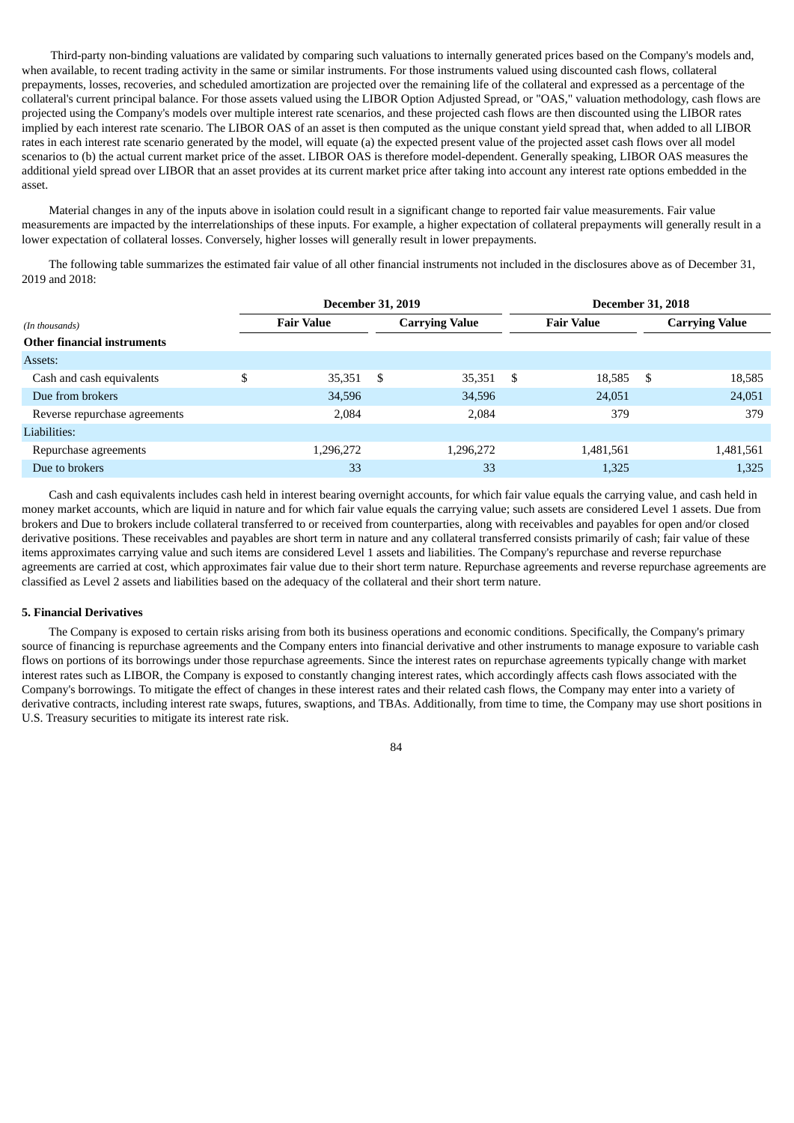Third-party non-binding valuations are validated by comparing such valuations to internally generated prices based on the Company's models and, when available, to recent trading activity in the same or similar instruments. For those instruments valued using discounted cash flows, collateral prepayments, losses, recoveries, and scheduled amortization are projected over the remaining life of the collateral and expressed as a percentage of the collateral's current principal balance. For those assets valued using the LIBOR Option Adjusted Spread, or "OAS," valuation methodology, cash flows are projected using the Company's models over multiple interest rate scenarios, and these projected cash flows are then discounted using the LIBOR rates implied by each interest rate scenario. The LIBOR OAS of an asset is then computed as the unique constant yield spread that, when added to all LIBOR rates in each interest rate scenario generated by the model, will equate (a) the expected present value of the projected asset cash flows over all model scenarios to (b) the actual current market price of the asset. LIBOR OAS is therefore model-dependent. Generally speaking, LIBOR OAS measures the additional yield spread over LIBOR that an asset provides at its current market price after taking into account any interest rate options embedded in the asset.

Material changes in any of the inputs above in isolation could result in a significant change to reported fair value measurements. Fair value measurements are impacted by the interrelationships of these inputs. For example, a higher expectation of collateral prepayments will generally result in a lower expectation of collateral losses. Conversely, higher losses will generally result in lower prepayments.

The following table summarizes the estimated fair value of all other financial instruments not included in the disclosures above as of December 31, 2019 and 2018:

|                                    | <b>December 31, 2019</b> |            |                       | <b>December 31, 2018</b> |                   |      |                       |  |
|------------------------------------|--------------------------|------------|-----------------------|--------------------------|-------------------|------|-----------------------|--|
| (In thousands)                     | <b>Fair Value</b>        |            | <b>Carrying Value</b> |                          | <b>Fair Value</b> |      | <b>Carrying Value</b> |  |
| <b>Other financial instruments</b> |                          |            |                       |                          |                   |      |                       |  |
| Assets:                            |                          |            |                       |                          |                   |      |                       |  |
| Cash and cash equivalents          | \$<br>35,351             | $^{\circ}$ | 35,351                | \$                       | 18,585            | - \$ | 18,585                |  |
| Due from brokers                   | 34,596                   |            | 34,596                |                          | 24,051            |      | 24,051                |  |
| Reverse repurchase agreements      | 2,084                    |            | 2,084                 |                          | 379               |      | 379                   |  |
| Liabilities:                       |                          |            |                       |                          |                   |      |                       |  |
| Repurchase agreements              | 1,296,272                |            | 1,296,272             |                          | 1,481,561         |      | 1,481,561             |  |
| Due to brokers                     | 33                       |            | 33                    | 1,325                    |                   |      | 1,325                 |  |

Cash and cash equivalents includes cash held in interest bearing overnight accounts, for which fair value equals the carrying value, and cash held in money market accounts, which are liquid in nature and for which fair value equals the carrying value; such assets are considered Level 1 assets. Due from brokers and Due to brokers include collateral transferred to or received from counterparties, along with receivables and payables for open and/or closed derivative positions. These receivables and payables are short term in nature and any collateral transferred consists primarily of cash; fair value of these items approximates carrying value and such items are considered Level 1 assets and liabilities. The Company's repurchase and reverse repurchase agreements are carried at cost, which approximates fair value due to their short term nature. Repurchase agreements and reverse repurchase agreements are classified as Level 2 assets and liabilities based on the adequacy of the collateral and their short term nature.

### **5. Financial Derivatives**

The Company is exposed to certain risks arising from both its business operations and economic conditions. Specifically, the Company's primary source of financing is repurchase agreements and the Company enters into financial derivative and other instruments to manage exposure to variable cash flows on portions of its borrowings under those repurchase agreements. Since the interest rates on repurchase agreements typically change with market interest rates such as LIBOR, the Company is exposed to constantly changing interest rates, which accordingly affects cash flows associated with the Company's borrowings. To mitigate the effect of changes in these interest rates and their related cash flows, the Company may enter into a variety of derivative contracts, including interest rate swaps, futures, swaptions, and TBAs. Additionally, from time to time, the Company may use short positions in U.S. Treasury securities to mitigate its interest rate risk.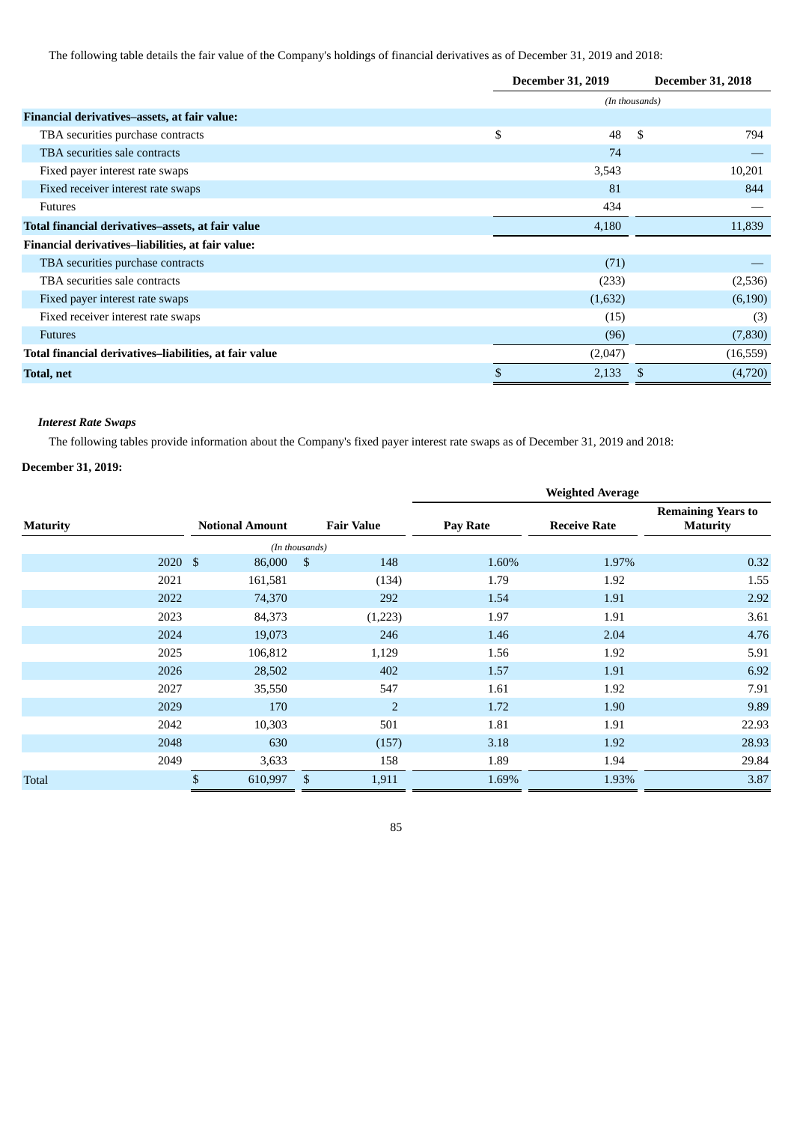The following table details the fair value of the Company's holdings of financial derivatives as of December 31, 2019 and 2018:

|                                                        | <b>December 31, 2019</b> | <b>December 31, 2018</b> |           |  |
|--------------------------------------------------------|--------------------------|--------------------------|-----------|--|
|                                                        |                          | (In thousands)           |           |  |
| Financial derivatives–assets, at fair value:           |                          |                          |           |  |
| TBA securities purchase contracts                      | \$                       | 48                       | \$<br>794 |  |
| TBA securities sale contracts                          |                          | 74                       |           |  |
| Fixed payer interest rate swaps                        |                          | 3,543                    | 10,201    |  |
| Fixed receiver interest rate swaps                     |                          | 81                       | 844       |  |
| <b>Futures</b>                                         |                          | 434                      |           |  |
| Total financial derivatives–assets, at fair value      |                          | 4,180                    | 11,839    |  |
| Financial derivatives-liabilities, at fair value:      |                          |                          |           |  |
| TBA securities purchase contracts                      |                          | (71)                     |           |  |
| TBA securities sale contracts                          |                          | (233)                    | (2,536)   |  |
| Fixed payer interest rate swaps                        |                          | (1,632)                  | (6,190)   |  |
| Fixed receiver interest rate swaps                     |                          | (15)                     | (3)       |  |
| <b>Futures</b>                                         |                          | (96)                     | (7,830)   |  |
| Total financial derivatives–liabilities, at fair value |                          | (2,047)                  | (16, 559) |  |
| <b>Total, net</b>                                      | \$                       | 2,133                    | (4,720)   |  |

# *Interest Rate Swaps*

The following tables provide information about the Company's fixed payer interest rate swaps as of December 31, 2019 and 2018:

# **December 31, 2019:**

| <b>Maturity</b> |               | <b>Notional Amount</b> |      | <b>Fair Value</b> | <b>Pay Rate</b> | <b>Receive Rate</b> | <b>Remaining Years to</b><br><b>Maturity</b> |
|-----------------|---------------|------------------------|------|-------------------|-----------------|---------------------|----------------------------------------------|
|                 |               | (In thousands)         |      |                   |                 |                     |                                              |
|                 | 2020 \$       | 86,000                 | - \$ | 148               | 1.60%           | 1.97%               | 0.32                                         |
| 2021            |               | 161,581                |      | (134)             | 1.79            | 1.92                | 1.55                                         |
| 2022            |               | 74,370                 |      | 292               | 1.54            | 1.91                | 2.92                                         |
| 2023            |               | 84,373                 |      | (1,223)           | 1.97            | 1.91                | 3.61                                         |
| 2024            |               | 19,073                 |      | 246               | 1.46            | 2.04                | 4.76                                         |
| 2025            |               | 106,812                |      | 1,129             | 1.56            | 1.92                | 5.91                                         |
| 2026            |               | 28,502                 |      | 402               | 1.57            | 1.91                | 6.92                                         |
| 2027            |               | 35,550                 |      | 547               | 1.61            | 1.92                | 7.91                                         |
| 2029            |               | 170                    |      | $\overline{2}$    | 1.72            | 1.90                | 9.89                                         |
| 2042            |               | 10,303                 |      | 501               | 1.81            | 1.91                | 22.93                                        |
| 2048            |               | 630                    |      | (157)             | 3.18            | 1.92                | 28.93                                        |
| 2049            |               | 3,633                  |      | 158               | 1.89            | 1.94                | 29.84                                        |
| <b>Total</b>    | $\mathcal{S}$ | 610,997                | \$   | 1,911             | 1.69%           | 1.93%               | 3.87                                         |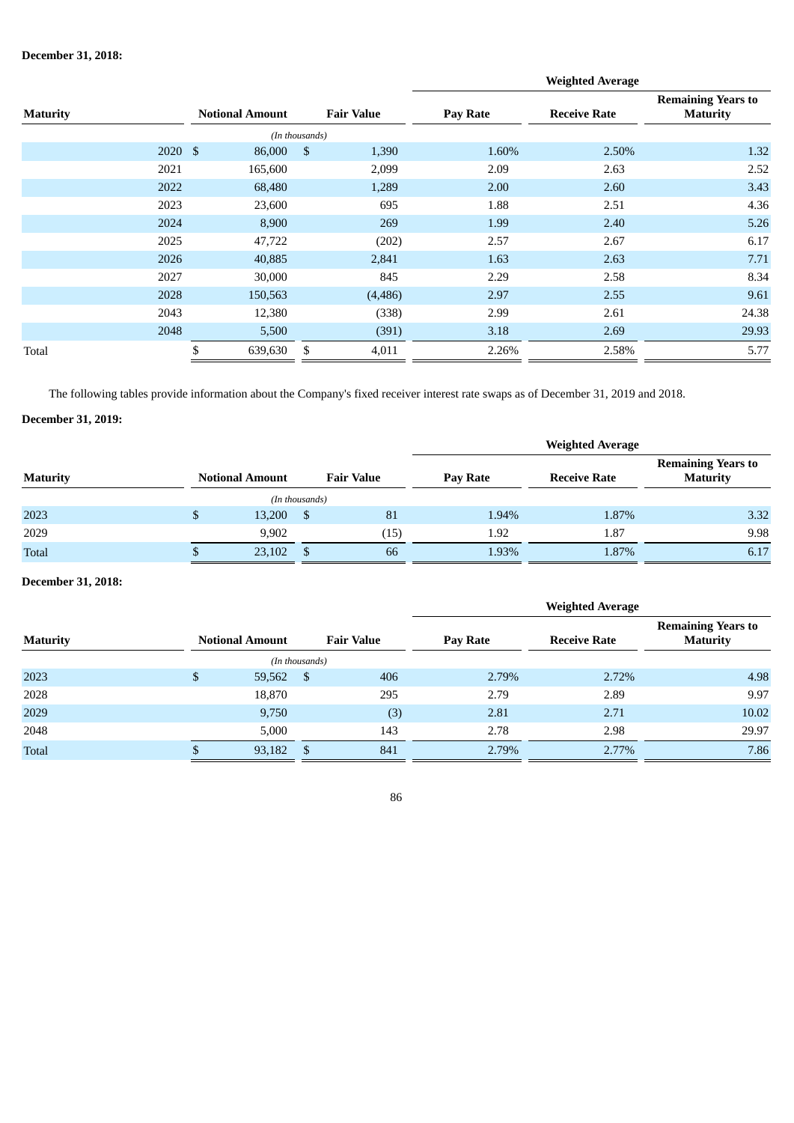# **December 31, 2018:**

|                 |           |                        |                   |                 | <b>Weighted Average</b> |                                              |  |  |  |  |
|-----------------|-----------|------------------------|-------------------|-----------------|-------------------------|----------------------------------------------|--|--|--|--|
| <b>Maturity</b> |           | <b>Notional Amount</b> | <b>Fair Value</b> | <b>Pay Rate</b> | <b>Receive Rate</b>     | <b>Remaining Years to</b><br><b>Maturity</b> |  |  |  |  |
|                 |           |                        | (In thousands)    |                 |                         |                                              |  |  |  |  |
|                 | $2020$ \$ | 86,000                 | \$<br>1,390       | 1.60%           | 2.50%                   | 1.32                                         |  |  |  |  |
|                 | 2021      | 165,600                | 2,099             | 2.09            | 2.63                    | 2.52                                         |  |  |  |  |
|                 | 2022      | 68,480                 | 1,289             | 2.00            | 2.60                    | 3.43                                         |  |  |  |  |
|                 | 2023      | 23,600                 | 695               | 1.88            | 2.51                    | 4.36                                         |  |  |  |  |
|                 | 2024      | 8,900                  | 269               | 1.99            | 2.40                    | 5.26                                         |  |  |  |  |
|                 | 2025      | 47,722                 | (202)             | 2.57            | 2.67                    | 6.17                                         |  |  |  |  |
|                 | 2026      | 40,885                 | 2,841             | 1.63            | 2.63                    | 7.71                                         |  |  |  |  |
|                 | 2027      | 30,000                 | 845               | 2.29            | 2.58                    | 8.34                                         |  |  |  |  |
|                 | 2028      | 150,563                | (4, 486)          | 2.97            | 2.55                    | 9.61                                         |  |  |  |  |
|                 | 2043      | 12,380                 | (338)             | 2.99            | 2.61                    | 24.38                                        |  |  |  |  |
|                 | 2048      | 5,500                  | (391)             | 3.18            | 2.69                    | 29.93                                        |  |  |  |  |
| Total           |           | \$<br>639,630          | \$<br>4,011       | 2.26%           | 2.58%                   | 5.77                                         |  |  |  |  |

The following tables provide information about the Company's fixed receiver interest rate swaps as of December 31, 2019 and 2018.

# **December 31, 2019:**

| <b>Maturity</b> | <b>Notional Amount</b> |                | <b>Fair Value</b> | <b>Pay Rate</b> | <b>Receive Rate</b> | <b>Remaining Years to</b><br><b>Maturity</b> |
|-----------------|------------------------|----------------|-------------------|-----------------|---------------------|----------------------------------------------|
|                 |                        | (In thousands) |                   |                 |                     |                                              |
| 2023            | 13,200                 | -S             | 81                | 1.94%           | 1.87%               | 3.32                                         |
| 2029            | 9,902                  |                | (15)              | 1.92            | 1.87                | 9.98                                         |
| <b>Total</b>    | 23,102                 |                | 66                | 1.93%           | 1.87%               | 6.17                                         |

**December 31, 2018:**

| <b>Maturity</b> | <b>Notional Amount</b> |                | <b>Fair Value</b> | Pay Rate | <b>Receive Rate</b> | <b>Remaining Years to</b><br><b>Maturity</b> |
|-----------------|------------------------|----------------|-------------------|----------|---------------------|----------------------------------------------|
|                 |                        | (In thousands) |                   |          |                     |                                              |
| 2023            | \$<br>59,562           | -\$            | 406               | 2.79%    | 2.72%               | 4.98                                         |
| 2028            | 18,870                 |                | 295               | 2.79     | 2.89                | 9.97                                         |
| 2029            | 9,750                  |                | (3)               | 2.81     | 2.71                | 10.02                                        |
| 2048            | 5,000                  |                | 143               | 2.78     | 2.98                | 29.97                                        |
| <b>Total</b>    | 93,182                 | -S             | 841               | 2.79%    | 2.77%               | 7.86                                         |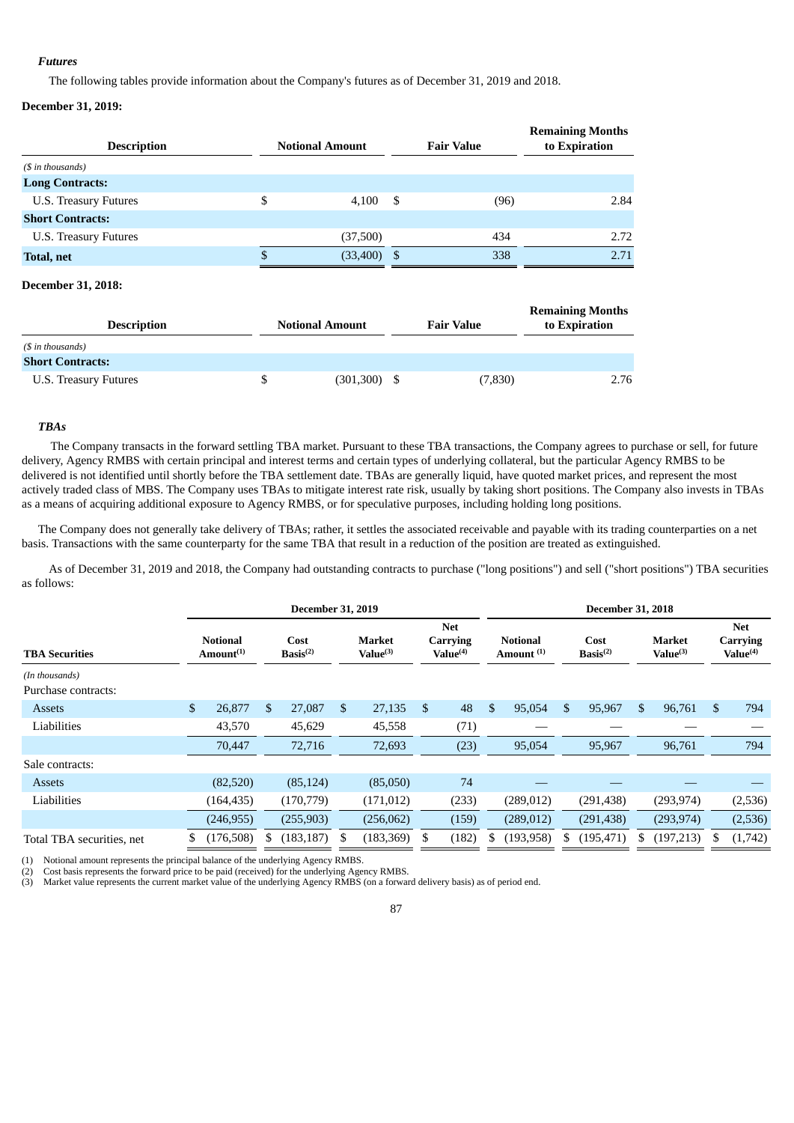### *Futures*

The following tables provide information about the Company's futures as of December 31, 2019 and 2018.

### **December 31, 2019:**

| <b>Description</b>      | <b>Notional Amount</b> |      | <b>Fair Value</b> | <b>Remaining Months</b><br>to Expiration |  |  |
|-------------------------|------------------------|------|-------------------|------------------------------------------|--|--|
| (\$ in thousands)       |                        |      |                   |                                          |  |  |
| <b>Long Contracts:</b>  |                        |      |                   |                                          |  |  |
| U.S. Treasury Futures   | \$<br>4.100            | - \$ | (96)              | 2.84                                     |  |  |
| <b>Short Contracts:</b> |                        |      |                   |                                          |  |  |
| U.S. Treasury Futures   | (37,500)               |      | 434               | 2.72                                     |  |  |
| <b>Total, net</b>       | \$<br>(33, 400)        |      | 338               | 2.71                                     |  |  |

# **December 31, 2018:**

| <b>Description</b>      | <b>Notional Amount</b> |                 | <b>Fair Value</b> | <b>Remaining Months</b><br>to Expiration |
|-------------------------|------------------------|-----------------|-------------------|------------------------------------------|
| (\$ in thousands)       |                        |                 |                   |                                          |
| <b>Short Contracts:</b> |                        |                 |                   |                                          |
| U.S. Treasury Futures   |                        | $(301, 300)$ \$ | (7,830)           | 2.76                                     |

# *TBAs*

The Company transacts in the forward settling TBA market. Pursuant to these TBA transactions, the Company agrees to purchase or sell, for future delivery, Agency RMBS with certain principal and interest terms and certain types of underlying collateral, but the particular Agency RMBS to be delivered is not identified until shortly before the TBA settlement date. TBAs are generally liquid, have quoted market prices, and represent the most actively traded class of MBS. The Company uses TBAs to mitigate interest rate risk, usually by taking short positions. The Company also invests in TBAs as a means of acquiring additional exposure to Agency RMBS, or for speculative purposes, including holding long positions.

The Company does not generally take delivery of TBAs; rather, it settles the associated receivable and payable with its trading counterparties on a net basis. Transactions with the same counterparty for the same TBA that result in a reduction of the position are treated as extinguished.

As of December 31, 2019 and 2018, the Company had outstanding contracts to purchase ("long positions") and sell ("short positions") TBA securities as follows:

|                                       |    |                                          |    | <b>December 31, 2019</b>     |    |                                |    |                                                | <b>December 31, 2018</b> |                                          |    |                              |    |                                |                |                                                       |
|---------------------------------------|----|------------------------------------------|----|------------------------------|----|--------------------------------|----|------------------------------------------------|--------------------------|------------------------------------------|----|------------------------------|----|--------------------------------|----------------|-------------------------------------------------------|
| <b>TBA Securities</b>                 |    | <b>Notional</b><br>Amount <sup>(1)</sup> |    | Cost<br>Basis <sup>(2)</sup> |    | Market<br>Value <sup>(3)</sup> |    | <b>Net</b><br>Carrying<br>Value <sup>(4)</sup> |                          | <b>Notional</b><br>Amount <sup>(1)</sup> |    | Cost<br>Basis <sup>(2)</sup> |    | Market<br>Value <sup>(3)</sup> |                | <b>Net</b><br><b>Carrying</b><br>Value <sup>(4)</sup> |
| (In thousands)<br>Purchase contracts: |    |                                          |    |                              |    |                                |    |                                                |                          |                                          |    |                              |    |                                |                |                                                       |
| <b>Assets</b>                         | \$ | 26,877                                   | \$ | 27,087                       | \$ | 27,135                         | \$ | 48                                             | \$                       | 95,054                                   | \$ | 95,967                       | \$ | 96,761                         | $\mathfrak{S}$ | 794                                                   |
| Liabilities                           |    | 43,570                                   |    | 45,629                       |    | 45,558                         |    | (71)                                           |                          |                                          |    |                              |    |                                |                |                                                       |
|                                       |    | 70,447                                   |    | 72,716                       |    | 72,693                         |    | (23)                                           |                          | 95,054                                   |    | 95,967                       |    | 96,761                         |                | 794                                                   |
| Sale contracts:                       |    |                                          |    |                              |    |                                |    |                                                |                          |                                          |    |                              |    |                                |                |                                                       |
| <b>Assets</b>                         |    | (82,520)                                 |    | (85, 124)                    |    | (85,050)                       |    | 74                                             |                          |                                          |    |                              |    |                                |                |                                                       |
| Liabilities                           |    | (164, 435)                               |    | (170, 779)                   |    | (171, 012)                     |    | (233)                                          |                          | (289, 012)                               |    | (291, 438)                   |    | (293, 974)                     |                | (2,536)                                               |
|                                       |    | (246, 955)                               |    | (255,903)                    |    | (256, 062)                     |    | (159)                                          |                          | (289, 012)                               |    | (291, 438)                   |    | (293, 974)                     |                | (2,536)                                               |
| Total TBA securities, net             |    | (176, 508)                               |    | (183, 187)                   |    | (183, 369)                     | -S | (182)                                          | S                        | (193, 958)                               |    | (195, 471)                   |    | (197, 213)                     |                | (1,742)                                               |
|                                       |    |                                          |    |                              |    |                                |    |                                                |                          |                                          |    |                              |    |                                |                |                                                       |

(1) Notional amount represents the principal balance of the underlying Agency RMBS.

 $\text{(2)}$  Cost basis represents the forward price to be paid (received) for the underlying Agency RMBS.<br>(3) Market value represents the current market value of the underlying Agency RMBS (on a forwar

Market value represents the current market value of the underlying Agency RMBS (on a forward delivery basis) as of period end.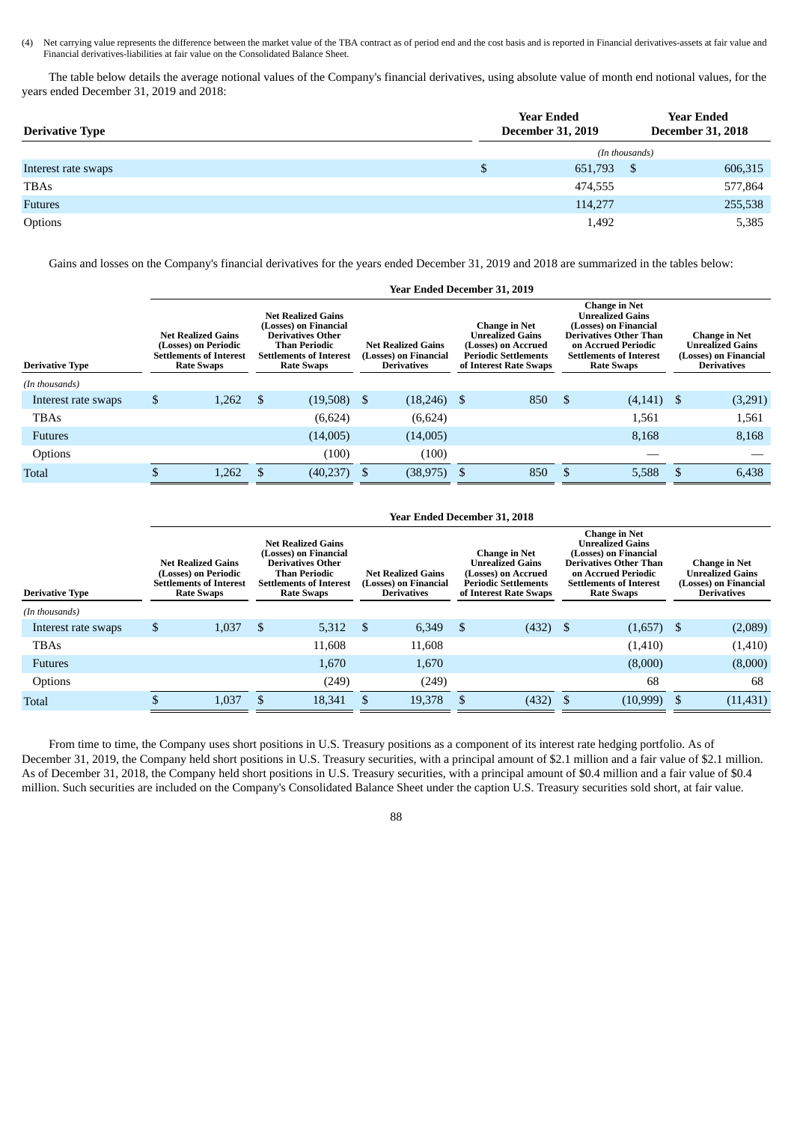(4) Net carrying value represents the difference between the market value of the TBA contract as of period end and the cost basis and is reported in Financial derivatives-assets at fair value and Financial derivatives-liabilities at fair value on the Consolidated Balance Sheet.

The table below details the average notional values of the Company's financial derivatives, using absolute value of month end notional values, for the years ended December 31, 2019 and 2018:

| <b>Derivative Type</b> | <b>Year Ended</b><br><b>December 31, 2019</b> |                | <b>Year Ended</b><br><b>December 31, 2018</b> |
|------------------------|-----------------------------------------------|----------------|-----------------------------------------------|
|                        |                                               | (In thousands) |                                               |
| Interest rate swaps    | \$<br>651,793                                 | \$             | 606,315                                       |
| TBAs                   | 474,555                                       |                | 577,864                                       |
| <b>Futures</b>         | 114,277                                       |                | 255,538                                       |
| Options                | 1,492                                         |                | 5,385                                         |

Gains and losses on the Company's financial derivatives for the years ended December 31, 2019 and 2018 are summarized in the tables below:

|                        |                                                                                                          |    |                                                                                                                                                        |      | Year Ended December 31, 2019                                             |     |                                                                                                                                 |                                                                                                                                                                                         |      |                                                                                                |
|------------------------|----------------------------------------------------------------------------------------------------------|----|--------------------------------------------------------------------------------------------------------------------------------------------------------|------|--------------------------------------------------------------------------|-----|---------------------------------------------------------------------------------------------------------------------------------|-----------------------------------------------------------------------------------------------------------------------------------------------------------------------------------------|------|------------------------------------------------------------------------------------------------|
| <b>Derivative Type</b> | <b>Net Realized Gains</b><br>(Losses) on Periodic<br><b>Settlements of Interest</b><br><b>Rate Swaps</b> |    | <b>Net Realized Gains</b><br>(Losses) on Financial<br><b>Derivatives Other</b><br>Than Periodic<br><b>Settlements of Interest</b><br><b>Rate Swaps</b> |      | <b>Net Realized Gains</b><br>(Losses) on Financial<br><b>Derivatives</b> |     | <b>Change in Net</b><br><b>Unrealized Gains</b><br>(Losses) on Accrued<br><b>Periodic Settlements</b><br>of Interest Rate Swaps | <b>Change in Net</b><br><b>Unrealized Gains</b><br>(Losses) on Financial<br><b>Derivatives Other Than</b><br>on Accrued Periodic<br><b>Settlements of Interest</b><br><b>Rate Swaps</b> |      | <b>Change in Net</b><br><b>Unrealized Gains</b><br>(Losses) on Financial<br><b>Derivatives</b> |
| (In thousands)         |                                                                                                          |    |                                                                                                                                                        |      |                                                                          |     |                                                                                                                                 |                                                                                                                                                                                         |      |                                                                                                |
| Interest rate swaps    | \$<br>1,262                                                                                              | \$ | $(19,508)$ \$                                                                                                                                          |      | $(18,246)$ \$                                                            |     | 850                                                                                                                             | \$<br>$(4,141)$ \$                                                                                                                                                                      |      | (3,291)                                                                                        |
| <b>TBAs</b>            |                                                                                                          |    | (6,624)                                                                                                                                                |      | (6,624)                                                                  |     |                                                                                                                                 | 1,561                                                                                                                                                                                   |      | 1,561                                                                                          |
| <b>Futures</b>         |                                                                                                          |    | (14,005)                                                                                                                                               |      | (14,005)                                                                 |     |                                                                                                                                 | 8,168                                                                                                                                                                                   |      | 8,168                                                                                          |
| Options                |                                                                                                          |    | (100)                                                                                                                                                  |      | (100)                                                                    |     |                                                                                                                                 |                                                                                                                                                                                         |      |                                                                                                |
| <b>Total</b>           | 1,262                                                                                                    | -S | (40, 237)                                                                                                                                              | - \$ | (38, 975)                                                                | -\$ | 850                                                                                                                             | \$<br>5,588                                                                                                                                                                             | - \$ | 6,438                                                                                          |
|                        |                                                                                                          |    |                                                                                                                                                        |      |                                                                          |     |                                                                                                                                 |                                                                                                                                                                                         |      |                                                                                                |

|                        | Year Ended December 31, 2018                                                                             |                                                                                                                                                        |        |                                                                   |        |                                                                                                                                 |       |                                                                                                                                                                                         |              |                                                                                         |           |  |  |  |
|------------------------|----------------------------------------------------------------------------------------------------------|--------------------------------------------------------------------------------------------------------------------------------------------------------|--------|-------------------------------------------------------------------|--------|---------------------------------------------------------------------------------------------------------------------------------|-------|-----------------------------------------------------------------------------------------------------------------------------------------------------------------------------------------|--------------|-----------------------------------------------------------------------------------------|-----------|--|--|--|
| <b>Derivative Type</b> | <b>Net Realized Gains</b><br>(Losses) on Periodic<br><b>Settlements of Interest</b><br><b>Rate Swaps</b> | <b>Net Realized Gains</b><br>(Losses) on Financial<br><b>Derivatives Other</b><br>Than Periodic<br><b>Settlements of Interest</b><br><b>Rate Swaps</b> |        | Net Realized Gains<br>(Losses) on Financial<br><b>Derivatives</b> |        | <b>Change in Net</b><br><b>Unrealized Gains</b><br>(Losses) on Accrued<br><b>Periodic Settlements</b><br>of Interest Rate Swaps |       | <b>Change in Net</b><br><b>Unrealized Gains</b><br>(Losses) on Financial<br><b>Derivatives Other Than</b><br>on Accrued Periodic<br><b>Settlements of Interest</b><br><b>Rate Swaps</b> |              | <b>Change in Net</b><br>Unrealized Gains<br>(Losses) on Financial<br><b>Derivatives</b> |           |  |  |  |
| (In thousands)         |                                                                                                          |                                                                                                                                                        |        |                                                                   |        |                                                                                                                                 |       |                                                                                                                                                                                         |              |                                                                                         |           |  |  |  |
| Interest rate swaps    | \$<br>1,037                                                                                              | -S                                                                                                                                                     | 5,312  | -\$                                                               | 6,349  | -\$                                                                                                                             | (432) | - \$                                                                                                                                                                                    | $(1,657)$ \$ |                                                                                         | (2,089)   |  |  |  |
| <b>TBAs</b>            |                                                                                                          |                                                                                                                                                        | 11,608 |                                                                   | 11,608 |                                                                                                                                 |       |                                                                                                                                                                                         | (1, 410)     |                                                                                         | (1, 410)  |  |  |  |
| <b>Futures</b>         |                                                                                                          |                                                                                                                                                        | 1,670  |                                                                   | 1,670  |                                                                                                                                 |       |                                                                                                                                                                                         | (8,000)      |                                                                                         | (8,000)   |  |  |  |
| Options                |                                                                                                          |                                                                                                                                                        | (249)  |                                                                   | (249)  |                                                                                                                                 |       |                                                                                                                                                                                         | 68           |                                                                                         | 68        |  |  |  |
| <b>Total</b>           | 1,037                                                                                                    |                                                                                                                                                        | 18,341 | \$.                                                               | 19,378 |                                                                                                                                 | (432) | -\$                                                                                                                                                                                     | (10, 999)    | - S                                                                                     | (11, 431) |  |  |  |

From time to time, the Company uses short positions in U.S. Treasury positions as a component of its interest rate hedging portfolio. As of December 31, 2019, the Company held short positions in U.S. Treasury securities, with a principal amount of \$2.1 million and a fair value of \$2.1 million. As of December 31, 2018, the Company held short positions in U.S. Treasury securities, with a principal amount of \$0.4 million and a fair value of \$0.4 million. Such securities are included on the Company's Consolidated Balance Sheet under the caption U.S. Treasury securities sold short, at fair value.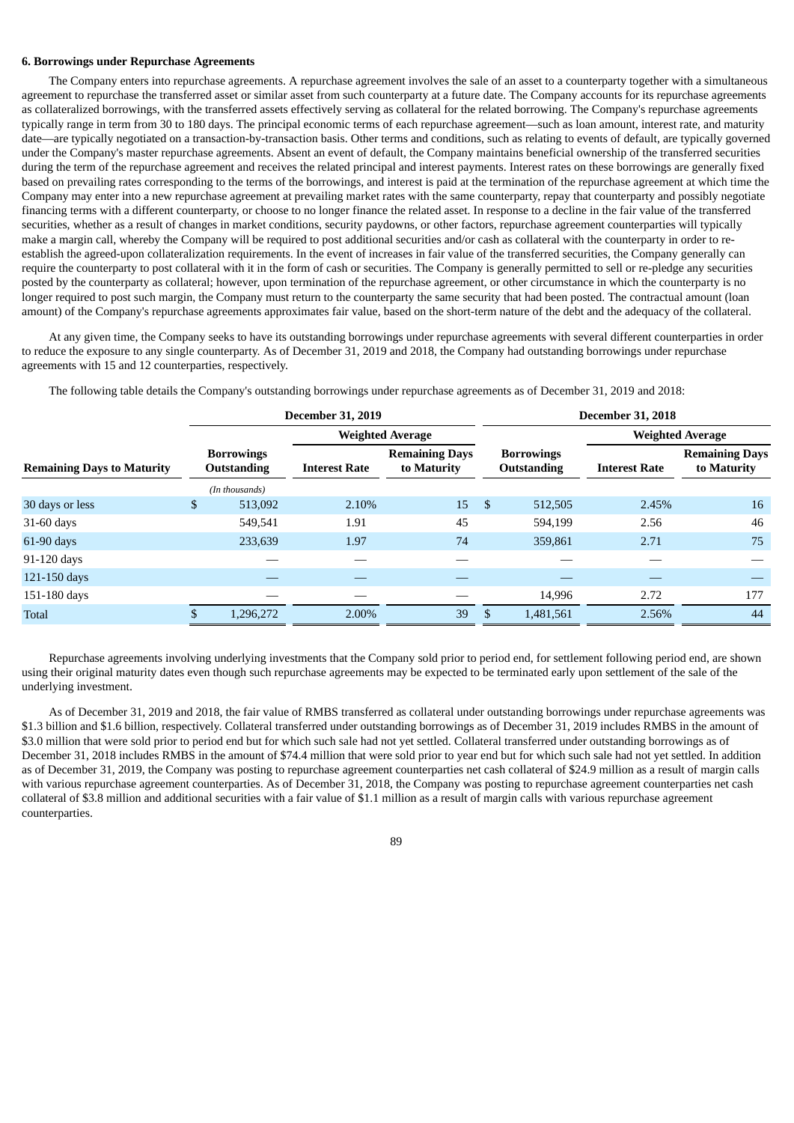#### **6. Borrowings under Repurchase Agreements**

The Company enters into repurchase agreements. A repurchase agreement involves the sale of an asset to a counterparty together with a simultaneous agreement to repurchase the transferred asset or similar asset from such counterparty at a future date. The Company accounts for its repurchase agreements as collateralized borrowings, with the transferred assets effectively serving as collateral for the related borrowing. The Company's repurchase agreements typically range in term from 30 to 180 days. The principal economic terms of each repurchase agreement—such as loan amount, interest rate, and maturity date—are typically negotiated on a transaction-by-transaction basis. Other terms and conditions, such as relating to events of default, are typically governed under the Company's master repurchase agreements. Absent an event of default, the Company maintains beneficial ownership of the transferred securities during the term of the repurchase agreement and receives the related principal and interest payments. Interest rates on these borrowings are generally fixed based on prevailing rates corresponding to the terms of the borrowings, and interest is paid at the termination of the repurchase agreement at which time the Company may enter into a new repurchase agreement at prevailing market rates with the same counterparty, repay that counterparty and possibly negotiate financing terms with a different counterparty, or choose to no longer finance the related asset. In response to a decline in the fair value of the transferred securities, whether as a result of changes in market conditions, security paydowns, or other factors, repurchase agreement counterparties will typically make a margin call, whereby the Company will be required to post additional securities and/or cash as collateral with the counterparty in order to reestablish the agreed-upon collateralization requirements. In the event of increases in fair value of the transferred securities, the Company generally can require the counterparty to post collateral with it in the form of cash or securities. The Company is generally permitted to sell or re-pledge any securities posted by the counterparty as collateral; however, upon termination of the repurchase agreement, or other circumstance in which the counterparty is no longer required to post such margin, the Company must return to the counterparty the same security that had been posted. The contractual amount (loan amount) of the Company's repurchase agreements approximates fair value, based on the short-term nature of the debt and the adequacy of the collateral.

At any given time, the Company seeks to have its outstanding borrowings under repurchase agreements with several different counterparties in order to reduce the exposure to any single counterparty. As of December 31, 2019 and 2018, the Company had outstanding borrowings under repurchase agreements with 15 and 12 counterparties, respectively.

|                                   |                                  |                | <b>December 31, 2019</b> |                                      | <b>December 31, 2018</b> |                                  |                      |                                      |  |  |
|-----------------------------------|----------------------------------|----------------|--------------------------|--------------------------------------|--------------------------|----------------------------------|----------------------|--------------------------------------|--|--|
|                                   |                                  |                |                          | <b>Weighted Average</b>              |                          |                                  |                      | <b>Weighted Average</b>              |  |  |
| <b>Remaining Days to Maturity</b> | <b>Borrowings</b><br>Outstanding |                | <b>Interest Rate</b>     | <b>Remaining Days</b><br>to Maturity |                          | <b>Borrowings</b><br>Outstanding | <b>Interest Rate</b> | <b>Remaining Days</b><br>to Maturity |  |  |
|                                   |                                  | (In thousands) |                          |                                      |                          |                                  |                      |                                      |  |  |
| 30 days or less                   | \$                               | 513,092        | 2.10%                    | 15                                   | \$                       | 512,505                          | 2.45%                | 16                                   |  |  |
| 31-60 days                        |                                  | 549,541        | 1.91                     | 45                                   |                          | 594.199                          | 2.56                 | 46                                   |  |  |
| 61-90 days                        |                                  | 233,639        | 1.97                     | 74                                   |                          | 359,861                          | 2.71                 | 75                                   |  |  |
| 91-120 days                       |                                  |                |                          |                                      |                          |                                  |                      |                                      |  |  |
| 121-150 days                      |                                  |                |                          |                                      |                          |                                  |                      |                                      |  |  |
| 151-180 days                      |                                  |                |                          |                                      |                          | 14,996                           | 2.72                 | 177                                  |  |  |
| <b>Total</b>                      |                                  | 1,296,272      | 2.00%                    | 39                                   | S                        | 1,481,561                        | 2.56%                | 44                                   |  |  |

The following table details the Company's outstanding borrowings under repurchase agreements as of December 31, 2019 and 2018:

Repurchase agreements involving underlying investments that the Company sold prior to period end, for settlement following period end, are shown using their original maturity dates even though such repurchase agreements may be expected to be terminated early upon settlement of the sale of the underlying investment.

As of December 31, 2019 and 2018, the fair value of RMBS transferred as collateral under outstanding borrowings under repurchase agreements was \$1.3 billion and \$1.6 billion, respectively. Collateral transferred under outstanding borrowings as of December 31, 2019 includes RMBS in the amount of \$3.0 million that were sold prior to period end but for which such sale had not yet settled. Collateral transferred under outstanding borrowings as of December 31, 2018 includes RMBS in the amount of \$74.4 million that were sold prior to year end but for which such sale had not yet settled. In addition as of December 31, 2019, the Company was posting to repurchase agreement counterparties net cash collateral of \$24.9 million as a result of margin calls with various repurchase agreement counterparties. As of December 31, 2018, the Company was posting to repurchase agreement counterparties net cash collateral of \$3.8 million and additional securities with a fair value of \$1.1 million as a result of margin calls with various repurchase agreement counterparties.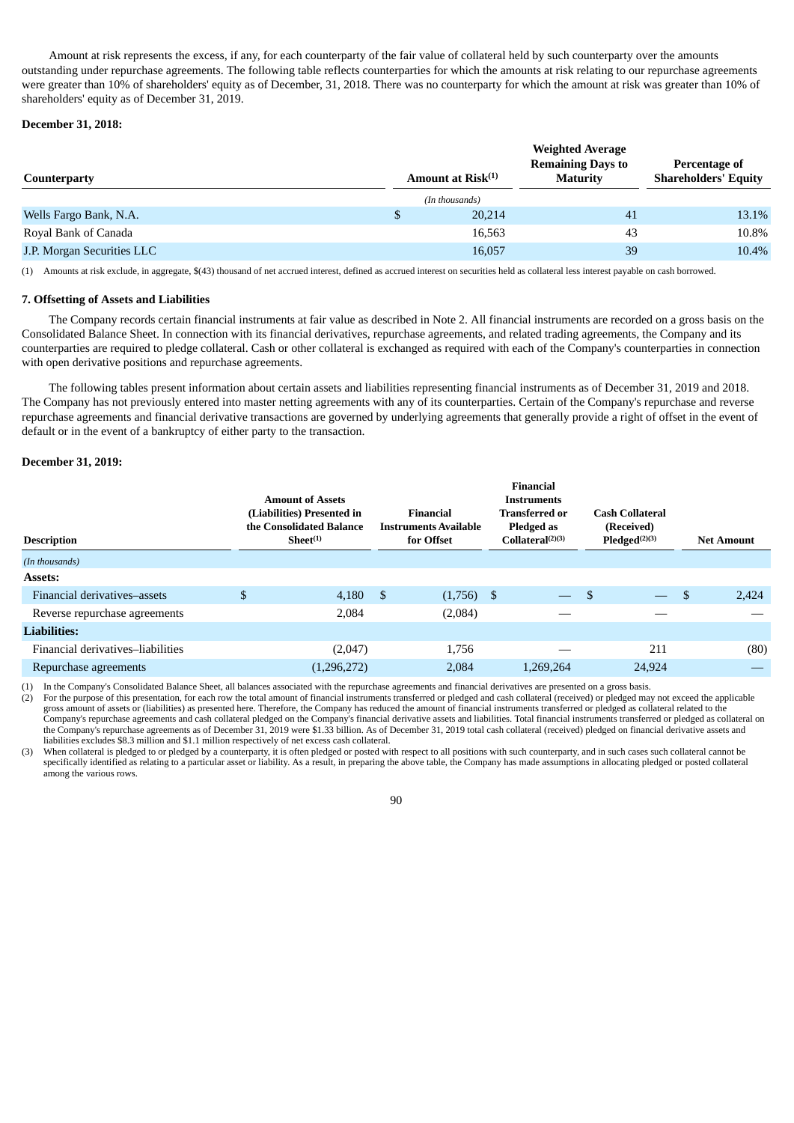Amount at risk represents the excess, if any, for each counterparty of the fair value of collateral held by such counterparty over the amounts outstanding under repurchase agreements. The following table reflects counterparties for which the amounts at risk relating to our repurchase agreements were greater than 10% of shareholders' equity as of December, 31, 2018. There was no counterparty for which the amount at risk was greater than 10% of shareholders' equity as of December 31, 2019.

### **December 31, 2018:**

| Counterparty               | Amount at Risk <sup>(1)</sup> | <b>Weighted Average</b><br><b>Remaining Days to</b><br><b>Maturity</b> | Percentage of<br><b>Shareholders' Equity</b> |  |  |
|----------------------------|-------------------------------|------------------------------------------------------------------------|----------------------------------------------|--|--|
|                            | (In thousands)                |                                                                        |                                              |  |  |
| Wells Fargo Bank, N.A.     | 20,214                        | 41                                                                     | 13.1%                                        |  |  |
| Royal Bank of Canada       | 16,563                        | 43                                                                     | 10.8%                                        |  |  |
| J.P. Morgan Securities LLC | 16,057                        | 39                                                                     | 10.4%                                        |  |  |

(1) Amounts at risk exclude, in aggregate, \$(43) thousand of net accrued interest, defined as accrued interest on securities held as collateral less interest payable on cash borrowed.

### **7. Offsetting of Assets and Liabilities**

The Company records certain financial instruments at fair value as described in Note 2. All financial instruments are recorded on a gross basis on the Consolidated Balance Sheet. In connection with its financial derivatives, repurchase agreements, and related trading agreements, the Company and its counterparties are required to pledge collateral. Cash or other collateral is exchanged as required with each of the Company's counterparties in connection with open derivative positions and repurchase agreements.

The following tables present information about certain assets and liabilities representing financial instruments as of December 31, 2019 and 2018. The Company has not previously entered into master netting agreements with any of its counterparties. Certain of the Company's repurchase and reverse repurchase agreements and financial derivative transactions are governed by underlying agreements that generally provide a right of offset in the event of default or in the event of a bankruptcy of either party to the transaction.

# **December 31, 2019:**

| $Sheet^{(1)}$ |         | <b>Financial</b><br><b>Instruments</b><br><b>Transferred or</b><br>Financial<br>Pledged as<br><b>Instruments Available</b><br>Collateral <sup>(2)(3)</sup><br>for Offset |            |      | (Received)<br>$P$ ledged <sup>(2)(3)</sup> | <b>Net Amount</b> |        |                        |       |
|---------------|---------|--------------------------------------------------------------------------------------------------------------------------------------------------------------------------|------------|------|--------------------------------------------|-------------------|--------|------------------------|-------|
|               |         |                                                                                                                                                                          |            |      |                                            |                   |        |                        |       |
|               |         |                                                                                                                                                                          |            |      |                                            |                   |        |                        |       |
|               |         |                                                                                                                                                                          |            | - \$ |                                            | - S               |        | <sup>\$</sup>          | 2,424 |
|               | 2,084   |                                                                                                                                                                          | (2,084)    |      |                                            |                   |        |                        |       |
|               |         |                                                                                                                                                                          |            |      |                                            |                   |        |                        |       |
|               | (2,047) |                                                                                                                                                                          | 1,756      |      |                                            |                   | 211    |                        | (80)  |
|               |         |                                                                                                                                                                          | 2,084      |      | 1,269,264                                  |                   | 24,924 |                        |       |
|               | \$      | <b>Amount of Assets</b><br>(Liabilities) Presented in<br>the Consolidated Balance<br>(1,296,272)                                                                         | $4,180$ \$ |      | (1,756)                                    |                   |        | <b>Cash Collateral</b> |       |

(1) In the Company's Consolidated Balance Sheet, all balances associated with the repurchase agreements and financial derivatives are presented on a gross basis.

(2) For the purpose of this presentation, for each row the total amount of financial instruments transferred or pledged and cash collateral (received) or pledged may not exceed the applicable gross amount of assets or (liabilities) as presented here. Therefore, the Company has reduced the amount of financial instruments transferred or pledged as collateral related to the Company's repurchase agreements and cash collateral pledged on the Company's financial derivative assets and liabilities. Total financial instruments transferred or pledged as collateral on the Company's repurchase agreements as of December 31, 2019 were \$1.33 billion. As of December 31, 2019 total cash collateral (received) pledged on financial derivative assets and liabilities excludes \$8.3 million and \$1.1 million respectively of net excess cash collateral.

When collateral is pledged to or pledged by a counterparty, it is often pledged or posted with respect to all positions with such counterparty, and in such cases such collateral cannot be specifically identified as relating to a particular asset or liability. As a result, in preparing the above table, the Company has made assumptions in allocating pledged or posted collateral among the various rows.

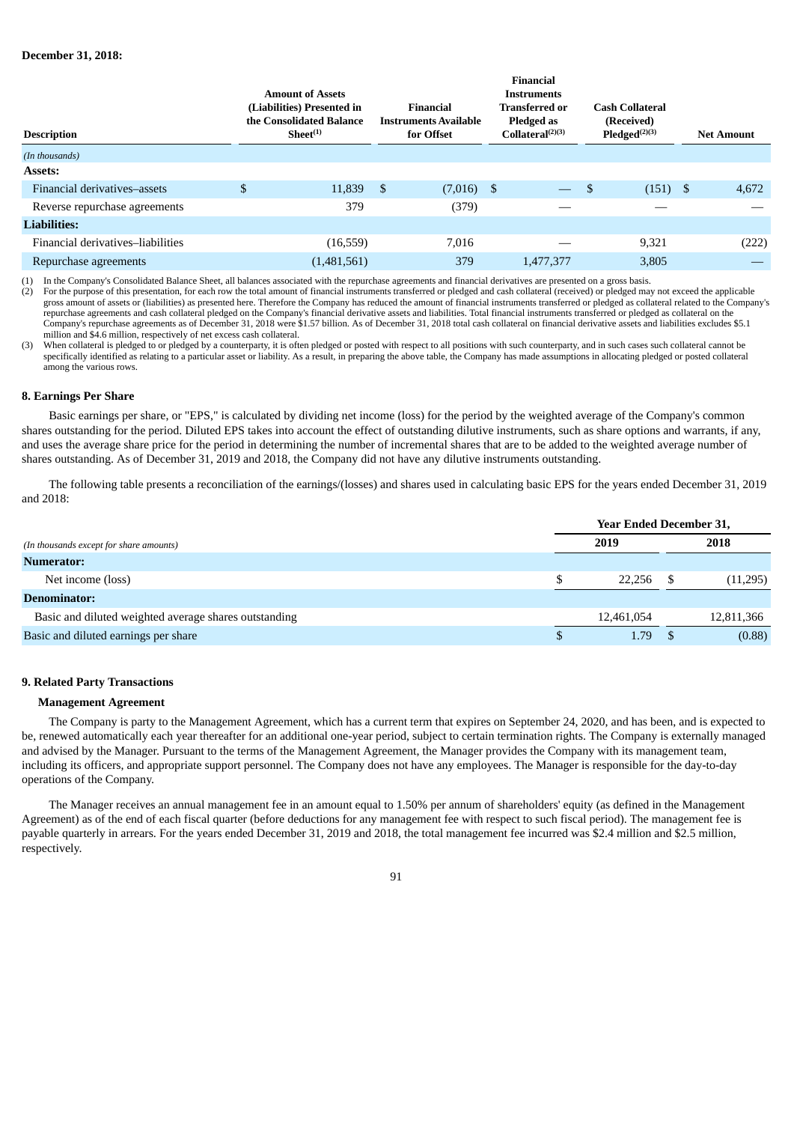| <b>Description</b>                | <b>Amount of Assets</b><br>(Liabilities) Presented in<br>the Consolidated Balance<br>$Sheet^{(1)}$ |      | <b>Financial</b><br><b>Instruments</b><br><b>Transferred or</b><br>Financial<br>Pledged as<br><b>Instruments Available</b><br>(Received)<br>Collateral <sup>(2)(3)</sup><br>$P$ ledged <sup>(2)(3)</sup><br>for Offset |  | <b>Cash Collateral</b>   |     | <b>Net Amount</b> |  |       |
|-----------------------------------|----------------------------------------------------------------------------------------------------|------|------------------------------------------------------------------------------------------------------------------------------------------------------------------------------------------------------------------------|--|--------------------------|-----|-------------------|--|-------|
| (In thousands)                    |                                                                                                    |      |                                                                                                                                                                                                                        |  |                          |     |                   |  |       |
| Assets:                           |                                                                                                    |      |                                                                                                                                                                                                                        |  |                          |     |                   |  |       |
| Financial derivatives-assets      | \$<br>11,839                                                                                       | - \$ | $(7,016)$ \$                                                                                                                                                                                                           |  | $\overline{\phantom{m}}$ | -\$ | $(151)$ \$        |  | 4,672 |
| Reverse repurchase agreements     | 379                                                                                                |      | (379)                                                                                                                                                                                                                  |  |                          |     |                   |  |       |
| <b>Liabilities:</b>               |                                                                                                    |      |                                                                                                                                                                                                                        |  |                          |     |                   |  |       |
| Financial derivatives-liabilities | (16, 559)                                                                                          |      | 7,016                                                                                                                                                                                                                  |  |                          |     | 9,321             |  | (222) |
| Repurchase agreements             | (1,481,561)                                                                                        |      | 379                                                                                                                                                                                                                    |  | 1,477,377                |     | 3,805             |  |       |
|                                   |                                                                                                    |      |                                                                                                                                                                                                                        |  |                          |     |                   |  |       |

(1) In the Company's Consolidated Balance Sheet, all balances associated with the repurchase agreements and financial derivatives are presented on a gross basis.

For the purpose of this presentation, for each row the total amount of financial instruments transferred or pledged and cash collateral (received) or pledged may not exceed the applicable gross amount of assets or (liabilities) as presented here. Therefore the Company has reduced the amount of financial instruments transferred or pledged as collateral related to the Company's repurchase agreements and cash collateral pledged on the Company's financial derivative assets and liabilities. Total financial instruments transferred or pledged as collateral on the Company's repurchase agreements as of December 31, 2018 were \$1.57 billion. As of December 31, 2018 total cash collateral on financial derivative assets and liabilities excludes \$5.1 million and \$4.6 million, respectively of net excess cash collateral.

(3) When collateral is pledged to or pledged by a counterparty, it is often pledged or posted with respect to all positions with such counterparty, and in such cases such collateral cannot be specifically identified as relating to a particular asset or liability. As a result, in preparing the above table, the Company has made assumptions in allocating pledged or posted collateral among the various rows.

#### **8. Earnings Per Share**

Basic earnings per share, or "EPS," is calculated by dividing net income (loss) for the period by the weighted average of the Company's common shares outstanding for the period. Diluted EPS takes into account the effect of outstanding dilutive instruments, such as share options and warrants, if any, and uses the average share price for the period in determining the number of incremental shares that are to be added to the weighted average number of shares outstanding. As of December 31, 2019 and 2018, the Company did not have any dilutive instruments outstanding.

The following table presents a reconciliation of the earnings/(losses) and shares used in calculating basic EPS for the years ended December 31, 2019 and 2018:

|                                                       | <b>Year Ended December 31,</b> |            |  |            |
|-------------------------------------------------------|--------------------------------|------------|--|------------|
| (In thousands except for share amounts)               |                                | 2019       |  | 2018       |
| <b>Numerator:</b>                                     |                                |            |  |            |
| Net income (loss)                                     |                                | 22.256     |  | (11,295)   |
| <b>Denominator:</b>                                   |                                |            |  |            |
| Basic and diluted weighted average shares outstanding |                                | 12,461,054 |  | 12,811,366 |
| Basic and diluted earnings per share                  |                                | 1.79       |  | (0.88)     |

#### **9. Related Party Transactions**

#### **Management Agreement**

The Company is party to the Management Agreement, which has a current term that expires on September 24, 2020, and has been, and is expected to be, renewed automatically each year thereafter for an additional one-year period, subject to certain termination rights. The Company is externally managed and advised by the Manager. Pursuant to the terms of the Management Agreement, the Manager provides the Company with its management team, including its officers, and appropriate support personnel. The Company does not have any employees. The Manager is responsible for the day-to-day operations of the Company.

The Manager receives an annual management fee in an amount equal to 1.50% per annum of shareholders' equity (as defined in the Management Agreement) as of the end of each fiscal quarter (before deductions for any management fee with respect to such fiscal period). The management fee is payable quarterly in arrears. For the years ended December 31, 2019 and 2018, the total management fee incurred was \$2.4 million and \$2.5 million, respectively.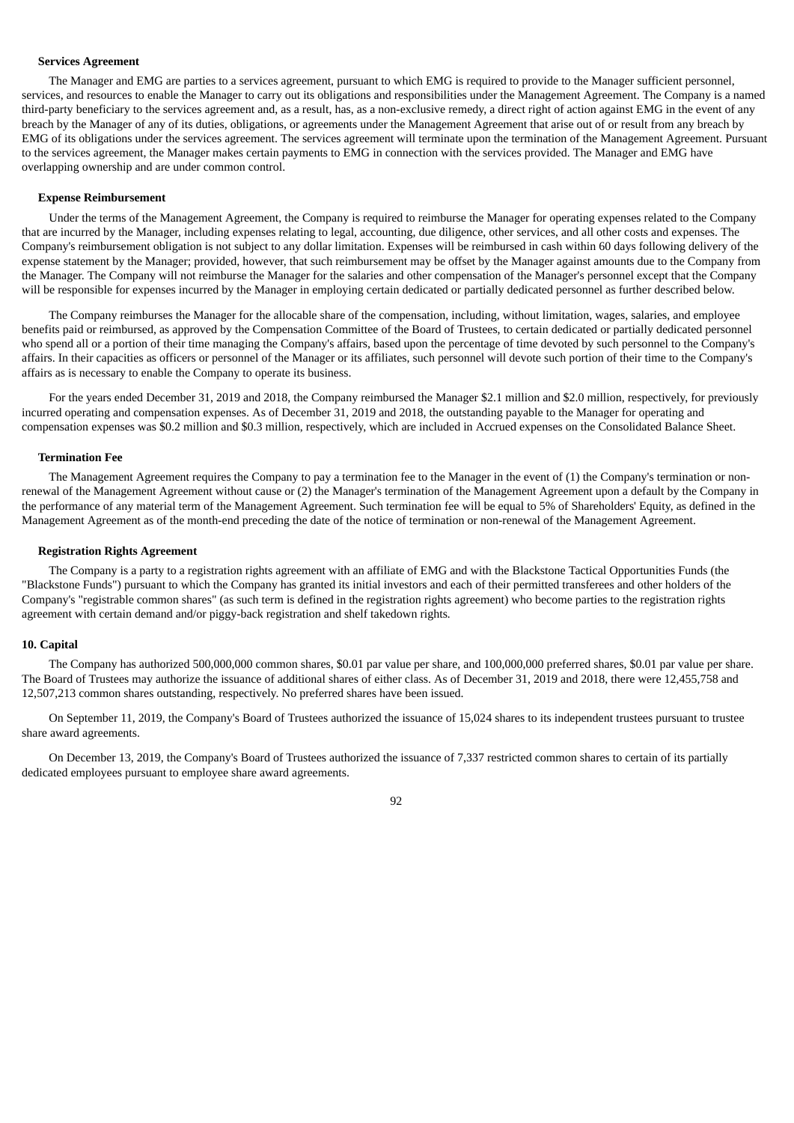#### **Services Agreement**

The Manager and EMG are parties to a services agreement, pursuant to which EMG is required to provide to the Manager sufficient personnel, services, and resources to enable the Manager to carry out its obligations and responsibilities under the Management Agreement. The Company is a named third-party beneficiary to the services agreement and, as a result, has, as a non-exclusive remedy, a direct right of action against EMG in the event of any breach by the Manager of any of its duties, obligations, or agreements under the Management Agreement that arise out of or result from any breach by EMG of its obligations under the services agreement. The services agreement will terminate upon the termination of the Management Agreement. Pursuant to the services agreement, the Manager makes certain payments to EMG in connection with the services provided. The Manager and EMG have overlapping ownership and are under common control.

#### **Expense Reimbursement**

Under the terms of the Management Agreement, the Company is required to reimburse the Manager for operating expenses related to the Company that are incurred by the Manager, including expenses relating to legal, accounting, due diligence, other services, and all other costs and expenses. The Company's reimbursement obligation is not subject to any dollar limitation. Expenses will be reimbursed in cash within 60 days following delivery of the expense statement by the Manager; provided, however, that such reimbursement may be offset by the Manager against amounts due to the Company from the Manager. The Company will not reimburse the Manager for the salaries and other compensation of the Manager's personnel except that the Company will be responsible for expenses incurred by the Manager in employing certain dedicated or partially dedicated personnel as further described below.

The Company reimburses the Manager for the allocable share of the compensation, including, without limitation, wages, salaries, and employee benefits paid or reimbursed, as approved by the Compensation Committee of the Board of Trustees, to certain dedicated or partially dedicated personnel who spend all or a portion of their time managing the Company's affairs, based upon the percentage of time devoted by such personnel to the Company's affairs. In their capacities as officers or personnel of the Manager or its affiliates, such personnel will devote such portion of their time to the Company's affairs as is necessary to enable the Company to operate its business.

For the years ended December 31, 2019 and 2018, the Company reimbursed the Manager \$2.1 million and \$2.0 million, respectively, for previously incurred operating and compensation expenses. As of December 31, 2019 and 2018, the outstanding payable to the Manager for operating and compensation expenses was \$0.2 million and \$0.3 million, respectively, which are included in Accrued expenses on the Consolidated Balance Sheet.

#### **Termination Fee**

The Management Agreement requires the Company to pay a termination fee to the Manager in the event of (1) the Company's termination or nonrenewal of the Management Agreement without cause or (2) the Manager's termination of the Management Agreement upon a default by the Company in the performance of any material term of the Management Agreement. Such termination fee will be equal to 5% of Shareholders' Equity, as defined in the Management Agreement as of the month-end preceding the date of the notice of termination or non-renewal of the Management Agreement.

#### **Registration Rights Agreement**

The Company is a party to a registration rights agreement with an affiliate of EMG and with the Blackstone Tactical Opportunities Funds (the "Blackstone Funds") pursuant to which the Company has granted its initial investors and each of their permitted transferees and other holders of the Company's "registrable common shares" (as such term is defined in the registration rights agreement) who become parties to the registration rights agreement with certain demand and/or piggy-back registration and shelf takedown rights*.*

#### **10. Capital**

The Company has authorized 500,000,000 common shares, \$0.01 par value per share, and 100,000,000 preferred shares, \$0.01 par value per share. The Board of Trustees may authorize the issuance of additional shares of either class. As of December 31, 2019 and 2018, there were 12,455,758 and 12,507,213 common shares outstanding, respectively. No preferred shares have been issued.

On September 11, 2019, the Company's Board of Trustees authorized the issuance of 15,024 shares to its independent trustees pursuant to trustee share award agreements.

On December 13, 2019, the Company's Board of Trustees authorized the issuance of 7,337 restricted common shares to certain of its partially dedicated employees pursuant to employee share award agreements.

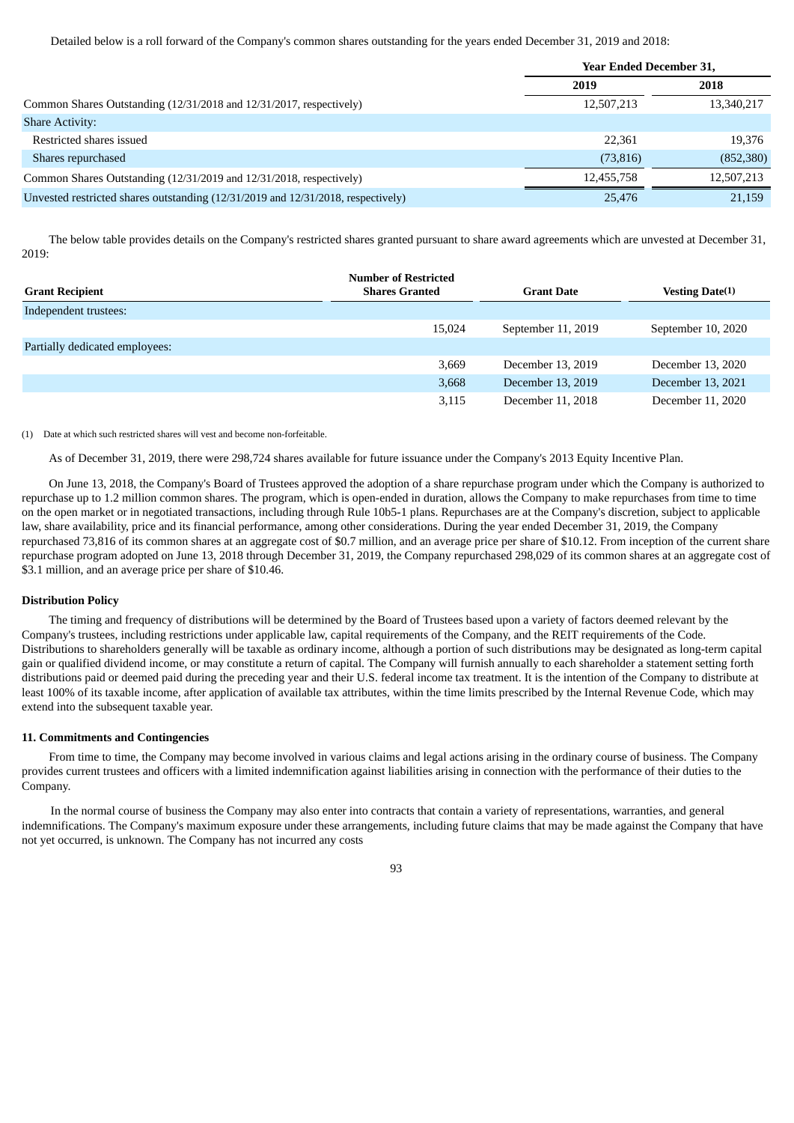Detailed below is a roll forward of the Company's common shares outstanding for the years ended December 31, 2019 and 2018:

|                                                                                  | <b>Year Ended December 31,</b> |            |  |  |
|----------------------------------------------------------------------------------|--------------------------------|------------|--|--|
|                                                                                  | 2019                           | 2018       |  |  |
| Common Shares Outstanding (12/31/2018 and 12/31/2017, respectively)              | 12,507,213                     | 13,340,217 |  |  |
| <b>Share Activity:</b>                                                           |                                |            |  |  |
| Restricted shares issued                                                         | 22.361                         | 19.376     |  |  |
| Shares repurchased                                                               | (73, 816)                      | (852, 380) |  |  |
| Common Shares Outstanding (12/31/2019 and 12/31/2018, respectively)              | 12,455,758                     | 12,507,213 |  |  |
| Unvested restricted shares outstanding (12/31/2019 and 12/31/2018, respectively) | 25,476                         | 21,159     |  |  |

The below table provides details on the Company's restricted shares granted pursuant to share award agreements which are unvested at December 31, 2019:

| <b>Grant Recipient</b>         | <b>Number of Restricted</b><br><b>Shares Granted</b> | <b>Grant Date</b>  | <b>Vesting Date(1)</b> |
|--------------------------------|------------------------------------------------------|--------------------|------------------------|
| Independent trustees:          |                                                      |                    |                        |
|                                | 15,024                                               | September 11, 2019 | September 10, 2020     |
| Partially dedicated employees: |                                                      |                    |                        |
|                                | 3,669                                                | December 13, 2019  | December 13, 2020      |
|                                | 3,668                                                | December 13, 2019  | December 13, 2021      |
|                                | 3,115                                                | December 11, 2018  | December 11, 2020      |

#### (1) Date at which such restricted shares will vest and become non-forfeitable.

As of December 31, 2019, there were 298,724 shares available for future issuance under the Company's 2013 Equity Incentive Plan.

On June 13, 2018, the Company's Board of Trustees approved the adoption of a share repurchase program under which the Company is authorized to repurchase up to 1.2 million common shares. The program, which is open-ended in duration, allows the Company to make repurchases from time to time on the open market or in negotiated transactions, including through Rule 10b5-1 plans. Repurchases are at the Company's discretion, subject to applicable law, share availability, price and its financial performance, among other considerations. During the year ended December 31, 2019, the Company repurchased 73,816 of its common shares at an aggregate cost of \$0.7 million, and an average price per share of \$10.12. From inception of the current share repurchase program adopted on June 13, 2018 through December 31, 2019, the Company repurchased 298,029 of its common shares at an aggregate cost of \$3.1 million, and an average price per share of \$10.46.

#### **Distribution Policy**

The timing and frequency of distributions will be determined by the Board of Trustees based upon a variety of factors deemed relevant by the Company's trustees, including restrictions under applicable law, capital requirements of the Company, and the REIT requirements of the Code. Distributions to shareholders generally will be taxable as ordinary income, although a portion of such distributions may be designated as long-term capital gain or qualified dividend income, or may constitute a return of capital. The Company will furnish annually to each shareholder a statement setting forth distributions paid or deemed paid during the preceding year and their U.S. federal income tax treatment. It is the intention of the Company to distribute at least 100% of its taxable income, after application of available tax attributes, within the time limits prescribed by the Internal Revenue Code, which may extend into the subsequent taxable year.

### **11. Commitments and Contingencies**

From time to time, the Company may become involved in various claims and legal actions arising in the ordinary course of business. The Company provides current trustees and officers with a limited indemnification against liabilities arising in connection with the performance of their duties to the Company.

In the normal course of business the Company may also enter into contracts that contain a variety of representations, warranties, and general indemnifications. The Company's maximum exposure under these arrangements, including future claims that may be made against the Company that have not yet occurred, is unknown. The Company has not incurred any costs

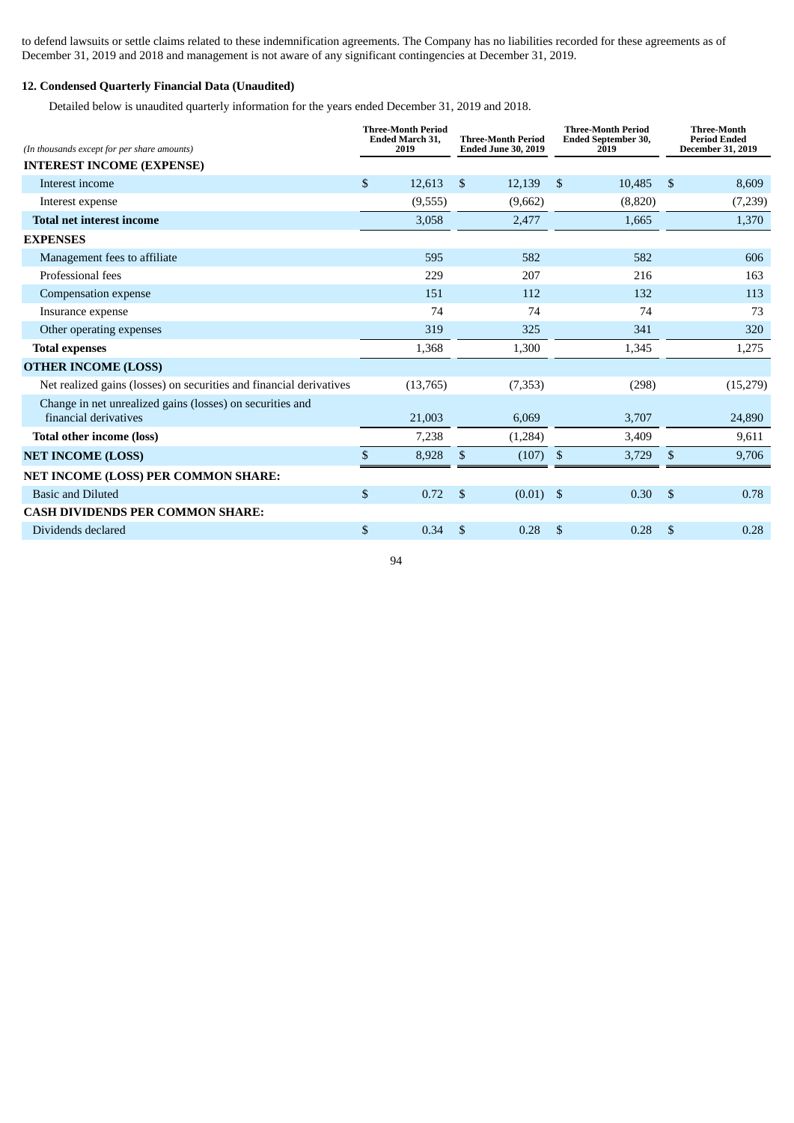to defend lawsuits or settle claims related to these indemnification agreements. The Company has no liabilities recorded for these agreements as of December 31, 2019 and 2018 and management is not aware of any significant contingencies at December 31, 2019.

# **12. Condensed Quarterly Financial Data (Unaudited)**

Detailed below is unaudited quarterly information for the years ended December 31, 2019 and 2018.

| (In thousands except for per share amounts)                                        |                | <b>Three-Month Period</b><br><b>Ended March 31.</b><br>2019 |                | <b>Three-Month Period</b><br><b>Ended June 30, 2019</b> |     | <b>Three-Month Period</b><br><b>Ended September 30,</b><br>2019 |                | <b>Three-Month</b><br><b>Period Ended</b><br><b>December 31, 2019</b> |
|------------------------------------------------------------------------------------|----------------|-------------------------------------------------------------|----------------|---------------------------------------------------------|-----|-----------------------------------------------------------------|----------------|-----------------------------------------------------------------------|
| <b>INTEREST INCOME (EXPENSE)</b>                                                   |                |                                                             |                |                                                         |     |                                                                 |                |                                                                       |
| Interest income                                                                    | $\mathfrak{S}$ | 12,613                                                      | $\mathfrak{S}$ | 12,139                                                  | \$  | 10,485                                                          | $\mathfrak{S}$ | 8,609                                                                 |
| Interest expense                                                                   |                | (9,555)                                                     |                | (9,662)                                                 |     | (8,820)                                                         |                | (7,239)                                                               |
| <b>Total net interest income</b>                                                   |                | 3,058                                                       |                | 2,477                                                   |     | 1,665                                                           |                | 1,370                                                                 |
| <b>EXPENSES</b>                                                                    |                |                                                             |                |                                                         |     |                                                                 |                |                                                                       |
| Management fees to affiliate                                                       |                | 595                                                         |                | 582                                                     |     | 582                                                             |                | 606                                                                   |
| Professional fees                                                                  |                | 229                                                         |                | 207                                                     |     | 216                                                             |                | 163                                                                   |
| Compensation expense                                                               |                | 151                                                         |                | 112                                                     |     | 132                                                             |                | 113                                                                   |
| Insurance expense                                                                  |                | 74                                                          |                | 74                                                      |     | 74                                                              |                | 73                                                                    |
| Other operating expenses                                                           |                | 319                                                         |                | 325                                                     |     | 341                                                             |                | 320                                                                   |
| <b>Total expenses</b>                                                              |                | 1,368                                                       |                | 1,300                                                   |     | 1,345                                                           |                | 1,275                                                                 |
| <b>OTHER INCOME (LOSS)</b>                                                         |                |                                                             |                |                                                         |     |                                                                 |                |                                                                       |
| Net realized gains (losses) on securities and financial derivatives                |                | (13,765)                                                    |                | (7,353)                                                 |     | (298)                                                           |                | (15, 279)                                                             |
| Change in net unrealized gains (losses) on securities and<br>financial derivatives |                | 21,003                                                      |                | 6,069                                                   |     | 3,707                                                           |                | 24,890                                                                |
| <b>Total other income (loss)</b>                                                   |                | 7,238                                                       |                | (1,284)                                                 |     | 3,409                                                           |                | 9,611                                                                 |
| <b>NET INCOME (LOSS)</b>                                                           | $\mathbb{S}$   | 8,928                                                       | $\mathfrak{L}$ | (107)                                                   | -\$ | 3,729                                                           | \$             | 9,706                                                                 |
| NET INCOME (LOSS) PER COMMON SHARE:                                                |                |                                                             |                |                                                         |     |                                                                 |                |                                                                       |
| <b>Basic and Diluted</b>                                                           | \$             | 0.72                                                        | $\mathfrak{S}$ | $(0.01)$ \$                                             |     | 0.30                                                            | $\mathfrak{S}$ | 0.78                                                                  |
| <b>CASH DIVIDENDS PER COMMON SHARE:</b>                                            |                |                                                             |                |                                                         |     |                                                                 |                |                                                                       |
| Dividends declared                                                                 | \$             | 0.34                                                        | \$             | 0.28                                                    | -\$ | 0.28                                                            | <sup>\$</sup>  | 0.28                                                                  |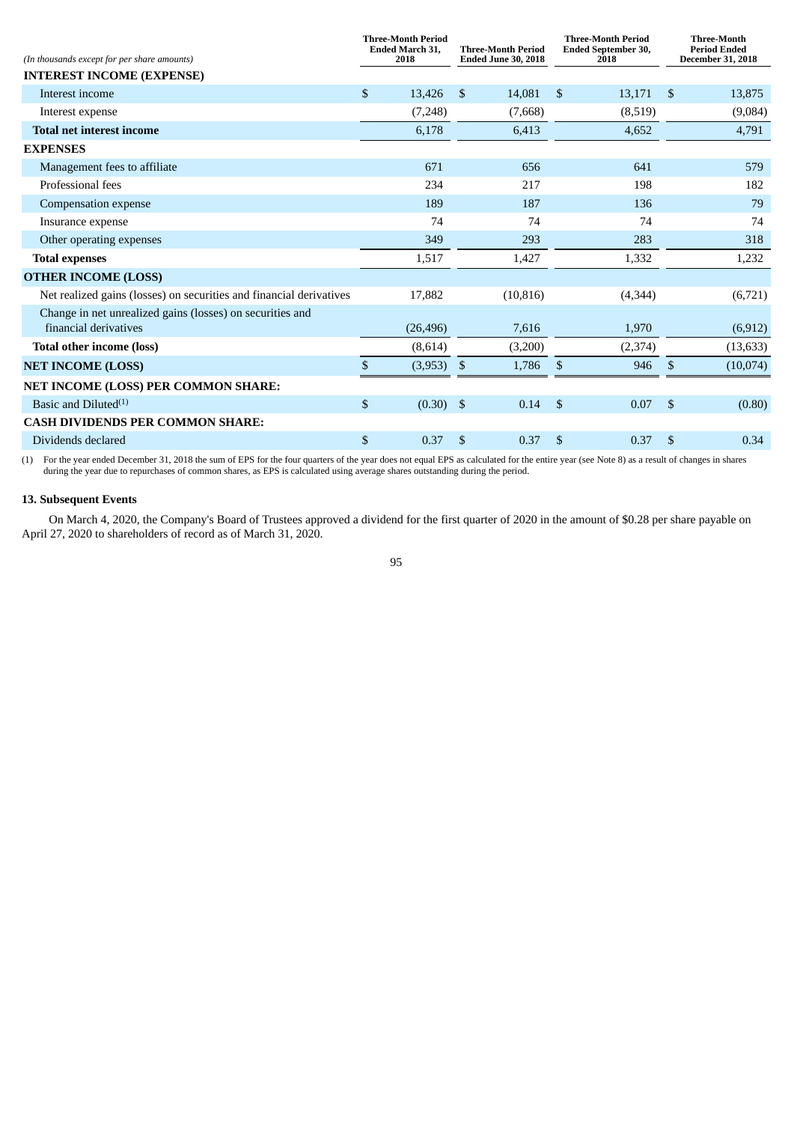| (In thousands except for per share amounts)                                        |              | <b>Three-Month Period</b><br>Ended March 31,<br>2018 | <b>Three-Month Period</b><br><b>Ended June 30, 2018</b> |               | <b>Three-Month Period</b><br><b>Ended September 30,</b><br>2018 |                | <b>Three-Month</b><br><b>Period Ended</b><br><b>December 31, 2018</b> |
|------------------------------------------------------------------------------------|--------------|------------------------------------------------------|---------------------------------------------------------|---------------|-----------------------------------------------------------------|----------------|-----------------------------------------------------------------------|
| <b>INTEREST INCOME (EXPENSE)</b>                                                   |              |                                                      |                                                         |               |                                                                 |                |                                                                       |
| Interest income                                                                    | $\mathbb{S}$ | 13,426                                               | \$<br>14,081                                            | \$            | 13,171                                                          | $\mathbb{S}$   | 13,875                                                                |
| Interest expense                                                                   |              | (7,248)                                              | (7,668)                                                 |               | (8,519)                                                         |                | (9,084)                                                               |
| <b>Total net interest income</b>                                                   |              | 6,178                                                | 6,413                                                   |               | 4,652                                                           |                | 4,791                                                                 |
| <b>EXPENSES</b>                                                                    |              |                                                      |                                                         |               |                                                                 |                |                                                                       |
| Management fees to affiliate                                                       |              | 671                                                  | 656                                                     |               | 641                                                             |                | 579                                                                   |
| Professional fees                                                                  |              | 234                                                  | 217                                                     |               | 198                                                             |                | 182                                                                   |
| Compensation expense                                                               |              | 189                                                  | 187                                                     |               | 136                                                             |                | 79                                                                    |
| Insurance expense                                                                  |              | 74                                                   | 74                                                      |               | 74                                                              |                | 74                                                                    |
| Other operating expenses                                                           |              | 349                                                  | 293                                                     |               | 283                                                             |                | 318                                                                   |
| <b>Total expenses</b>                                                              |              | 1,517                                                | 1,427                                                   |               | 1,332                                                           |                | 1,232                                                                 |
| <b>OTHER INCOME (LOSS)</b>                                                         |              |                                                      |                                                         |               |                                                                 |                |                                                                       |
| Net realized gains (losses) on securities and financial derivatives                |              | 17,882                                               | (10, 816)                                               |               | (4,344)                                                         |                | (6,721)                                                               |
| Change in net unrealized gains (losses) on securities and<br>financial derivatives |              | (26, 496)                                            | 7,616                                                   |               | 1,970                                                           |                | (6, 912)                                                              |
| <b>Total other income (loss)</b>                                                   |              | (8,614)                                              | (3,200)                                                 |               | (2,374)                                                         |                | (13, 633)                                                             |
| <b>NET INCOME (LOSS)</b>                                                           | \$           | (3,953)                                              | \$<br>1,786                                             | \$            | 946                                                             | \$             | (10,074)                                                              |
| NET INCOME (LOSS) PER COMMON SHARE:                                                |              |                                                      |                                                         |               |                                                                 |                |                                                                       |
| Basic and Diluted $(1)$                                                            | \$           | $(0.30)$ \$                                          | 0.14                                                    | $\mathbf{\$}$ | 0.07                                                            | $\mathfrak{S}$ | (0.80)                                                                |
| <b>CASH DIVIDENDS PER COMMON SHARE:</b>                                            |              |                                                      |                                                         |               |                                                                 |                |                                                                       |
| Dividends declared                                                                 | \$           | 0.37                                                 | \$<br>0.37                                              | \$            | 0.37                                                            | \$             | 0.34                                                                  |

(1) For the year ended December 31, 2018 the sum of EPS for the four quarters of the year does not equal EPS as calculated for the entire year (see Note 8) as a result of changes in shares during the year due to repurchases of common shares, as EPS is calculated using average shares outstanding during the period.

# **13. Subsequent Events**

On March 4, 2020, the Company's Board of Trustees approved a dividend for the first quarter of 2020 in the amount of \$0.28 per share payable on April 27, 2020 to shareholders of record as of March 31, 2020.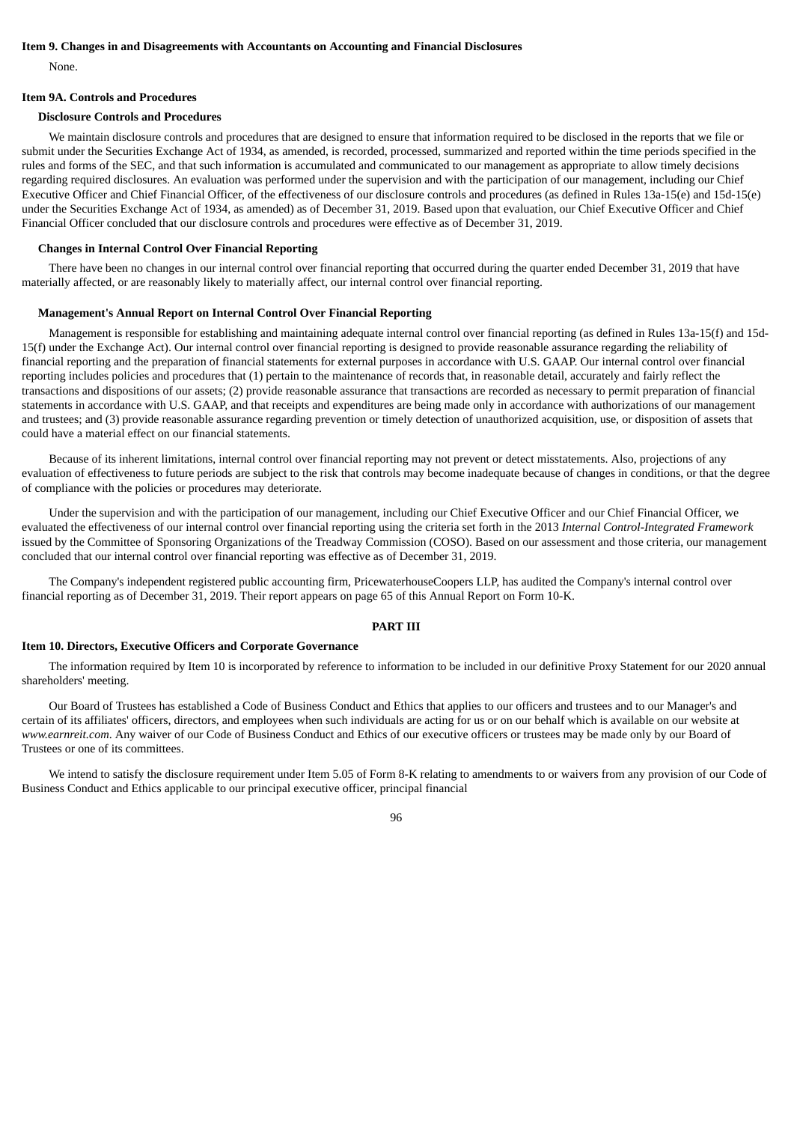#### **Item 9. Changes in and Disagreements with Accountants on Accounting and Financial Disclosures**

None.

# **Item 9A. Controls and Procedures**

### **Disclosure Controls and Procedures**

We maintain disclosure controls and procedures that are designed to ensure that information required to be disclosed in the reports that we file or submit under the Securities Exchange Act of 1934, as amended, is recorded, processed, summarized and reported within the time periods specified in the rules and forms of the SEC, and that such information is accumulated and communicated to our management as appropriate to allow timely decisions regarding required disclosures. An evaluation was performed under the supervision and with the participation of our management, including our Chief Executive Officer and Chief Financial Officer, of the effectiveness of our disclosure controls and procedures (as defined in Rules 13a-15(e) and 15d-15(e) under the Securities Exchange Act of 1934, as amended) as of December 31, 2019. Based upon that evaluation, our Chief Executive Officer and Chief Financial Officer concluded that our disclosure controls and procedures were effective as of December 31, 2019.

#### **Changes in Internal Control Over Financial Reporting**

There have been no changes in our internal control over financial reporting that occurred during the quarter ended December 31, 2019 that have materially affected, or are reasonably likely to materially affect, our internal control over financial reporting.

# **Management's Annual Report on Internal Control Over Financial Reporting**

Management is responsible for establishing and maintaining adequate internal control over financial reporting (as defined in Rules 13a-15(f) and 15d-15(f) under the Exchange Act). Our internal control over financial reporting is designed to provide reasonable assurance regarding the reliability of financial reporting and the preparation of financial statements for external purposes in accordance with U.S. GAAP. Our internal control over financial reporting includes policies and procedures that (1) pertain to the maintenance of records that, in reasonable detail, accurately and fairly reflect the transactions and dispositions of our assets; (2) provide reasonable assurance that transactions are recorded as necessary to permit preparation of financial statements in accordance with U.S. GAAP, and that receipts and expenditures are being made only in accordance with authorizations of our management and trustees; and (3) provide reasonable assurance regarding prevention or timely detection of unauthorized acquisition, use, or disposition of assets that could have a material effect on our financial statements.

Because of its inherent limitations, internal control over financial reporting may not prevent or detect misstatements. Also, projections of any evaluation of effectiveness to future periods are subject to the risk that controls may become inadequate because of changes in conditions, or that the degree of compliance with the policies or procedures may deteriorate.

Under the supervision and with the participation of our management, including our Chief Executive Officer and our Chief Financial Officer, we evaluated the effectiveness of our internal control over financial reporting using the criteria set forth in the 2013 *Internal Control-Integrated Framework* issued by the Committee of Sponsoring Organizations of the Treadway Commission (COSO). Based on our assessment and those criteria, our management concluded that our internal control over financial reporting was effective as of December 31, 2019.

The Company's independent registered public accounting firm, PricewaterhouseCoopers LLP, has audited the Company's internal control over financial reporting as of December 31, 2019. Their report appears on page 65 of this Annual Report on Form 10-K.

# **PART III**

#### **Item 10. Directors, Executive Officers and Corporate Governance**

The information required by Item 10 is incorporated by reference to information to be included in our definitive Proxy Statement for our 2020 annual shareholders' meeting.

Our Board of Trustees has established a Code of Business Conduct and Ethics that applies to our officers and trustees and to our Manager's and certain of its affiliates' officers, directors, and employees when such individuals are acting for us or on our behalf which is available on our website at *www.earnreit.com*. Any waiver of our Code of Business Conduct and Ethics of our executive officers or trustees may be made only by our Board of Trustees or one of its committees.

We intend to satisfy the disclosure requirement under Item 5.05 of Form 8-K relating to amendments to or waivers from any provision of our Code of Business Conduct and Ethics applicable to our principal executive officer, principal financial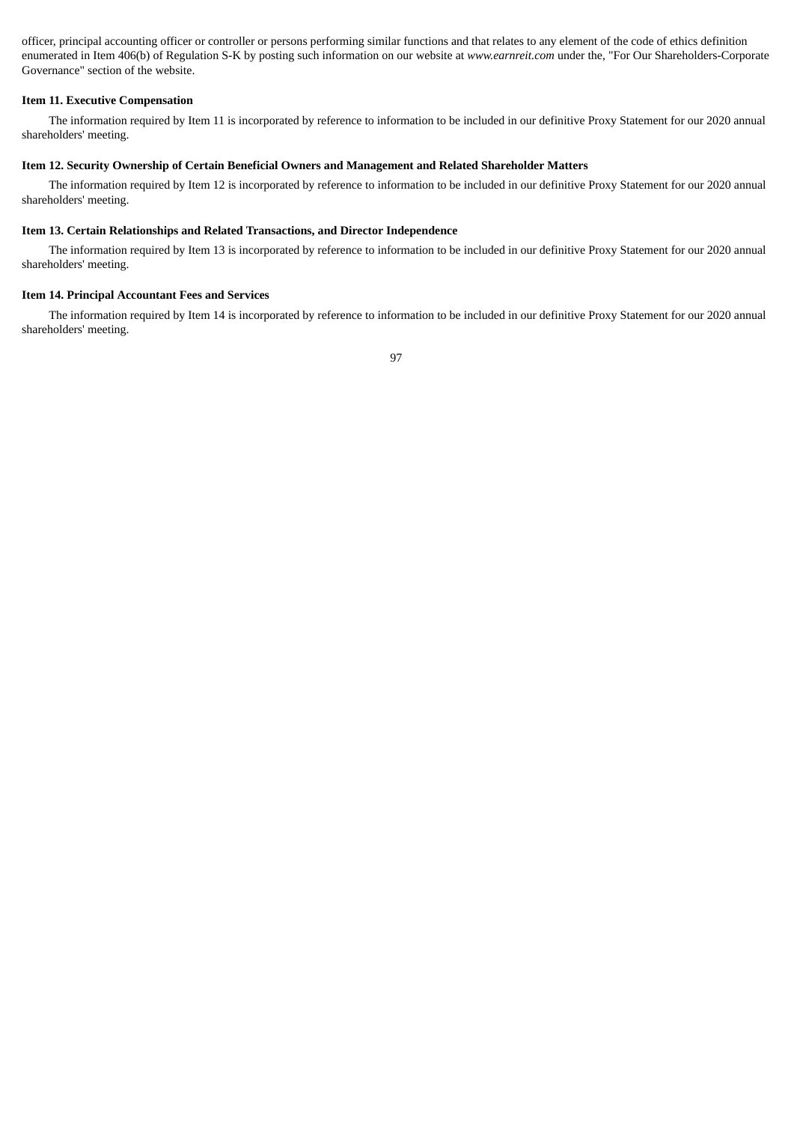officer, principal accounting officer or controller or persons performing similar functions and that relates to any element of the code of ethics definition enumerated in Item 406(b) of Regulation S-K by posting such information on our website at *www.earnreit.com* under the, "For Our Shareholders-Corporate Governance" section of the website.

# **Item 11. Executive Compensation**

The information required by Item 11 is incorporated by reference to information to be included in our definitive Proxy Statement for our 2020 annual shareholders' meeting.

# **Item 12. Security Ownership of Certain Beneficial Owners and Management and Related Shareholder Matters**

The information required by Item 12 is incorporated by reference to information to be included in our definitive Proxy Statement for our 2020 annual shareholders' meeting.

# **Item 13. Certain Relationships and Related Transactions, and Director Independence**

The information required by Item 13 is incorporated by reference to information to be included in our definitive Proxy Statement for our 2020 annual shareholders' meeting.

#### **Item 14. Principal Accountant Fees and Services**

The information required by Item 14 is incorporated by reference to information to be included in our definitive Proxy Statement for our 2020 annual shareholders' meeting.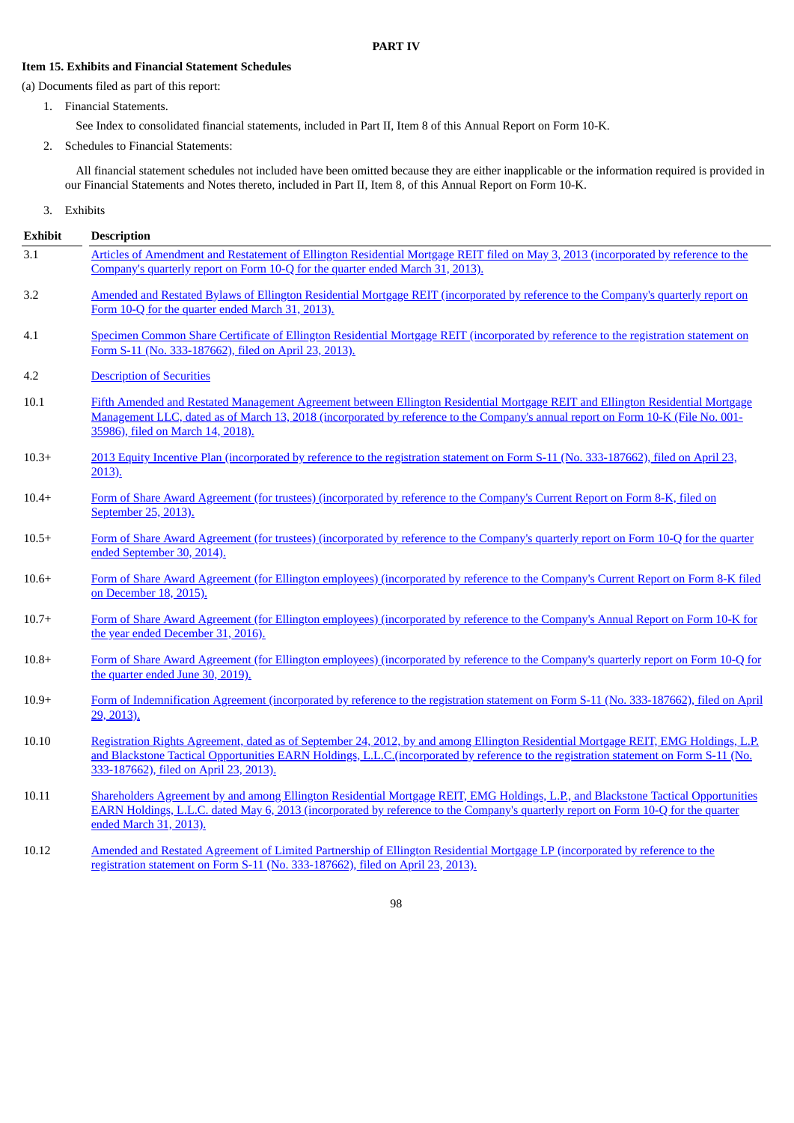# **Item 15. Exhibits and Financial Statement Schedules**

(a) Documents filed as part of this report:

1. Financial Statements.

See Index to consolidated financial statements, included in Part II, Item 8 of this Annual Report on Form 10-K.

2. Schedules to Financial Statements:

All financial statement schedules not included have been omitted because they are either inapplicable or the information required is provided in our Financial Statements and Notes thereto, included in Part II, Item 8, of this Annual Report on Form 10-K.

3. Exhibits

| <b>Exhibit</b> | <b>Description</b>                                                                                                                                                                                                                                                                                                     |
|----------------|------------------------------------------------------------------------------------------------------------------------------------------------------------------------------------------------------------------------------------------------------------------------------------------------------------------------|
| 3.1            | Articles of Amendment and Restatement of Ellington Residential Mortgage REIT filed on May 3, 2013 (incorporated by reference to the<br>Company's quarterly report on Form 10-Q for the quarter ended March 31, 2013).                                                                                                  |
| 3.2            | Amended and Restated Bylaws of Ellington Residential Mortgage REIT (incorporated by reference to the Company's quarterly report on<br>Form 10-Q for the quarter ended March 31, 2013).                                                                                                                                 |
| 4.1            | Specimen Common Share Certificate of Ellington Residential Mortgage REIT (incorporated by reference to the registration statement on<br>Form S-11 (No. 333-187662), filed on April 23, 2013).                                                                                                                          |
| 4.2            | <b>Description of Securities</b>                                                                                                                                                                                                                                                                                       |
| 10.1           | Fifth Amended and Restated Management Agreement between Ellington Residential Mortgage REIT and Ellington Residential Mortgage<br>Management LLC, dated as of March 13, 2018 (incorporated by reference to the Company's annual report on Form 10-K (File No. 001-<br>35986), filed on March 14, 2018).                |
| $10.3+$        | <u>2013 Equity Incentive Plan (incorporated by reference to the registration statement on Form S-11 (No. 333-187662), filed on April 23,</u><br>2013).                                                                                                                                                                 |
| $10.4+$        | Form of Share Award Agreement (for trustees) (incorporated by reference to the Company's Current Report on Form 8-K, filed on<br>September 25, 2013).                                                                                                                                                                  |
| $10.5+$        | Form of Share Award Agreement (for trustees) (incorporated by reference to the Company's quarterly report on Form 10-Q for the quarter<br>ended September 30, 2014).                                                                                                                                                   |
| $10.6+$        | Form of Share Award Agreement (for Ellington employees) (incorporated by reference to the Company's Current Report on Form 8-K filed<br>on December 18, 2015).                                                                                                                                                         |
| $10.7+$        | Form of Share Award Agreement (for Ellington employees) (incorporated by reference to the Company's Annual Report on Form 10-K for<br>the year ended December 31, 2016).                                                                                                                                               |
| $10.8+$        | Form of Share Award Agreement (for Ellington employees) (incorporated by reference to the Company's quarterly report on Form 10-Q for<br>the quarter ended June 30, 2019).                                                                                                                                             |
| $10.9+$        | Form of Indemnification Agreement (incorporated by reference to the registration statement on Form S-11 (No. 333-187662), filed on April<br>29, 2013).                                                                                                                                                                 |
| 10.10          | Registration Rights Agreement, dated as of September 24, 2012, by and among Ellington Residential Mortgage REIT, EMG Holdings, L.P.<br>and Blackstone Tactical Opportunities EARN Holdings, L.L.C.(incorporated by reference to the registration statement on Form S-11 (No.<br>333-187662), filed on April 23, 2013). |
| 10.11          | Shareholders Agreement by and among Ellington Residential Mortgage REIT, EMG Holdings, L.P., and Blackstone Tactical Opportunities<br>EARN Holdings, L.L.C. dated May 6, 2013 (incorporated by reference to the Company's quarterly report on Form 10-Q for the quarter<br>ended March 31, 2013).                      |

10.12 Amended and Restated Agreement of Limited Partnership of Ellington Residential Mortgage LP (incorporated by reference to the registration statement on Form S-11 (No. [333-187662\),](http://www.sec.gov/Archives/edgar/data/1560672/000119312513165619/d428125dex106.htm) filed on April 23, 2013).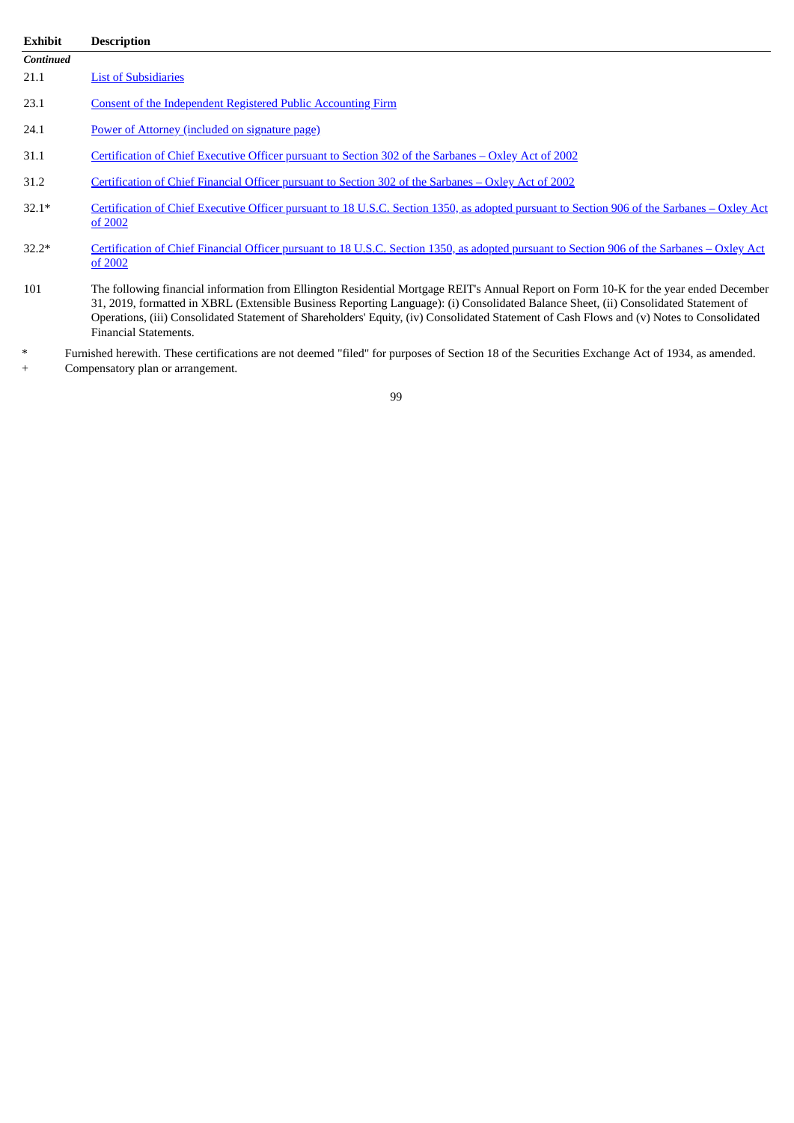| Exhibit          | <b>Description</b>                                                                                                                                                                                                                                                                                                                                                                                                                                  |
|------------------|-----------------------------------------------------------------------------------------------------------------------------------------------------------------------------------------------------------------------------------------------------------------------------------------------------------------------------------------------------------------------------------------------------------------------------------------------------|
| <b>Continued</b> |                                                                                                                                                                                                                                                                                                                                                                                                                                                     |
| 21.1             | <b>List of Subsidiaries</b>                                                                                                                                                                                                                                                                                                                                                                                                                         |
| 23.1             | Consent of the Independent Registered Public Accounting Firm                                                                                                                                                                                                                                                                                                                                                                                        |
| 24.1             | Power of Attorney (included on signature page)                                                                                                                                                                                                                                                                                                                                                                                                      |
| 31.1             | Certification of Chief Executive Officer pursuant to Section 302 of the Sarbanes – Oxley Act of 2002                                                                                                                                                                                                                                                                                                                                                |
| 31.2             | <u>Certification of Chief Financial Officer pursuant to Section 302 of the Sarbanes – Oxley Act of 2002</u>                                                                                                                                                                                                                                                                                                                                         |
| $32.1*$          | Certification of Chief Executive Officer pursuant to 18 U.S.C. Section 1350, as adopted pursuant to Section 906 of the Sarbanes – Oxley Act<br>of 2002                                                                                                                                                                                                                                                                                              |
| $32.2*$          | Certification of Chief Financial Officer pursuant to 18 U.S.C. Section 1350, as adopted pursuant to Section 906 of the Sarbanes – Oxley Act<br>of 2002                                                                                                                                                                                                                                                                                              |
| 101              | The following financial information from Ellington Residential Mortgage REIT's Annual Report on Form 10-K for the year ended December<br>31, 2019, formatted in XBRL (Extensible Business Reporting Language): (i) Consolidated Balance Sheet, (ii) Consolidated Statement of<br>Operations, (iii) Consolidated Statement of Shareholders' Equity, (iv) Consolidated Statement of Cash Flows and (v) Notes to Consolidated<br>Financial Statements. |

\* Furnished herewith. These certifications are not deemed "filed" for purposes of Section 18 of the Securities Exchange Act of 1934, as amended. Compensatory plan or arrangement.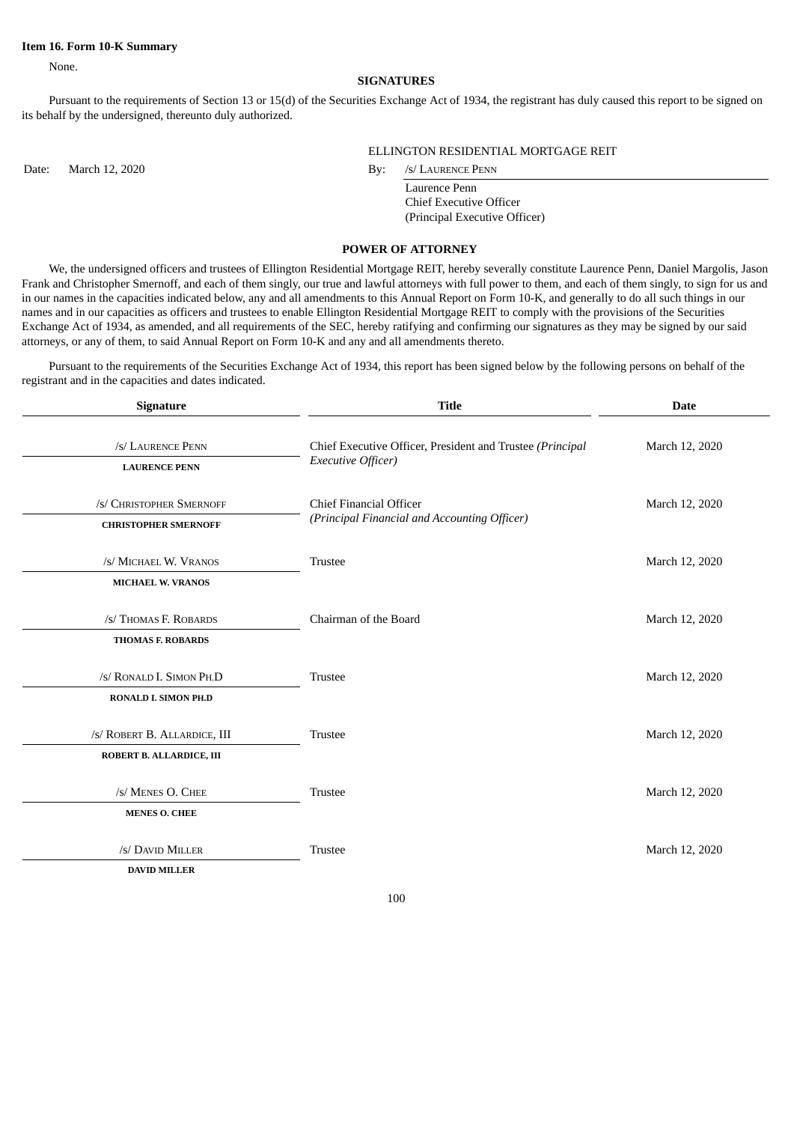None.

#### **SIGNATURES**

<span id="page-99-0"></span>Pursuant to the requirements of Section 13 or 15(d) of the Securities Exchange Act of 1934, the registrant has duly caused this report to be signed on its behalf by the undersigned, thereunto duly authorized.

# ELLINGTON RESIDENTIAL MORTGAGE REIT

Date: March 12, 2020 By: /s/ LAURENCE PENN

Laurence Penn Chief Executive Officer (Principal Executive Officer)

# **POWER OF ATTORNEY**

We, the undersigned officers and trustees of Ellington Residential Mortgage REIT, hereby severally constitute Laurence Penn, Daniel Margolis, Jason Frank and Christopher Smernoff, and each of them singly, our true and lawful attorneys with full power to them, and each of them singly, to sign for us and in our names in the capacities indicated below, any and all amendments to this Annual Report on Form 10-K, and generally to do all such things in our names and in our capacities as officers and trustees to enable Ellington Residential Mortgage REIT to comply with the provisions of the Securities Exchange Act of 1934, as amended, and all requirements of the SEC, hereby ratifying and confirming our signatures as they may be signed by our said attorneys, or any of them, to said Annual Report on Form 10-K and any and all amendments thereto.

Pursuant to the requirements of the Securities Exchange Act of 1934, this report has been signed below by the following persons on behalf of the registrant and in the capacities and dates indicated.

| Signature                                                       | <b>Title</b>                                                                    | <b>Date</b>    |
|-----------------------------------------------------------------|---------------------------------------------------------------------------------|----------------|
| /s/ LAURENCE PENN<br><b>LAURENCE PENN</b>                       | Chief Executive Officer, President and Trustee (Principal<br>Executive Officer) | March 12, 2020 |
| /s/ CHRISTOPHER SMERNOFF<br><b>CHRISTOPHER SMERNOFF</b>         | Chief Financial Officer<br>(Principal Financial and Accounting Officer)         | March 12, 2020 |
| /s/ MICHAEL W. VRANOS<br><b>MICHAEL W. VRANOS</b>               | <b>Trustee</b>                                                                  | March 12, 2020 |
| /s/ THOMAS F. ROBARDS<br><b>THOMAS F. ROBARDS</b>               | Chairman of the Board                                                           | March 12, 2020 |
| /s/ RONALD I. SIMON PH.D<br>RONALD I. SIMON PH.D                | <b>Trustee</b>                                                                  | March 12, 2020 |
| /s/ ROBERT B. ALLARDICE, III                                    | Trustee                                                                         | March 12, 2020 |
| ROBERT B. ALLARDICE, III<br>/s/ MENES O. CHEE                   | Trustee                                                                         | March 12, 2020 |
| <b>MENES O. CHEE</b><br>/s/ DAVID MILLER<br><b>DAVID MILLER</b> | Trustee                                                                         | March 12, 2020 |
|                                                                 |                                                                                 |                |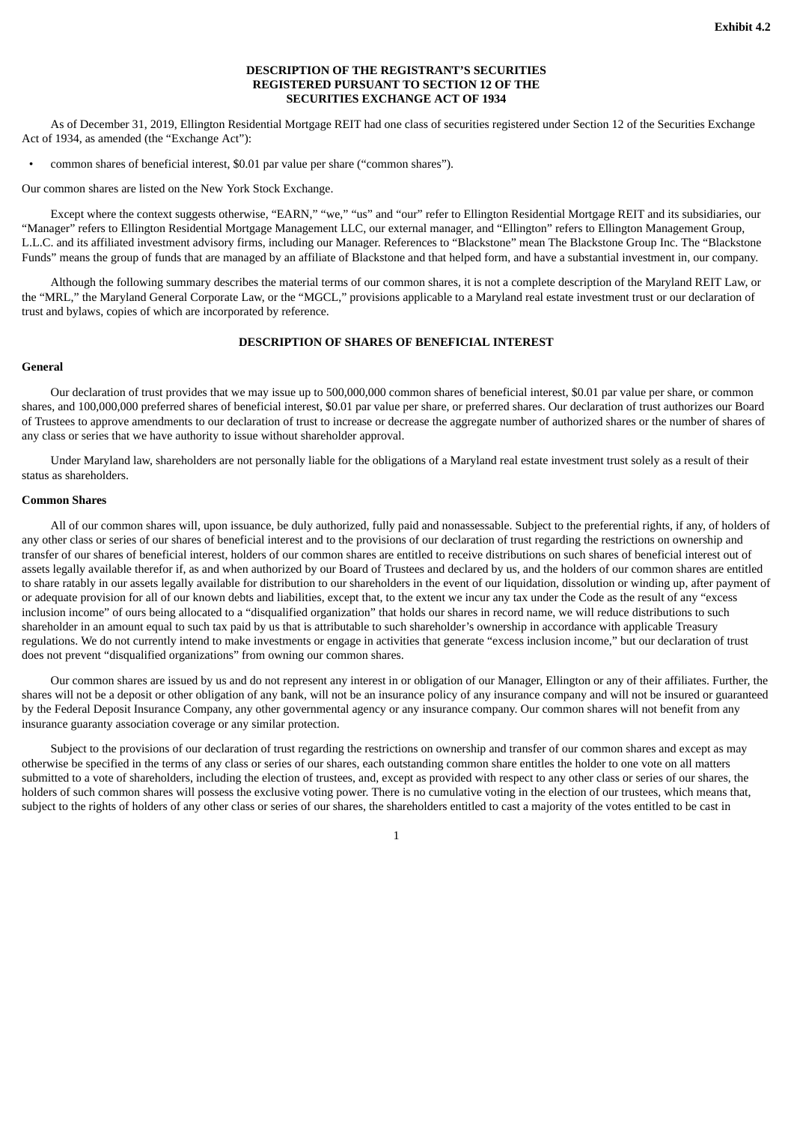# **DESCRIPTION OF THE REGISTRANT'S SECURITIES REGISTERED PURSUANT TO SECTION 12 OF THE SECURITIES EXCHANGE ACT OF 1934**

<span id="page-100-0"></span>As of December 31, 2019, Ellington Residential Mortgage REIT had one class of securities registered under Section 12 of the Securities Exchange Act of 1934, as amended (the "Exchange Act"):

• common shares of beneficial interest, \$0.01 par value per share ("common shares").

Our common shares are listed on the New York Stock Exchange.

Except where the context suggests otherwise, "EARN," "we," "us" and "our" refer to Ellington Residential Mortgage REIT and its subsidiaries, our "Manager" refers to Ellington Residential Mortgage Management LLC, our external manager, and "Ellington" refers to Ellington Management Group, L.L.C. and its affiliated investment advisory firms, including our Manager. References to "Blackstone" mean The Blackstone Group Inc. The "Blackstone Funds" means the group of funds that are managed by an affiliate of Blackstone and that helped form, and have a substantial investment in, our company.

Although the following summary describes the material terms of our common shares, it is not a complete description of the Maryland REIT Law, or the "MRL," the Maryland General Corporate Law, or the "MGCL," provisions applicable to a Maryland real estate investment trust or our declaration of trust and bylaws, copies of which are incorporated by reference.

# **DESCRIPTION OF SHARES OF BENEFICIAL INTEREST**

#### **General**

Our declaration of trust provides that we may issue up to 500,000,000 common shares of beneficial interest, \$0.01 par value per share, or common shares, and 100,000,000 preferred shares of beneficial interest, \$0.01 par value per share, or preferred shares. Our declaration of trust authorizes our Board of Trustees to approve amendments to our declaration of trust to increase or decrease the aggregate number of authorized shares or the number of shares of any class or series that we have authority to issue without shareholder approval.

Under Maryland law, shareholders are not personally liable for the obligations of a Maryland real estate investment trust solely as a result of their status as shareholders.

### **Common Shares**

All of our common shares will, upon issuance, be duly authorized, fully paid and nonassessable. Subject to the preferential rights, if any, of holders of any other class or series of our shares of beneficial interest and to the provisions of our declaration of trust regarding the restrictions on ownership and transfer of our shares of beneficial interest, holders of our common shares are entitled to receive distributions on such shares of beneficial interest out of assets legally available therefor if, as and when authorized by our Board of Trustees and declared by us, and the holders of our common shares are entitled to share ratably in our assets legally available for distribution to our shareholders in the event of our liquidation, dissolution or winding up, after payment of or adequate provision for all of our known debts and liabilities, except that, to the extent we incur any tax under the Code as the result of any "excess inclusion income" of ours being allocated to a "disqualified organization" that holds our shares in record name, we will reduce distributions to such shareholder in an amount equal to such tax paid by us that is attributable to such shareholder's ownership in accordance with applicable Treasury regulations. We do not currently intend to make investments or engage in activities that generate "excess inclusion income," but our declaration of trust does not prevent "disqualified organizations" from owning our common shares.

Our common shares are issued by us and do not represent any interest in or obligation of our Manager, Ellington or any of their affiliates. Further, the shares will not be a deposit or other obligation of any bank, will not be an insurance policy of any insurance company and will not be insured or guaranteed by the Federal Deposit Insurance Company, any other governmental agency or any insurance company. Our common shares will not benefit from any insurance guaranty association coverage or any similar protection.

Subject to the provisions of our declaration of trust regarding the restrictions on ownership and transfer of our common shares and except as may otherwise be specified in the terms of any class or series of our shares, each outstanding common share entitles the holder to one vote on all matters submitted to a vote of shareholders, including the election of trustees, and, except as provided with respect to any other class or series of our shares, the holders of such common shares will possess the exclusive voting power. There is no cumulative voting in the election of our trustees, which means that, subject to the rights of holders of any other class or series of our shares, the shareholders entitled to cast a majority of the votes entitled to be cast in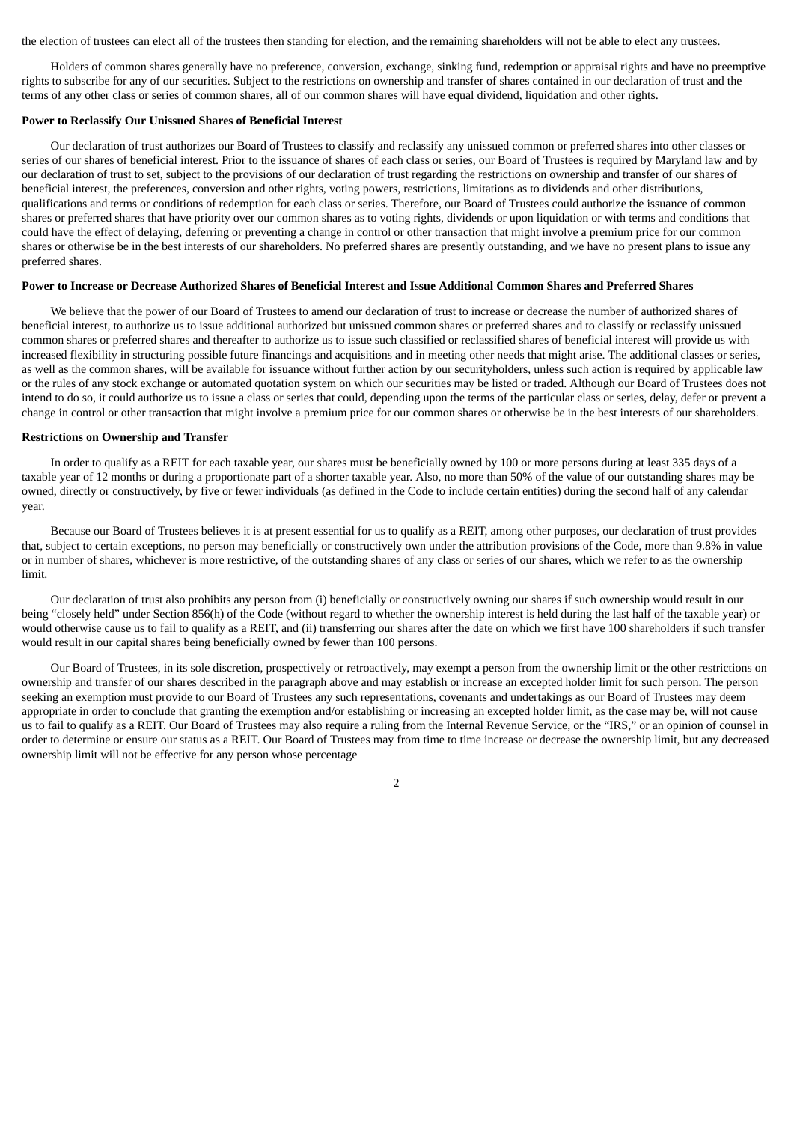the election of trustees can elect all of the trustees then standing for election, and the remaining shareholders will not be able to elect any trustees.

Holders of common shares generally have no preference, conversion, exchange, sinking fund, redemption or appraisal rights and have no preemptive rights to subscribe for any of our securities. Subject to the restrictions on ownership and transfer of shares contained in our declaration of trust and the terms of any other class or series of common shares, all of our common shares will have equal dividend, liquidation and other rights.

#### **Power to Reclassify Our Unissued Shares of Beneficial Interest**

Our declaration of trust authorizes our Board of Trustees to classify and reclassify any unissued common or preferred shares into other classes or series of our shares of beneficial interest. Prior to the issuance of shares of each class or series, our Board of Trustees is required by Maryland law and by our declaration of trust to set, subject to the provisions of our declaration of trust regarding the restrictions on ownership and transfer of our shares of beneficial interest, the preferences, conversion and other rights, voting powers, restrictions, limitations as to dividends and other distributions, qualifications and terms or conditions of redemption for each class or series. Therefore, our Board of Trustees could authorize the issuance of common shares or preferred shares that have priority over our common shares as to voting rights, dividends or upon liquidation or with terms and conditions that could have the effect of delaying, deferring or preventing a change in control or other transaction that might involve a premium price for our common shares or otherwise be in the best interests of our shareholders. No preferred shares are presently outstanding, and we have no present plans to issue any preferred shares.

# Power to Increase or Decrease Authorized Shares of Beneficial Interest and Issue Additional Common Shares and Preferred Shares

We believe that the power of our Board of Trustees to amend our declaration of trust to increase or decrease the number of authorized shares of beneficial interest, to authorize us to issue additional authorized but unissued common shares or preferred shares and to classify or reclassify unissued common shares or preferred shares and thereafter to authorize us to issue such classified or reclassified shares of beneficial interest will provide us with increased flexibility in structuring possible future financings and acquisitions and in meeting other needs that might arise. The additional classes or series, as well as the common shares, will be available for issuance without further action by our securityholders, unless such action is required by applicable law or the rules of any stock exchange or automated quotation system on which our securities may be listed or traded. Although our Board of Trustees does not intend to do so, it could authorize us to issue a class or series that could, depending upon the terms of the particular class or series, delay, defer or prevent a change in control or other transaction that might involve a premium price for our common shares or otherwise be in the best interests of our shareholders.

#### **Restrictions on Ownership and Transfer**

In order to qualify as a REIT for each taxable year, our shares must be beneficially owned by 100 or more persons during at least 335 days of a taxable year of 12 months or during a proportionate part of a shorter taxable year. Also, no more than 50% of the value of our outstanding shares may be owned, directly or constructively, by five or fewer individuals (as defined in the Code to include certain entities) during the second half of any calendar year.

Because our Board of Trustees believes it is at present essential for us to qualify as a REIT, among other purposes, our declaration of trust provides that, subject to certain exceptions, no person may beneficially or constructively own under the attribution provisions of the Code, more than 9.8% in value or in number of shares, whichever is more restrictive, of the outstanding shares of any class or series of our shares, which we refer to as the ownership limit.

Our declaration of trust also prohibits any person from (i) beneficially or constructively owning our shares if such ownership would result in our being "closely held" under Section 856(h) of the Code (without regard to whether the ownership interest is held during the last half of the taxable year) or would otherwise cause us to fail to qualify as a REIT, and (ii) transferring our shares after the date on which we first have 100 shareholders if such transfer would result in our capital shares being beneficially owned by fewer than 100 persons.

Our Board of Trustees, in its sole discretion, prospectively or retroactively, may exempt a person from the ownership limit or the other restrictions on ownership and transfer of our shares described in the paragraph above and may establish or increase an excepted holder limit for such person. The person seeking an exemption must provide to our Board of Trustees any such representations, covenants and undertakings as our Board of Trustees may deem appropriate in order to conclude that granting the exemption and/or establishing or increasing an excepted holder limit, as the case may be, will not cause us to fail to qualify as a REIT. Our Board of Trustees may also require a ruling from the Internal Revenue Service, or the "IRS," or an opinion of counsel in order to determine or ensure our status as a REIT. Our Board of Trustees may from time to time increase or decrease the ownership limit, but any decreased ownership limit will not be effective for any person whose percentage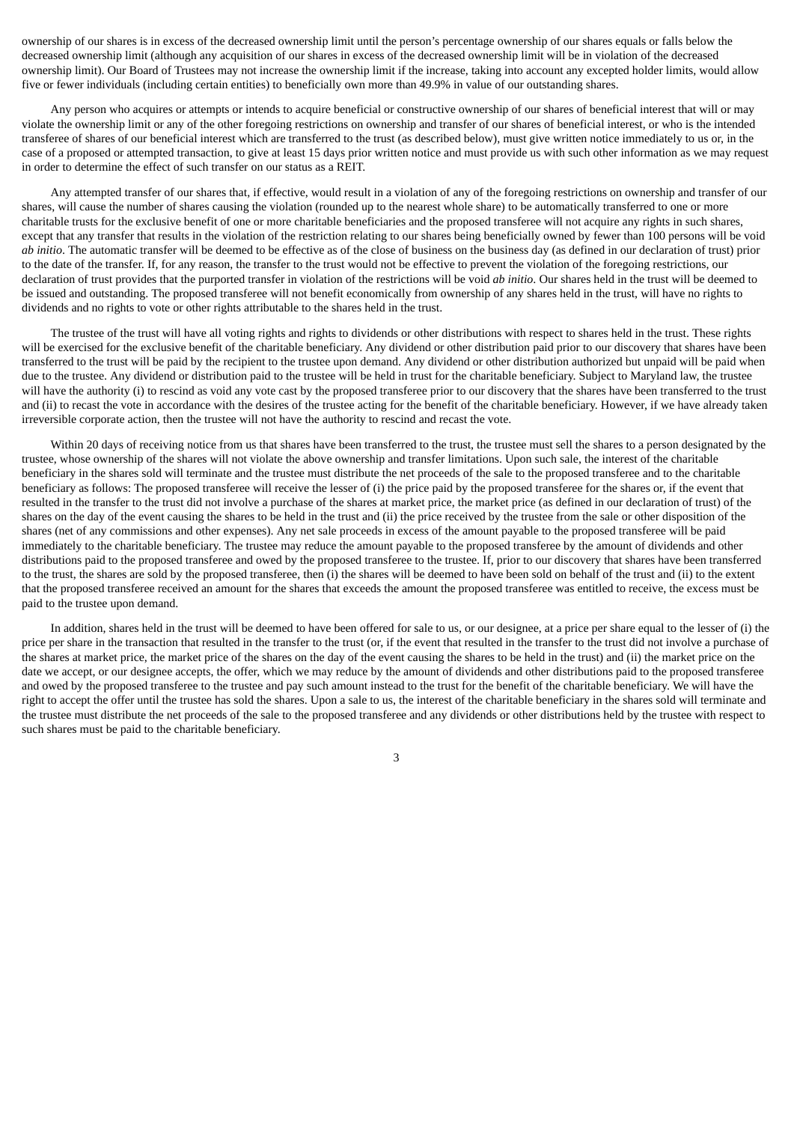ownership of our shares is in excess of the decreased ownership limit until the person's percentage ownership of our shares equals or falls below the decreased ownership limit (although any acquisition of our shares in excess of the decreased ownership limit will be in violation of the decreased ownership limit). Our Board of Trustees may not increase the ownership limit if the increase, taking into account any excepted holder limits, would allow five or fewer individuals (including certain entities) to beneficially own more than 49.9% in value of our outstanding shares.

Any person who acquires or attempts or intends to acquire beneficial or constructive ownership of our shares of beneficial interest that will or may violate the ownership limit or any of the other foregoing restrictions on ownership and transfer of our shares of beneficial interest, or who is the intended transferee of shares of our beneficial interest which are transferred to the trust (as described below), must give written notice immediately to us or, in the case of a proposed or attempted transaction, to give at least 15 days prior written notice and must provide us with such other information as we may request in order to determine the effect of such transfer on our status as a REIT.

Any attempted transfer of our shares that, if effective, would result in a violation of any of the foregoing restrictions on ownership and transfer of our shares, will cause the number of shares causing the violation (rounded up to the nearest whole share) to be automatically transferred to one or more charitable trusts for the exclusive benefit of one or more charitable beneficiaries and the proposed transferee will not acquire any rights in such shares, except that any transfer that results in the violation of the restriction relating to our shares being beneficially owned by fewer than 100 persons will be void *ab initio*. The automatic transfer will be deemed to be effective as of the close of business on the business day (as defined in our declaration of trust) prior to the date of the transfer. If, for any reason, the transfer to the trust would not be effective to prevent the violation of the foregoing restrictions, our declaration of trust provides that the purported transfer in violation of the restrictions will be void *ab initio*. Our shares held in the trust will be deemed to be issued and outstanding. The proposed transferee will not benefit economically from ownership of any shares held in the trust, will have no rights to dividends and no rights to vote or other rights attributable to the shares held in the trust.

The trustee of the trust will have all voting rights and rights to dividends or other distributions with respect to shares held in the trust. These rights will be exercised for the exclusive benefit of the charitable beneficiary. Any dividend or other distribution paid prior to our discovery that shares have been transferred to the trust will be paid by the recipient to the trustee upon demand. Any dividend or other distribution authorized but unpaid will be paid when due to the trustee. Any dividend or distribution paid to the trustee will be held in trust for the charitable beneficiary. Subject to Maryland law, the trustee will have the authority (i) to rescind as void any vote cast by the proposed transferee prior to our discovery that the shares have been transferred to the trust and (ii) to recast the vote in accordance with the desires of the trustee acting for the benefit of the charitable beneficiary. However, if we have already taken irreversible corporate action, then the trustee will not have the authority to rescind and recast the vote.

Within 20 days of receiving notice from us that shares have been transferred to the trust, the trustee must sell the shares to a person designated by the trustee, whose ownership of the shares will not violate the above ownership and transfer limitations. Upon such sale, the interest of the charitable beneficiary in the shares sold will terminate and the trustee must distribute the net proceeds of the sale to the proposed transferee and to the charitable beneficiary as follows: The proposed transferee will receive the lesser of (i) the price paid by the proposed transferee for the shares or, if the event that resulted in the transfer to the trust did not involve a purchase of the shares at market price, the market price (as defined in our declaration of trust) of the shares on the day of the event causing the shares to be held in the trust and (ii) the price received by the trustee from the sale or other disposition of the shares (net of any commissions and other expenses). Any net sale proceeds in excess of the amount payable to the proposed transferee will be paid immediately to the charitable beneficiary. The trustee may reduce the amount payable to the proposed transferee by the amount of dividends and other distributions paid to the proposed transferee and owed by the proposed transferee to the trustee. If, prior to our discovery that shares have been transferred to the trust, the shares are sold by the proposed transferee, then (i) the shares will be deemed to have been sold on behalf of the trust and (ii) to the extent that the proposed transferee received an amount for the shares that exceeds the amount the proposed transferee was entitled to receive, the excess must be paid to the trustee upon demand.

In addition, shares held in the trust will be deemed to have been offered for sale to us, or our designee, at a price per share equal to the lesser of (i) the price per share in the transaction that resulted in the transfer to the trust (or, if the event that resulted in the transfer to the trust did not involve a purchase of the shares at market price, the market price of the shares on the day of the event causing the shares to be held in the trust) and (ii) the market price on the date we accept, or our designee accepts, the offer, which we may reduce by the amount of dividends and other distributions paid to the proposed transferee and owed by the proposed transferee to the trustee and pay such amount instead to the trust for the benefit of the charitable beneficiary. We will have the right to accept the offer until the trustee has sold the shares. Upon a sale to us, the interest of the charitable beneficiary in the shares sold will terminate and the trustee must distribute the net proceeds of the sale to the proposed transferee and any dividends or other distributions held by the trustee with respect to such shares must be paid to the charitable beneficiary.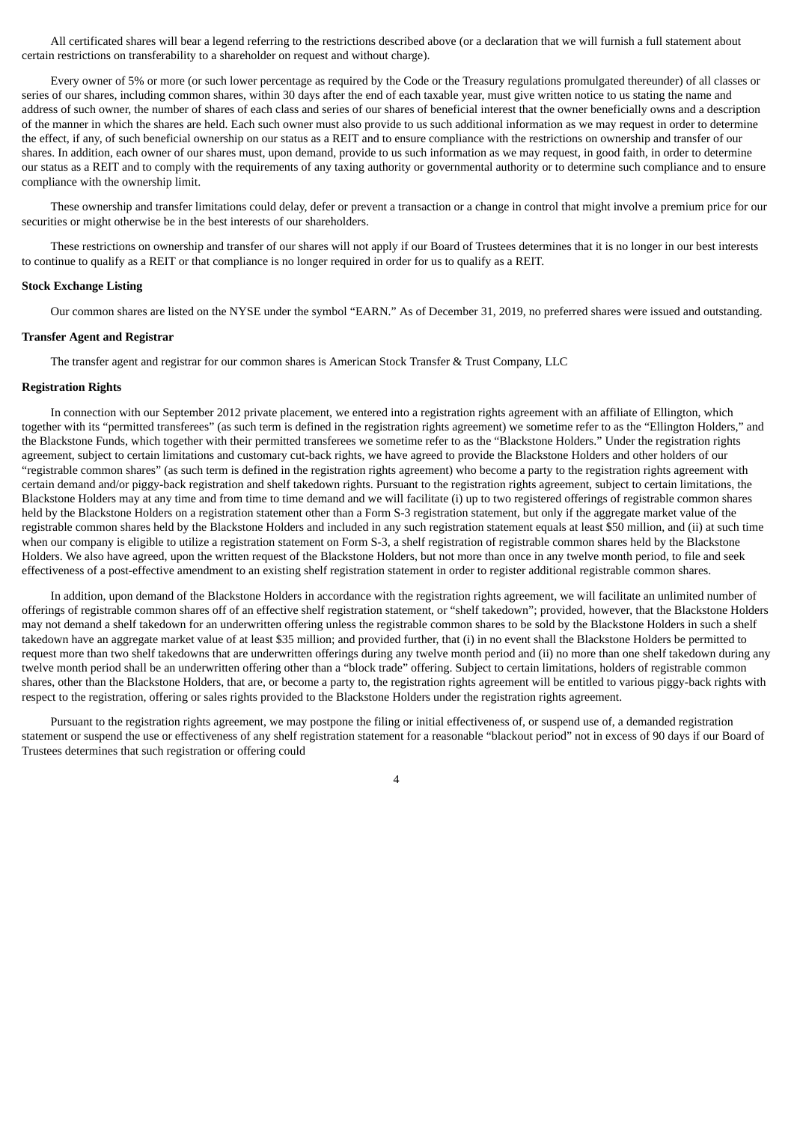All certificated shares will bear a legend referring to the restrictions described above (or a declaration that we will furnish a full statement about certain restrictions on transferability to a shareholder on request and without charge).

Every owner of 5% or more (or such lower percentage as required by the Code or the Treasury regulations promulgated thereunder) of all classes or series of our shares, including common shares, within 30 days after the end of each taxable year, must give written notice to us stating the name and address of such owner, the number of shares of each class and series of our shares of beneficial interest that the owner beneficially owns and a description of the manner in which the shares are held. Each such owner must also provide to us such additional information as we may request in order to determine the effect, if any, of such beneficial ownership on our status as a REIT and to ensure compliance with the restrictions on ownership and transfer of our shares. In addition, each owner of our shares must, upon demand, provide to us such information as we may request, in good faith, in order to determine our status as a REIT and to comply with the requirements of any taxing authority or governmental authority or to determine such compliance and to ensure compliance with the ownership limit.

These ownership and transfer limitations could delay, defer or prevent a transaction or a change in control that might involve a premium price for our securities or might otherwise be in the best interests of our shareholders.

These restrictions on ownership and transfer of our shares will not apply if our Board of Trustees determines that it is no longer in our best interests to continue to qualify as a REIT or that compliance is no longer required in order for us to qualify as a REIT.

#### **Stock Exchange Listing**

Our common shares are listed on the NYSE under the symbol "EARN." As of December 31, 2019, no preferred shares were issued and outstanding.

#### **Transfer Agent and Registrar**

The transfer agent and registrar for our common shares is American Stock Transfer & Trust Company, LLC

#### **Registration Rights**

In connection with our September 2012 private placement, we entered into a registration rights agreement with an affiliate of Ellington, which together with its "permitted transferees" (as such term is defined in the registration rights agreement) we sometime refer to as the "Ellington Holders," and the Blackstone Funds, which together with their permitted transferees we sometime refer to as the "Blackstone Holders." Under the registration rights agreement, subject to certain limitations and customary cut-back rights, we have agreed to provide the Blackstone Holders and other holders of our "registrable common shares" (as such term is defined in the registration rights agreement) who become a party to the registration rights agreement with certain demand and/or piggy-back registration and shelf takedown rights. Pursuant to the registration rights agreement, subject to certain limitations, the Blackstone Holders may at any time and from time to time demand and we will facilitate (i) up to two registered offerings of registrable common shares held by the Blackstone Holders on a registration statement other than a Form S-3 registration statement, but only if the aggregate market value of the registrable common shares held by the Blackstone Holders and included in any such registration statement equals at least \$50 million, and (ii) at such time when our company is eligible to utilize a registration statement on Form S-3, a shelf registration of registrable common shares held by the Blackstone Holders. We also have agreed, upon the written request of the Blackstone Holders, but not more than once in any twelve month period, to file and seek effectiveness of a post-effective amendment to an existing shelf registration statement in order to register additional registrable common shares.

In addition, upon demand of the Blackstone Holders in accordance with the registration rights agreement, we will facilitate an unlimited number of offerings of registrable common shares off of an effective shelf registration statement, or "shelf takedown"; provided, however, that the Blackstone Holders may not demand a shelf takedown for an underwritten offering unless the registrable common shares to be sold by the Blackstone Holders in such a shelf takedown have an aggregate market value of at least \$35 million; and provided further, that (i) in no event shall the Blackstone Holders be permitted to request more than two shelf takedowns that are underwritten offerings during any twelve month period and (ii) no more than one shelf takedown during any twelve month period shall be an underwritten offering other than a "block trade" offering. Subject to certain limitations, holders of registrable common shares, other than the Blackstone Holders, that are, or become a party to, the registration rights agreement will be entitled to various piggy-back rights with respect to the registration, offering or sales rights provided to the Blackstone Holders under the registration rights agreement.

Pursuant to the registration rights agreement, we may postpone the filing or initial effectiveness of, or suspend use of, a demanded registration statement or suspend the use or effectiveness of any shelf registration statement for a reasonable "blackout period" not in excess of 90 days if our Board of Trustees determines that such registration or offering could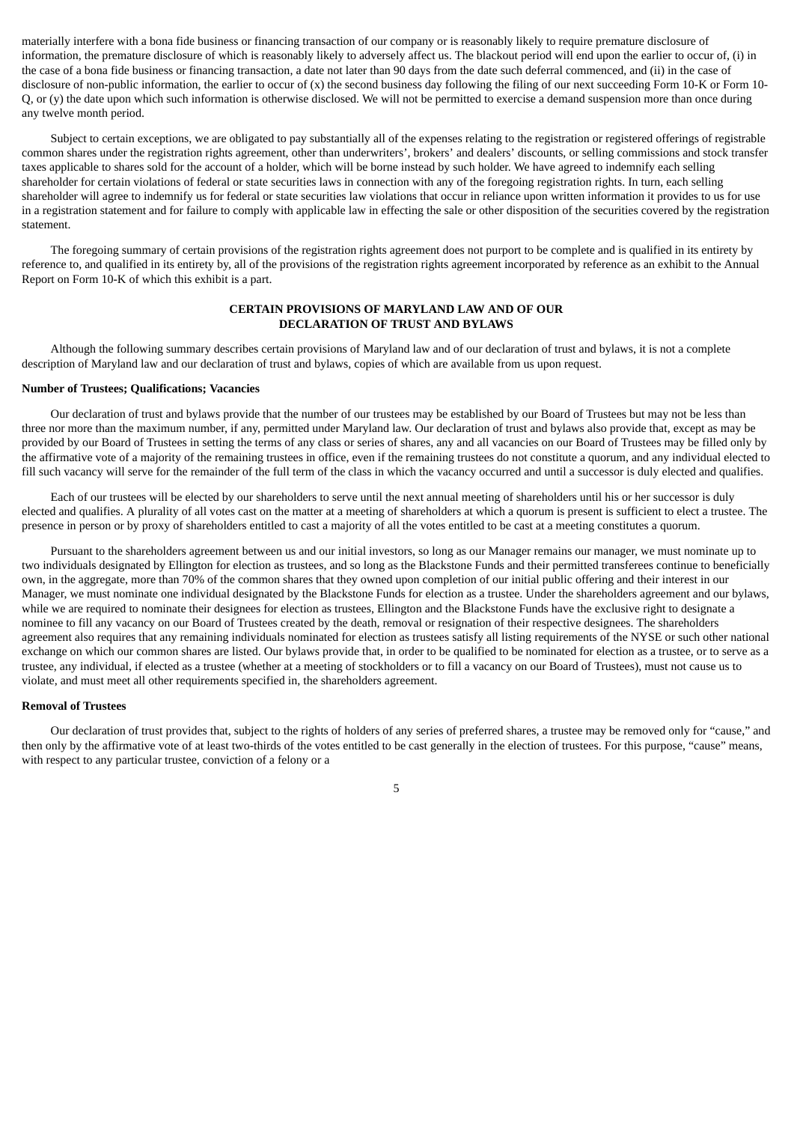materially interfere with a bona fide business or financing transaction of our company or is reasonably likely to require premature disclosure of information, the premature disclosure of which is reasonably likely to adversely affect us. The blackout period will end upon the earlier to occur of, (i) in the case of a bona fide business or financing transaction, a date not later than 90 days from the date such deferral commenced, and (ii) in the case of disclosure of non-public information, the earlier to occur of (x) the second business day following the filing of our next succeeding Form 10-K or Form 10-Q, or (y) the date upon which such information is otherwise disclosed. We will not be permitted to exercise a demand suspension more than once during any twelve month period.

Subject to certain exceptions, we are obligated to pay substantially all of the expenses relating to the registration or registered offerings of registrable common shares under the registration rights agreement, other than underwriters', brokers' and dealers' discounts, or selling commissions and stock transfer taxes applicable to shares sold for the account of a holder, which will be borne instead by such holder. We have agreed to indemnify each selling shareholder for certain violations of federal or state securities laws in connection with any of the foregoing registration rights. In turn, each selling shareholder will agree to indemnify us for federal or state securities law violations that occur in reliance upon written information it provides to us for use in a registration statement and for failure to comply with applicable law in effecting the sale or other disposition of the securities covered by the registration statement.

The foregoing summary of certain provisions of the registration rights agreement does not purport to be complete and is qualified in its entirety by reference to, and qualified in its entirety by, all of the provisions of the registration rights agreement incorporated by reference as an exhibit to the Annual Report on Form 10-K of which this exhibit is a part.

### **CERTAIN PROVISIONS OF MARYLAND LAW AND OF OUR DECLARATION OF TRUST AND BYLAWS**

Although the following summary describes certain provisions of Maryland law and of our declaration of trust and bylaws, it is not a complete description of Maryland law and our declaration of trust and bylaws, copies of which are available from us upon request.

### **Number of Trustees; Qualifications; Vacancies**

Our declaration of trust and bylaws provide that the number of our trustees may be established by our Board of Trustees but may not be less than three nor more than the maximum number, if any, permitted under Maryland law. Our declaration of trust and bylaws also provide that, except as may be provided by our Board of Trustees in setting the terms of any class or series of shares, any and all vacancies on our Board of Trustees may be filled only by the affirmative vote of a majority of the remaining trustees in office, even if the remaining trustees do not constitute a quorum, and any individual elected to fill such vacancy will serve for the remainder of the full term of the class in which the vacancy occurred and until a successor is duly elected and qualifies.

Each of our trustees will be elected by our shareholders to serve until the next annual meeting of shareholders until his or her successor is duly elected and qualifies. A plurality of all votes cast on the matter at a meeting of shareholders at which a quorum is present is sufficient to elect a trustee. The presence in person or by proxy of shareholders entitled to cast a majority of all the votes entitled to be cast at a meeting constitutes a quorum.

Pursuant to the shareholders agreement between us and our initial investors, so long as our Manager remains our manager, we must nominate up to two individuals designated by Ellington for election as trustees, and so long as the Blackstone Funds and their permitted transferees continue to beneficially own, in the aggregate, more than 70% of the common shares that they owned upon completion of our initial public offering and their interest in our Manager, we must nominate one individual designated by the Blackstone Funds for election as a trustee. Under the shareholders agreement and our bylaws, while we are required to nominate their designees for election as trustees, Ellington and the Blackstone Funds have the exclusive right to designate a nominee to fill any vacancy on our Board of Trustees created by the death, removal or resignation of their respective designees. The shareholders agreement also requires that any remaining individuals nominated for election as trustees satisfy all listing requirements of the NYSE or such other national exchange on which our common shares are listed. Our bylaws provide that, in order to be qualified to be nominated for election as a trustee, or to serve as a trustee, any individual, if elected as a trustee (whether at a meeting of stockholders or to fill a vacancy on our Board of Trustees), must not cause us to violate, and must meet all other requirements specified in, the shareholders agreement.

#### **Removal of Trustees**

Our declaration of trust provides that, subject to the rights of holders of any series of preferred shares, a trustee may be removed only for "cause," and then only by the affirmative vote of at least two-thirds of the votes entitled to be cast generally in the election of trustees. For this purpose, "cause" means, with respect to any particular trustee, conviction of a felony or a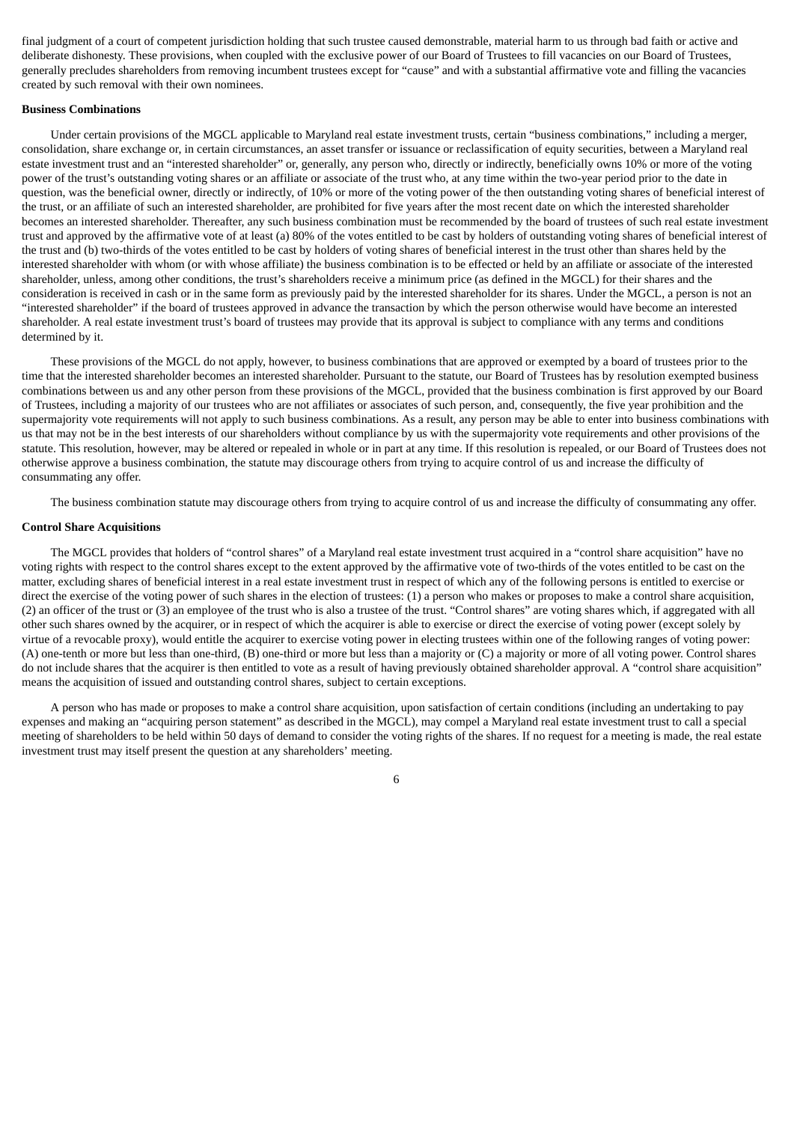final judgment of a court of competent jurisdiction holding that such trustee caused demonstrable, material harm to us through bad faith or active and deliberate dishonesty. These provisions, when coupled with the exclusive power of our Board of Trustees to fill vacancies on our Board of Trustees, generally precludes shareholders from removing incumbent trustees except for "cause" and with a substantial affirmative vote and filling the vacancies created by such removal with their own nominees.

#### **Business Combinations**

Under certain provisions of the MGCL applicable to Maryland real estate investment trusts, certain "business combinations," including a merger, consolidation, share exchange or, in certain circumstances, an asset transfer or issuance or reclassification of equity securities, between a Maryland real estate investment trust and an "interested shareholder" or, generally, any person who, directly or indirectly, beneficially owns 10% or more of the voting power of the trust's outstanding voting shares or an affiliate or associate of the trust who, at any time within the two-year period prior to the date in question, was the beneficial owner, directly or indirectly, of 10% or more of the voting power of the then outstanding voting shares of beneficial interest of the trust, or an affiliate of such an interested shareholder, are prohibited for five years after the most recent date on which the interested shareholder becomes an interested shareholder. Thereafter, any such business combination must be recommended by the board of trustees of such real estate investment trust and approved by the affirmative vote of at least (a) 80% of the votes entitled to be cast by holders of outstanding voting shares of beneficial interest of the trust and (b) two-thirds of the votes entitled to be cast by holders of voting shares of beneficial interest in the trust other than shares held by the interested shareholder with whom (or with whose affiliate) the business combination is to be effected or held by an affiliate or associate of the interested shareholder, unless, among other conditions, the trust's shareholders receive a minimum price (as defined in the MGCL) for their shares and the consideration is received in cash or in the same form as previously paid by the interested shareholder for its shares. Under the MGCL, a person is not an "interested shareholder" if the board of trustees approved in advance the transaction by which the person otherwise would have become an interested shareholder. A real estate investment trust's board of trustees may provide that its approval is subject to compliance with any terms and conditions determined by it.

These provisions of the MGCL do not apply, however, to business combinations that are approved or exempted by a board of trustees prior to the time that the interested shareholder becomes an interested shareholder. Pursuant to the statute, our Board of Trustees has by resolution exempted business combinations between us and any other person from these provisions of the MGCL, provided that the business combination is first approved by our Board of Trustees, including a majority of our trustees who are not affiliates or associates of such person, and, consequently, the five year prohibition and the supermajority vote requirements will not apply to such business combinations. As a result, any person may be able to enter into business combinations with us that may not be in the best interests of our shareholders without compliance by us with the supermajority vote requirements and other provisions of the statute. This resolution, however, may be altered or repealed in whole or in part at any time. If this resolution is repealed, or our Board of Trustees does not otherwise approve a business combination, the statute may discourage others from trying to acquire control of us and increase the difficulty of consummating any offer.

The business combination statute may discourage others from trying to acquire control of us and increase the difficulty of consummating any offer.

#### **Control Share Acquisitions**

The MGCL provides that holders of "control shares" of a Maryland real estate investment trust acquired in a "control share acquisition" have no voting rights with respect to the control shares except to the extent approved by the affirmative vote of two-thirds of the votes entitled to be cast on the matter, excluding shares of beneficial interest in a real estate investment trust in respect of which any of the following persons is entitled to exercise or direct the exercise of the voting power of such shares in the election of trustees: (1) a person who makes or proposes to make a control share acquisition, (2) an officer of the trust or (3) an employee of the trust who is also a trustee of the trust. "Control shares" are voting shares which, if aggregated with all other such shares owned by the acquirer, or in respect of which the acquirer is able to exercise or direct the exercise of voting power (except solely by virtue of a revocable proxy), would entitle the acquirer to exercise voting power in electing trustees within one of the following ranges of voting power: (A) one-tenth or more but less than one-third, (B) one-third or more but less than a majority or (C) a majority or more of all voting power. Control shares do not include shares that the acquirer is then entitled to vote as a result of having previously obtained shareholder approval. A "control share acquisition" means the acquisition of issued and outstanding control shares, subject to certain exceptions.

A person who has made or proposes to make a control share acquisition, upon satisfaction of certain conditions (including an undertaking to pay expenses and making an "acquiring person statement" as described in the MGCL), may compel a Maryland real estate investment trust to call a special meeting of shareholders to be held within 50 days of demand to consider the voting rights of the shares. If no request for a meeting is made, the real estate investment trust may itself present the question at any shareholders' meeting.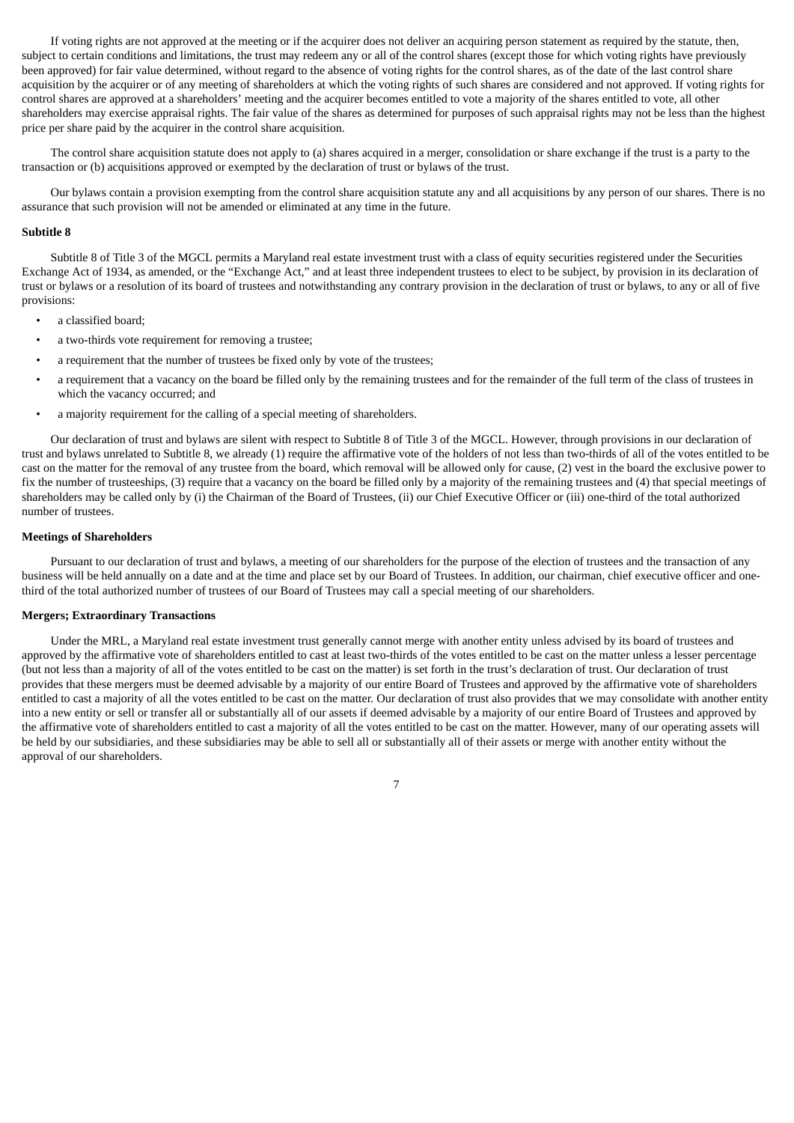If voting rights are not approved at the meeting or if the acquirer does not deliver an acquiring person statement as required by the statute, then, subject to certain conditions and limitations, the trust may redeem any or all of the control shares (except those for which voting rights have previously been approved) for fair value determined, without regard to the absence of voting rights for the control shares, as of the date of the last control share acquisition by the acquirer or of any meeting of shareholders at which the voting rights of such shares are considered and not approved. If voting rights for control shares are approved at a shareholders' meeting and the acquirer becomes entitled to vote a majority of the shares entitled to vote, all other shareholders may exercise appraisal rights. The fair value of the shares as determined for purposes of such appraisal rights may not be less than the highest price per share paid by the acquirer in the control share acquisition.

The control share acquisition statute does not apply to (a) shares acquired in a merger, consolidation or share exchange if the trust is a party to the transaction or (b) acquisitions approved or exempted by the declaration of trust or bylaws of the trust.

Our bylaws contain a provision exempting from the control share acquisition statute any and all acquisitions by any person of our shares. There is no assurance that such provision will not be amended or eliminated at any time in the future.

#### **Subtitle 8**

Subtitle 8 of Title 3 of the MGCL permits a Maryland real estate investment trust with a class of equity securities registered under the Securities Exchange Act of 1934, as amended, or the "Exchange Act," and at least three independent trustees to elect to be subject, by provision in its declaration of trust or bylaws or a resolution of its board of trustees and notwithstanding any contrary provision in the declaration of trust or bylaws, to any or all of five provisions:

- a classified board:
- a two-thirds vote requirement for removing a trustee;
- a requirement that the number of trustees be fixed only by vote of the trustees;
- a requirement that a vacancy on the board be filled only by the remaining trustees and for the remainder of the full term of the class of trustees in which the vacancy occurred; and
- a majority requirement for the calling of a special meeting of shareholders.

Our declaration of trust and bylaws are silent with respect to Subtitle 8 of Title 3 of the MGCL. However, through provisions in our declaration of trust and bylaws unrelated to Subtitle 8, we already (1) require the affirmative vote of the holders of not less than two-thirds of all of the votes entitled to be cast on the matter for the removal of any trustee from the board, which removal will be allowed only for cause, (2) vest in the board the exclusive power to fix the number of trusteeships, (3) require that a vacancy on the board be filled only by a majority of the remaining trustees and (4) that special meetings of shareholders may be called only by (i) the Chairman of the Board of Trustees, (ii) our Chief Executive Officer or (iii) one-third of the total authorized number of trustees.

#### **Meetings of Shareholders**

Pursuant to our declaration of trust and bylaws, a meeting of our shareholders for the purpose of the election of trustees and the transaction of any business will be held annually on a date and at the time and place set by our Board of Trustees. In addition, our chairman, chief executive officer and onethird of the total authorized number of trustees of our Board of Trustees may call a special meeting of our shareholders.

#### **Mergers; Extraordinary Transactions**

Under the MRL, a Maryland real estate investment trust generally cannot merge with another entity unless advised by its board of trustees and approved by the affirmative vote of shareholders entitled to cast at least two-thirds of the votes entitled to be cast on the matter unless a lesser percentage (but not less than a majority of all of the votes entitled to be cast on the matter) is set forth in the trust's declaration of trust. Our declaration of trust provides that these mergers must be deemed advisable by a majority of our entire Board of Trustees and approved by the affirmative vote of shareholders entitled to cast a majority of all the votes entitled to be cast on the matter. Our declaration of trust also provides that we may consolidate with another entity into a new entity or sell or transfer all or substantially all of our assets if deemed advisable by a majority of our entire Board of Trustees and approved by the affirmative vote of shareholders entitled to cast a majority of all the votes entitled to be cast on the matter. However, many of our operating assets will be held by our subsidiaries, and these subsidiaries may be able to sell all or substantially all of their assets or merge with another entity without the approval of our shareholders.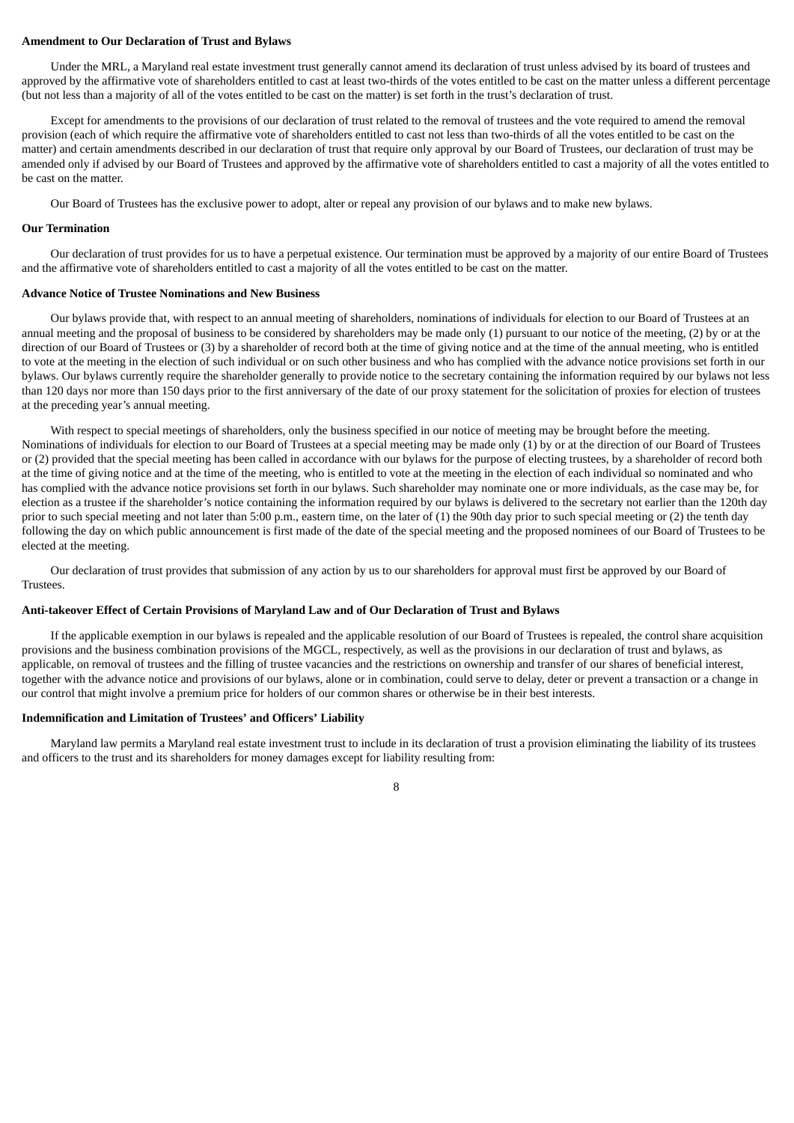# **Amendment to Our Declaration of Trust and Bylaws**

Under the MRL, a Maryland real estate investment trust generally cannot amend its declaration of trust unless advised by its board of trustees and approved by the affirmative vote of shareholders entitled to cast at least two-thirds of the votes entitled to be cast on the matter unless a different percentage (but not less than a majority of all of the votes entitled to be cast on the matter) is set forth in the trust's declaration of trust.

Except for amendments to the provisions of our declaration of trust related to the removal of trustees and the vote required to amend the removal provision (each of which require the affirmative vote of shareholders entitled to cast not less than two-thirds of all the votes entitled to be cast on the matter) and certain amendments described in our declaration of trust that require only approval by our Board of Trustees, our declaration of trust may be amended only if advised by our Board of Trustees and approved by the affirmative vote of shareholders entitled to cast a majority of all the votes entitled to be cast on the matter.

Our Board of Trustees has the exclusive power to adopt, alter or repeal any provision of our bylaws and to make new bylaws.

#### **Our Termination**

Our declaration of trust provides for us to have a perpetual existence. Our termination must be approved by a majority of our entire Board of Trustees and the affirmative vote of shareholders entitled to cast a majority of all the votes entitled to be cast on the matter.

#### **Advance Notice of Trustee Nominations and New Business**

Our bylaws provide that, with respect to an annual meeting of shareholders, nominations of individuals for election to our Board of Trustees at an annual meeting and the proposal of business to be considered by shareholders may be made only (1) pursuant to our notice of the meeting, (2) by or at the direction of our Board of Trustees or (3) by a shareholder of record both at the time of giving notice and at the time of the annual meeting, who is entitled to vote at the meeting in the election of such individual or on such other business and who has complied with the advance notice provisions set forth in our bylaws. Our bylaws currently require the shareholder generally to provide notice to the secretary containing the information required by our bylaws not less than 120 days nor more than 150 days prior to the first anniversary of the date of our proxy statement for the solicitation of proxies for election of trustees at the preceding year's annual meeting.

With respect to special meetings of shareholders, only the business specified in our notice of meeting may be brought before the meeting. Nominations of individuals for election to our Board of Trustees at a special meeting may be made only (1) by or at the direction of our Board of Trustees or (2) provided that the special meeting has been called in accordance with our bylaws for the purpose of electing trustees, by a shareholder of record both at the time of giving notice and at the time of the meeting, who is entitled to vote at the meeting in the election of each individual so nominated and who has complied with the advance notice provisions set forth in our bylaws. Such shareholder may nominate one or more individuals, as the case may be, for election as a trustee if the shareholder's notice containing the information required by our bylaws is delivered to the secretary not earlier than the 120th day prior to such special meeting and not later than 5:00 p.m., eastern time, on the later of (1) the 90th day prior to such special meeting or (2) the tenth day following the day on which public announcement is first made of the date of the special meeting and the proposed nominees of our Board of Trustees to be elected at the meeting.

Our declaration of trust provides that submission of any action by us to our shareholders for approval must first be approved by our Board of **Trustees** 

# **Anti-takeover Effect of Certain Provisions of Maryland Law and of Our Declaration of Trust and Bylaws**

If the applicable exemption in our bylaws is repealed and the applicable resolution of our Board of Trustees is repealed, the control share acquisition provisions and the business combination provisions of the MGCL, respectively, as well as the provisions in our declaration of trust and bylaws, as applicable, on removal of trustees and the filling of trustee vacancies and the restrictions on ownership and transfer of our shares of beneficial interest, together with the advance notice and provisions of our bylaws, alone or in combination, could serve to delay, deter or prevent a transaction or a change in our control that might involve a premium price for holders of our common shares or otherwise be in their best interests.

#### **Indemnification and Limitation of Trustees' and Officers' Liability**

Maryland law permits a Maryland real estate investment trust to include in its declaration of trust a provision eliminating the liability of its trustees and officers to the trust and its shareholders for money damages except for liability resulting from:

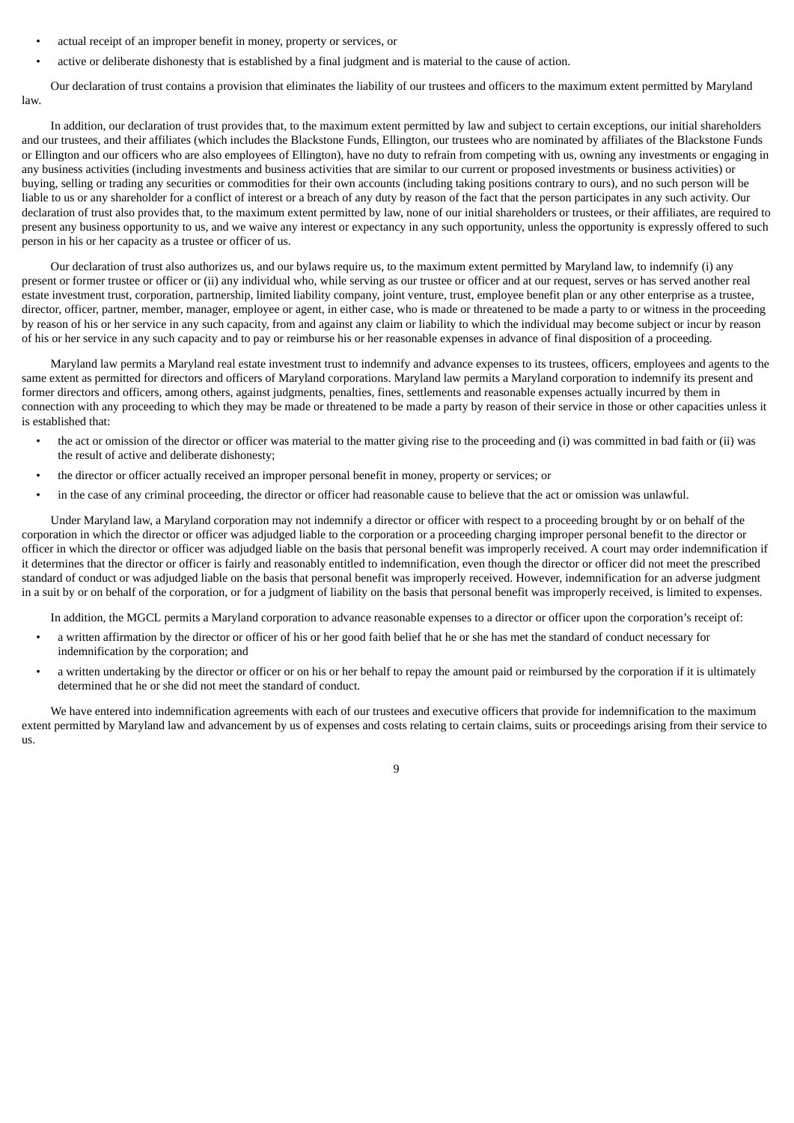- actual receipt of an improper benefit in money, property or services, or
- active or deliberate dishonesty that is established by a final judgment and is material to the cause of action.

Our declaration of trust contains a provision that eliminates the liability of our trustees and officers to the maximum extent permitted by Maryland law.

In addition, our declaration of trust provides that, to the maximum extent permitted by law and subject to certain exceptions, our initial shareholders and our trustees, and their affiliates (which includes the Blackstone Funds, Ellington, our trustees who are nominated by affiliates of the Blackstone Funds or Ellington and our officers who are also employees of Ellington), have no duty to refrain from competing with us, owning any investments or engaging in any business activities (including investments and business activities that are similar to our current or proposed investments or business activities) or buying, selling or trading any securities or commodities for their own accounts (including taking positions contrary to ours), and no such person will be liable to us or any shareholder for a conflict of interest or a breach of any duty by reason of the fact that the person participates in any such activity. Our declaration of trust also provides that, to the maximum extent permitted by law, none of our initial shareholders or trustees, or their affiliates, are required to present any business opportunity to us, and we waive any interest or expectancy in any such opportunity, unless the opportunity is expressly offered to such person in his or her capacity as a trustee or officer of us.

Our declaration of trust also authorizes us, and our bylaws require us, to the maximum extent permitted by Maryland law, to indemnify (i) any present or former trustee or officer or (ii) any individual who, while serving as our trustee or officer and at our request, serves or has served another real estate investment trust, corporation, partnership, limited liability company, joint venture, trust, employee benefit plan or any other enterprise as a trustee, director, officer, partner, member, manager, employee or agent, in either case, who is made or threatened to be made a party to or witness in the proceeding by reason of his or her service in any such capacity, from and against any claim or liability to which the individual may become subject or incur by reason of his or her service in any such capacity and to pay or reimburse his or her reasonable expenses in advance of final disposition of a proceeding.

Maryland law permits a Maryland real estate investment trust to indemnify and advance expenses to its trustees, officers, employees and agents to the same extent as permitted for directors and officers of Maryland corporations. Maryland law permits a Maryland corporation to indemnify its present and former directors and officers, among others, against judgments, penalties, fines, settlements and reasonable expenses actually incurred by them in connection with any proceeding to which they may be made or threatened to be made a party by reason of their service in those or other capacities unless it is established that:

- the act or omission of the director or officer was material to the matter giving rise to the proceeding and (i) was committed in bad faith or (ii) was the result of active and deliberate dishonesty;
- the director or officer actually received an improper personal benefit in money, property or services; or
- in the case of any criminal proceeding, the director or officer had reasonable cause to believe that the act or omission was unlawful.

Under Maryland law, a Maryland corporation may not indemnify a director or officer with respect to a proceeding brought by or on behalf of the corporation in which the director or officer was adjudged liable to the corporation or a proceeding charging improper personal benefit to the director or officer in which the director or officer was adjudged liable on the basis that personal benefit was improperly received. A court may order indemnification if it determines that the director or officer is fairly and reasonably entitled to indemnification, even though the director or officer did not meet the prescribed standard of conduct or was adjudged liable on the basis that personal benefit was improperly received. However, indemnification for an adverse judgment in a suit by or on behalf of the corporation, or for a judgment of liability on the basis that personal benefit was improperly received, is limited to expenses.

In addition, the MGCL permits a Maryland corporation to advance reasonable expenses to a director or officer upon the corporation's receipt of:

- a written affirmation by the director or officer of his or her good faith belief that he or she has met the standard of conduct necessary for indemnification by the corporation; and
- a written undertaking by the director or officer or on his or her behalf to repay the amount paid or reimbursed by the corporation if it is ultimately determined that he or she did not meet the standard of conduct.

We have entered into indemnification agreements with each of our trustees and executive officers that provide for indemnification to the maximum extent permitted by Maryland law and advancement by us of expenses and costs relating to certain claims, suits or proceedings arising from their service to  $115$ 

9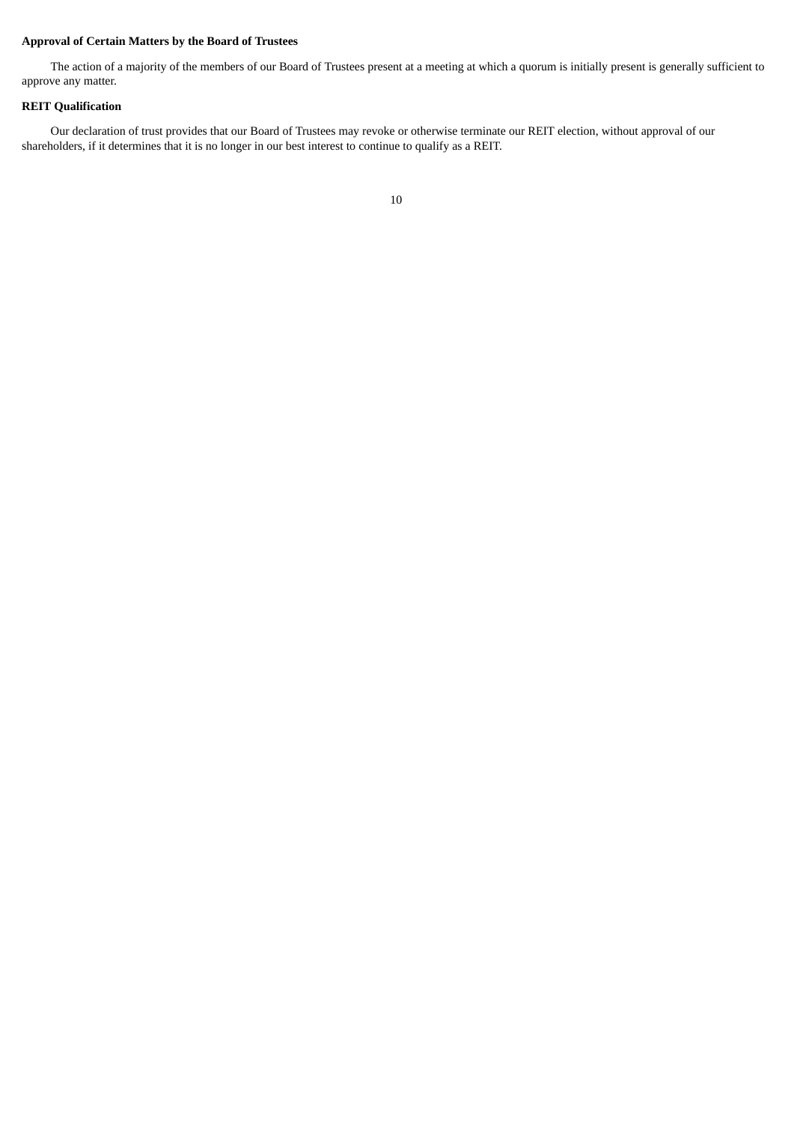## **Approval of Certain Matters by the Board of Trustees**

The action of a majority of the members of our Board of Trustees present at a meeting at which a quorum is initially present is generally sufficient to approve any matter.

## **REIT Qualification**

Our declaration of trust provides that our Board of Trustees may revoke or otherwise terminate our REIT election, without approval of our shareholders, if it determines that it is no longer in our best interest to continue to qualify as a REIT.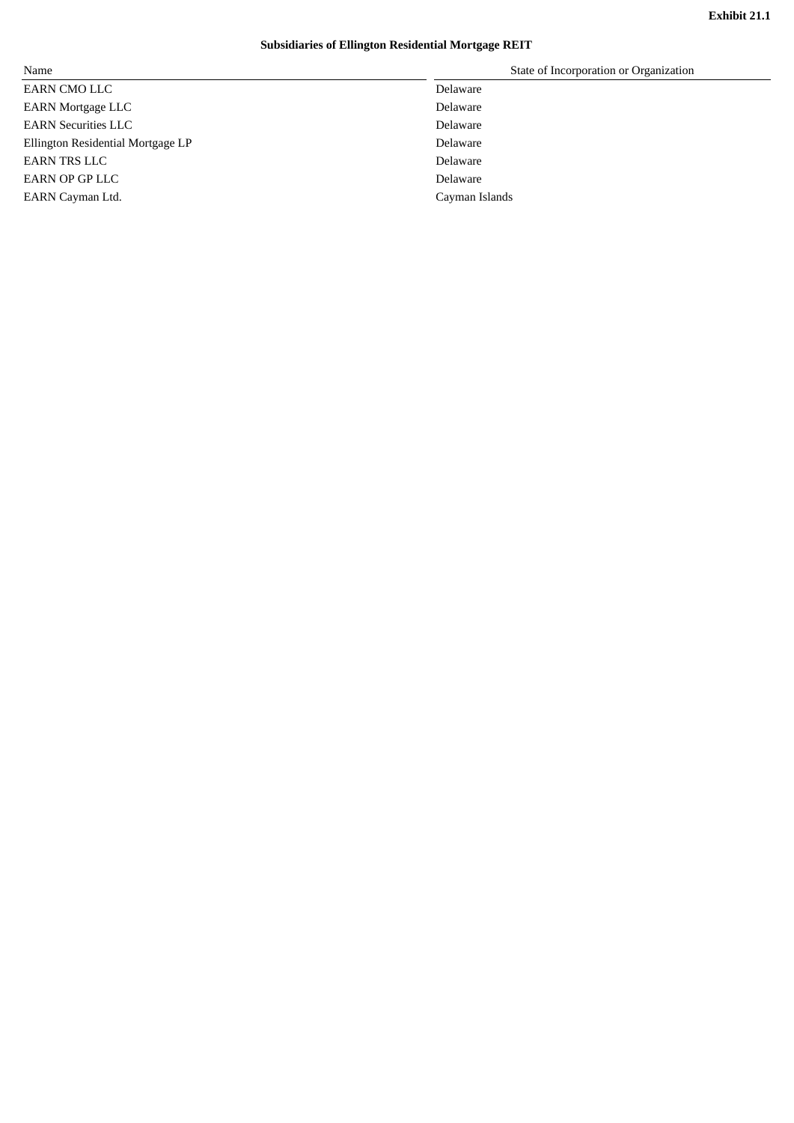# **Subsidiaries of Ellington Residential Mortgage REIT**

| Name                              | State of Incorporation or Organization |
|-----------------------------------|----------------------------------------|
| EARN CMO LLC                      | Delaware                               |
| <b>EARN Mortgage LLC</b>          | Delaware                               |
| <b>EARN Securities LLC</b>        | Delaware                               |
| Ellington Residential Mortgage LP | Delaware                               |
| <b>EARN TRS LLC</b>               | Delaware                               |
| EARN OP GP LLC                    | Delaware                               |
| EARN Cayman Ltd.                  | Cayman Islands                         |
|                                   |                                        |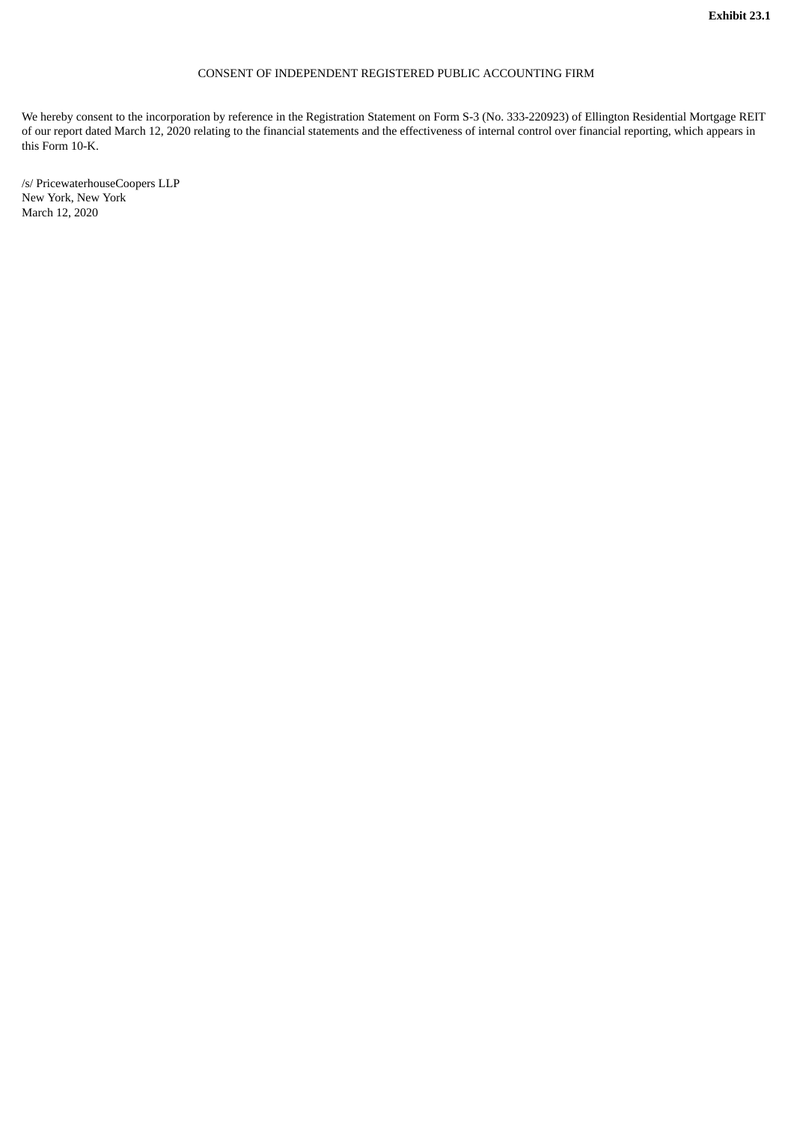## CONSENT OF INDEPENDENT REGISTERED PUBLIC ACCOUNTING FIRM

We hereby consent to the incorporation by reference in the Registration Statement on Form S-3 (No. 333-220923) of Ellington Residential Mortgage REIT of our report dated March 12, 2020 relating to the financial statements and the effectiveness of internal control over financial reporting, which appears in this Form 10-K.

/s/ PricewaterhouseCoopers LLP New York, New York March 12, 2020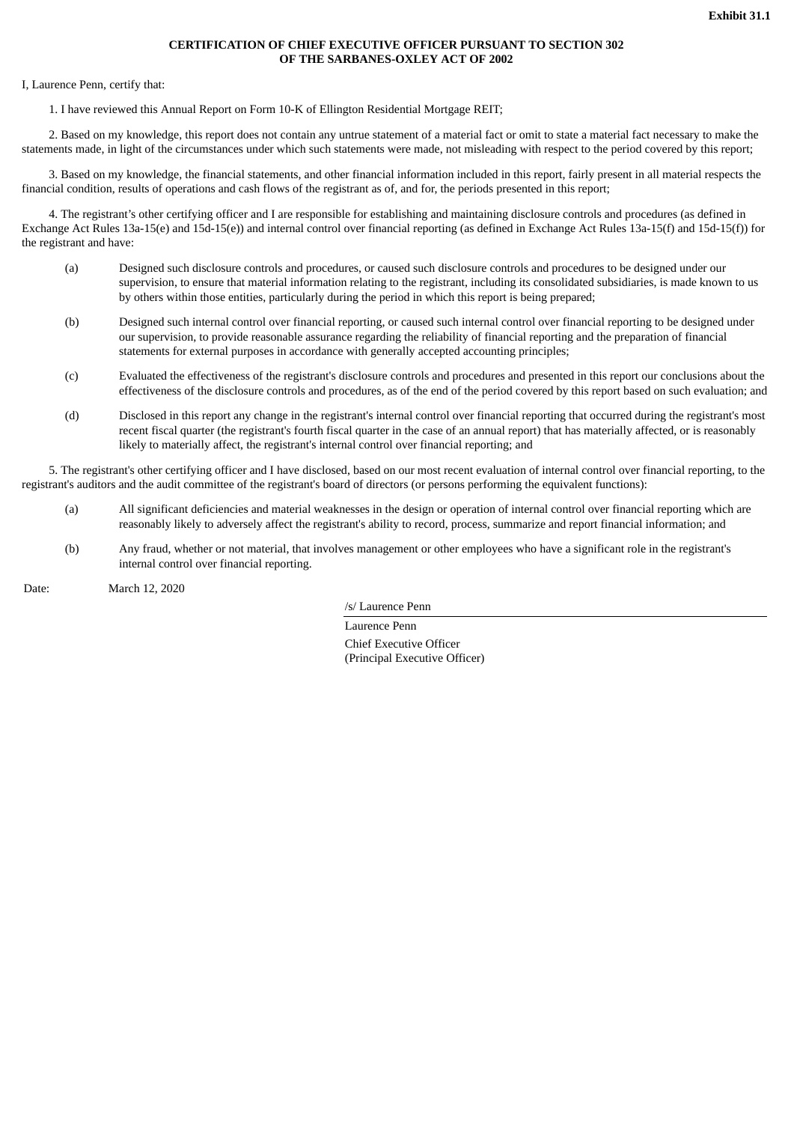### **CERTIFICATION OF CHIEF EXECUTIVE OFFICER PURSUANT TO SECTION 302 OF THE SARBANES-OXLEY ACT OF 2002**

I, Laurence Penn, certify that:

1. I have reviewed this Annual Report on Form 10-K of Ellington Residential Mortgage REIT;

2. Based on my knowledge, this report does not contain any untrue statement of a material fact or omit to state a material fact necessary to make the statements made, in light of the circumstances under which such statements were made, not misleading with respect to the period covered by this report;

3. Based on my knowledge, the financial statements, and other financial information included in this report, fairly present in all material respects the financial condition, results of operations and cash flows of the registrant as of, and for, the periods presented in this report;

4. The registrant's other certifying officer and I are responsible for establishing and maintaining disclosure controls and procedures (as defined in Exchange Act Rules 13a-15(e) and 15d-15(e)) and internal control over financial reporting (as defined in Exchange Act Rules 13a-15(f) and 15d-15(f)) for the registrant and have:

- (a) Designed such disclosure controls and procedures, or caused such disclosure controls and procedures to be designed under our supervision, to ensure that material information relating to the registrant, including its consolidated subsidiaries, is made known to us by others within those entities, particularly during the period in which this report is being prepared;
- (b) Designed such internal control over financial reporting, or caused such internal control over financial reporting to be designed under our supervision, to provide reasonable assurance regarding the reliability of financial reporting and the preparation of financial statements for external purposes in accordance with generally accepted accounting principles;
- (c) Evaluated the effectiveness of the registrant's disclosure controls and procedures and presented in this report our conclusions about the effectiveness of the disclosure controls and procedures, as of the end of the period covered by this report based on such evaluation; and
- (d) Disclosed in this report any change in the registrant's internal control over financial reporting that occurred during the registrant's most recent fiscal quarter (the registrant's fourth fiscal quarter in the case of an annual report) that has materially affected, or is reasonably likely to materially affect, the registrant's internal control over financial reporting; and

5. The registrant's other certifying officer and I have disclosed, based on our most recent evaluation of internal control over financial reporting, to the registrant's auditors and the audit committee of the registrant's board of directors (or persons performing the equivalent functions):

- (a) All significant deficiencies and material weaknesses in the design or operation of internal control over financial reporting which are reasonably likely to adversely affect the registrant's ability to record, process, summarize and report financial information; and
- (b) Any fraud, whether or not material, that involves management or other employees who have a significant role in the registrant's internal control over financial reporting.

Date: March 12, 2020

/s/ Laurence Penn

Laurence Penn Chief Executive Officer (Principal Executive Officer)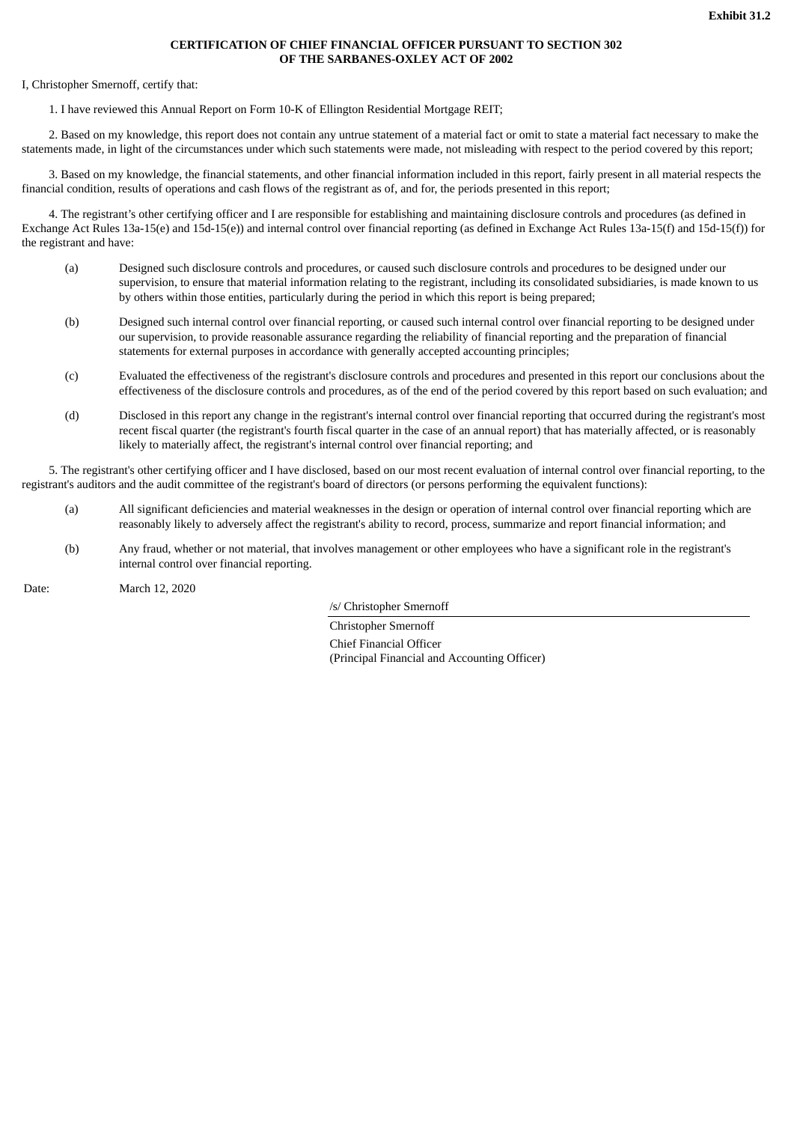### **CERTIFICATION OF CHIEF FINANCIAL OFFICER PURSUANT TO SECTION 302 OF THE SARBANES-OXLEY ACT OF 2002**

#### I, Christopher Smernoff, certify that:

1. I have reviewed this Annual Report on Form 10-K of Ellington Residential Mortgage REIT;

2. Based on my knowledge, this report does not contain any untrue statement of a material fact or omit to state a material fact necessary to make the statements made, in light of the circumstances under which such statements were made, not misleading with respect to the period covered by this report;

3. Based on my knowledge, the financial statements, and other financial information included in this report, fairly present in all material respects the financial condition, results of operations and cash flows of the registrant as of, and for, the periods presented in this report;

4. The registrant's other certifying officer and I are responsible for establishing and maintaining disclosure controls and procedures (as defined in Exchange Act Rules 13a-15(e) and 15d-15(e)) and internal control over financial reporting (as defined in Exchange Act Rules 13a-15(f) and 15d-15(f)) for the registrant and have:

- (a) Designed such disclosure controls and procedures, or caused such disclosure controls and procedures to be designed under our supervision, to ensure that material information relating to the registrant, including its consolidated subsidiaries, is made known to us by others within those entities, particularly during the period in which this report is being prepared;
- (b) Designed such internal control over financial reporting, or caused such internal control over financial reporting to be designed under our supervision, to provide reasonable assurance regarding the reliability of financial reporting and the preparation of financial statements for external purposes in accordance with generally accepted accounting principles;
- (c) Evaluated the effectiveness of the registrant's disclosure controls and procedures and presented in this report our conclusions about the effectiveness of the disclosure controls and procedures, as of the end of the period covered by this report based on such evaluation; and
- (d) Disclosed in this report any change in the registrant's internal control over financial reporting that occurred during the registrant's most recent fiscal quarter (the registrant's fourth fiscal quarter in the case of an annual report) that has materially affected, or is reasonably likely to materially affect, the registrant's internal control over financial reporting; and

5. The registrant's other certifying officer and I have disclosed, based on our most recent evaluation of internal control over financial reporting, to the registrant's auditors and the audit committee of the registrant's board of directors (or persons performing the equivalent functions):

- (a) All significant deficiencies and material weaknesses in the design or operation of internal control over financial reporting which are reasonably likely to adversely affect the registrant's ability to record, process, summarize and report financial information; and
- (b) Any fraud, whether or not material, that involves management or other employees who have a significant role in the registrant's internal control over financial reporting.

Date: March 12, 2020

/s/ Christopher Smernoff

Christopher Smernoff Chief Financial Officer (Principal Financial and Accounting Officer)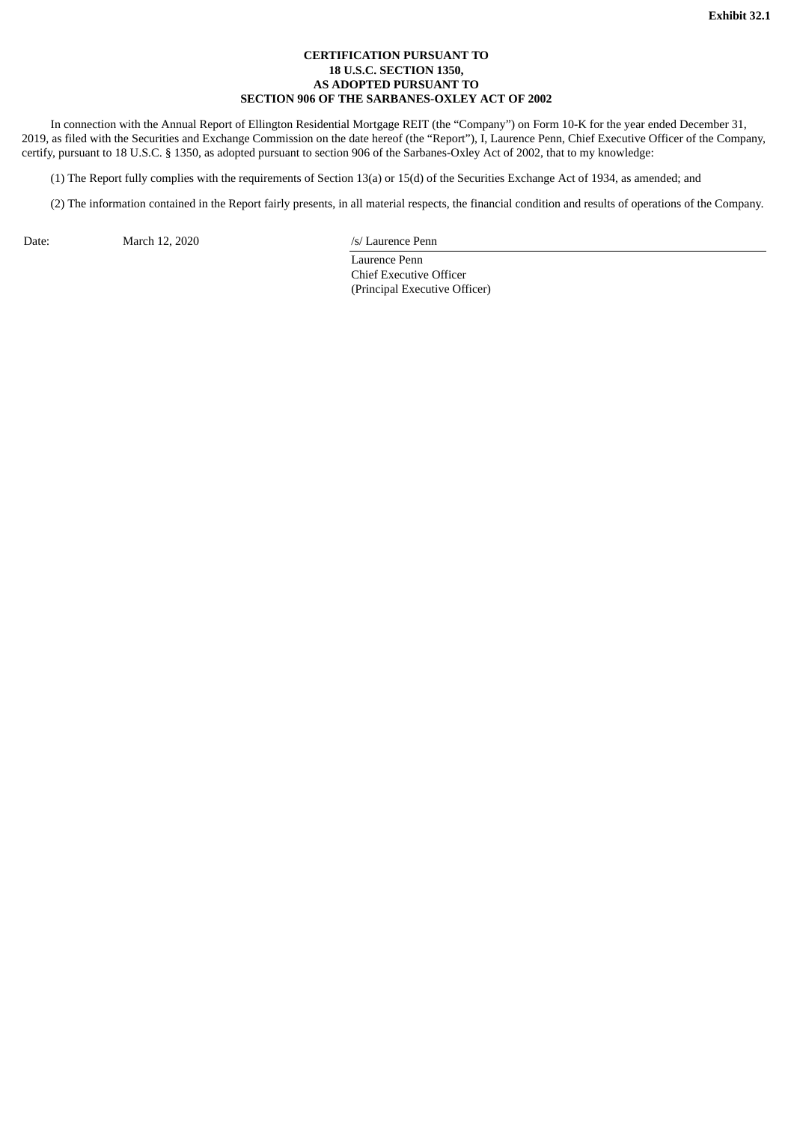## **CERTIFICATION PURSUANT TO 18 U.S.C. SECTION 1350, AS ADOPTED PURSUANT TO SECTION 906 OF THE SARBANES-OXLEY ACT OF 2002**

In connection with the Annual Report of Ellington Residential Mortgage REIT (the "Company") on Form 10-K for the year ended December 31, 2019, as filed with the Securities and Exchange Commission on the date hereof (the "Report"), I, Laurence Penn, Chief Executive Officer of the Company, certify, pursuant to 18 U.S.C. § 1350, as adopted pursuant to section 906 of the Sarbanes-Oxley Act of 2002, that to my knowledge:

(1) The Report fully complies with the requirements of Section 13(a) or 15(d) of the Securities Exchange Act of 1934, as amended; and

(2) The information contained in the Report fairly presents, in all material respects, the financial condition and results of operations of the Company.

Date: March 12, 2020 /s/ Laurence Penn

Laurence Penn Chief Executive Officer (Principal Executive Officer)